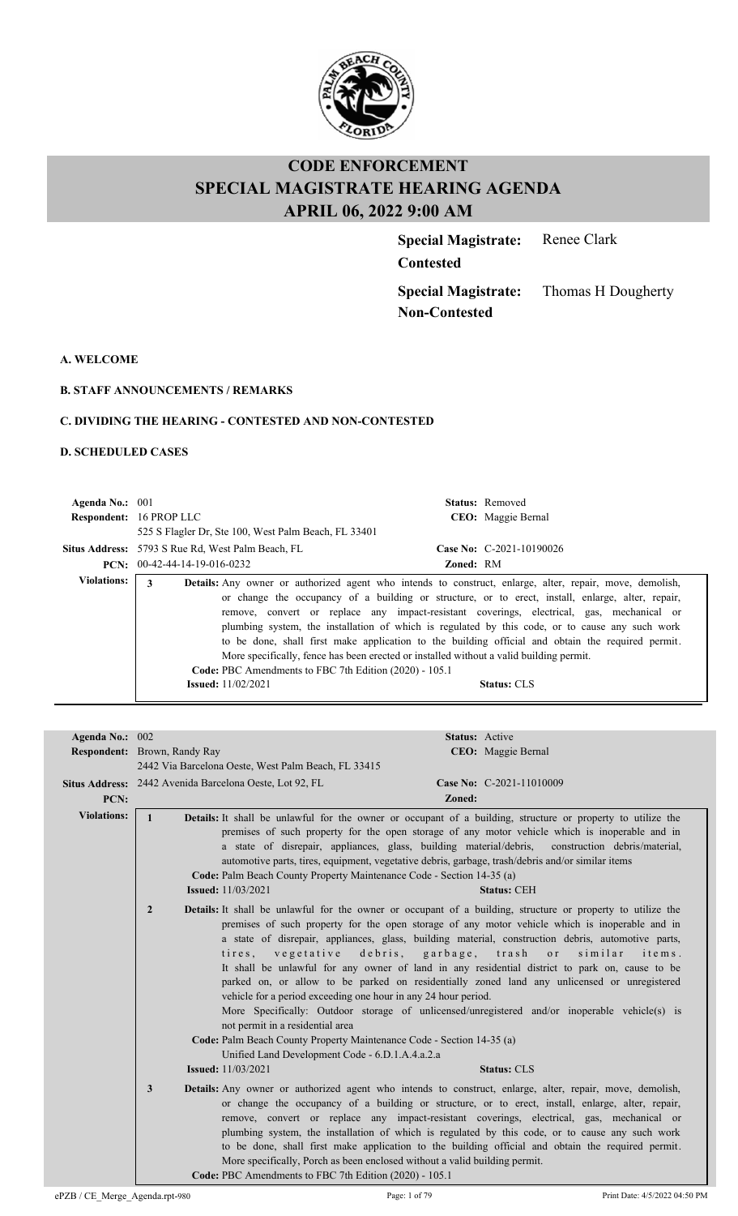

**Special Magistrate:** Renee Clark

**Contested**

**Special Magistrate: Non-Contested**

Thomas H Dougherty

**A. WELCOME**

**B. STAFF ANNOUNCEMENTS / REMARKS**

#### **C. DIVIDING THE HEARING - CONTESTED AND NON-CONTESTED**

#### **D. SCHEDULED CASES**

| Agenda No.: $001$  | <b>Respondent: 16 PROP LLC</b><br>525 S Flagler Dr, Ste 100, West Palm Beach, FL 33401                                                     | <b>Status:</b> Removed<br>CEO: Maggie Bernal                                                                                                                                                                                                                                                                                                                                                                                                                                                                                                                                                                                               |  |  |
|--------------------|--------------------------------------------------------------------------------------------------------------------------------------------|--------------------------------------------------------------------------------------------------------------------------------------------------------------------------------------------------------------------------------------------------------------------------------------------------------------------------------------------------------------------------------------------------------------------------------------------------------------------------------------------------------------------------------------------------------------------------------------------------------------------------------------------|--|--|
|                    | Case No: C-2021-10190026<br><b>Situs Address:</b> 5793 S Rue Rd, West Palm Beach, FL<br>$PCN: 00-42-44-14-19-016-0232$<br><b>Zoned: RM</b> |                                                                                                                                                                                                                                                                                                                                                                                                                                                                                                                                                                                                                                            |  |  |
| <b>Violations:</b> | 3<br>Code: PBC Amendments to FBC 7th Edition (2020) - 105.1<br><b>Issued:</b> $11/02/2021$                                                 | <b>Details:</b> Any owner or authorized agent who intends to construct, enlarge, alter, repair, move, demolish,<br>or change the occupancy of a building or structure, or to erect, install, enlarge, alter, repair,<br>remove, convert or replace any impact-resistant coverings, electrical, gas, mechanical or<br>plumbing system, the installation of which is regulated by this code, or to cause any such work<br>to be done, shall first make application to the building official and obtain the required permit.<br>More specifically, fence has been erected or installed without a valid building permit.<br><b>Status: CLS</b> |  |  |

| Agenda No.: 002    | <b>Status: Active</b>                                                                                                                                                                                                                                                                                                                                                                                                                                                                                                                                                                                                                                                                                                                                                                                                                                                                                                                                                                                   |  |  |
|--------------------|---------------------------------------------------------------------------------------------------------------------------------------------------------------------------------------------------------------------------------------------------------------------------------------------------------------------------------------------------------------------------------------------------------------------------------------------------------------------------------------------------------------------------------------------------------------------------------------------------------------------------------------------------------------------------------------------------------------------------------------------------------------------------------------------------------------------------------------------------------------------------------------------------------------------------------------------------------------------------------------------------------|--|--|
|                    | <b>Respondent:</b> Brown, Randy Ray<br>CEO: Maggie Bernal                                                                                                                                                                                                                                                                                                                                                                                                                                                                                                                                                                                                                                                                                                                                                                                                                                                                                                                                               |  |  |
|                    | 2442 Via Barcelona Oeste, West Palm Beach, FL 33415                                                                                                                                                                                                                                                                                                                                                                                                                                                                                                                                                                                                                                                                                                                                                                                                                                                                                                                                                     |  |  |
|                    | Situs Address: 2442 Avenida Barcelona Oeste, Lot 92, FL<br>Case No: C-2021-11010009                                                                                                                                                                                                                                                                                                                                                                                                                                                                                                                                                                                                                                                                                                                                                                                                                                                                                                                     |  |  |
| PCN:               | Zoned:                                                                                                                                                                                                                                                                                                                                                                                                                                                                                                                                                                                                                                                                                                                                                                                                                                                                                                                                                                                                  |  |  |
| <b>Violations:</b> | Details: It shall be unlawful for the owner or occupant of a building, structure or property to utilize the<br>$\mathbf{1}$<br>premises of such property for the open storage of any motor vehicle which is inoperable and in<br>a state of disrepair, appliances, glass, building material/debris,<br>construction debris/material,<br>automotive parts, tires, equipment, vegetative debris, garbage, trash/debris and/or similar items<br>Code: Palm Beach County Property Maintenance Code - Section 14-35 (a)<br><b>Issued:</b> 11/03/2021<br><b>Status: CEH</b>                                                                                                                                                                                                                                                                                                                                                                                                                                   |  |  |
|                    | $\overline{2}$<br>Details: It shall be unlawful for the owner or occupant of a building, structure or property to utilize the<br>premises of such property for the open storage of any motor vehicle which is inoperable and in<br>a state of disrepair, appliances, glass, building material, construction debris, automotive parts,<br>tires, vegetative<br>debris, garbage, trash<br>similar<br>o r<br>items.<br>It shall be unlawful for any owner of land in any residential district to park on, cause to be<br>parked on, or allow to be parked on residentially zoned land any unlicensed or unregistered<br>vehicle for a period exceeding one hour in any 24 hour period.<br>More Specifically: Outdoor storage of unlicensed/unregistered and/or inoperable vehicle(s) is<br>not permit in a residential area<br>Code: Palm Beach County Property Maintenance Code - Section 14-35 (a)<br>Unified Land Development Code - 6.D.1.A.4.a.2.a<br><b>Issued:</b> 11/03/2021<br><b>Status: CLS</b> |  |  |
|                    | 3<br><b>Details:</b> Any owner or authorized agent who intends to construct, enlarge, alter, repair, move, demolish,<br>or change the occupancy of a building or structure, or to erect, install, enlarge, alter, repair,<br>remove, convert or replace any impact-resistant coverings, electrical, gas, mechanical or<br>plumbing system, the installation of which is regulated by this code, or to cause any such work<br>to be done, shall first make application to the building official and obtain the required permit.<br>More specifically, Porch as been enclosed without a valid building permit.<br>Code: PBC Amendments to FBC 7th Edition (2020) - 105.1                                                                                                                                                                                                                                                                                                                                  |  |  |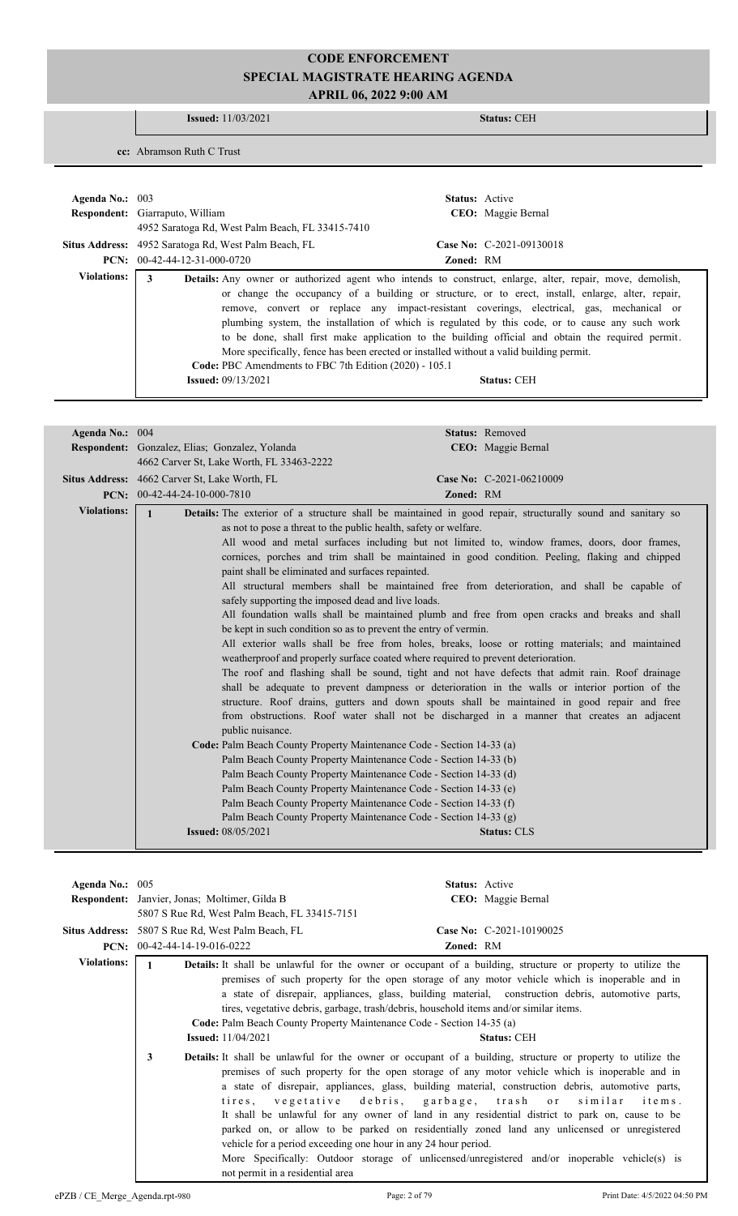#### **Issued:** 11/03/2021 **Status:** CEH

**cc:** Abramson Ruth C Trust

| Agenda No.: $003$ | <b>Status:</b> Active<br>Respondent: Giarraputo, William<br>CEO: Maggie Bernal<br>4952 Saratoga Rd, West Palm Beach, FL 33415-7410                                                                                                                                                                                                                                                                                                                                                                                                                                                                                                                                                                                                       |
|-------------------|------------------------------------------------------------------------------------------------------------------------------------------------------------------------------------------------------------------------------------------------------------------------------------------------------------------------------------------------------------------------------------------------------------------------------------------------------------------------------------------------------------------------------------------------------------------------------------------------------------------------------------------------------------------------------------------------------------------------------------------|
|                   | <b>Situs Address:</b> 4952 Saratoga Rd, West Palm Beach, FL<br>Case No: $C-2021-09130018$                                                                                                                                                                                                                                                                                                                                                                                                                                                                                                                                                                                                                                                |
|                   | $PCN: 00-42-44-12-31-000-0720$<br><b>Zoned: RM</b>                                                                                                                                                                                                                                                                                                                                                                                                                                                                                                                                                                                                                                                                                       |
| Violations:       | 3<br><b>Details:</b> Any owner or authorized agent who intends to construct, enlarge, alter, repair, move, demolish,<br>or change the occupancy of a building or structure, or to erect, install, enlarge, alter, repair,<br>remove, convert or replace any impact-resistant coverings, electrical, gas, mechanical or<br>plumbing system, the installation of which is regulated by this code, or to cause any such work<br>to be done, shall first make application to the building official and obtain the required permit.<br>More specifically, fence has been erected or installed without a valid building permit.<br>Code: PBC Amendments to FBC 7th Edition (2020) - 105.1<br><b>Issued:</b> $09/13/2021$<br><b>Status: CEH</b> |

| Agenda No.: 004    | Status: Removed                                                                                                                                                                                                                                                                                                                                                                                                                                                                                                                                                                                                                                                                                                                                                                                                                                                                                                                                                                                                                                                                                                                                                                                                                                                                                                                                                                                                                                                                                                                                                                                                                                                                                                                                                                                                                                                          |  |
|--------------------|--------------------------------------------------------------------------------------------------------------------------------------------------------------------------------------------------------------------------------------------------------------------------------------------------------------------------------------------------------------------------------------------------------------------------------------------------------------------------------------------------------------------------------------------------------------------------------------------------------------------------------------------------------------------------------------------------------------------------------------------------------------------------------------------------------------------------------------------------------------------------------------------------------------------------------------------------------------------------------------------------------------------------------------------------------------------------------------------------------------------------------------------------------------------------------------------------------------------------------------------------------------------------------------------------------------------------------------------------------------------------------------------------------------------------------------------------------------------------------------------------------------------------------------------------------------------------------------------------------------------------------------------------------------------------------------------------------------------------------------------------------------------------------------------------------------------------------------------------------------------------|--|
|                    | CEO: Maggie Bernal<br>Respondent: Gonzalez, Elias; Gonzalez, Yolanda                                                                                                                                                                                                                                                                                                                                                                                                                                                                                                                                                                                                                                                                                                                                                                                                                                                                                                                                                                                                                                                                                                                                                                                                                                                                                                                                                                                                                                                                                                                                                                                                                                                                                                                                                                                                     |  |
|                    | 4662 Carver St, Lake Worth, FL 33463-2222                                                                                                                                                                                                                                                                                                                                                                                                                                                                                                                                                                                                                                                                                                                                                                                                                                                                                                                                                                                                                                                                                                                                                                                                                                                                                                                                                                                                                                                                                                                                                                                                                                                                                                                                                                                                                                |  |
|                    | <b>Situs Address:</b> 4662 Carver St, Lake Worth, FL<br>Case No: C-2021-06210009                                                                                                                                                                                                                                                                                                                                                                                                                                                                                                                                                                                                                                                                                                                                                                                                                                                                                                                                                                                                                                                                                                                                                                                                                                                                                                                                                                                                                                                                                                                                                                                                                                                                                                                                                                                         |  |
|                    | PCN: 00-42-44-24-10-000-7810<br><b>Zoned: RM</b>                                                                                                                                                                                                                                                                                                                                                                                                                                                                                                                                                                                                                                                                                                                                                                                                                                                                                                                                                                                                                                                                                                                                                                                                                                                                                                                                                                                                                                                                                                                                                                                                                                                                                                                                                                                                                         |  |
| <b>Violations:</b> | Details: The exterior of a structure shall be maintained in good repair, structurally sound and sanitary so<br>$\mathbf{1}$<br>as not to pose a threat to the public health, safety or welfare.<br>All wood and metal surfaces including but not limited to, window frames, doors, door frames,<br>cornices, porches and trim shall be maintained in good condition. Peeling, flaking and chipped<br>paint shall be eliminated and surfaces repainted.<br>All structural members shall be maintained free from deterioration, and shall be capable of<br>safely supporting the imposed dead and live loads.<br>All foundation walls shall be maintained plumb and free from open cracks and breaks and shall<br>be kept in such condition so as to prevent the entry of vermin.<br>All exterior walls shall be free from holes, breaks, loose or rotting materials; and maintained<br>weatherproof and properly surface coated where required to prevent deterioration.<br>The roof and flashing shall be sound, tight and not have defects that admit rain. Roof drainage<br>shall be adequate to prevent dampness or deterioration in the walls or interior portion of the<br>structure. Roof drains, gutters and down spouts shall be maintained in good repair and free<br>from obstructions. Roof water shall not be discharged in a manner that creates an adjacent<br>public nuisance.<br>Code: Palm Beach County Property Maintenance Code - Section 14-33 (a)<br>Palm Beach County Property Maintenance Code - Section 14-33 (b)<br>Palm Beach County Property Maintenance Code - Section 14-33 (d)<br>Palm Beach County Property Maintenance Code - Section 14-33 (e)<br>Palm Beach County Property Maintenance Code - Section 14-33 (f)<br>Palm Beach County Property Maintenance Code - Section 14-33 (g)<br><b>Issued:</b> 08/05/2021<br><b>Status: CLS</b> |  |
|                    |                                                                                                                                                                                                                                                                                                                                                                                                                                                                                                                                                                                                                                                                                                                                                                                                                                                                                                                                                                                                                                                                                                                                                                                                                                                                                                                                                                                                                                                                                                                                                                                                                                                                                                                                                                                                                                                                          |  |

| Agenda No.: 005    |                                                                                                                                                                                                                                                                                                                                                                                | <b>Status:</b> Active                                                                                                                                                                                                                                                                                                                                                                                                                                                                                                                                                                                                                                                                         |  |
|--------------------|--------------------------------------------------------------------------------------------------------------------------------------------------------------------------------------------------------------------------------------------------------------------------------------------------------------------------------------------------------------------------------|-----------------------------------------------------------------------------------------------------------------------------------------------------------------------------------------------------------------------------------------------------------------------------------------------------------------------------------------------------------------------------------------------------------------------------------------------------------------------------------------------------------------------------------------------------------------------------------------------------------------------------------------------------------------------------------------------|--|
|                    | <b>Respondent:</b> Janvier, Jonas; Moltimer, Gilda B                                                                                                                                                                                                                                                                                                                           | CEO: Maggie Bernal                                                                                                                                                                                                                                                                                                                                                                                                                                                                                                                                                                                                                                                                            |  |
|                    | 5807 S Rue Rd, West Palm Beach, FL 33415-7151                                                                                                                                                                                                                                                                                                                                  |                                                                                                                                                                                                                                                                                                                                                                                                                                                                                                                                                                                                                                                                                               |  |
|                    | Situs Address: 5807 S Rue Rd, West Palm Beach, FL                                                                                                                                                                                                                                                                                                                              | Case No: C-2021-10190025                                                                                                                                                                                                                                                                                                                                                                                                                                                                                                                                                                                                                                                                      |  |
|                    | <b>PCN:</b> $00-42-44-14-19-016-0222$                                                                                                                                                                                                                                                                                                                                          | Zoned: RM                                                                                                                                                                                                                                                                                                                                                                                                                                                                                                                                                                                                                                                                                     |  |
| <b>Violations:</b> | $\mathbf{1}$                                                                                                                                                                                                                                                                                                                                                                   | <b>Details:</b> It shall be unlawful for the owner or occupant of a building, structure or property to utilize the                                                                                                                                                                                                                                                                                                                                                                                                                                                                                                                                                                            |  |
|                    | premises of such property for the open storage of any motor vehicle which is inoperable and in<br>a state of disrepair, appliances, glass, building material, construction debris, automotive parts,<br>tires, vegetative debris, garbage, trash/debris, household items and/or similar items.<br><b>Code:</b> Palm Beach County Property Maintenance Code - Section 14-35 (a) |                                                                                                                                                                                                                                                                                                                                                                                                                                                                                                                                                                                                                                                                                               |  |
|                    | <b>Issued:</b> $11/04/2021$<br><b>Status: CEH</b>                                                                                                                                                                                                                                                                                                                              |                                                                                                                                                                                                                                                                                                                                                                                                                                                                                                                                                                                                                                                                                               |  |
|                    | 3<br>vehicle for a period exceeding one hour in any 24 hour period.<br>not permit in a residential area                                                                                                                                                                                                                                                                        | <b>Details:</b> It shall be unlawful for the owner or occupant of a building, structure or property to utilize the<br>premises of such property for the open storage of any motor vehicle which is inoperable and in<br>a state of disrepair, appliances, glass, building material, construction debris, automotive parts,<br>tires, vegetative debris, garbage, trash or similar<br>items.<br>It shall be unlawful for any owner of land in any residential district to park on, cause to be<br>parked on, or allow to be parked on residentially zoned land any unlicensed or unregistered<br>More Specifically: Outdoor storage of unlicensed/unregistered and/or inoperable vehicle(s) is |  |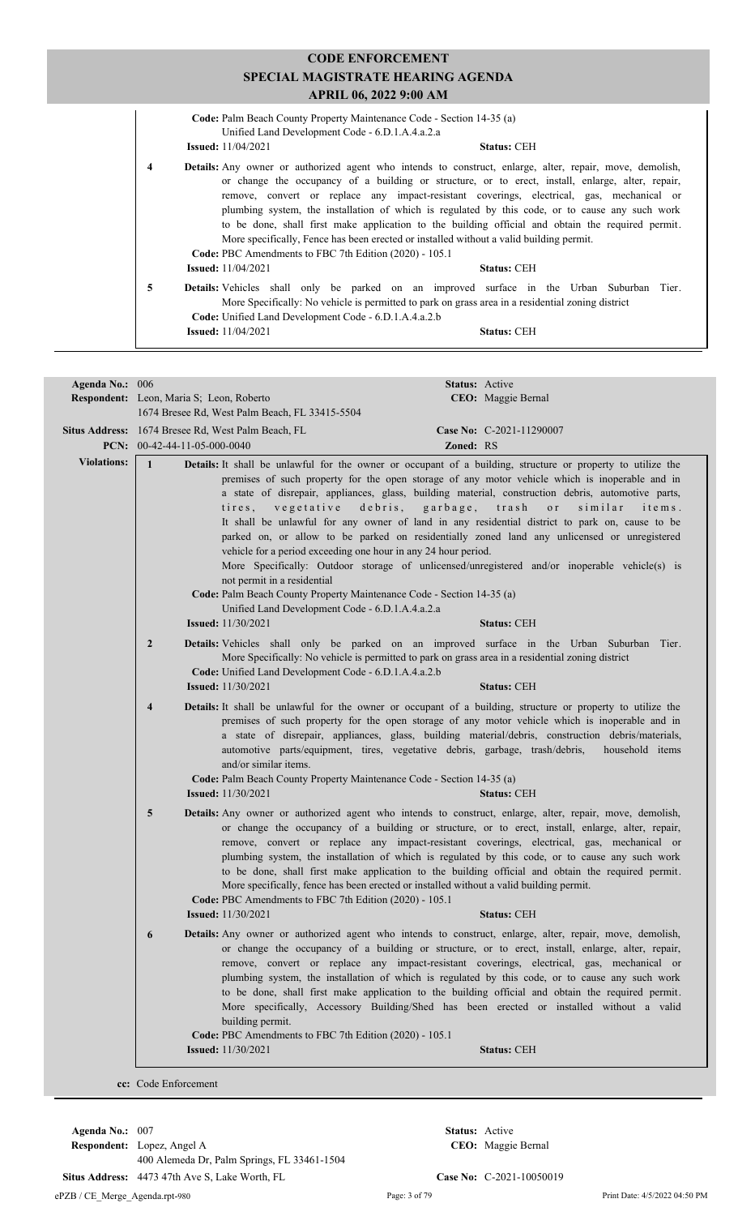| <b>CODE ENFORCEMENT</b>                                                                                                                                                                                                                                                                                                |                                                                                                                                                                                                                                                                                                                                                                                                                                                                                                                                                                                                                                                                                |  |  |  |  |
|------------------------------------------------------------------------------------------------------------------------------------------------------------------------------------------------------------------------------------------------------------------------------------------------------------------------|--------------------------------------------------------------------------------------------------------------------------------------------------------------------------------------------------------------------------------------------------------------------------------------------------------------------------------------------------------------------------------------------------------------------------------------------------------------------------------------------------------------------------------------------------------------------------------------------------------------------------------------------------------------------------------|--|--|--|--|
|                                                                                                                                                                                                                                                                                                                        | SPECIAL MAGISTRATE HEARING AGENDA<br>APRIL 06, 2022 9:00 AM                                                                                                                                                                                                                                                                                                                                                                                                                                                                                                                                                                                                                    |  |  |  |  |
| <b>Code:</b> Palm Beach County Property Maintenance Code - Section 14-35 (a)<br>Unified Land Development Code - 6.D.1.A.4.a.2.a<br><b>Issued:</b> $11/04/2021$<br><b>Status: CEH</b>                                                                                                                                   |                                                                                                                                                                                                                                                                                                                                                                                                                                                                                                                                                                                                                                                                                |  |  |  |  |
| $\overline{\mathbf{4}}$                                                                                                                                                                                                                                                                                                | <b>Details:</b> Any owner or authorized agent who intends to construct, enlarge, alter, repair, move, demolish,<br>or change the occupancy of a building or structure, or to erect, install, enlarge, alter, repair,<br>remove, convert or replace any impact-resistant coverings, electrical, gas, mechanical or<br>plumbing system, the installation of which is regulated by this code, or to cause any such work<br>to be done, shall first make application to the building official and obtain the required permit.<br>More specifically, Fence has been erected or installed without a valid building permit.<br>Code: PBC Amendments to FBC 7th Edition (2020) - 105.1 |  |  |  |  |
| <b>Details:</b> Vehicles shall only be parked on an improved surface in the Urban Suburban Tier.<br>5<br>More Specifically: No vehicle is permitted to park on grass area in a residential zoning district<br>Code: Unified Land Development Code - 6.D.1.A.4.a.2.b<br><b>Issued:</b> 11/04/2021<br><b>Status: CEH</b> |                                                                                                                                                                                                                                                                                                                                                                                                                                                                                                                                                                                                                                                                                |  |  |  |  |

| Agenda No.: 006    |                                          |                                                                                                                                                                                                                                                                                        | Status: Active   |                                                                                                                                                                                                                                                                                                                                                                                                                                                                                                                                                                                                                                                                                                               |
|--------------------|------------------------------------------|----------------------------------------------------------------------------------------------------------------------------------------------------------------------------------------------------------------------------------------------------------------------------------------|------------------|---------------------------------------------------------------------------------------------------------------------------------------------------------------------------------------------------------------------------------------------------------------------------------------------------------------------------------------------------------------------------------------------------------------------------------------------------------------------------------------------------------------------------------------------------------------------------------------------------------------------------------------------------------------------------------------------------------------|
|                    | Respondent: Leon, Maria S; Leon, Roberto |                                                                                                                                                                                                                                                                                        |                  | CEO: Maggie Bernal                                                                                                                                                                                                                                                                                                                                                                                                                                                                                                                                                                                                                                                                                            |
|                    |                                          | 1674 Bresee Rd, West Palm Beach, FL 33415-5504                                                                                                                                                                                                                                         |                  |                                                                                                                                                                                                                                                                                                                                                                                                                                                                                                                                                                                                                                                                                                               |
|                    |                                          | Situs Address: 1674 Bresee Rd, West Palm Beach, FL                                                                                                                                                                                                                                     |                  | Case No: C-2021-11290007                                                                                                                                                                                                                                                                                                                                                                                                                                                                                                                                                                                                                                                                                      |
|                    | PCN: $00-42-44-11-05-000-0040$           |                                                                                                                                                                                                                                                                                        | Zoned: RS        |                                                                                                                                                                                                                                                                                                                                                                                                                                                                                                                                                                                                                                                                                                               |
| <b>Violations:</b> | $\mathbf{1}$                             | vegetative<br>$t$ i $r$ e s,<br>vehicle for a period exceeding one hour in any 24 hour period.<br>not permit in a residential<br>Code: Palm Beach County Property Maintenance Code - Section 14-35 (a)<br>Unified Land Development Code - 6.D.1.A.4.a.2.a<br><b>Issued:</b> 11/30/2021 | debris, garbage, | Details: It shall be unlawful for the owner or occupant of a building, structure or property to utilize the<br>premises of such property for the open storage of any motor vehicle which is inoperable and in<br>a state of disrepair, appliances, glass, building material, construction debris, automotive parts,<br>${\rm tr}\, a\, {\rm s}\, {\rm h}$<br>similar<br>o r<br>items.<br>It shall be unlawful for any owner of land in any residential district to park on, cause to be<br>parked on, or allow to be parked on residentially zoned land any unlicensed or unregistered<br>More Specifically: Outdoor storage of unlicensed/unregistered and/or inoperable vehicle(s) is<br><b>Status: CEH</b> |
|                    |                                          |                                                                                                                                                                                                                                                                                        |                  |                                                                                                                                                                                                                                                                                                                                                                                                                                                                                                                                                                                                                                                                                                               |
|                    | $\overline{2}$                           | More Specifically: No vehicle is permitted to park on grass area in a residential zoning district<br>Code: Unified Land Development Code - 6.D.1.A.4.a.2.b<br><b>Issued:</b> 11/30/2021                                                                                                |                  | Details: Vehicles shall only be parked on an improved surface in the Urban Suburban Tier.<br><b>Status: CEH</b>                                                                                                                                                                                                                                                                                                                                                                                                                                                                                                                                                                                               |
|                    | $\overline{4}$                           |                                                                                                                                                                                                                                                                                        |                  | Details: It shall be unlawful for the owner or occupant of a building, structure or property to utilize the                                                                                                                                                                                                                                                                                                                                                                                                                                                                                                                                                                                                   |
|                    |                                          | automotive parts/equipment, tires, vegetative debris, garbage, trash/debris,<br>and/or similar items.<br>Code: Palm Beach County Property Maintenance Code - Section 14-35 (a)<br><b>Issued:</b> 11/30/2021                                                                            |                  | premises of such property for the open storage of any motor vehicle which is inoperable and in<br>a state of disrepair, appliances, glass, building material/debris, construction debris/materials,<br>household items<br><b>Status: CEH</b>                                                                                                                                                                                                                                                                                                                                                                                                                                                                  |
|                    | 5                                        | More specifically, fence has been erected or installed without a valid building permit.<br>Code: PBC Amendments to FBC 7th Edition (2020) - 105.1<br><b>Issued:</b> 11/30/2021                                                                                                         |                  | Details: Any owner or authorized agent who intends to construct, enlarge, alter, repair, move, demolish,<br>or change the occupancy of a building or structure, or to erect, install, enlarge, alter, repair,<br>remove, convert or replace any impact-resistant coverings, electrical, gas, mechanical or<br>plumbing system, the installation of which is regulated by this code, or to cause any such work<br>to be done, shall first make application to the building official and obtain the required permit.<br><b>Status: CEH</b>                                                                                                                                                                      |
|                    |                                          |                                                                                                                                                                                                                                                                                        |                  |                                                                                                                                                                                                                                                                                                                                                                                                                                                                                                                                                                                                                                                                                                               |
|                    | 6                                        | building permit.<br>Code: PBC Amendments to FBC 7th Edition (2020) - 105.1<br><b>Issued:</b> 11/30/2021                                                                                                                                                                                |                  | <b>Details:</b> Any owner or authorized agent who intends to construct, enlarge, alter, repair, move, demolish,<br>or change the occupancy of a building or structure, or to erect, install, enlarge, alter, repair,<br>remove, convert or replace any impact-resistant coverings, electrical, gas, mechanical or<br>plumbing system, the installation of which is regulated by this code, or to cause any such work<br>to be done, shall first make application to the building official and obtain the required permit.<br>More specifically, Accessory Building/Shed has been erected or installed without a valid<br><b>Status: CEH</b>                                                                   |
|                    |                                          |                                                                                                                                                                                                                                                                                        |                  |                                                                                                                                                                                                                                                                                                                                                                                                                                                                                                                                                                                                                                                                                                               |
|                    | cc: Code Enforcement                     |                                                                                                                                                                                                                                                                                        |                  |                                                                                                                                                                                                                                                                                                                                                                                                                                                                                                                                                                                                                                                                                                               |

**Respondent:** Lopez, Angel A **Agenda No.:** 007 **Status:** Active 400 Alemeda Dr, Palm Springs, FL 33461-1504 **Situs Address:** 4473 47th Ave S, Lake Worth, FL **Case No:** C-2021-10050019 ePZB / CE\_Merge\_Agenda.rpt-980 Page: 3 of 79 Print Date: 4/5/2022 04:50 PM

CEO: Maggie Bernal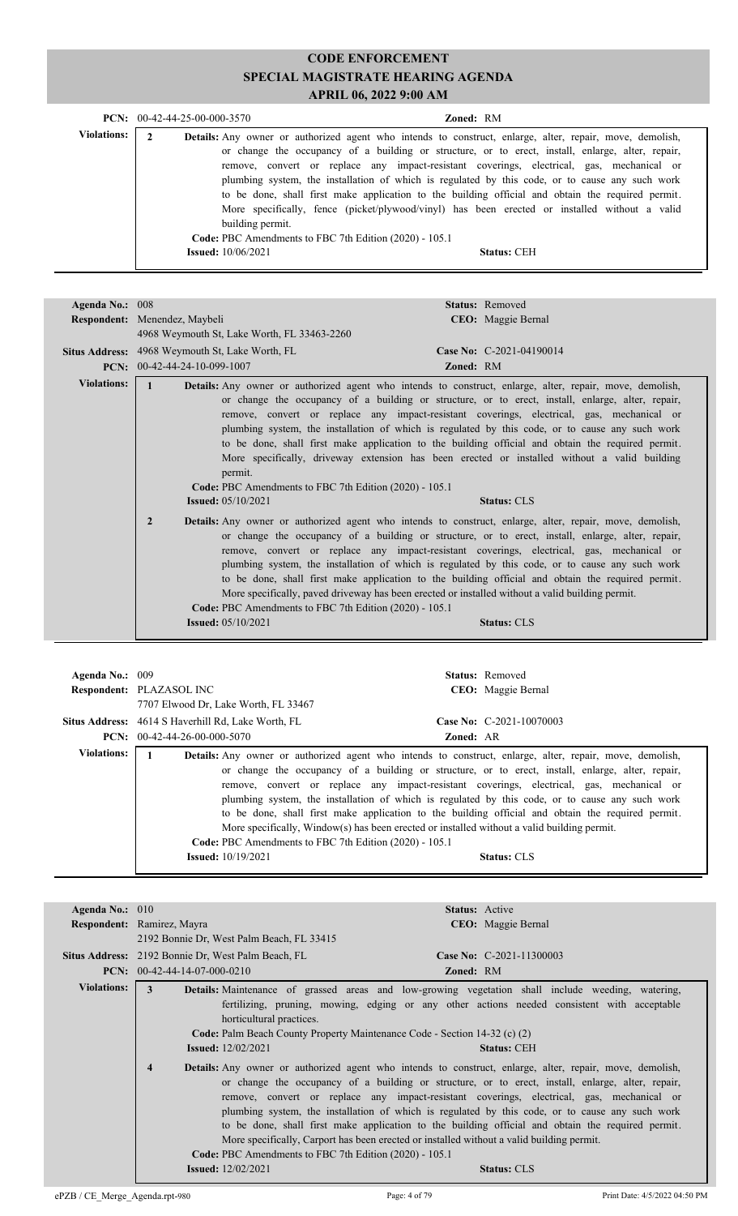|                    | $PCN: 00-42-44-25-00-000-3570$ |                                                                                                                                                                                               | <b>Zoned: RM</b> |                    |                                                                                                                                                                                                                                                                                                                                                                                                                                                                                                         |
|--------------------|--------------------------------|-----------------------------------------------------------------------------------------------------------------------------------------------------------------------------------------------|------------------|--------------------|---------------------------------------------------------------------------------------------------------------------------------------------------------------------------------------------------------------------------------------------------------------------------------------------------------------------------------------------------------------------------------------------------------------------------------------------------------------------------------------------------------|
| <b>Violations:</b> |                                | <b>Details:</b> Any owner or authorized agent who intends to construct, enlarge, alter, repair, move, demolish,<br>building permit.<br>Code: PBC Amendments to FBC 7th Edition (2020) - 105.1 |                  |                    | or change the occupancy of a building or structure, or to erect, install, enlarge, alter, repair,<br>remove, convert or replace any impact-resistant coverings, electrical, gas, mechanical or<br>plumbing system, the installation of which is regulated by this code, or to cause any such work<br>to be done, shall first make application to the building official and obtain the required permit.<br>More specifically, fence (picket/plywood/vinyl) has been erected or installed without a valid |
|                    |                                | <b>Issued:</b> 10/06/2021                                                                                                                                                                     |                  | <b>Status: CEH</b> |                                                                                                                                                                                                                                                                                                                                                                                                                                                                                                         |

| Agenda No.: 008    |                                                                                                                                  |           | Status: Removed                                                                                                                                                                                                                                                                                                                                                                                                                                                                                                                                                                                                                                                                                                                                                                                                                                                                                                                                                      |
|--------------------|----------------------------------------------------------------------------------------------------------------------------------|-----------|----------------------------------------------------------------------------------------------------------------------------------------------------------------------------------------------------------------------------------------------------------------------------------------------------------------------------------------------------------------------------------------------------------------------------------------------------------------------------------------------------------------------------------------------------------------------------------------------------------------------------------------------------------------------------------------------------------------------------------------------------------------------------------------------------------------------------------------------------------------------------------------------------------------------------------------------------------------------|
|                    | Respondent: Menendez, Maybeli                                                                                                    |           | <b>CEO</b> : Maggie Bernal                                                                                                                                                                                                                                                                                                                                                                                                                                                                                                                                                                                                                                                                                                                                                                                                                                                                                                                                           |
|                    | 4968 Weymouth St, Lake Worth, FL 33463-2260                                                                                      |           |                                                                                                                                                                                                                                                                                                                                                                                                                                                                                                                                                                                                                                                                                                                                                                                                                                                                                                                                                                      |
|                    | <b>Situs Address:</b> 4968 Weymouth St, Lake Worth, FL                                                                           |           | Case No: C-2021-04190014                                                                                                                                                                                                                                                                                                                                                                                                                                                                                                                                                                                                                                                                                                                                                                                                                                                                                                                                             |
|                    | $PCN: 00-42-44-24-10-099-1007$                                                                                                   | Zoned: RM |                                                                                                                                                                                                                                                                                                                                                                                                                                                                                                                                                                                                                                                                                                                                                                                                                                                                                                                                                                      |
| <b>Violations:</b> | $\mathbf{1}$<br>permit.<br>Code: PBC Amendments to FBC 7th Edition (2020) - 105.1<br><b>Issued:</b> 05/10/2021<br>$\overline{2}$ |           | <b>Details:</b> Any owner or authorized agent who intends to construct, enlarge, alter, repair, move, demolish,<br>or change the occupancy of a building or structure, or to erect, install, enlarge, alter, repair,<br>remove, convert or replace any impact-resistant coverings, electrical, gas, mechanical or<br>plumbing system, the installation of which is regulated by this code, or to cause any such work<br>to be done, shall first make application to the building official and obtain the required permit.<br>More specifically, driveway extension has been erected or installed without a valid building<br><b>Status: CLS</b><br><b>Details:</b> Any owner or authorized agent who intends to construct, enlarge, alter, repair, move, demolish,<br>or change the occupancy of a building or structure, or to erect, install, enlarge, alter, repair,<br>remove, convert or replace any impact-resistant coverings, electrical, gas, mechanical or |
|                    | Code: PBC Amendments to FBC 7th Edition (2020) - 105.1                                                                           |           | plumbing system, the installation of which is regulated by this code, or to cause any such work<br>to be done, shall first make application to the building official and obtain the required permit.<br>More specifically, paved driveway has been erected or installed without a valid building permit.                                                                                                                                                                                                                                                                                                                                                                                                                                                                                                                                                                                                                                                             |
|                    | <b>Issued:</b> $05/10/2021$                                                                                                      |           | <b>Status: CLS</b>                                                                                                                                                                                                                                                                                                                                                                                                                                                                                                                                                                                                                                                                                                                                                                                                                                                                                                                                                   |

| Agenda No.: 009    |                                                                                                                                                                                                                                                                                                                                                                                                                                                                                                                                                                                                                      | <b>Status:</b> Removed                                                                                          |
|--------------------|----------------------------------------------------------------------------------------------------------------------------------------------------------------------------------------------------------------------------------------------------------------------------------------------------------------------------------------------------------------------------------------------------------------------------------------------------------------------------------------------------------------------------------------------------------------------------------------------------------------------|-----------------------------------------------------------------------------------------------------------------|
|                    | <b>Respondent: PLAZASOL INC</b>                                                                                                                                                                                                                                                                                                                                                                                                                                                                                                                                                                                      | CEO: Maggie Bernal                                                                                              |
|                    | 7707 Elwood Dr, Lake Worth, FL 33467                                                                                                                                                                                                                                                                                                                                                                                                                                                                                                                                                                                 |                                                                                                                 |
|                    | <b>Situs Address:</b> 4614 S Haverhill Rd, Lake Worth, FL                                                                                                                                                                                                                                                                                                                                                                                                                                                                                                                                                            | Case No: C-2021-10070003                                                                                        |
|                    | $PCN: 00-42-44-26-00-000-5070$                                                                                                                                                                                                                                                                                                                                                                                                                                                                                                                                                                                       | <b>Zoned: AR</b>                                                                                                |
| <b>Violations:</b> | <b>Details:</b> Any owner or authorized agent who intends to construct, enlarge, alter, repair, move, demolish,<br>or change the occupancy of a building or structure, or to erect, install, enlarge, alter, repair,<br>plumbing system, the installation of which is regulated by this code, or to cause any such work<br>to be done, shall first make application to the building official and obtain the required permit.<br>More specifically, $Window(s)$ has been erected or installed without a valid building permit.<br>Code: PBC Amendments to FBC 7th Edition (2020) - 105.1<br><b>Issued:</b> 10/19/2021 | remove, convert or replace any impact-resistant coverings, electrical, gas, mechanical or<br><b>Status: CLS</b> |

| Agenda No.: 010    |                                                                                                                                                                                                                                                                                                                                                                                                                                                                                                                                                                                       |                  | <b>Status:</b> Active                                                                                                                                                                                                                                                                                                                                                                                                                                                                                                                             |
|--------------------|---------------------------------------------------------------------------------------------------------------------------------------------------------------------------------------------------------------------------------------------------------------------------------------------------------------------------------------------------------------------------------------------------------------------------------------------------------------------------------------------------------------------------------------------------------------------------------------|------------------|---------------------------------------------------------------------------------------------------------------------------------------------------------------------------------------------------------------------------------------------------------------------------------------------------------------------------------------------------------------------------------------------------------------------------------------------------------------------------------------------------------------------------------------------------|
|                    | Respondent: Ramirez, Mayra                                                                                                                                                                                                                                                                                                                                                                                                                                                                                                                                                            |                  | CEO: Maggie Bernal                                                                                                                                                                                                                                                                                                                                                                                                                                                                                                                                |
|                    | 2192 Bonnie Dr. West Palm Beach, FL 33415                                                                                                                                                                                                                                                                                                                                                                                                                                                                                                                                             |                  |                                                                                                                                                                                                                                                                                                                                                                                                                                                                                                                                                   |
|                    | Situs Address: 2192 Bonnie Dr, West Palm Beach, FL                                                                                                                                                                                                                                                                                                                                                                                                                                                                                                                                    |                  | Case No: C-2021-11300003                                                                                                                                                                                                                                                                                                                                                                                                                                                                                                                          |
|                    | <b>PCN:</b> $00-42-44-14-07-000-0210$                                                                                                                                                                                                                                                                                                                                                                                                                                                                                                                                                 | <b>Zoned: RM</b> |                                                                                                                                                                                                                                                                                                                                                                                                                                                                                                                                                   |
| <b>Violations:</b> | <b>Details:</b> Maintenance of grassed areas and low-growing vegetation shall include weeding, watering,<br>3<br>horticultural practices.<br>Code: Palm Beach County Property Maintenance Code - Section 14-32 (c) (2)<br><b>Issued:</b> $12/02/2021$<br><b>Details:</b> Any owner or authorized agent who intends to construct, enlarge, alter, repair, move, demolish,<br>$\overline{4}$<br>More specifically, Carport has been erected or installed without a valid building permit.<br><b>Code: PBC</b> Amendments to FBC 7th Edition (2020) - 105.1<br><b>Issued:</b> 12/02/2021 |                  | fertilizing, pruning, mowing, edging or any other actions needed consistent with acceptable<br><b>Status: CEH</b><br>or change the occupancy of a building or structure, or to erect, install, enlarge, alter, repair,<br>remove, convert or replace any impact-resistant coverings, electrical, gas, mechanical or<br>plumbing system, the installation of which is regulated by this code, or to cause any such work<br>to be done, shall first make application to the building official and obtain the required permit.<br><b>Status: CLS</b> |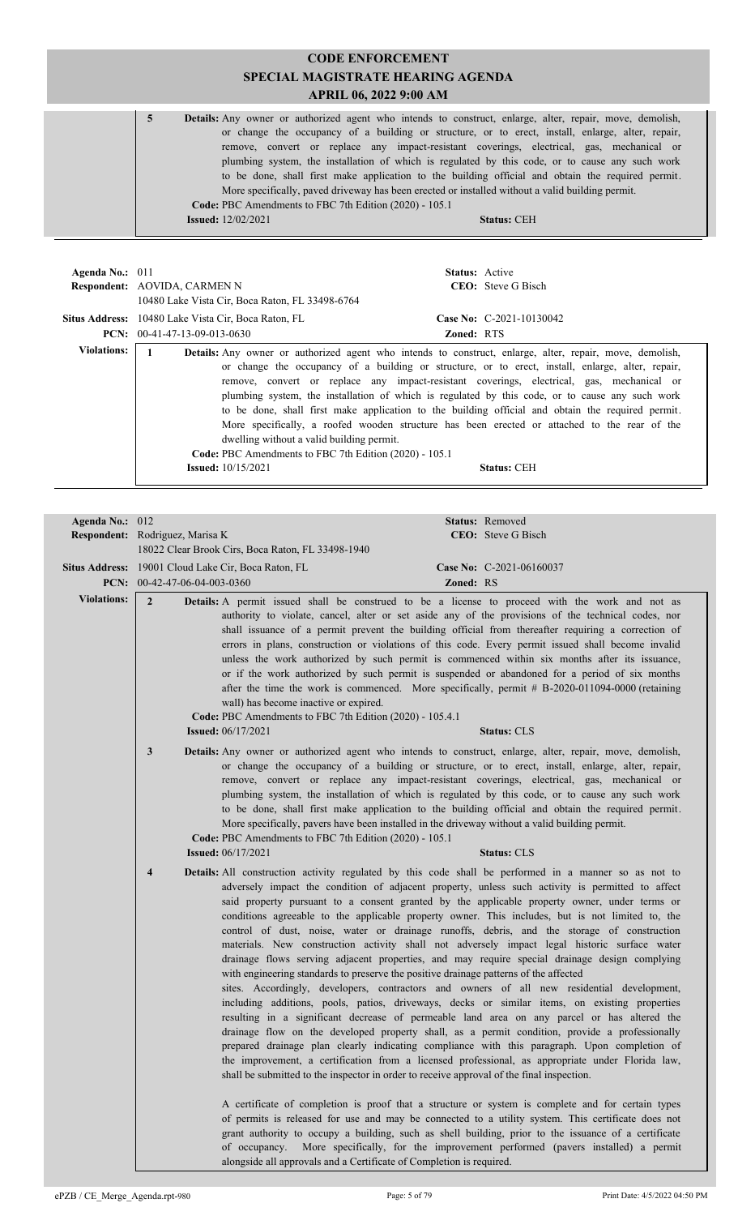| Agenda No.: $011$  |                                                                                                                                  | <b>Status:</b> Active                                                                                                                                                                                                                                                                                                                                                                                                                                                                                                                                                                                                                           |
|--------------------|----------------------------------------------------------------------------------------------------------------------------------|-------------------------------------------------------------------------------------------------------------------------------------------------------------------------------------------------------------------------------------------------------------------------------------------------------------------------------------------------------------------------------------------------------------------------------------------------------------------------------------------------------------------------------------------------------------------------------------------------------------------------------------------------|
|                    | Respondent: AOVIDA, CARMEN N                                                                                                     | <b>CEO</b> : Steve G Bisch                                                                                                                                                                                                                                                                                                                                                                                                                                                                                                                                                                                                                      |
|                    | 10480 Lake Vista Cir, Boca Raton, FL 33498-6764                                                                                  |                                                                                                                                                                                                                                                                                                                                                                                                                                                                                                                                                                                                                                                 |
|                    | <b>Situs Address:</b> 10480 Lake Vista Cir, Boca Raton, FL                                                                       | Case No: C-2021-10130042                                                                                                                                                                                                                                                                                                                                                                                                                                                                                                                                                                                                                        |
|                    | <b>PCN:</b> $00-41-47-13-09-013-0630$                                                                                            | <b>Zoned: RTS</b>                                                                                                                                                                                                                                                                                                                                                                                                                                                                                                                                                                                                                               |
| <b>Violations:</b> | dwelling without a valid building permit.<br>Code: PBC Amendments to FBC 7th Edition (2020) - 105.1<br><b>Issued:</b> 10/15/2021 | <b>Details:</b> Any owner or authorized agent who intends to construct, enlarge, alter, repair, move, demolish,<br>or change the occupancy of a building or structure, or to erect, install, enlarge, alter, repair,<br>remove, convert or replace any impact-resistant coverings, electrical, gas, mechanical or<br>plumbing system, the installation of which is regulated by this code, or to cause any such work<br>to be done, shall first make application to the building official and obtain the required permit.<br>More specifically, a roofed wooden structure has been erected or attached to the rear of the<br><b>Status: CEH</b> |

| Agenda No.: 012    |                                 |                                                                                                                                                                                    |           | Status: Removed                                                                                                                                                                                                                                                                                                                                                                                                                                                                                                                                                                                                                                                                                                                                                                                                                                                                                                                                                                                                                                                                                                                                                                                                                                                                                                  |
|--------------------|---------------------------------|------------------------------------------------------------------------------------------------------------------------------------------------------------------------------------|-----------|------------------------------------------------------------------------------------------------------------------------------------------------------------------------------------------------------------------------------------------------------------------------------------------------------------------------------------------------------------------------------------------------------------------------------------------------------------------------------------------------------------------------------------------------------------------------------------------------------------------------------------------------------------------------------------------------------------------------------------------------------------------------------------------------------------------------------------------------------------------------------------------------------------------------------------------------------------------------------------------------------------------------------------------------------------------------------------------------------------------------------------------------------------------------------------------------------------------------------------------------------------------------------------------------------------------|
|                    | Respondent: Rodriguez, Marisa K |                                                                                                                                                                                    |           | CEO: Steve G Bisch                                                                                                                                                                                                                                                                                                                                                                                                                                                                                                                                                                                                                                                                                                                                                                                                                                                                                                                                                                                                                                                                                                                                                                                                                                                                                               |
|                    |                                 | 18022 Clear Brook Cirs, Boca Raton, FL 33498-1940                                                                                                                                  |           |                                                                                                                                                                                                                                                                                                                                                                                                                                                                                                                                                                                                                                                                                                                                                                                                                                                                                                                                                                                                                                                                                                                                                                                                                                                                                                                  |
|                    |                                 | Situs Address: 19001 Cloud Lake Cir, Boca Raton, FL                                                                                                                                |           | Case No: C-2021-06160037                                                                                                                                                                                                                                                                                                                                                                                                                                                                                                                                                                                                                                                                                                                                                                                                                                                                                                                                                                                                                                                                                                                                                                                                                                                                                         |
|                    | PCN: $00-42-47-06-04-003-0360$  |                                                                                                                                                                                    | Zoned: RS |                                                                                                                                                                                                                                                                                                                                                                                                                                                                                                                                                                                                                                                                                                                                                                                                                                                                                                                                                                                                                                                                                                                                                                                                                                                                                                                  |
| <b>Violations:</b> | $\overline{2}$                  |                                                                                                                                                                                    |           | Details: A permit issued shall be construed to be a license to proceed with the work and not as<br>authority to violate, cancel, alter or set aside any of the provisions of the technical codes, nor<br>shall issuance of a permit prevent the building official from thereafter requiring a correction of                                                                                                                                                                                                                                                                                                                                                                                                                                                                                                                                                                                                                                                                                                                                                                                                                                                                                                                                                                                                      |
|                    |                                 | wall) has become inactive or expired.<br>Code: PBC Amendments to FBC 7th Edition (2020) - 105.4.1                                                                                  |           | errors in plans, construction or violations of this code. Every permit issued shall become invalid<br>unless the work authorized by such permit is commenced within six months after its issuance,<br>or if the work authorized by such permit is suspended or abandoned for a period of six months<br>after the time the work is commenced. More specifically, permit # B-2020-011094-0000 (retaining                                                                                                                                                                                                                                                                                                                                                                                                                                                                                                                                                                                                                                                                                                                                                                                                                                                                                                           |
|                    |                                 | <b>Issued:</b> 06/17/2021                                                                                                                                                          |           | <b>Status: CLS</b>                                                                                                                                                                                                                                                                                                                                                                                                                                                                                                                                                                                                                                                                                                                                                                                                                                                                                                                                                                                                                                                                                                                                                                                                                                                                                               |
|                    | $\mathbf{3}$                    | More specifically, pavers have been installed in the driveway without a valid building permit.<br>Code: PBC Amendments to FBC 7th Edition (2020) - 105.1                           |           | Details: Any owner or authorized agent who intends to construct, enlarge, alter, repair, move, demolish,<br>or change the occupancy of a building or structure, or to erect, install, enlarge, alter, repair,<br>remove, convert or replace any impact-resistant coverings, electrical, gas, mechanical or<br>plumbing system, the installation of which is regulated by this code, or to cause any such work<br>to be done, shall first make application to the building official and obtain the required permit.                                                                                                                                                                                                                                                                                                                                                                                                                                                                                                                                                                                                                                                                                                                                                                                               |
|                    |                                 | <b>Issued:</b> 06/17/2021                                                                                                                                                          |           | <b>Status: CLS</b>                                                                                                                                                                                                                                                                                                                                                                                                                                                                                                                                                                                                                                                                                                                                                                                                                                                                                                                                                                                                                                                                                                                                                                                                                                                                                               |
|                    | $\overline{4}$                  | with engineering standards to preserve the positive drainage patterns of the affected<br>shall be submitted to the inspector in order to receive approval of the final inspection. |           | Details: All construction activity regulated by this code shall be performed in a manner so as not to<br>adversely impact the condition of adjacent property, unless such activity is permitted to affect<br>said property pursuant to a consent granted by the applicable property owner, under terms or<br>conditions agreeable to the applicable property owner. This includes, but is not limited to, the<br>control of dust, noise, water or drainage runoffs, debris, and the storage of construction<br>materials. New construction activity shall not adversely impact legal historic surface water<br>drainage flows serving adjacent properties, and may require special drainage design complying<br>sites. Accordingly, developers, contractors and owners of all new residential development,<br>including additions, pools, patios, driveways, decks or similar items, on existing properties<br>resulting in a significant decrease of permeable land area on any parcel or has altered the<br>drainage flow on the developed property shall, as a permit condition, provide a professionally<br>prepared drainage plan clearly indicating compliance with this paragraph. Upon completion of<br>the improvement, a certification from a licensed professional, as appropriate under Florida law, |
|                    |                                 | of occupancy.<br>alongside all approvals and a Certificate of Completion is required.                                                                                              |           | A certificate of completion is proof that a structure or system is complete and for certain types<br>of permits is released for use and may be connected to a utility system. This certificate does not<br>grant authority to occupy a building, such as shell building, prior to the issuance of a certificate<br>More specifically, for the improvement performed (pavers installed) a permit                                                                                                                                                                                                                                                                                                                                                                                                                                                                                                                                                                                                                                                                                                                                                                                                                                                                                                                  |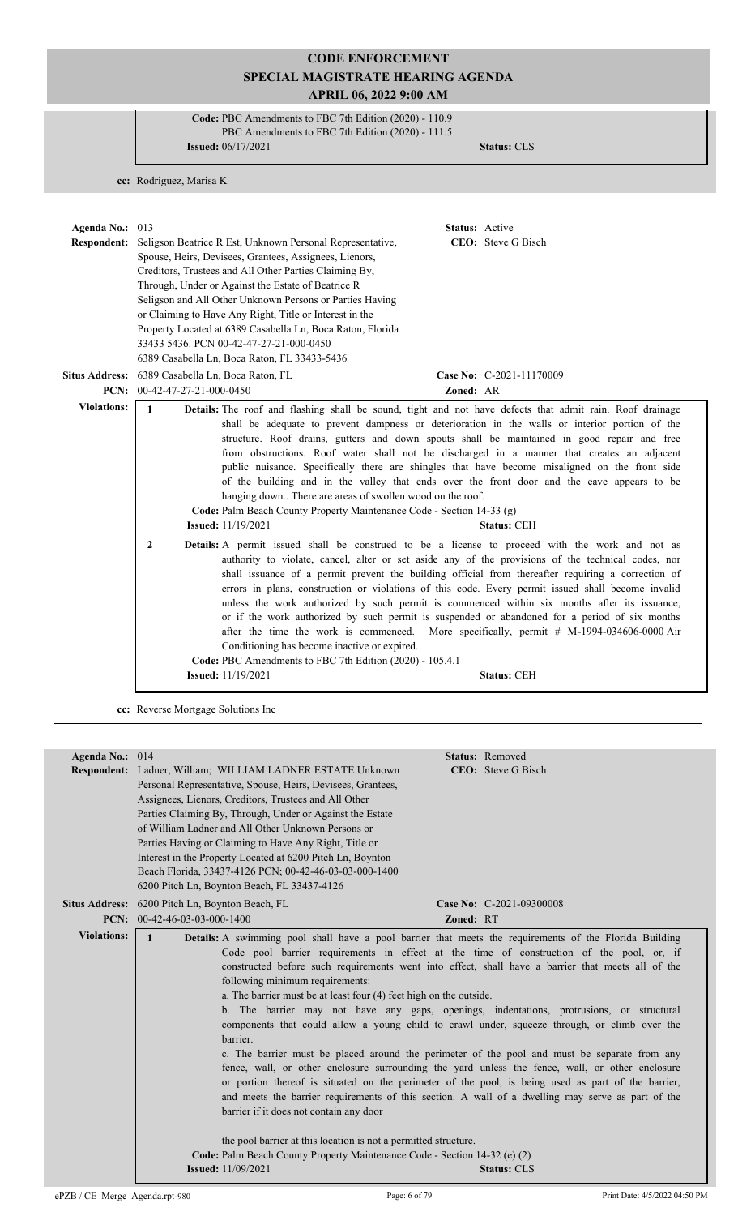**Code:** PBC Amendments to FBC 7th Edition (2020) - 110.9 PBC Amendments to FBC 7th Edition (2020) - 111.5 **Issued:** 06/17/2021 **Status:** CLS

**cc:** Rodriguez, Marisa K

| Agenda No.: $013$<br><b>Respondent:</b> | <b>Status:</b> Active<br>CEO: Steve G Bisch<br>Seligson Beatrice R Est, Unknown Personal Representative,<br>Spouse, Heirs, Devisees, Grantees, Assignees, Lienors,<br>Creditors, Trustees and All Other Parties Claiming By,<br>Through, Under or Against the Estate of Beatrice R<br>Seligson and All Other Unknown Persons or Parties Having<br>or Claiming to Have Any Right, Title or Interest in the<br>Property Located at 6389 Casabella Ln, Boca Raton, Florida<br>33433 5436. PCN 00-42-47-27-21-000-0450<br>6389 Casabella Ln, Boca Raton, FL 33433-5436                                                                                                                                                                                                                                                                                                                                     |
|-----------------------------------------|--------------------------------------------------------------------------------------------------------------------------------------------------------------------------------------------------------------------------------------------------------------------------------------------------------------------------------------------------------------------------------------------------------------------------------------------------------------------------------------------------------------------------------------------------------------------------------------------------------------------------------------------------------------------------------------------------------------------------------------------------------------------------------------------------------------------------------------------------------------------------------------------------------|
|                                         | Situs Address: 6389 Casabella Ln, Boca Raton, FL<br>Case No: C-2021-11170009                                                                                                                                                                                                                                                                                                                                                                                                                                                                                                                                                                                                                                                                                                                                                                                                                           |
|                                         | <b>PCN:</b> $00-42-47-27-21-000-0450$<br>Zoned: AR                                                                                                                                                                                                                                                                                                                                                                                                                                                                                                                                                                                                                                                                                                                                                                                                                                                     |
| <b>Violations:</b>                      | $\mathbf{1}$<br><b>Details:</b> The roof and flashing shall be sound, tight and not have defects that admit rain. Roof drainage<br>shall be adequate to prevent dampness or deterioration in the walls or interior portion of the<br>structure. Roof drains, gutters and down spouts shall be maintained in good repair and free<br>from obstructions. Roof water shall not be discharged in a manner that creates an adjacent<br>public nuisance. Specifically there are shingles that have become misaligned on the front side<br>of the building and in the valley that ends over the front door and the eave appears to be<br>hanging down There are areas of swollen wood on the roof.<br>Code: Palm Beach County Property Maintenance Code - Section 14-33 (g)<br><b>Issued:</b> 11/19/2021<br><b>Status: CEH</b>                                                                                |
|                                         | $\overline{2}$<br><b>Details:</b> A permit issued shall be construed to be a license to proceed with the work and not as<br>authority to violate, cancel, alter or set aside any of the provisions of the technical codes, nor<br>shall issuance of a permit prevent the building official from thereafter requiring a correction of<br>errors in plans, construction or violations of this code. Every permit issued shall become invalid<br>unless the work authorized by such permit is commenced within six months after its issuance,<br>or if the work authorized by such permit is suspended or abandoned for a period of six months<br>after the time the work is commenced. More specifically, permit # M-1994-034606-0000 Air<br>Conditioning has become inactive or expired.<br>Code: PBC Amendments to FBC 7th Edition (2020) - 105.4.1<br><b>Issued:</b> 11/19/2021<br><b>Status: CEH</b> |

**cc:** Reverse Mortgage Solutions Inc

| Agenda No.: 014    |                                                                                                                                                                                                 |                                                                                                        |           | Status: Removed            |  |  |
|--------------------|-------------------------------------------------------------------------------------------------------------------------------------------------------------------------------------------------|--------------------------------------------------------------------------------------------------------|-----------|----------------------------|--|--|
|                    |                                                                                                                                                                                                 | Respondent: Ladner, William; WILLIAM LADNER ESTATE Unknown                                             |           | <b>CEO</b> : Steve G Bisch |  |  |
|                    | Personal Representative, Spouse, Heirs, Devisees, Grantees,                                                                                                                                     |                                                                                                        |           |                            |  |  |
|                    | Assignees, Lienors, Creditors, Trustees and All Other                                                                                                                                           |                                                                                                        |           |                            |  |  |
|                    | Parties Claiming By, Through, Under or Against the Estate                                                                                                                                       |                                                                                                        |           |                            |  |  |
|                    |                                                                                                                                                                                                 | of William Ladner and All Other Unknown Persons or                                                     |           |                            |  |  |
|                    |                                                                                                                                                                                                 | Parties Having or Claiming to Have Any Right, Title or                                                 |           |                            |  |  |
|                    |                                                                                                                                                                                                 | Interest in the Property Located at 6200 Pitch Ln, Boynton                                             |           |                            |  |  |
|                    |                                                                                                                                                                                                 | Beach Florida, 33437-4126 PCN; 00-42-46-03-03-000-1400                                                 |           |                            |  |  |
|                    |                                                                                                                                                                                                 | 6200 Pitch Ln, Boynton Beach, FL 33437-4126                                                            |           |                            |  |  |
|                    | Situs Address: 6200 Pitch Ln, Boynton Beach, FL                                                                                                                                                 |                                                                                                        |           | Case No: C-2021-09300008   |  |  |
|                    | PCN: $00-42-46-03-03-000-1400$                                                                                                                                                                  |                                                                                                        | Zoned: RT |                            |  |  |
| <b>Violations:</b> | $\mathbf{1}$                                                                                                                                                                                    | Details: A swimming pool shall have a pool barrier that meets the requirements of the Florida Building |           |                            |  |  |
|                    |                                                                                                                                                                                                 | Code pool barrier requirements in effect at the time of construction of the pool, or, if               |           |                            |  |  |
|                    | constructed before such requirements went into effect, shall have a barrier that meets all of the                                                                                               |                                                                                                        |           |                            |  |  |
|                    | following minimum requirements:                                                                                                                                                                 |                                                                                                        |           |                            |  |  |
|                    | a. The barrier must be at least four (4) feet high on the outside.                                                                                                                              |                                                                                                        |           |                            |  |  |
|                    | b. The barrier may not have any gaps, openings, indentations, protrusions, or structural                                                                                                        |                                                                                                        |           |                            |  |  |
|                    | components that could allow a young child to crawl under, squeeze through, or climb over the                                                                                                    |                                                                                                        |           |                            |  |  |
|                    | barrier.                                                                                                                                                                                        |                                                                                                        |           |                            |  |  |
|                    |                                                                                                                                                                                                 |                                                                                                        |           |                            |  |  |
|                    | c. The barrier must be placed around the perimeter of the pool and must be separate from any<br>fence, wall, or other enclosure surrounding the yard unless the fence, wall, or other enclosure |                                                                                                        |           |                            |  |  |
|                    |                                                                                                                                                                                                 | or portion thereof is situated on the perimeter of the pool, is being used as part of the barrier,     |           |                            |  |  |
|                    |                                                                                                                                                                                                 | and meets the barrier requirements of this section. A wall of a dwelling may serve as part of the      |           |                            |  |  |
|                    |                                                                                                                                                                                                 | barrier if it does not contain any door                                                                |           |                            |  |  |
|                    |                                                                                                                                                                                                 |                                                                                                        |           |                            |  |  |
|                    |                                                                                                                                                                                                 | the pool barrier at this location is not a permitted structure.                                        |           |                            |  |  |
|                    |                                                                                                                                                                                                 | Code: Palm Beach County Property Maintenance Code - Section 14-32 (e) (2)                              |           |                            |  |  |
|                    |                                                                                                                                                                                                 | <b>Issued:</b> 11/09/2021                                                                              |           | <b>Status: CLS</b>         |  |  |
|                    |                                                                                                                                                                                                 |                                                                                                        |           |                            |  |  |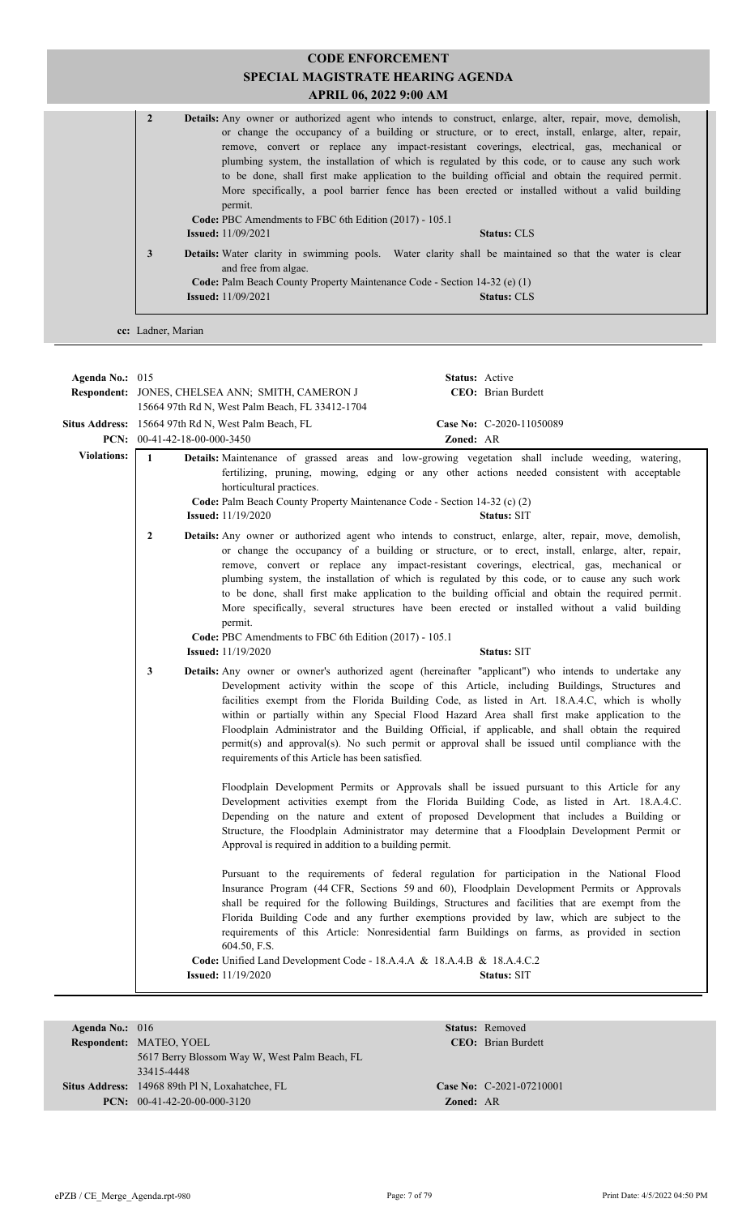#### **CODE ENFORCEMENT SPECIAL MAGISTRATE HEARING AGENDA APRIL 06, 2022 9:00 AM** 2 **Details:** Any owner or authorized agent who intends to construct, enlarge, alter, repair, move, demolish, or change the occupancy of a building or structure, or to erect, install, enlarge, alter, repair, remove, convert or replace any impact-resistant coverings, electrical, gas, mechanical or plumbing system, the installation of which is regulated by this code, or to cause any such work to be done, shall first make application to the building official and obtain the required permit. More specifically, a pool barrier fence has been erected or installed without a valid building permit. **Code:** PBC Amendments to FBC 6th Edition (2017) - 105.1 **Issued:** 11/09/2021 **Status:** CLS **3 Details:** Water clarity in swimming pools. Water clarity shall be maintained so that the water is clear and free from algae. **Code:** Palm Beach County Property Maintenance Code - Section 14-32 (e) (1) **Issued:** 11/09/2021 **Status:** CLS

**cc:** Ladner, Marian

| Agenda No.: 015    |                                | Respondent: JONES, CHELSEA ANN; SMITH, CAMERON J<br>15664 97th Rd N, West Palm Beach, FL 33412-1704<br>Situs Address: 15664 97th Rd N, West Palm Beach, FL                                                                                                                                                                                                                                                                                                                                                                                                                                                                                                             | <b>Status:</b> Active                                                                                                                                                                                                                                                                                                                                                                                                                                                                                                                                                                                                                                                                               | CEO: Brian Burdett<br>Case No: C-2020-11050089                                                                                                                                                                                                                                                                                                                                                                                                                                               |  |  |
|--------------------|--------------------------------|------------------------------------------------------------------------------------------------------------------------------------------------------------------------------------------------------------------------------------------------------------------------------------------------------------------------------------------------------------------------------------------------------------------------------------------------------------------------------------------------------------------------------------------------------------------------------------------------------------------------------------------------------------------------|-----------------------------------------------------------------------------------------------------------------------------------------------------------------------------------------------------------------------------------------------------------------------------------------------------------------------------------------------------------------------------------------------------------------------------------------------------------------------------------------------------------------------------------------------------------------------------------------------------------------------------------------------------------------------------------------------------|----------------------------------------------------------------------------------------------------------------------------------------------------------------------------------------------------------------------------------------------------------------------------------------------------------------------------------------------------------------------------------------------------------------------------------------------------------------------------------------------|--|--|
|                    | PCN: $00-41-42-18-00-000-3450$ |                                                                                                                                                                                                                                                                                                                                                                                                                                                                                                                                                                                                                                                                        | Zoned: AR                                                                                                                                                                                                                                                                                                                                                                                                                                                                                                                                                                                                                                                                                           |                                                                                                                                                                                                                                                                                                                                                                                                                                                                                              |  |  |
| <b>Violations:</b> | $\mathbf{1}$                   | horticultural practices.<br>Code: Palm Beach County Property Maintenance Code - Section 14-32 (c) (2)<br><b>Issued:</b> 11/19/2020                                                                                                                                                                                                                                                                                                                                                                                                                                                                                                                                     |                                                                                                                                                                                                                                                                                                                                                                                                                                                                                                                                                                                                                                                                                                     | Details: Maintenance of grassed areas and low-growing vegetation shall include weeding, watering,<br>fertilizing, pruning, mowing, edging or any other actions needed consistent with acceptable<br>Status: SIT                                                                                                                                                                                                                                                                              |  |  |
|                    | $\overline{2}$                 | permit.<br><b>Issued:</b> 11/19/2020                                                                                                                                                                                                                                                                                                                                                                                                                                                                                                                                                                                                                                   | <b>Details:</b> Any owner or authorized agent who intends to construct, enlarge, alter, repair, move, demolish,<br>or change the occupancy of a building or structure, or to erect, install, enlarge, alter, repair,<br>remove, convert or replace any impact-resistant coverings, electrical, gas, mechanical or<br>plumbing system, the installation of which is regulated by this code, or to cause any such work<br>to be done, shall first make application to the building official and obtain the required permit.<br>More specifically, several structures have been erected or installed without a valid building<br>Code: PBC Amendments to FBC 6th Edition (2017) - 105.1<br>Status: SIT |                                                                                                                                                                                                                                                                                                                                                                                                                                                                                              |  |  |
|                    | 3                              | <b>Details:</b> Any owner or owner's authorized agent (hereinafter "applicant") who intends to undertake any<br>Development activity within the scope of this Article, including Buildings, Structures and<br>facilities exempt from the Florida Building Code, as listed in Art. 18.A.4.C, which is wholly<br>within or partially within any Special Flood Hazard Area shall first make application to the<br>Floodplain Administrator and the Building Official, if applicable, and shall obtain the required<br>permit(s) and approval(s). No such permit or approval shall be issued until compliance with the<br>requirements of this Article has been satisfied. |                                                                                                                                                                                                                                                                                                                                                                                                                                                                                                                                                                                                                                                                                                     |                                                                                                                                                                                                                                                                                                                                                                                                                                                                                              |  |  |
|                    |                                | Approval is required in addition to a building permit.                                                                                                                                                                                                                                                                                                                                                                                                                                                                                                                                                                                                                 |                                                                                                                                                                                                                                                                                                                                                                                                                                                                                                                                                                                                                                                                                                     | Floodplain Development Permits or Approvals shall be issued pursuant to this Article for any<br>Development activities exempt from the Florida Building Code, as listed in Art. 18.A.4.C.<br>Depending on the nature and extent of proposed Development that includes a Building or<br>Structure, the Floodplain Administrator may determine that a Floodplain Development Permit or                                                                                                         |  |  |
|                    |                                | 604.50, F.S.                                                                                                                                                                                                                                                                                                                                                                                                                                                                                                                                                                                                                                                           |                                                                                                                                                                                                                                                                                                                                                                                                                                                                                                                                                                                                                                                                                                     | Pursuant to the requirements of federal regulation for participation in the National Flood<br>Insurance Program (44 CFR, Sections 59 and 60), Floodplain Development Permits or Approvals<br>shall be required for the following Buildings, Structures and facilities that are exempt from the<br>Florida Building Code and any further exemptions provided by law, which are subject to the<br>requirements of this Article: Nonresidential farm Buildings on farms, as provided in section |  |  |
|                    |                                | Code: Unified Land Development Code - 18.A.4.A & 18.A.4.B & 18.A.4.C.2<br><b>Issued:</b> 11/19/2020                                                                                                                                                                                                                                                                                                                                                                                                                                                                                                                                                                    |                                                                                                                                                                                                                                                                                                                                                                                                                                                                                                                                                                                                                                                                                                     | Status: SIT                                                                                                                                                                                                                                                                                                                                                                                                                                                                                  |  |  |

| Agenda No.: $016$ |                                                 |                            | <b>Status:</b> Removed   |
|-------------------|-------------------------------------------------|----------------------------|--------------------------|
|                   | <b>Respondent: MATEO, YOEL</b>                  | <b>CEO</b> : Brian Burdett |                          |
|                   | 5617 Berry Blossom Way W, West Palm Beach, FL   |                            |                          |
|                   | 33415-4448                                      |                            |                          |
|                   | Situs Address: 14968 89th Pl N, Loxahatchee, FL |                            | Case No: C-2021-07210001 |
|                   | <b>PCN:</b> $00-41-42-20-00-000-3120$           | <b>Zoned: AR</b>           |                          |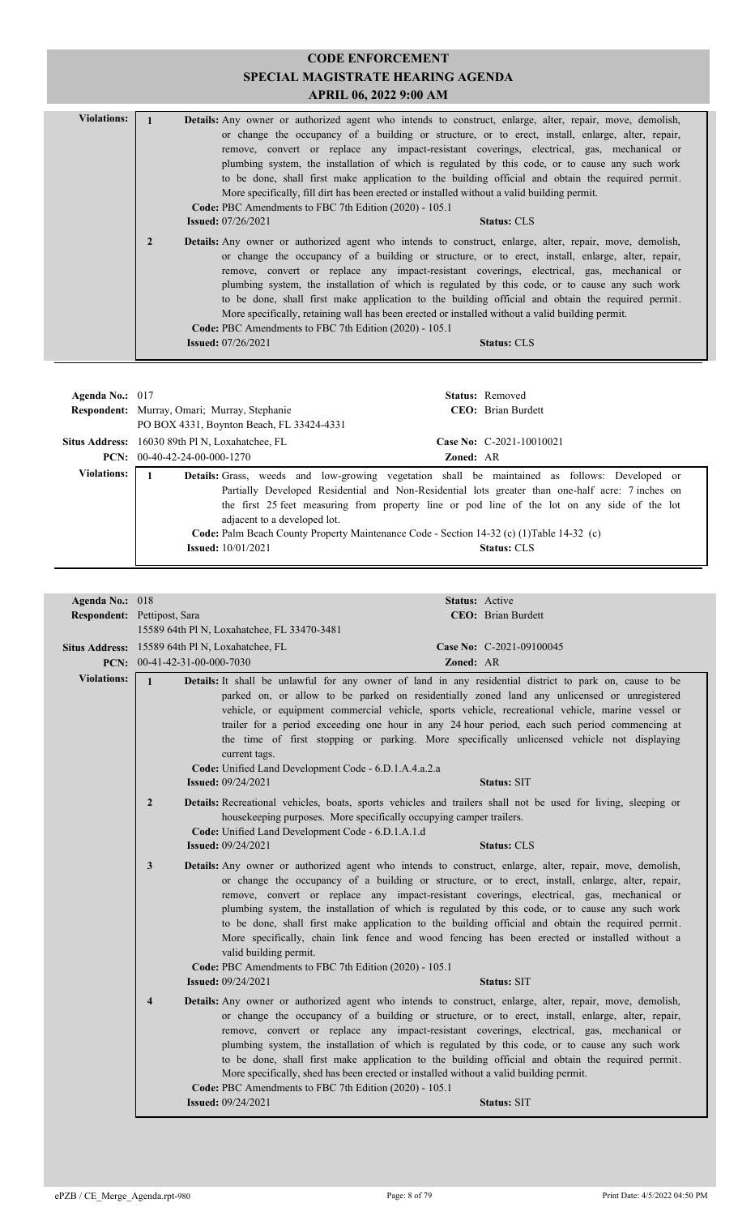| <b>Violations:</b> |                |                                                                                       |                                                                                             | <b>Details:</b> Any owner or authorized agent who intends to construct, enlarge, alter, repair, move, demolish,<br>or change the occupancy of a building or structure, or to erect, install, enlarge, alter, repair,<br>remove, convert or replace any impact-resistant coverings, electrical, gas, mechanical or<br>plumbing system, the installation of which is regulated by this code, or to cause any such work<br>to be done, shall first make application to the building official and obtain the required permit.                                                                                                     |  |
|--------------------|----------------|---------------------------------------------------------------------------------------|---------------------------------------------------------------------------------------------|-------------------------------------------------------------------------------------------------------------------------------------------------------------------------------------------------------------------------------------------------------------------------------------------------------------------------------------------------------------------------------------------------------------------------------------------------------------------------------------------------------------------------------------------------------------------------------------------------------------------------------|--|
|                    |                | Code: PBC Amendments to FBC 7th Edition (2020) - 105.1<br><b>Issued:</b> $07/26/2021$ | More specifically, fill dirt has been erected or installed without a valid building permit. | <b>Status: CLS</b>                                                                                                                                                                                                                                                                                                                                                                                                                                                                                                                                                                                                            |  |
|                    | $\overline{2}$ | Code: PBC Amendments to FBC 7th Edition (2020) - 105.1                                |                                                                                             | <b>Details:</b> Any owner or authorized agent who intends to construct, enlarge, alter, repair, move, demolish,<br>or change the occupancy of a building or structure, or to erect, install, enlarge, alter, repair,<br>remove, convert or replace any impact-resistant coverings, electrical, gas, mechanical or<br>plumbing system, the installation of which is regulated by this code, or to cause any such work<br>to be done, shall first make application to the building official and obtain the required permit.<br>More specifically, retaining wall has been erected or installed without a valid building permit. |  |
|                    |                | <b>Issued:</b> $07/26/2021$                                                           |                                                                                             | <b>Status: CLS</b>                                                                                                                                                                                                                                                                                                                                                                                                                                                                                                                                                                                                            |  |

| Agenda No.: $017$  | Respondent: Murray, Omari; Murray, Stephanie<br>PO BOX 4331, Boynton Beach, FL 33424-4331 | <b>Status:</b> Removed<br><b>CEO</b> : Brian Burdett                                                                                                                                                                                                                                                                                                                                                                        |
|--------------------|-------------------------------------------------------------------------------------------|-----------------------------------------------------------------------------------------------------------------------------------------------------------------------------------------------------------------------------------------------------------------------------------------------------------------------------------------------------------------------------------------------------------------------------|
|                    | Situs Address: 16030 89th Pl N, Loxahatchee, FL                                           | Case No: $C-2021-10010021$                                                                                                                                                                                                                                                                                                                                                                                                  |
|                    | $PCN: 00-40-42-24-00-000-1270$                                                            | <b>Zoned: AR</b>                                                                                                                                                                                                                                                                                                                                                                                                            |
| <b>Violations:</b> | adjacent to a developed lot.<br><b>Issued:</b> 10/01/2021                                 | <b>Details:</b> Grass, weeds and low-growing vegetation shall be maintained as follows: Developed or<br>Partially Developed Residential and Non-Residential lots greater than one-half acre: 7 inches on<br>the first 25 feet measuring from property line or pod line of the lot on any side of the lot<br>Code: Palm Beach County Property Maintenance Code - Section 14-32 (c) (1) Table 14-32 (c)<br><b>Status: CLS</b> |

| Agenda No.: 018    |                                                                                                                    | Status: Active                                                                                                                                                                                                                                                                                                                                                                                                                                                                                                                                                                                                                           |
|--------------------|--------------------------------------------------------------------------------------------------------------------|------------------------------------------------------------------------------------------------------------------------------------------------------------------------------------------------------------------------------------------------------------------------------------------------------------------------------------------------------------------------------------------------------------------------------------------------------------------------------------------------------------------------------------------------------------------------------------------------------------------------------------------|
|                    | Respondent: Pettipost, Sara                                                                                        | CEO: Brian Burdett                                                                                                                                                                                                                                                                                                                                                                                                                                                                                                                                                                                                                       |
|                    | 15589 64th Pl N, Loxahatchee, FL 33470-3481                                                                        |                                                                                                                                                                                                                                                                                                                                                                                                                                                                                                                                                                                                                                          |
|                    | Situs Address: 15589 64th Pl N, Loxahatchee, FL                                                                    | Case No: C-2021-09100045                                                                                                                                                                                                                                                                                                                                                                                                                                                                                                                                                                                                                 |
|                    | PCN: $00-41-42-31-00-000-7030$                                                                                     | Zoned: AR                                                                                                                                                                                                                                                                                                                                                                                                                                                                                                                                                                                                                                |
| <b>Violations:</b> | $\mathbf{1}$<br>current tags.<br>Code: Unified Land Development Code - 6.D.1.A.4.a.2.a                             | Details: It shall be unlawful for any owner of land in any residential district to park on, cause to be<br>parked on, or allow to be parked on residentially zoned land any unlicensed or unregistered<br>vehicle, or equipment commercial vehicle, sports vehicle, recreational vehicle, marine vessel or<br>trailer for a period exceeding one hour in any 24 hour period, each such period commencing at<br>the time of first stopping or parking. More specifically unlicensed vehicle not displaying                                                                                                                                |
|                    | <b>Issued:</b> 09/24/2021                                                                                          | <b>Status: SIT</b>                                                                                                                                                                                                                                                                                                                                                                                                                                                                                                                                                                                                                       |
|                    | $\overline{2}$<br>Code: Unified Land Development Code - 6.D.1.A.1.d<br><b>Issued: 09/24/2021</b>                   | Details: Recreational vehicles, boats, sports vehicles and trailers shall not be used for living, sleeping or<br>housekeeping purposes. More specifically occupying camper trailers.<br><b>Status: CLS</b>                                                                                                                                                                                                                                                                                                                                                                                                                               |
|                    | 3<br>valid building permit.<br>Code: PBC Amendments to FBC 7th Edition (2020) - 105.1<br><b>Issued:</b> 09/24/2021 | Details: Any owner or authorized agent who intends to construct, enlarge, alter, repair, move, demolish,<br>or change the occupancy of a building or structure, or to erect, install, enlarge, alter, repair,<br>remove, convert or replace any impact-resistant coverings, electrical, gas, mechanical or<br>plumbing system, the installation of which is regulated by this code, or to cause any such work<br>to be done, shall first make application to the building official and obtain the required permit.<br>More specifically, chain link fence and wood fencing has been erected or installed without a<br><b>Status: SIT</b> |
|                    | $\overline{\mathbf{4}}$<br>Code: PBC Amendments to FBC 7th Edition (2020) - 105.1                                  | Details: Any owner or authorized agent who intends to construct, enlarge, alter, repair, move, demolish,<br>or change the occupancy of a building or structure, or to erect, install, enlarge, alter, repair,<br>remove, convert or replace any impact-resistant coverings, electrical, gas, mechanical or<br>plumbing system, the installation of which is regulated by this code, or to cause any such work<br>to be done, shall first make application to the building official and obtain the required permit.<br>More specifically, shed has been erected or installed without a valid building permit.                             |
|                    | <b>Issued: 09/24/2021</b>                                                                                          | <b>Status: SIT</b>                                                                                                                                                                                                                                                                                                                                                                                                                                                                                                                                                                                                                       |
|                    |                                                                                                                    |                                                                                                                                                                                                                                                                                                                                                                                                                                                                                                                                                                                                                                          |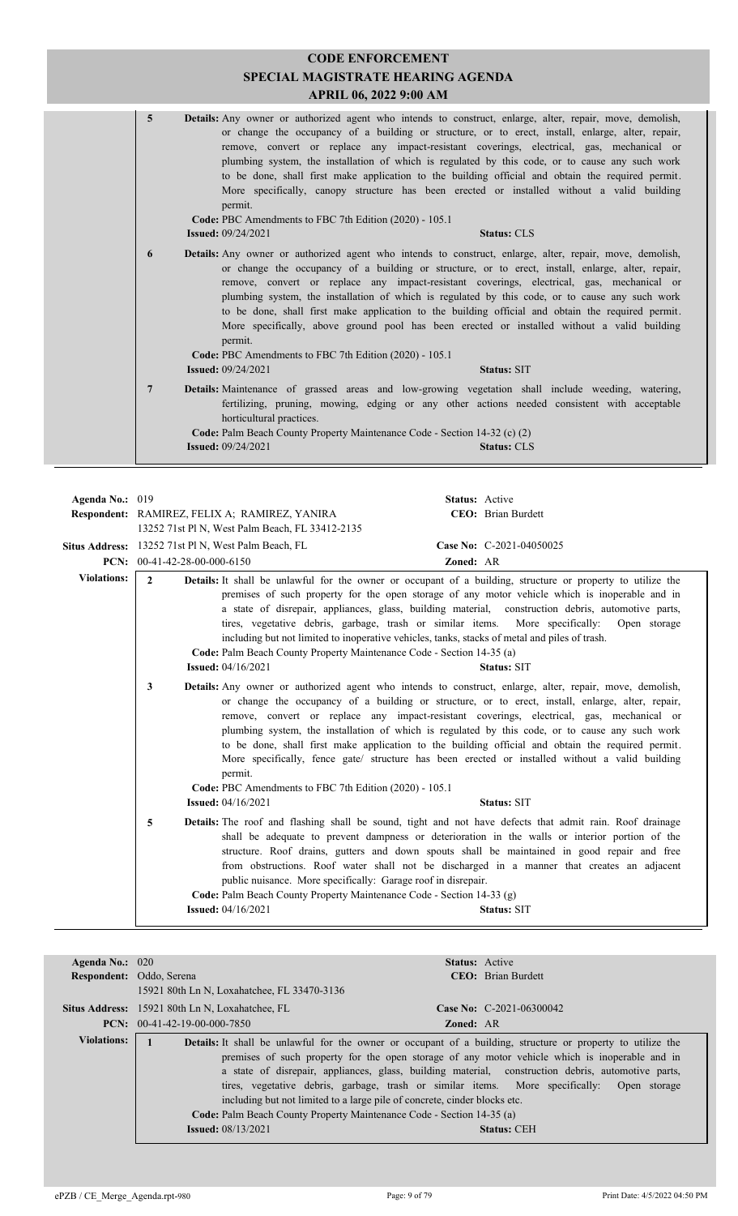| $\overline{5}$ | <b>Details:</b> Any owner or authorized agent who intends to construct, enlarge, alter, repair, move, demolish,<br>or change the occupancy of a building or structure, or to erect, install, enlarge, alter, repair,<br>remove, convert or replace any impact-resistant coverings, electrical, gas, mechanical or<br>plumbing system, the installation of which is regulated by this code, or to cause any such work<br>to be done, shall first make application to the building official and obtain the required permit.<br>More specifically, canopy structure has been erected or installed without a valid building<br>permit.<br>Code: PBC Amendments to FBC 7th Edition (2020) - 105.1<br><b>Status: CLS</b><br><b>Issued:</b> 09/24/2021  |  |
|----------------|--------------------------------------------------------------------------------------------------------------------------------------------------------------------------------------------------------------------------------------------------------------------------------------------------------------------------------------------------------------------------------------------------------------------------------------------------------------------------------------------------------------------------------------------------------------------------------------------------------------------------------------------------------------------------------------------------------------------------------------------------|--|
| 6              | <b>Details:</b> Any owner or authorized agent who intends to construct, enlarge, alter, repair, move, demolish,<br>or change the occupancy of a building or structure, or to erect, install, enlarge, alter, repair,<br>remove, convert or replace any impact-resistant coverings, electrical, gas, mechanical or<br>plumbing system, the installation of which is regulated by this code, or to cause any such work<br>to be done, shall first make application to the building official and obtain the required permit.<br>More specifically, above ground pool has been erected or installed without a valid building<br>permit.<br>Code: PBC Amendments to FBC 7th Edition (2020) - 105.1<br><b>Issued: 09/24/2021</b><br><b>Status: SIT</b> |  |
| 7              | <b>Details:</b> Maintenance of grassed areas and low-growing vegetation shall include weeding, watering,<br>fertilizing, pruning, mowing, edging or any other actions needed consistent with acceptable<br>horticultural practices.<br>Code: Palm Beach County Property Maintenance Code - Section 14-32 (c) (2)<br><b>Issued:</b> 09/24/2021<br><b>Status: CLS</b>                                                                                                                                                                                                                                                                                                                                                                              |  |

| Agenda No.: 019    |                                       | Respondent: RAMIREZ, FELIX A; RAMIREZ, YANIRA                                                                                                                                                                                                                                        | Status: Active | <b>CEO</b> : Brian Burdett                                                                                                                                                                                                                                                                                                                                                                                                                                                                                                                                                                                                                         |
|--------------------|---------------------------------------|--------------------------------------------------------------------------------------------------------------------------------------------------------------------------------------------------------------------------------------------------------------------------------------|----------------|----------------------------------------------------------------------------------------------------------------------------------------------------------------------------------------------------------------------------------------------------------------------------------------------------------------------------------------------------------------------------------------------------------------------------------------------------------------------------------------------------------------------------------------------------------------------------------------------------------------------------------------------------|
|                    |                                       | 13252 71st Pl N, West Palm Beach, FL 33412-2135                                                                                                                                                                                                                                      |                |                                                                                                                                                                                                                                                                                                                                                                                                                                                                                                                                                                                                                                                    |
|                    |                                       | Situs Address: 13252 71st Pl N, West Palm Beach, FL                                                                                                                                                                                                                                  |                | Case No: C-2021-04050025                                                                                                                                                                                                                                                                                                                                                                                                                                                                                                                                                                                                                           |
|                    | <b>PCN:</b> $00-41-42-28-00-000-6150$ |                                                                                                                                                                                                                                                                                      | Zoned: AR      |                                                                                                                                                                                                                                                                                                                                                                                                                                                                                                                                                                                                                                                    |
| <b>Violations:</b> | $\mathfrak{D}$                        | tires, vegetative debris, garbage, trash or similar items. More specifically:<br>including but not limited to inoperative vehicles, tanks, stacks of metal and piles of trash.<br>Code: Palm Beach County Property Maintenance Code - Section 14-35 (a)<br><b>Issued:</b> 04/16/2021 |                | <b>Details:</b> It shall be unlawful for the owner or occupant of a building, structure or property to utilize the<br>premises of such property for the open storage of any motor vehicle which is inoperable and in<br>a state of disrepair, appliances, glass, building material, construction debris, automotive parts,<br>Open storage<br><b>Status: SIT</b>                                                                                                                                                                                                                                                                                   |
|                    | 3                                     | permit.<br>Code: PBC Amendments to FBC 7th Edition (2020) - 105.1<br><b>Issued:</b> 04/16/2021                                                                                                                                                                                       |                | <b>Details:</b> Any owner or authorized agent who intends to construct, enlarge, alter, repair, move, demolish,<br>or change the occupancy of a building or structure, or to erect, install, enlarge, alter, repair,<br>remove, convert or replace any impact-resistant coverings, electrical, gas, mechanical or<br>plumbing system, the installation of which is regulated by this code, or to cause any such work<br>to be done, shall first make application to the building official and obtain the required permit.<br>More specifically, fence gate/ structure has been erected or installed without a valid building<br><b>Status: SIT</b> |
|                    | 5                                     | public nuisance. More specifically: Garage roof in disrepair.<br>Code: Palm Beach County Property Maintenance Code - Section 14-33 (g)<br><b>Issued:</b> 04/16/2021                                                                                                                  |                | <b>Details:</b> The roof and flashing shall be sound, tight and not have defects that admit rain. Roof drainage<br>shall be adequate to prevent dampness or deterioration in the walls or interior portion of the<br>structure. Roof drains, gutters and down spouts shall be maintained in good repair and free<br>from obstructions. Roof water shall not be discharged in a manner that creates an adjacent<br><b>Status: SIT</b>                                                                                                                                                                                                               |

| Agenda No.: $020$        |                                                                                                             | <b>Status:</b> Active           |  |  |  |
|--------------------------|-------------------------------------------------------------------------------------------------------------|---------------------------------|--|--|--|
| Respondent: Oddo, Serena |                                                                                                             | <b>CEO</b> : Brian Burdett      |  |  |  |
|                          | 15921 80th Ln N, Loxahatchee, FL 33470-3136                                                                 |                                 |  |  |  |
|                          | <b>Situs Address:</b> 15921 80th Ln N, Loxahatchee, FL                                                      | <b>Case No:</b> C-2021-06300042 |  |  |  |
|                          | $PCN: 00-41-42-19-00-000-7850$                                                                              | <b>Zoned: AR</b>                |  |  |  |
| <b>Violations:</b>       | Details: It shall be unlawful for the owner or occupant of a building, structure or property to utilize the |                                 |  |  |  |
|                          | premises of such property for the open storage of any motor vehicle which is inoperable and in              |                                 |  |  |  |
|                          | a state of disrepair, appliances, glass, building material, construction debris, automotive parts,          |                                 |  |  |  |
|                          | tires, vegetative debris, garbage, trash or similar items. More specifically:<br>Open storage               |                                 |  |  |  |
|                          | including but not limited to a large pile of concrete, cinder blocks etc.                                   |                                 |  |  |  |
|                          | <b>Code:</b> Palm Beach County Property Maintenance Code - Section 14-35 (a)                                |                                 |  |  |  |
|                          | <b>Issued:</b> 08/13/2021<br><b>Status: CEH</b>                                                             |                                 |  |  |  |
|                          |                                                                                                             |                                 |  |  |  |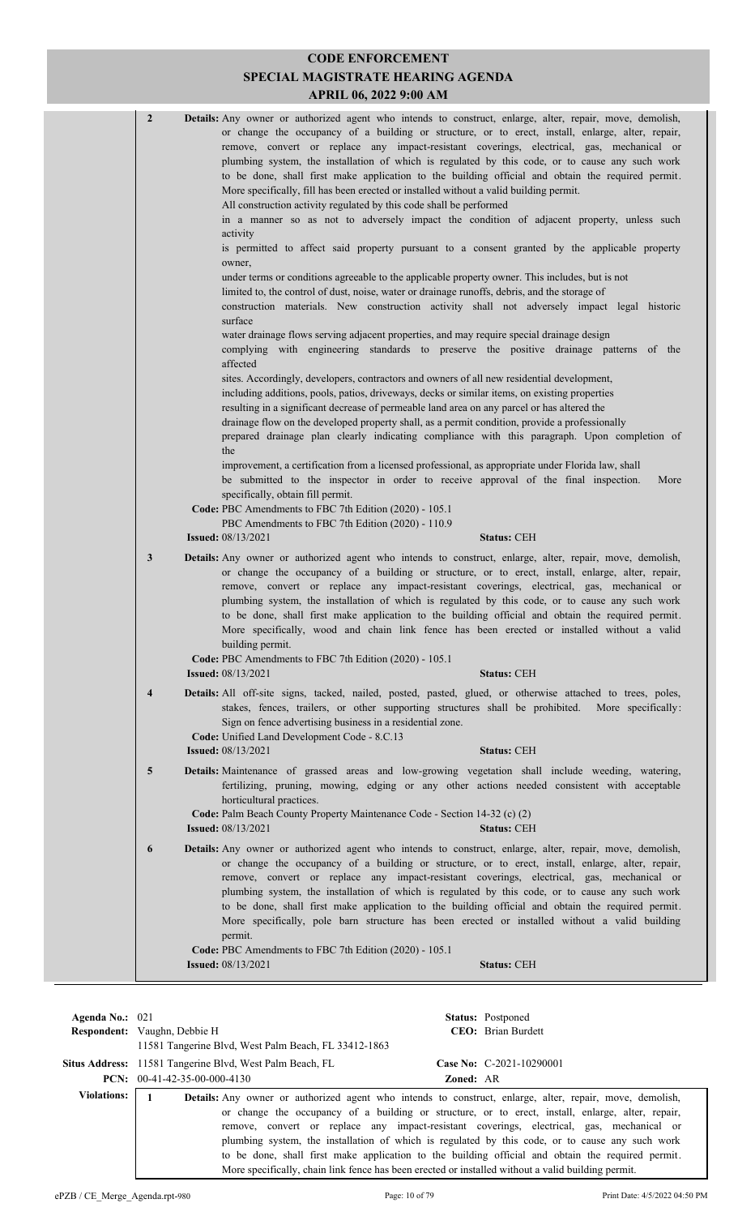| $\overline{2}$          | Details: Any owner or authorized agent who intends to construct, enlarge, alter, repair, move, demolish,<br>or change the occupancy of a building or structure, or to erect, install, enlarge, alter, repair,<br>remove, convert or replace any impact-resistant coverings, electrical, gas, mechanical or<br>plumbing system, the installation of which is regulated by this code, or to cause any such work<br>to be done, shall first make application to the building official and obtain the required permit.<br>More specifically, fill has been erected or installed without a valid building permit.<br>All construction activity regulated by this code shall be performed<br>in a manner so as not to adversely impact the condition of adjacent property, unless such<br>activity<br>is permitted to affect said property pursuant to a consent granted by the applicable property<br>owner,<br>under terms or conditions agreeable to the applicable property owner. This includes, but is not<br>limited to, the control of dust, noise, water or drainage runoffs, debris, and the storage of<br>construction materials. New construction activity shall not adversely impact legal historic<br>surface<br>water drainage flows serving adjacent properties, and may require special drainage design<br>complying with engineering standards to preserve the positive drainage patterns of the<br>affected<br>sites. Accordingly, developers, contractors and owners of all new residential development,<br>including additions, pools, patios, driveways, decks or similar items, on existing properties<br>resulting in a significant decrease of permeable land area on any parcel or has altered the<br>drainage flow on the developed property shall, as a permit condition, provide a professionally<br>prepared drainage plan clearly indicating compliance with this paragraph. Upon completion of<br>the<br>improvement, a certification from a licensed professional, as appropriate under Florida law, shall<br>be submitted to the inspector in order to receive approval of the final inspection.<br>More<br>specifically, obtain fill permit.<br>Code: PBC Amendments to FBC 7th Edition (2020) - 105.1<br>PBC Amendments to FBC 7th Edition (2020) - 110.9<br><b>Issued:</b> 08/13/2021<br><b>Status: CEH</b> |
|-------------------------|--------------------------------------------------------------------------------------------------------------------------------------------------------------------------------------------------------------------------------------------------------------------------------------------------------------------------------------------------------------------------------------------------------------------------------------------------------------------------------------------------------------------------------------------------------------------------------------------------------------------------------------------------------------------------------------------------------------------------------------------------------------------------------------------------------------------------------------------------------------------------------------------------------------------------------------------------------------------------------------------------------------------------------------------------------------------------------------------------------------------------------------------------------------------------------------------------------------------------------------------------------------------------------------------------------------------------------------------------------------------------------------------------------------------------------------------------------------------------------------------------------------------------------------------------------------------------------------------------------------------------------------------------------------------------------------------------------------------------------------------------------------------------------------------------------------------------------------------------------------------------------------------------------------------------------------------------------------------------------------------------------------------------------------------------------------------------------------------------------------------------------------------------------------------------------------------------------------------------------------------------------------------------------------------------------------------------------------------|
| $\mathbf{3}$            | Details: Any owner or authorized agent who intends to construct, enlarge, alter, repair, move, demolish,<br>or change the occupancy of a building or structure, or to erect, install, enlarge, alter, repair,<br>remove, convert or replace any impact-resistant coverings, electrical, gas, mechanical or<br>plumbing system, the installation of which is regulated by this code, or to cause any such work<br>to be done, shall first make application to the building official and obtain the required permit.<br>More specifically, wood and chain link fence has been erected or installed without a valid<br>building permit.<br>Code: PBC Amendments to FBC 7th Edition (2020) - 105.1<br><b>Issued:</b> 08/13/2021<br><b>Status: CEH</b>                                                                                                                                                                                                                                                                                                                                                                                                                                                                                                                                                                                                                                                                                                                                                                                                                                                                                                                                                                                                                                                                                                                                                                                                                                                                                                                                                                                                                                                                                                                                                                                          |
| $\overline{\mathbf{4}}$ | Details: All off-site signs, tacked, nailed, posted, pasted, glued, or otherwise attached to trees, poles,<br>stakes, fences, trailers, or other supporting structures shall be prohibited. More specifically:<br>Sign on fence advertising business in a residential zone.<br>Code: Unified Land Development Code - 8.C.13<br><b>Issued:</b> 08/13/2021<br><b>Status: CEH</b>                                                                                                                                                                                                                                                                                                                                                                                                                                                                                                                                                                                                                                                                                                                                                                                                                                                                                                                                                                                                                                                                                                                                                                                                                                                                                                                                                                                                                                                                                                                                                                                                                                                                                                                                                                                                                                                                                                                                                             |
| $\overline{\mathbf{5}}$ | Details: Maintenance of grassed areas and low-growing vegetation shall include weeding, watering,<br>fertilizing, pruning, mowing, edging or any other actions needed consistent with acceptable<br>horticultural practices.<br>Code: Palm Beach County Property Maintenance Code - Section 14-32 (c) (2)<br><b>Issued:</b> 08/13/2021<br><b>Status: CEH</b>                                                                                                                                                                                                                                                                                                                                                                                                                                                                                                                                                                                                                                                                                                                                                                                                                                                                                                                                                                                                                                                                                                                                                                                                                                                                                                                                                                                                                                                                                                                                                                                                                                                                                                                                                                                                                                                                                                                                                                               |
| 6                       | <b>Details:</b> Any owner or authorized agent who intends to construct, enlarge, alter, repair, move, demolish,<br>or change the occupancy of a building or structure, or to erect, install, enlarge, alter, repair,<br>remove, convert or replace any impact-resistant coverings, electrical, gas, mechanical or<br>plumbing system, the installation of which is regulated by this code, or to cause any such work<br>to be done, shall first make application to the building official and obtain the required permit.<br>More specifically, pole barn structure has been erected or installed without a valid building<br>permit.<br>Code: PBC Amendments to FBC 7th Edition (2020) - 105.1<br><b>Issued: 08/13/2021</b><br><b>Status: CEH</b>                                                                                                                                                                                                                                                                                                                                                                                                                                                                                                                                                                                                                                                                                                                                                                                                                                                                                                                                                                                                                                                                                                                                                                                                                                                                                                                                                                                                                                                                                                                                                                                         |
|                         |                                                                                                                                                                                                                                                                                                                                                                                                                                                                                                                                                                                                                                                                                                                                                                                                                                                                                                                                                                                                                                                                                                                                                                                                                                                                                                                                                                                                                                                                                                                                                                                                                                                                                                                                                                                                                                                                                                                                                                                                                                                                                                                                                                                                                                                                                                                                            |

| Agenda No.: $021$  | <b>Respondent:</b> Vaughn, Debbie H<br>11581 Tangerine Blvd, West Palm Beach, FL 33412-1863                                                                                                                           |                  | <b>Status:</b> Postponed<br><b>CEO</b> : Brian Burdett                                                                                                                                                                                                                                                                                                                                                 |
|--------------------|-----------------------------------------------------------------------------------------------------------------------------------------------------------------------------------------------------------------------|------------------|--------------------------------------------------------------------------------------------------------------------------------------------------------------------------------------------------------------------------------------------------------------------------------------------------------------------------------------------------------------------------------------------------------|
|                    | Situs Address: 11581 Tangerine Blvd, West Palm Beach, FL                                                                                                                                                              |                  | Case No: C-2021-10290001                                                                                                                                                                                                                                                                                                                                                                               |
|                    | <b>PCN:</b> $00-41-42-35-00-000-4130$                                                                                                                                                                                 | <b>Zoned: AR</b> |                                                                                                                                                                                                                                                                                                                                                                                                        |
| <b>Violations:</b> | <b>Details:</b> Any owner or authorized agent who intends to construct, enlarge, alter, repair, move, demolish,<br>More specifically, chain link fence has been erected or installed without a valid building permit. |                  | or change the occupancy of a building or structure, or to erect, install, enlarge, alter, repair,<br>remove, convert or replace any impact-resistant coverings, electrical, gas, mechanical or<br>plumbing system, the installation of which is regulated by this code, or to cause any such work<br>to be done, shall first make application to the building official and obtain the required permit. |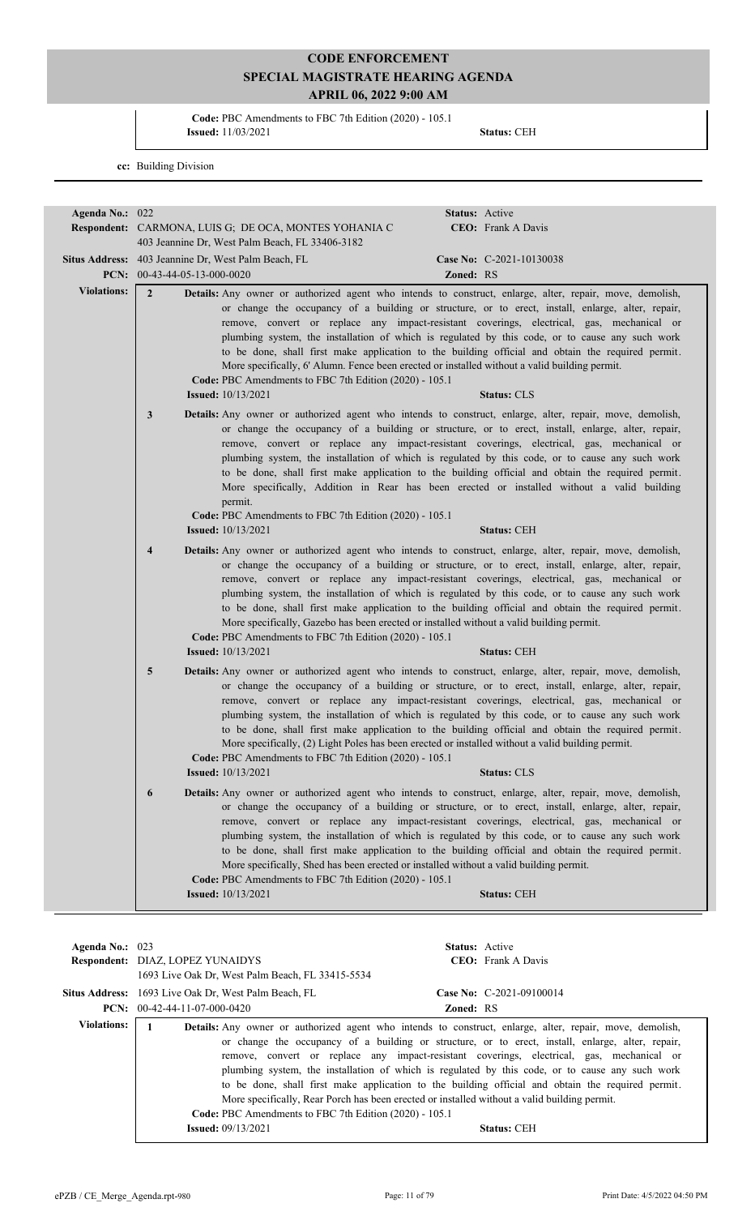**Code:** PBC Amendments to FBC 7th Edition (2020) - 105.1 **Issued:** 11/03/2021 **Status:** CEH

**cc:** Building Division

| Agenda No.: 022    | <b>Respondent:</b> CARMONA, LUIS G; DE OCA, MONTES YOHANIA C<br>403 Jeannine Dr, West Palm Beach, FL 33406-3182                                                                                                                                                                                                                                                                                                                                                                                                                                                                                                                                                                                                                               | <b>Status:</b> Active<br>CEO: Frank A Davis                                                                                                                                                                                                                                                                                                                                                                                                                                                                                                                                                                                                          |  |  |
|--------------------|-----------------------------------------------------------------------------------------------------------------------------------------------------------------------------------------------------------------------------------------------------------------------------------------------------------------------------------------------------------------------------------------------------------------------------------------------------------------------------------------------------------------------------------------------------------------------------------------------------------------------------------------------------------------------------------------------------------------------------------------------|------------------------------------------------------------------------------------------------------------------------------------------------------------------------------------------------------------------------------------------------------------------------------------------------------------------------------------------------------------------------------------------------------------------------------------------------------------------------------------------------------------------------------------------------------------------------------------------------------------------------------------------------------|--|--|
|                    | Situs Address: 403 Jeannine Dr, West Palm Beach, FL<br>PCN: $00-43-44-05-13-000-0020$                                                                                                                                                                                                                                                                                                                                                                                                                                                                                                                                                                                                                                                         | Case No: C-2021-10130038<br>Zoned: RS                                                                                                                                                                                                                                                                                                                                                                                                                                                                                                                                                                                                                |  |  |
| <b>Violations:</b> | $\overline{2}$<br>Code: PBC Amendments to FBC 7th Edition (2020) - 105.1<br><b>Issued:</b> $10/13/2021$                                                                                                                                                                                                                                                                                                                                                                                                                                                                                                                                                                                                                                       | Details: Any owner or authorized agent who intends to construct, enlarge, alter, repair, move, demolish,<br>or change the occupancy of a building or structure, or to erect, install, enlarge, alter, repair,<br>remove, convert or replace any impact-resistant coverings, electrical, gas, mechanical or<br>plumbing system, the installation of which is regulated by this code, or to cause any such work<br>to be done, shall first make application to the building official and obtain the required permit.<br>More specifically, 6' Alumn. Fence been erected or installed without a valid building permit.<br><b>Status: CLS</b>            |  |  |
|                    | 3<br>permit.<br>Code: PBC Amendments to FBC 7th Edition (2020) - 105.1                                                                                                                                                                                                                                                                                                                                                                                                                                                                                                                                                                                                                                                                        | <b>Details:</b> Any owner or authorized agent who intends to construct, enlarge, alter, repair, move, demolish,<br>or change the occupancy of a building or structure, or to erect, install, enlarge, alter, repair,<br>remove, convert or replace any impact-resistant coverings, electrical, gas, mechanical or<br>plumbing system, the installation of which is regulated by this code, or to cause any such work<br>to be done, shall first make application to the building official and obtain the required permit.<br>More specifically, Addition in Rear has been erected or installed without a valid building                              |  |  |
|                    | <b>Issued:</b> 10/13/2021                                                                                                                                                                                                                                                                                                                                                                                                                                                                                                                                                                                                                                                                                                                     | <b>Status: CEH</b>                                                                                                                                                                                                                                                                                                                                                                                                                                                                                                                                                                                                                                   |  |  |
|                    | Details: Any owner or authorized agent who intends to construct, enlarge, alter, repair, move, demolish,<br>$\overline{4}$<br>or change the occupancy of a building or structure, or to erect, install, enlarge, alter, repair,<br>remove, convert or replace any impact-resistant coverings, electrical, gas, mechanical or<br>plumbing system, the installation of which is regulated by this code, or to cause any such work<br>to be done, shall first make application to the building official and obtain the required permit.<br>More specifically, Gazebo has been erected or installed without a valid building permit.<br>Code: PBC Amendments to FBC 7th Edition (2020) - 105.1<br><b>Issued:</b> 10/13/2021<br><b>Status: CEH</b> |                                                                                                                                                                                                                                                                                                                                                                                                                                                                                                                                                                                                                                                      |  |  |
|                    | 5<br>Code: PBC Amendments to FBC 7th Edition (2020) - 105.1<br><b>Issued:</b> 10/13/2021                                                                                                                                                                                                                                                                                                                                                                                                                                                                                                                                                                                                                                                      | <b>Details:</b> Any owner or authorized agent who intends to construct, enlarge, alter, repair, move, demolish,<br>or change the occupancy of a building or structure, or to erect, install, enlarge, alter, repair,<br>remove, convert or replace any impact-resistant coverings, electrical, gas, mechanical or<br>plumbing system, the installation of which is regulated by this code, or to cause any such work<br>to be done, shall first make application to the building official and obtain the required permit.<br>More specifically, (2) Light Poles has been erected or installed without a valid building permit.<br><b>Status: CLS</b> |  |  |
|                    | 6<br>More specifically, Shed has been erected or installed without a valid building permit.<br>Code: PBC Amendments to FBC 7th Edition (2020) - 105.1<br><b>Issued:</b> 10/13/2021                                                                                                                                                                                                                                                                                                                                                                                                                                                                                                                                                            | Details: Any owner or authorized agent who intends to construct, enlarge, alter, repair, move, demolish,<br>or change the occupancy of a building or structure, or to erect, install, enlarge, alter, repair,<br>remove, convert or replace any impact-resistant coverings, electrical, gas, mechanical or<br>plumbing system, the installation of which is regulated by this code, or to cause any such work<br>to be done, shall first make application to the building official and obtain the required permit.<br><b>Status: CEH</b>                                                                                                             |  |  |
| Agenda No.: 023    | Respondent: DIAZ, LOPEZ YUNAIDYS<br>1693 Live Oak Dr, West Palm Beach, FL 33415-5534                                                                                                                                                                                                                                                                                                                                                                                                                                                                                                                                                                                                                                                          | Status: Active<br>CEO: Frank A Davis                                                                                                                                                                                                                                                                                                                                                                                                                                                                                                                                                                                                                 |  |  |

|                    | <b>Situs Address:</b> 1693 Live Oak Dr. West Palm Beach, FL | Case No: $C-2021-09100014$                                                                                                                                                                                                                                                                        |
|--------------------|-------------------------------------------------------------|---------------------------------------------------------------------------------------------------------------------------------------------------------------------------------------------------------------------------------------------------------------------------------------------------|
|                    | <b>PCN:</b> $00-42-44-11-07-000-0420$                       | <b>Zoned: RS</b>                                                                                                                                                                                                                                                                                  |
| <b>Violations:</b> |                                                             | <b>Details:</b> Any owner or authorized agent who intends to construct, enlarge, alter, repair, move, demolish,                                                                                                                                                                                   |
|                    |                                                             | or change the occupancy of a building or structure, or to erect, install, enlarge, alter, repair,<br>remove, convert or replace any impact-resistant coverings, electrical, gas, mechanical or<br>plumbing system, the installation of which is regulated by this code, or to cause any such work |
|                    | Code: PBC Amendments to FBC 7th Edition (2020) - 105.1      | to be done, shall first make application to the building official and obtain the required permit.<br>More specifically, Rear Porch has been erected or installed without a valid building permit.                                                                                                 |
|                    | <b>Issued:</b> $09/13/2021$                                 | <b>Status: CEH</b>                                                                                                                                                                                                                                                                                |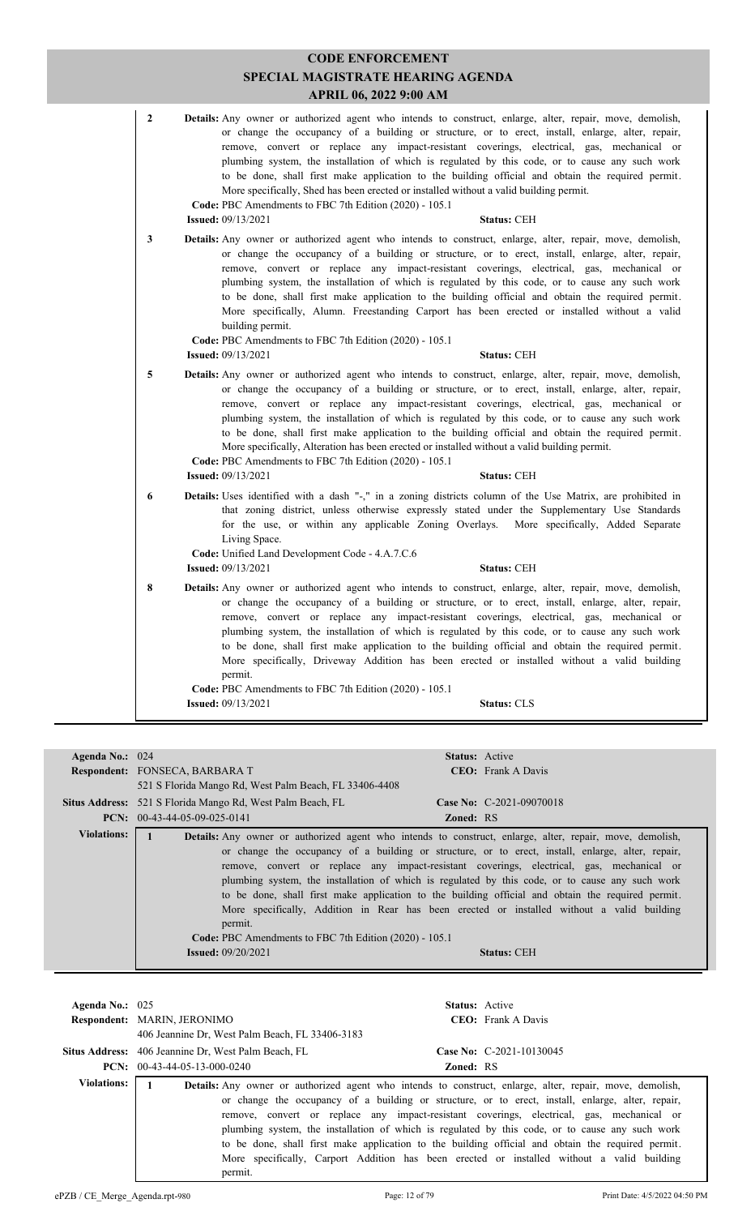|                 | <b>CODE ENFORCEMENT</b><br>SPECIAL MAGISTRATE HEARING AGENDA<br><b>APRIL 06, 2022 9:00 AM</b>                                                                                                                                                                                                                                                                                                                                                                                                                                                                                                                                                                                                                                                       |
|-----------------|-----------------------------------------------------------------------------------------------------------------------------------------------------------------------------------------------------------------------------------------------------------------------------------------------------------------------------------------------------------------------------------------------------------------------------------------------------------------------------------------------------------------------------------------------------------------------------------------------------------------------------------------------------------------------------------------------------------------------------------------------------|
| 2               | <b>Details:</b> Any owner or authorized agent who intends to construct, enlarge, alter, repair, move, demolish,<br>or change the occupancy of a building or structure, or to erect, install, enlarge, alter, repair,<br>remove, convert or replace any impact-resistant coverings, electrical, gas, mechanical or<br>plumbing system, the installation of which is regulated by this code, or to cause any such work<br>to be done, shall first make application to the building official and obtain the required permit.<br>More specifically, Shed has been erected or installed without a valid building permit.<br>Code: PBC Amendments to FBC 7th Edition (2020) - 105.1<br><b>Issued: 09/13/2021</b><br><b>Status: CEH</b>                    |
| 3               | Details: Any owner or authorized agent who intends to construct, enlarge, alter, repair, move, demolish,<br>or change the occupancy of a building or structure, or to erect, install, enlarge, alter, repair,<br>remove, convert or replace any impact-resistant coverings, electrical, gas, mechanical or<br>plumbing system, the installation of which is regulated by this code, or to cause any such work<br>to be done, shall first make application to the building official and obtain the required permit.<br>More specifically, Alumn. Freestanding Carport has been erected or installed without a valid<br>building permit.<br>Code: PBC Amendments to FBC 7th Edition (2020) - 105.1<br><b>Issued:</b> 09/13/2021<br><b>Status: CEH</b> |
| 5               | Details: Any owner or authorized agent who intends to construct, enlarge, alter, repair, move, demolish,<br>or change the occupancy of a building or structure, or to erect, install, enlarge, alter, repair,<br>remove, convert or replace any impact-resistant coverings, electrical, gas, mechanical or<br>plumbing system, the installation of which is regulated by this code, or to cause any such work<br>to be done, shall first make application to the building official and obtain the required permit.<br>More specifically, Alteration has been erected or installed without a valid building permit.<br>Code: PBC Amendments to FBC 7th Edition (2020) - 105.1<br><b>Status: CEH</b><br><b>Issued:</b> 09/13/2021                     |
| 6               | <b>Details:</b> Uses identified with a dash "-," in a zoning districts column of the Use Matrix, are prohibited in<br>that zoning district, unless otherwise expressly stated under the Supplementary Use Standards<br>for the use, or within any applicable Zoning Overlays.<br>More specifically, Added Separate<br>Living Space.<br>Code: Unified Land Development Code - 4.A.7.C.6<br><b>Issued: 09/13/2021</b><br><b>Status: CEH</b>                                                                                                                                                                                                                                                                                                           |
| 8               | <b>Details:</b> Any owner or authorized agent who intends to construct, enlarge, alter, repair, move, demolish,<br>or change the occupancy of a building or structure, or to erect, install, enlarge, alter, repair,<br>remove, convert or replace any impact-resistant coverings, electrical, gas, mechanical or<br>plumbing system, the installation of which is regulated by this code, or to cause any such work<br>to be done, shall first make application to the building official and obtain the required permit.<br>More specifically, Driveway Addition has been erected or installed without a valid building<br>permit.<br>Code: PBC Amendments to FBC 7th Edition (2020) - 105.1<br><b>Issued:</b> 09/13/2021<br><b>Status: CLS</b>    |
| Agenda No.: 024 | Status: Active<br>Respondent: FONSECA, BARBARA T<br>CEO: Frank A Davis                                                                                                                                                                                                                                                                                                                                                                                                                                                                                                                                                                                                                                                                              |

**CODE ENFORCEMENT**

| Agenda No.: 024    | Status: Active                                                                                                                                                                                                                                                                                                                                                                                                                                                                                                                                                                                                                                                                                                                             |
|--------------------|--------------------------------------------------------------------------------------------------------------------------------------------------------------------------------------------------------------------------------------------------------------------------------------------------------------------------------------------------------------------------------------------------------------------------------------------------------------------------------------------------------------------------------------------------------------------------------------------------------------------------------------------------------------------------------------------------------------------------------------------|
|                    | <b>Respondent: FONSECA, BARBARA T</b><br><b>CEO:</b> Frank A Davis                                                                                                                                                                                                                                                                                                                                                                                                                                                                                                                                                                                                                                                                         |
|                    | 521 S Florida Mango Rd, West Palm Beach, FL 33406-4408                                                                                                                                                                                                                                                                                                                                                                                                                                                                                                                                                                                                                                                                                     |
|                    | Situs Address: 521 S Florida Mango Rd, West Palm Beach, FL<br>Case No: C-2021-09070018                                                                                                                                                                                                                                                                                                                                                                                                                                                                                                                                                                                                                                                     |
|                    | $PCN: 00-43-44-05-09-025-0141$<br><b>Zoned: RS</b>                                                                                                                                                                                                                                                                                                                                                                                                                                                                                                                                                                                                                                                                                         |
| <b>Violations:</b> | Details: Any owner or authorized agent who intends to construct, enlarge, alter, repair, move, demolish,<br>or change the occupancy of a building or structure, or to erect, install, enlarge, alter, repair,<br>remove, convert or replace any impact-resistant coverings, electrical, gas, mechanical or<br>plumbing system, the installation of which is regulated by this code, or to cause any such work<br>to be done, shall first make application to the building official and obtain the required permit.<br>More specifically, Addition in Rear has been erected or installed without a valid building<br>permit.<br>Code: PBC Amendments to FBC 7th Edition (2020) - 105.1<br><b>Issued:</b> $09/20/2021$<br><b>Status: CEH</b> |
|                    |                                                                                                                                                                                                                                                                                                                                                                                                                                                                                                                                                                                                                                                                                                                                            |

| Agenda No.: $025$  | <b>Respondent: MARIN, JERONIMO</b><br>406 Jeannine Dr. West Palm Beach, FL 33406-3183               | <b>Status:</b> Active<br><b>CEO</b> : Frank A Davis                                                                                                                                                                                                                                                                                                                                                                                                                                                                                                                                                                     |
|--------------------|-----------------------------------------------------------------------------------------------------|-------------------------------------------------------------------------------------------------------------------------------------------------------------------------------------------------------------------------------------------------------------------------------------------------------------------------------------------------------------------------------------------------------------------------------------------------------------------------------------------------------------------------------------------------------------------------------------------------------------------------|
|                    | <b>Situs Address:</b> 406 Jeannine Dr. West Palm Beach, FL<br><b>PCN:</b> $00-43-44-05-13-000-0240$ | Case No: $C-2021-10130045$<br><b>Zoned: RS</b>                                                                                                                                                                                                                                                                                                                                                                                                                                                                                                                                                                          |
| <b>Violations:</b> | permit.                                                                                             | <b>Details:</b> Any owner or authorized agent who intends to construct, enlarge, alter, repair, move, demolish,<br>or change the occupancy of a building or structure, or to erect, install, enlarge, alter, repair,<br>remove, convert or replace any impact-resistant coverings, electrical, gas, mechanical or<br>plumbing system, the installation of which is regulated by this code, or to cause any such work<br>to be done, shall first make application to the building official and obtain the required permit.<br>More specifically, Carport Addition has been erected or installed without a valid building |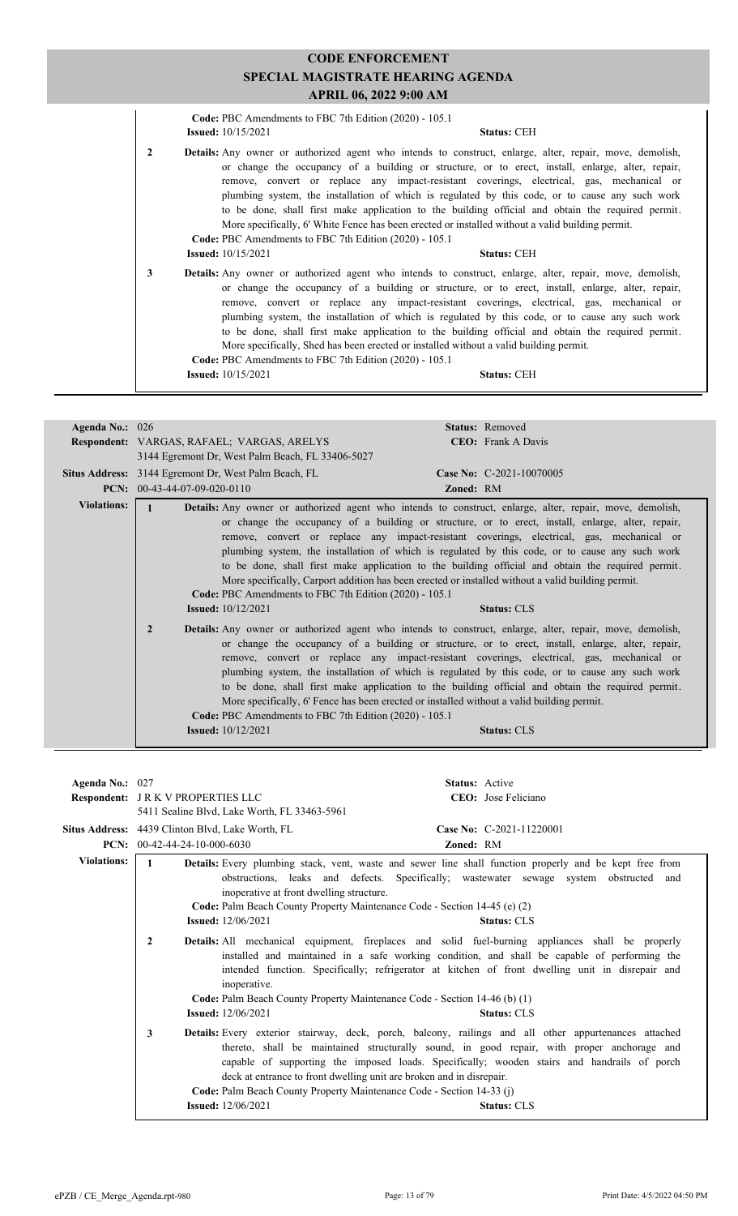|              | <b>APRIL 06, 2022 9:00 AM</b>                                                       |                                                                                                                                                                                                                                                                                                                                                                                                                                                                                                                                                                                                                               |
|--------------|-------------------------------------------------------------------------------------|-------------------------------------------------------------------------------------------------------------------------------------------------------------------------------------------------------------------------------------------------------------------------------------------------------------------------------------------------------------------------------------------------------------------------------------------------------------------------------------------------------------------------------------------------------------------------------------------------------------------------------|
|              | Code: PBC Amendments to FBC 7th Edition (2020) - 105.1<br><b>Issued:</b> 10/15/2021 | <b>Status: CEH</b>                                                                                                                                                                                                                                                                                                                                                                                                                                                                                                                                                                                                            |
| $\mathbf{2}$ | Code: PBC Amendments to FBC 7th Edition (2020) - 105.1                              | <b>Details:</b> Any owner or authorized agent who intends to construct, enlarge, alter, repair, move, demolish,<br>or change the occupancy of a building or structure, or to erect, install, enlarge, alter, repair,<br>remove, convert or replace any impact-resistant coverings, electrical, gas, mechanical or<br>plumbing system, the installation of which is regulated by this code, or to cause any such work<br>to be done, shall first make application to the building official and obtain the required permit.<br>More specifically, 6' White Fence has been erected or installed without a valid building permit. |
|              | <b>Issued:</b> 10/15/2021                                                           | <b>Status: CEH</b>                                                                                                                                                                                                                                                                                                                                                                                                                                                                                                                                                                                                            |
| 3            | Code: PBC Amendments to FBC 7th Edition (2020) - 105.1                              | <b>Details:</b> Any owner or authorized agent who intends to construct, enlarge, alter, repair, move, demolish,<br>or change the occupancy of a building or structure, or to erect, install, enlarge, alter, repair,<br>remove, convert or replace any impact-resistant coverings, electrical, gas, mechanical or<br>plumbing system, the installation of which is regulated by this code, or to cause any such work<br>to be done, shall first make application to the building official and obtain the required permit.<br>More specifically, Shed has been erected or installed without a valid building permit.           |
|              | <b>Issued:</b> 10/15/2021                                                           | <b>Status: CEH</b>                                                                                                                                                                                                                                                                                                                                                                                                                                                                                                                                                                                                            |

| Agenda No.: 026                                                                                                                                                                                                                                                                                                                                                                                                                                                                                                                                                                                                                                                                                                                                               | Status: Removed                                                                                                                                                                                                                                                                                                                                                                                                                                                                                                                                                                                                                                                                                                                                          |
|---------------------------------------------------------------------------------------------------------------------------------------------------------------------------------------------------------------------------------------------------------------------------------------------------------------------------------------------------------------------------------------------------------------------------------------------------------------------------------------------------------------------------------------------------------------------------------------------------------------------------------------------------------------------------------------------------------------------------------------------------------------|----------------------------------------------------------------------------------------------------------------------------------------------------------------------------------------------------------------------------------------------------------------------------------------------------------------------------------------------------------------------------------------------------------------------------------------------------------------------------------------------------------------------------------------------------------------------------------------------------------------------------------------------------------------------------------------------------------------------------------------------------------|
|                                                                                                                                                                                                                                                                                                                                                                                                                                                                                                                                                                                                                                                                                                                                                               | <b>CEO</b> : Frank A Davis<br><b>Respondent: VARGAS, RAFAEL; VARGAS, ARELYS</b>                                                                                                                                                                                                                                                                                                                                                                                                                                                                                                                                                                                                                                                                          |
|                                                                                                                                                                                                                                                                                                                                                                                                                                                                                                                                                                                                                                                                                                                                                               | 3144 Egremont Dr. West Palm Beach, FL 33406-5027                                                                                                                                                                                                                                                                                                                                                                                                                                                                                                                                                                                                                                                                                                         |
|                                                                                                                                                                                                                                                                                                                                                                                                                                                                                                                                                                                                                                                                                                                                                               | Situs Address: 3144 Egremont Dr, West Palm Beach, FL<br>Case No: C-2021-10070005                                                                                                                                                                                                                                                                                                                                                                                                                                                                                                                                                                                                                                                                         |
|                                                                                                                                                                                                                                                                                                                                                                                                                                                                                                                                                                                                                                                                                                                                                               | <b>PCN:</b> $00-43-44-07-09-020-0110$<br>Zoned: RM                                                                                                                                                                                                                                                                                                                                                                                                                                                                                                                                                                                                                                                                                                       |
| <b>Violations:</b><br>Details: Any owner or authorized agent who intends to construct, enlarge, alter, repair, move, demolish,<br>or change the occupancy of a building or structure, or to erect, install, enlarge, alter, repair,<br>remove, convert or replace any impact-resistant coverings, electrical, gas, mechanical or<br>plumbing system, the installation of which is regulated by this code, or to cause any such work<br>to be done, shall first make application to the building official and obtain the required permit.<br>More specifically, Carport addition has been erected or installed without a valid building permit.<br>Code: PBC Amendments to FBC 7th Edition (2020) - 105.1<br><b>Issued:</b> $10/12/2021$<br><b>Status: CLS</b> |                                                                                                                                                                                                                                                                                                                                                                                                                                                                                                                                                                                                                                                                                                                                                          |
|                                                                                                                                                                                                                                                                                                                                                                                                                                                                                                                                                                                                                                                                                                                                                               | <b>Details:</b> Any owner or authorized agent who intends to construct, enlarge, alter, repair, move, demolish,<br>$\overline{2}$<br>or change the occupancy of a building or structure, or to erect, install, enlarge, alter, repair,<br>remove, convert or replace any impact-resistant coverings, electrical, gas, mechanical or<br>plumbing system, the installation of which is regulated by this code, or to cause any such work<br>to be done, shall first make application to the building official and obtain the required permit.<br>More specifically, 6' Fence has been erected or installed without a valid building permit.<br>Code: PBC Amendments to FBC 7th Edition (2020) - 105.1<br><b>Issued:</b> $10/12/2021$<br><b>Status: CLS</b> |

| Agenda No.: 027    |                                                                                                                                                                                                                                                                                                                                                                                                      | <b>Status:</b> Active                                                                                                                                                                                                                                                                                                                                                                                                                                                     |  |
|--------------------|------------------------------------------------------------------------------------------------------------------------------------------------------------------------------------------------------------------------------------------------------------------------------------------------------------------------------------------------------------------------------------------------------|---------------------------------------------------------------------------------------------------------------------------------------------------------------------------------------------------------------------------------------------------------------------------------------------------------------------------------------------------------------------------------------------------------------------------------------------------------------------------|--|
|                    | <b>Respondent: JRK V PROPERTIES LLC</b>                                                                                                                                                                                                                                                                                                                                                              | <b>CEO</b> : Jose Feliciano                                                                                                                                                                                                                                                                                                                                                                                                                                               |  |
|                    | 5411 Sealine Blvd, Lake Worth, FL 33463-5961                                                                                                                                                                                                                                                                                                                                                         |                                                                                                                                                                                                                                                                                                                                                                                                                                                                           |  |
|                    | Situs Address: 4439 Clinton Blvd, Lake Worth, FL                                                                                                                                                                                                                                                                                                                                                     | Case No: C-2021-11220001                                                                                                                                                                                                                                                                                                                                                                                                                                                  |  |
|                    | <b>PCN:</b> $00-42-44-24-10-000-6030$                                                                                                                                                                                                                                                                                                                                                                | Zoned: RM                                                                                                                                                                                                                                                                                                                                                                                                                                                                 |  |
| <b>Violations:</b> | <b>Details:</b> Every plumbing stack, vent, waste and sewer line shall function properly and be kept free from<br>$\mathbf{1}$<br>obstructions, leaks and defects. Specifically; wastewater sewage system obstructed and<br>inoperative at front dwelling structure.<br>Code: Palm Beach County Property Maintenance Code - Section 14-45 (e) (2)<br><b>Issued:</b> 12/06/2021<br><b>Status: CLS</b> |                                                                                                                                                                                                                                                                                                                                                                                                                                                                           |  |
|                    | $\mathbf{2}$<br>inoperative.<br><b>Issued:</b> 12/06/2021                                                                                                                                                                                                                                                                                                                                            | Details: All mechanical equipment, fireplaces and solid fuel-burning appliances shall be properly<br>installed and maintained in a safe working condition, and shall be capable of performing the<br>intended function. Specifically; refrigerator at kitchen of front dwelling unit in disrepair and<br>Code: Palm Beach County Property Maintenance Code - Section 14-46 (b) (1)<br><b>Status: CLS</b>                                                                  |  |
|                    | 3<br><b>Issued:</b> 12/06/2021                                                                                                                                                                                                                                                                                                                                                                       | Details: Every exterior stairway, deck, porch, balcony, railings and all other appurtenances attached<br>thereto, shall be maintained structurally sound, in good repair, with proper anchorage and<br>capable of supporting the imposed loads. Specifically; wooden stairs and handrails of porch<br>deck at entrance to front dwelling unit are broken and in disrepair.<br>Code: Palm Beach County Property Maintenance Code - Section 14-33 (j)<br><b>Status: CLS</b> |  |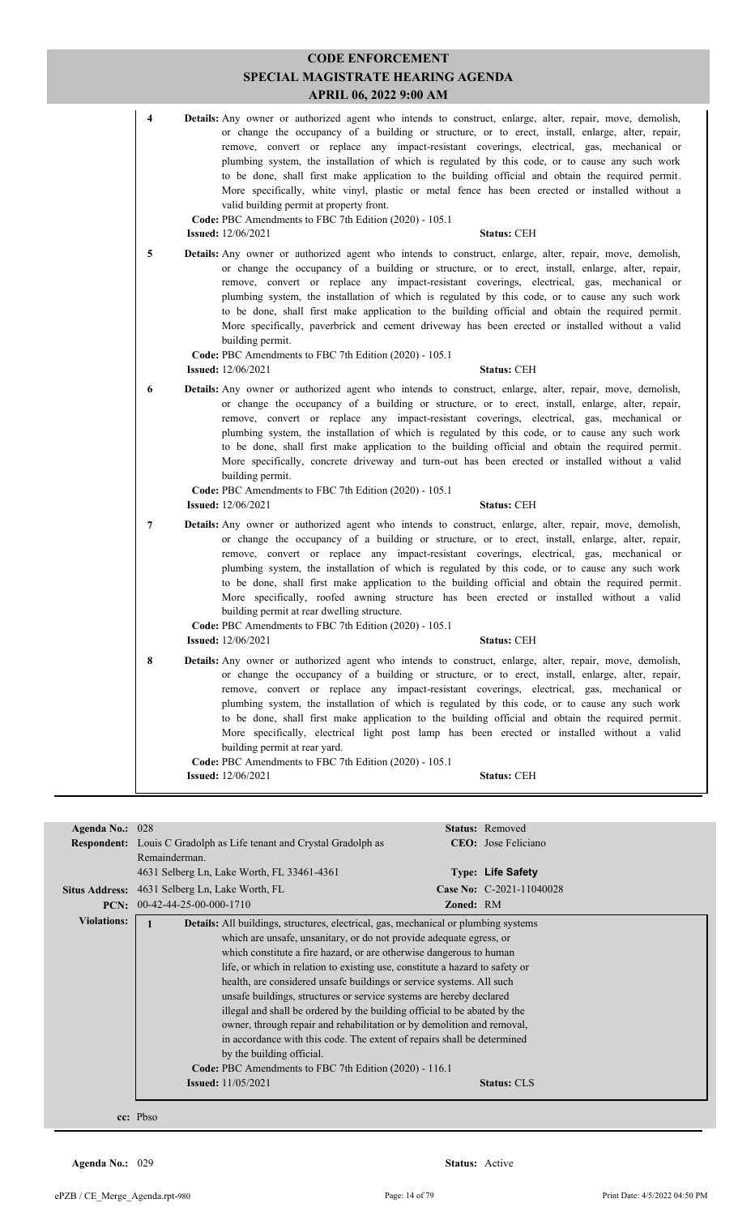| 4 | <b>Details:</b> Any owner or authorized agent who intends to construct, enlarge, alter, repair, move, demolish,<br>or change the occupancy of a building or structure, or to erect, install, enlarge, alter, repair,<br>remove, convert or replace any impact-resistant coverings, electrical, gas, mechanical or<br>plumbing system, the installation of which is regulated by this code, or to cause any such work<br>to be done, shall first make application to the building official and obtain the required permit.<br>More specifically, white vinyl, plastic or metal fence has been erected or installed without a<br>valid building permit at property front.<br>Code: PBC Amendments to FBC 7th Edition (2020) - 105.1<br><b>Issued:</b> 12/06/2021<br><b>Status: CEH</b> |
|---|--------------------------------------------------------------------------------------------------------------------------------------------------------------------------------------------------------------------------------------------------------------------------------------------------------------------------------------------------------------------------------------------------------------------------------------------------------------------------------------------------------------------------------------------------------------------------------------------------------------------------------------------------------------------------------------------------------------------------------------------------------------------------------------|
|   |                                                                                                                                                                                                                                                                                                                                                                                                                                                                                                                                                                                                                                                                                                                                                                                      |
| 5 | <b>Details:</b> Any owner or authorized agent who intends to construct, enlarge, alter, repair, move, demolish,<br>or change the occupancy of a building or structure, or to erect, install, enlarge, alter, repair,<br>remove, convert or replace any impact-resistant coverings, electrical, gas, mechanical or<br>plumbing system, the installation of which is regulated by this code, or to cause any such work<br>to be done, shall first make application to the building official and obtain the required permit.<br>More specifically, paverbrick and cement driveway has been erected or installed without a valid<br>building permit.                                                                                                                                     |
|   | Code: PBC Amendments to FBC 7th Edition (2020) - 105.1                                                                                                                                                                                                                                                                                                                                                                                                                                                                                                                                                                                                                                                                                                                               |
|   | <b>Issued:</b> 12/06/2021<br><b>Status: CEH</b>                                                                                                                                                                                                                                                                                                                                                                                                                                                                                                                                                                                                                                                                                                                                      |
| 6 | <b>Details:</b> Any owner or authorized agent who intends to construct, enlarge, alter, repair, move, demolish,<br>or change the occupancy of a building or structure, or to erect, install, enlarge, alter, repair,<br>remove, convert or replace any impact-resistant coverings, electrical, gas, mechanical or<br>plumbing system, the installation of which is regulated by this code, or to cause any such work<br>to be done, shall first make application to the building official and obtain the required permit.<br>More specifically, concrete driveway and turn-out has been erected or installed without a valid<br>building permit.<br>Code: PBC Amendments to FBC 7th Edition (2020) - 105.1<br><b>Issued:</b> 12/06/2021<br><b>Status: CEH</b>                        |
|   |                                                                                                                                                                                                                                                                                                                                                                                                                                                                                                                                                                                                                                                                                                                                                                                      |
| 7 | <b>Details:</b> Any owner or authorized agent who intends to construct, enlarge, alter, repair, move, demolish,<br>or change the occupancy of a building or structure, or to erect, install, enlarge, alter, repair,<br>remove, convert or replace any impact-resistant coverings, electrical, gas, mechanical or<br>plumbing system, the installation of which is regulated by this code, or to cause any such work<br>to be done, shall first make application to the building official and obtain the required permit.<br>More specifically, roofed awning structure has been erected or installed without a valid<br>building permit at rear dwelling structure.<br>Code: PBC Amendments to FBC 7th Edition (2020) - 105.1<br><b>Issued:</b> $12/06/2021$<br><b>Status: CEH</b>  |
|   |                                                                                                                                                                                                                                                                                                                                                                                                                                                                                                                                                                                                                                                                                                                                                                                      |
| 8 | <b>Details:</b> Any owner or authorized agent who intends to construct, enlarge, alter, repair, move, demolish,<br>or change the occupancy of a building or structure, or to erect, install, enlarge, alter, repair,<br>remove, convert or replace any impact-resistant coverings, electrical, gas, mechanical or<br>plumbing system, the installation of which is regulated by this code, or to cause any such work<br>to be done, shall first make application to the building official and obtain the required permit.<br>More specifically, electrical light post lamp has been erected or installed without a valid<br>building permit at rear yard.<br>Code: PBC Amendments to FBC 7th Edition (2020) - 105.1<br><b>Issued:</b> 12/06/2021<br><b>Status: CEH</b>               |
|   |                                                                                                                                                                                                                                                                                                                                                                                                                                                                                                                                                                                                                                                                                                                                                                                      |

| Agenda No.: 028    |                                                                                            |                  | <b>Status:</b> Removed      |  |  |
|--------------------|--------------------------------------------------------------------------------------------|------------------|-----------------------------|--|--|
|                    | <b>Respondent:</b> Louis C Gradolph as Life tenant and Crystal Gradolph as                 |                  | <b>CEO</b> : Jose Feliciano |  |  |
|                    | Remainderman.                                                                              |                  |                             |  |  |
|                    | 4631 Selberg Ln, Lake Worth, FL 33461-4361                                                 |                  | Type: Life Safety           |  |  |
|                    | Situs Address: 4631 Selberg Ln, Lake Worth, FL                                             |                  | Case No: C-2021-11040028    |  |  |
| PCN:               | 00-42-44-25-00-000-1710                                                                    | <b>Zoned: RM</b> |                             |  |  |
| <b>Violations:</b> | <b>Details:</b> All buildings, structures, electrical, gas, mechanical or plumbing systems |                  |                             |  |  |
|                    | which are unsafe, unsanitary, or do not provide adequate egress, or                        |                  |                             |  |  |
|                    | which constitute a fire hazard, or are otherwise dangerous to human                        |                  |                             |  |  |
|                    | life, or which in relation to existing use, constitute a hazard to safety or               |                  |                             |  |  |
|                    | health, are considered unsafe buildings or service systems. All such                       |                  |                             |  |  |
|                    | unsafe buildings, structures or service systems are hereby declared                        |                  |                             |  |  |
|                    | illegal and shall be ordered by the building official to be abated by the                  |                  |                             |  |  |
|                    | owner, through repair and rehabilitation or by demolition and removal,                     |                  |                             |  |  |
|                    | in accordance with this code. The extent of repairs shall be determined                    |                  |                             |  |  |
|                    | by the building official.                                                                  |                  |                             |  |  |
|                    | Code: PBC Amendments to FBC 7th Edition (2020) - 116.1                                     |                  |                             |  |  |
|                    | <b>Issued:</b> 11/05/2021<br><b>Status: CLS</b>                                            |                  |                             |  |  |
|                    |                                                                                            |                  |                             |  |  |
|                    |                                                                                            |                  |                             |  |  |
|                    | cc: Pbso                                                                                   |                  |                             |  |  |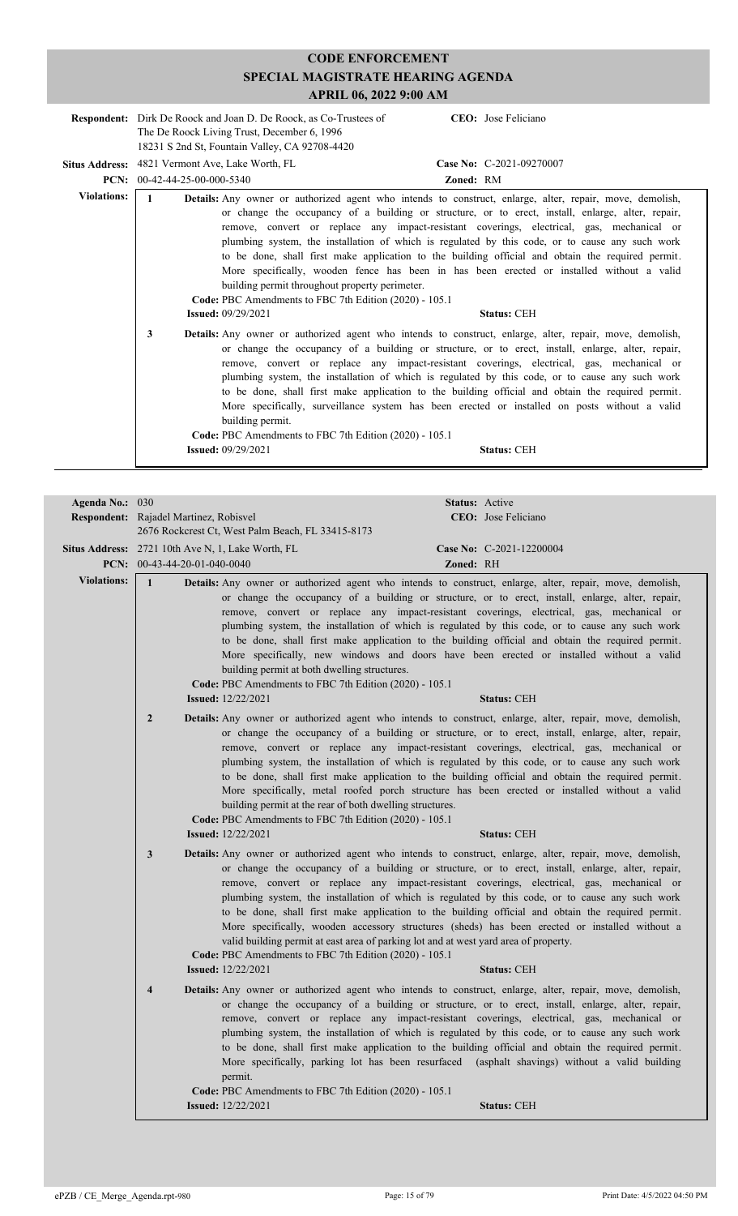|                       | <b>Respondent:</b> Dirk De Roock and Joan D. De Roock, as Co-Trustees of<br>The De Roock Living Trust, December 6, 1996<br>18231 S 2nd St, Fountain Valley, CA 92708-4420 | CEO: Jose Feliciano                                                                                                                                                                                                                                                                                                                                                                                                                                                                                                                                                                                                                                             |
|-----------------------|---------------------------------------------------------------------------------------------------------------------------------------------------------------------------|-----------------------------------------------------------------------------------------------------------------------------------------------------------------------------------------------------------------------------------------------------------------------------------------------------------------------------------------------------------------------------------------------------------------------------------------------------------------------------------------------------------------------------------------------------------------------------------------------------------------------------------------------------------------|
| <b>Situs Address:</b> | 4821 Vermont Ave, Lake Worth, FL<br><b>PCN:</b> $00-42-44-25-00-000-5340$                                                                                                 | Case No: C-2021-09270007<br>Zoned: RM                                                                                                                                                                                                                                                                                                                                                                                                                                                                                                                                                                                                                           |
| <b>Violations:</b>    | building permit throughout property perimeter.<br>Code: PBC Amendments to FBC 7th Edition (2020) - 105.1                                                                  | Details: Any owner or authorized agent who intends to construct, enlarge, alter, repair, move, demolish,<br>or change the occupancy of a building or structure, or to erect, install, enlarge, alter, repair,<br>remove, convert or replace any impact-resistant coverings, electrical, gas, mechanical or<br>plumbing system, the installation of which is regulated by this code, or to cause any such work<br>to be done, shall first make application to the building official and obtain the required permit.<br>More specifically, wooden fence has been in has been erected or installed without a valid                                                 |
|                       | <b>Issued: 09/29/2021</b><br>3<br>building permit.<br>Code: PBC Amendments to FBC 7th Edition (2020) - 105.1<br><b>Issued: 09/29/2021</b>                                 | <b>Status: CEH</b><br>Details: Any owner or authorized agent who intends to construct, enlarge, alter, repair, move, demolish,<br>or change the occupancy of a building or structure, or to erect, install, enlarge, alter, repair,<br>remove, convert or replace any impact-resistant coverings, electrical, gas, mechanical or<br>plumbing system, the installation of which is regulated by this code, or to cause any such work<br>to be done, shall first make application to the building official and obtain the required permit.<br>More specifically, surveillance system has been erected or installed on posts without a valid<br><b>Status: CEH</b> |

| Agenda No.: 030    |                                                                                                                                                                                                                                                                                                                                                                                                                                                                                                                                                                                                                                                                                                                                                                                                                                                         | Status: Active                                                                                                                                                                                                                                                                                                                                                                                                                                                                                                                                                                                                                                    |
|--------------------|---------------------------------------------------------------------------------------------------------------------------------------------------------------------------------------------------------------------------------------------------------------------------------------------------------------------------------------------------------------------------------------------------------------------------------------------------------------------------------------------------------------------------------------------------------------------------------------------------------------------------------------------------------------------------------------------------------------------------------------------------------------------------------------------------------------------------------------------------------|---------------------------------------------------------------------------------------------------------------------------------------------------------------------------------------------------------------------------------------------------------------------------------------------------------------------------------------------------------------------------------------------------------------------------------------------------------------------------------------------------------------------------------------------------------------------------------------------------------------------------------------------------|
|                    | <b>Respondent:</b> Rajadel Martinez, Robisvel                                                                                                                                                                                                                                                                                                                                                                                                                                                                                                                                                                                                                                                                                                                                                                                                           | <b>CEO</b> : Jose Feliciano                                                                                                                                                                                                                                                                                                                                                                                                                                                                                                                                                                                                                       |
|                    | 2676 Rockcrest Ct, West Palm Beach, FL 33415-8173                                                                                                                                                                                                                                                                                                                                                                                                                                                                                                                                                                                                                                                                                                                                                                                                       |                                                                                                                                                                                                                                                                                                                                                                                                                                                                                                                                                                                                                                                   |
|                    | Situs Address: 2721 10th Ave N, 1, Lake Worth, FL                                                                                                                                                                                                                                                                                                                                                                                                                                                                                                                                                                                                                                                                                                                                                                                                       | Case No: C-2021-12200004                                                                                                                                                                                                                                                                                                                                                                                                                                                                                                                                                                                                                          |
|                    | <b>PCN:</b> $00-43-44-20-01-040-0040$                                                                                                                                                                                                                                                                                                                                                                                                                                                                                                                                                                                                                                                                                                                                                                                                                   | <b>Zoned: RH</b>                                                                                                                                                                                                                                                                                                                                                                                                                                                                                                                                                                                                                                  |
| <b>Violations:</b> | $\mathbf{1}$<br>building permit at both dwelling structures.<br>Code: PBC Amendments to FBC 7th Edition (2020) - 105.1<br><b>Issued:</b> 12/22/2021                                                                                                                                                                                                                                                                                                                                                                                                                                                                                                                                                                                                                                                                                                     | Details: Any owner or authorized agent who intends to construct, enlarge, alter, repair, move, demolish,<br>or change the occupancy of a building or structure, or to erect, install, enlarge, alter, repair,<br>remove, convert or replace any impact-resistant coverings, electrical, gas, mechanical or<br>plumbing system, the installation of which is regulated by this code, or to cause any such work<br>to be done, shall first make application to the building official and obtain the required permit.<br>More specifically, new windows and doors have been erected or installed without a valid<br><b>Status: CEH</b>               |
|                    | $\overline{2}$<br>building permit at the rear of both dwelling structures.<br>Code: PBC Amendments to FBC 7th Edition (2020) - 105.1<br><b>Issued:</b> 12/22/2021                                                                                                                                                                                                                                                                                                                                                                                                                                                                                                                                                                                                                                                                                       | <b>Details:</b> Any owner or authorized agent who intends to construct, enlarge, alter, repair, move, demolish,<br>or change the occupancy of a building or structure, or to erect, install, enlarge, alter, repair,<br>remove, convert or replace any impact-resistant coverings, electrical, gas, mechanical or<br>plumbing system, the installation of which is regulated by this code, or to cause any such work<br>to be done, shall first make application to the building official and obtain the required permit.<br>More specifically, metal roofed porch structure has been erected or installed without a valid<br><b>Status: CEH</b>  |
|                    | $\mathbf{3}$<br><b>Details:</b> Any owner or authorized agent who intends to construct, enlarge, alter, repair, move, demolish,<br>or change the occupancy of a building or structure, or to erect, install, enlarge, alter, repair,<br>remove, convert or replace any impact-resistant coverings, electrical, gas, mechanical or<br>plumbing system, the installation of which is regulated by this code, or to cause any such work<br>to be done, shall first make application to the building official and obtain the required permit.<br>More specifically, wooden accessory structures (sheds) has been erected or installed without a<br>valid building permit at east area of parking lot and at west yard area of property.<br><b>Code: PBC</b> Amendments to FBC 7th Edition (2020) - 105.1<br><b>Issued:</b> 12/22/2021<br><b>Status: CEH</b> |                                                                                                                                                                                                                                                                                                                                                                                                                                                                                                                                                                                                                                                   |
|                    | $\overline{\mathbf{4}}$<br>permit.<br><b>Code: PBC</b> Amendments to FBC 7th Edition (2020) - 105.1<br><b>Issued:</b> 12/22/2021                                                                                                                                                                                                                                                                                                                                                                                                                                                                                                                                                                                                                                                                                                                        | <b>Details:</b> Any owner or authorized agent who intends to construct, enlarge, alter, repair, move, demolish,<br>or change the occupancy of a building or structure, or to erect, install, enlarge, alter, repair,<br>remove, convert or replace any impact-resistant coverings, electrical, gas, mechanical or<br>plumbing system, the installation of which is regulated by this code, or to cause any such work<br>to be done, shall first make application to the building official and obtain the required permit.<br>More specifically, parking lot has been resurfaced (asphalt shavings) without a valid building<br><b>Status: CEH</b> |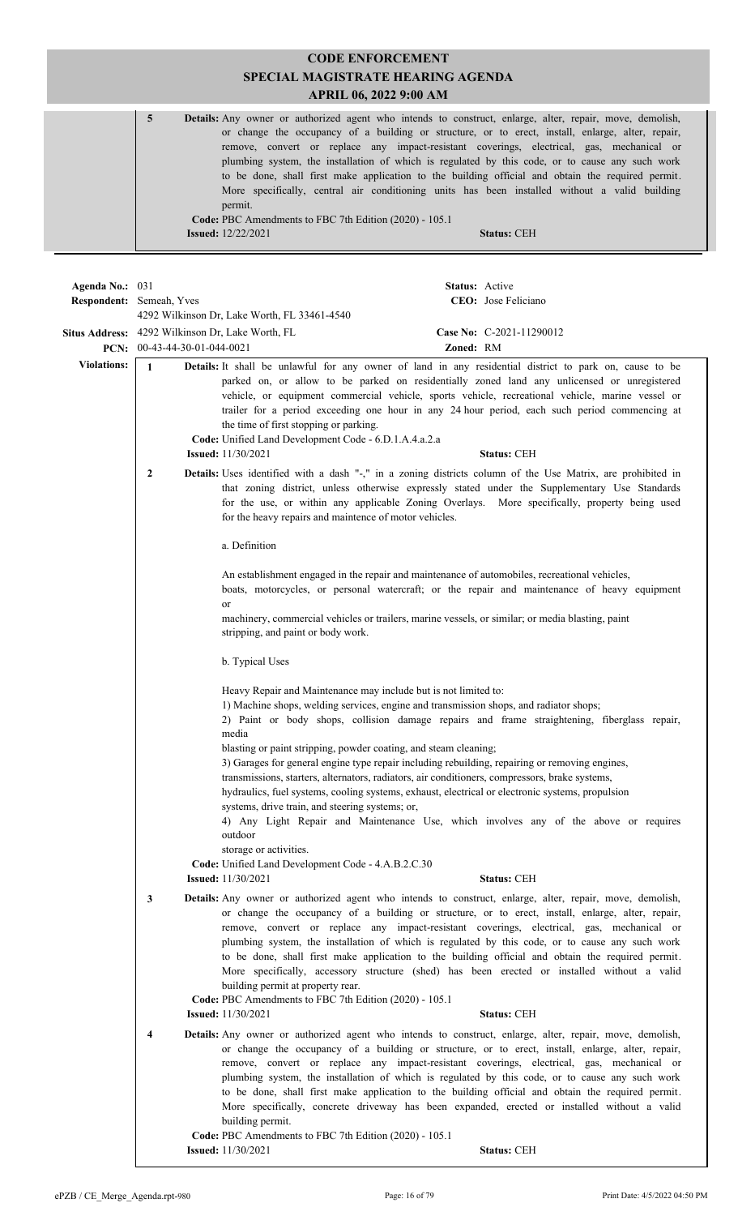#### **CODE ENFORCEMENT SPECIAL MAGISTRATE HEARING AGENDA APRIL 06, 2022 9:00 AM 5 Details:** Any owner or authorized agent who intends to construct, enlarge, alter, repair, move, demolish, or change the occupancy of a building or structure, or to erect, install, enlarge, alter, repair, remove, convert or replace any impact-resistant coverings, electrical, gas, mechanical or plumbing system, the installation of which is regulated by this code, or to cause any such work to be done, shall first make application to the building official and obtain the required permit. More specifically, central air conditioning units has been installed without a valid building permit. **Code:** PBC Amendments to FBC 7th Edition (2020) - 105.1 **Issued:** 12/22/2021 **Status:** CEH

| Agenda No.: 031    | <b>Respondent:</b> Semeah, Yves                                                    |                                                                                                                                                                                                                       | Status: Active | CEO: Jose Feliciano                                                                                                                                                                                                                                                                                                                                                                                                                                                                                                                                                                                                                     |
|--------------------|------------------------------------------------------------------------------------|-----------------------------------------------------------------------------------------------------------------------------------------------------------------------------------------------------------------------|----------------|-----------------------------------------------------------------------------------------------------------------------------------------------------------------------------------------------------------------------------------------------------------------------------------------------------------------------------------------------------------------------------------------------------------------------------------------------------------------------------------------------------------------------------------------------------------------------------------------------------------------------------------------|
|                    |                                                                                    | 4292 Wilkinson Dr, Lake Worth, FL 33461-4540                                                                                                                                                                          |                |                                                                                                                                                                                                                                                                                                                                                                                                                                                                                                                                                                                                                                         |
|                    | Situs Address: 4292 Wilkinson Dr, Lake Worth, FL<br>PCN: $00-43-44-30-01-044-0021$ |                                                                                                                                                                                                                       | Zoned: RM      | Case No: C-2021-11290012                                                                                                                                                                                                                                                                                                                                                                                                                                                                                                                                                                                                                |
| <b>Violations:</b> | $\mathbf{1}$                                                                       | the time of first stopping or parking.<br>Code: Unified Land Development Code - 6.D.1.A.4.a.2.a<br><b>Issued:</b> 11/30/2021                                                                                          |                | Details: It shall be unlawful for any owner of land in any residential district to park on, cause to be<br>parked on, or allow to be parked on residentially zoned land any unlicensed or unregistered<br>vehicle, or equipment commercial vehicle, sports vehicle, recreational vehicle, marine vessel or<br>trailer for a period exceeding one hour in any 24 hour period, each such period commencing at<br><b>Status: CEH</b>                                                                                                                                                                                                       |
|                    | $\mathbf{2}$                                                                       | for the heavy repairs and maintence of motor vehicles.                                                                                                                                                                |                | Details: Uses identified with a dash "-," in a zoning districts column of the Use Matrix, are prohibited in<br>that zoning district, unless otherwise expressly stated under the Supplementary Use Standards<br>for the use, or within any applicable Zoning Overlays. More specifically, property being used                                                                                                                                                                                                                                                                                                                           |
|                    |                                                                                    | a. Definition                                                                                                                                                                                                         |                |                                                                                                                                                                                                                                                                                                                                                                                                                                                                                                                                                                                                                                         |
|                    |                                                                                    | or                                                                                                                                                                                                                    |                | An establishment engaged in the repair and maintenance of automobiles, recreational vehicles,<br>boats, motorcycles, or personal watercraft; or the repair and maintenance of heavy equipment                                                                                                                                                                                                                                                                                                                                                                                                                                           |
|                    |                                                                                    | stripping, and paint or body work.                                                                                                                                                                                    |                | machinery, commercial vehicles or trailers, marine vessels, or similar; or media blasting, paint                                                                                                                                                                                                                                                                                                                                                                                                                                                                                                                                        |
|                    |                                                                                    | b. Typical Uses                                                                                                                                                                                                       |                |                                                                                                                                                                                                                                                                                                                                                                                                                                                                                                                                                                                                                                         |
|                    |                                                                                    | Heavy Repair and Maintenance may include but is not limited to:<br>1) Machine shops, welding services, engine and transmission shops, and radiator shops;<br>media                                                    |                | 2) Paint or body shops, collision damage repairs and frame straightening, fiberglass repair,                                                                                                                                                                                                                                                                                                                                                                                                                                                                                                                                            |
|                    |                                                                                    | blasting or paint stripping, powder coating, and steam cleaning;<br>transmissions, starters, alternators, radiators, air conditioners, compressors, brake systems,<br>systems, drive train, and steering systems; or, |                | 3) Garages for general engine type repair including rebuilding, repairing or removing engines,<br>hydraulics, fuel systems, cooling systems, exhaust, electrical or electronic systems, propulsion                                                                                                                                                                                                                                                                                                                                                                                                                                      |
|                    |                                                                                    | outdoor<br>storage or activities.                                                                                                                                                                                     |                | 4) Any Light Repair and Maintenance Use, which involves any of the above or requires                                                                                                                                                                                                                                                                                                                                                                                                                                                                                                                                                    |
|                    |                                                                                    | Code: Unified Land Development Code - 4.A.B.2.C.30                                                                                                                                                                    |                |                                                                                                                                                                                                                                                                                                                                                                                                                                                                                                                                                                                                                                         |
|                    | 3                                                                                  | <b>Issued:</b> 11/30/2021<br>building permit at property rear.<br>Code: PBC Amendments to FBC 7th Edition (2020) - 105.1                                                                                              |                | <b>Status: CEH</b><br>Details: Any owner or authorized agent who intends to construct, enlarge, alter, repair, move, demolish,<br>or change the occupancy of a building or structure, or to erect, install, enlarge, alter, repair,<br>remove, convert or replace any impact-resistant coverings, electrical, gas, mechanical or<br>plumbing system, the installation of which is regulated by this code, or to cause any such work<br>to be done, shall first make application to the building official and obtain the required permit.<br>More specifically, accessory structure (shed) has been erected or installed without a valid |
|                    |                                                                                    | <b>Issued:</b> 11/30/2021                                                                                                                                                                                             |                | <b>Status: CEH</b>                                                                                                                                                                                                                                                                                                                                                                                                                                                                                                                                                                                                                      |
|                    | $\overline{\mathbf{4}}$                                                            | building permit.<br>Code: PBC Amendments to FBC 7th Edition (2020) - 105.1                                                                                                                                            |                | Details: Any owner or authorized agent who intends to construct, enlarge, alter, repair, move, demolish,<br>or change the occupancy of a building or structure, or to erect, install, enlarge, alter, repair,<br>remove, convert or replace any impact-resistant coverings, electrical, gas, mechanical or<br>plumbing system, the installation of which is regulated by this code, or to cause any such work<br>to be done, shall first make application to the building official and obtain the required permit.<br>More specifically, concrete driveway has been expanded, erected or installed without a valid                      |
|                    |                                                                                    | <b>Issued:</b> 11/30/2021                                                                                                                                                                                             |                | <b>Status: CEH</b>                                                                                                                                                                                                                                                                                                                                                                                                                                                                                                                                                                                                                      |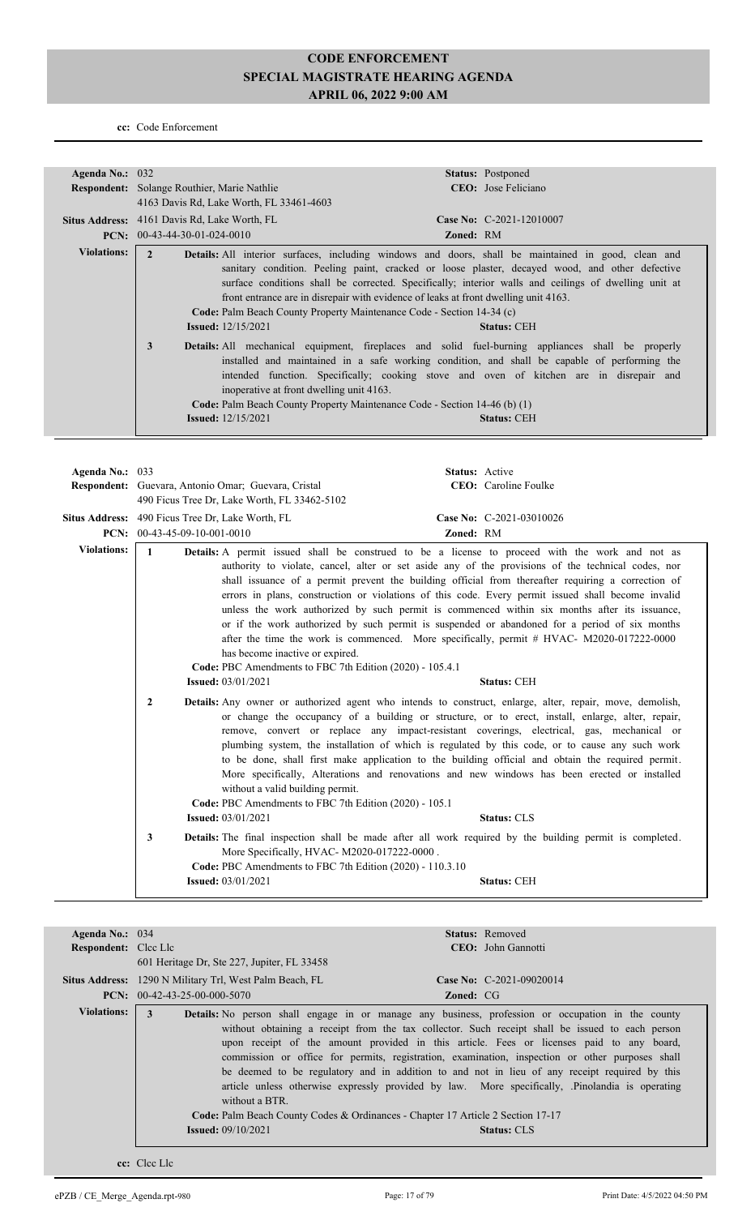**cc:** Code Enforcement

| Agenda No.: 032    |                                                                                                                                                                                                                                                                                        | <b>Status:</b> Postponed                                                                                                                                                                                                                                                                                                                                                                                                                                                                                                                                                                                                                                                                                                                                       |
|--------------------|----------------------------------------------------------------------------------------------------------------------------------------------------------------------------------------------------------------------------------------------------------------------------------------|----------------------------------------------------------------------------------------------------------------------------------------------------------------------------------------------------------------------------------------------------------------------------------------------------------------------------------------------------------------------------------------------------------------------------------------------------------------------------------------------------------------------------------------------------------------------------------------------------------------------------------------------------------------------------------------------------------------------------------------------------------------|
|                    | <b>Respondent:</b> Solange Routhier, Marie Nathlie                                                                                                                                                                                                                                     | <b>CEO</b> : Jose Feliciano                                                                                                                                                                                                                                                                                                                                                                                                                                                                                                                                                                                                                                                                                                                                    |
|                    | 4163 Davis Rd, Lake Worth, FL 33461-4603                                                                                                                                                                                                                                               |                                                                                                                                                                                                                                                                                                                                                                                                                                                                                                                                                                                                                                                                                                                                                                |
|                    | <b>Situs Address:</b> 4161 Davis Rd, Lake Worth, FL                                                                                                                                                                                                                                    | Case No: C-2021-12010007                                                                                                                                                                                                                                                                                                                                                                                                                                                                                                                                                                                                                                                                                                                                       |
|                    | <b>PCN:</b> $00-43-44-30-01-024-0010$                                                                                                                                                                                                                                                  | <b>Zoned: RM</b>                                                                                                                                                                                                                                                                                                                                                                                                                                                                                                                                                                                                                                                                                                                                               |
| <b>Violations:</b> | $\mathbf{2}$<br>Code: Palm Beach County Property Maintenance Code - Section 14-34 (c)<br><b>Issued:</b> $12/15/2021$<br>3<br>inoperative at front dwelling unit 4163.<br><b>Code:</b> Palm Beach County Property Maintenance Code - Section 14-46 (b) (1)<br><b>Issued:</b> 12/15/2021 | <b>Details:</b> All interior surfaces, including windows and doors, shall be maintained in good, clean and<br>sanitary condition. Peeling paint, cracked or loose plaster, decayed wood, and other defective<br>surface conditions shall be corrected. Specifically; interior walls and ceilings of dwelling unit at<br>front entrance are in disrepair with evidence of leaks at front dwelling unit 4163.<br><b>Status: CEH</b><br><b>Details:</b> All mechanical equipment, fireplaces and solid fuel-burning appliances shall be properly<br>installed and maintained in a safe working condition, and shall be capable of performing the<br>intended function. Specifically; cooking stove and oven of kitchen are in disrepair and<br><b>Status: CEH</b> |

| Agenda No.: $033$  |                                                                                                                                                                                                                                                                                                                                                                                                                                                                                                                                                                                                                                                                                                                                           | <b>Status:</b> Active                                                                                                                                                                                                                                                                                                                                                                                                                                                                                                                                                                                                                                                                                                  |  |
|--------------------|-------------------------------------------------------------------------------------------------------------------------------------------------------------------------------------------------------------------------------------------------------------------------------------------------------------------------------------------------------------------------------------------------------------------------------------------------------------------------------------------------------------------------------------------------------------------------------------------------------------------------------------------------------------------------------------------------------------------------------------------|------------------------------------------------------------------------------------------------------------------------------------------------------------------------------------------------------------------------------------------------------------------------------------------------------------------------------------------------------------------------------------------------------------------------------------------------------------------------------------------------------------------------------------------------------------------------------------------------------------------------------------------------------------------------------------------------------------------------|--|
|                    | Respondent: Guevara, Antonio Omar; Guevara, Cristal<br>490 Ficus Tree Dr, Lake Worth, FL 33462-5102                                                                                                                                                                                                                                                                                                                                                                                                                                                                                                                                                                                                                                       | CEO: Caroline Foulke                                                                                                                                                                                                                                                                                                                                                                                                                                                                                                                                                                                                                                                                                                   |  |
|                    | Situs Address: 490 Ficus Tree Dr, Lake Worth, FL<br>PCN: $00-43-45-09-10-001-0010$                                                                                                                                                                                                                                                                                                                                                                                                                                                                                                                                                                                                                                                        | Case No: C-2021-03010026<br>Zoned: RM                                                                                                                                                                                                                                                                                                                                                                                                                                                                                                                                                                                                                                                                                  |  |
| <b>Violations:</b> | $\mathbf{1}$<br>has become inactive or expired.                                                                                                                                                                                                                                                                                                                                                                                                                                                                                                                                                                                                                                                                                           | <b>Details:</b> A permit issued shall be construed to be a license to proceed with the work and not as<br>authority to violate, cancel, alter or set aside any of the provisions of the technical codes, nor<br>shall issuance of a permit prevent the building official from thereafter requiring a correction of<br>errors in plans, construction or violations of this code. Every permit issued shall become invalid<br>unless the work authorized by such permit is commenced within six months after its issuance,<br>or if the work authorized by such permit is suspended or abandoned for a period of six months<br>after the time the work is commenced. More specifically, permit # HVAC- M2020-017222-0000 |  |
|                    | Code: PBC Amendments to FBC 7th Edition (2020) - 105.4.1<br><b>Issued:</b> 03/01/2021                                                                                                                                                                                                                                                                                                                                                                                                                                                                                                                                                                                                                                                     | <b>Status: CEH</b>                                                                                                                                                                                                                                                                                                                                                                                                                                                                                                                                                                                                                                                                                                     |  |
|                    | <b>Details:</b> Any owner or authorized agent who intends to construct, enlarge, alter, repair, move, demolish,<br>$\overline{2}$<br>or change the occupancy of a building or structure, or to erect, install, enlarge, alter, repair,<br>remove, convert or replace any impact-resistant coverings, electrical, gas, mechanical or<br>plumbing system, the installation of which is regulated by this code, or to cause any such work<br>to be done, shall first make application to the building official and obtain the required permit.<br>More specifically, Alterations and renovations and new windows has been erected or installed<br>without a valid building permit.<br>Code: PBC Amendments to FBC 7th Edition (2020) - 105.1 |                                                                                                                                                                                                                                                                                                                                                                                                                                                                                                                                                                                                                                                                                                                        |  |
|                    | <b>Issued:</b> 03/01/2021                                                                                                                                                                                                                                                                                                                                                                                                                                                                                                                                                                                                                                                                                                                 | <b>Status: CLS</b>                                                                                                                                                                                                                                                                                                                                                                                                                                                                                                                                                                                                                                                                                                     |  |
|                    | 3<br>More Specifically, HVAC-M2020-017222-0000.<br>Code: PBC Amendments to FBC 7th Edition (2020) - 110.3.10                                                                                                                                                                                                                                                                                                                                                                                                                                                                                                                                                                                                                              | <b>Details:</b> The final inspection shall be made after all work required by the building permit is completed.                                                                                                                                                                                                                                                                                                                                                                                                                                                                                                                                                                                                        |  |
|                    | <b>Issued:</b> 03/01/2021                                                                                                                                                                                                                                                                                                                                                                                                                                                                                                                                                                                                                                                                                                                 | <b>Status: CEH</b>                                                                                                                                                                                                                                                                                                                                                                                                                                                                                                                                                                                                                                                                                                     |  |

| Agenda No.: $034$           |                                                                | <b>Status:</b> Removed                                                                                                                                                                                                                                                                                                                                                                                                                                                                                                                                                                                                                                                                                                 |
|-----------------------------|----------------------------------------------------------------|------------------------------------------------------------------------------------------------------------------------------------------------------------------------------------------------------------------------------------------------------------------------------------------------------------------------------------------------------------------------------------------------------------------------------------------------------------------------------------------------------------------------------------------------------------------------------------------------------------------------------------------------------------------------------------------------------------------------|
| <b>Respondent:</b> Clcc Llc |                                                                | <b>CEO</b> : John Gannotti                                                                                                                                                                                                                                                                                                                                                                                                                                                                                                                                                                                                                                                                                             |
|                             | 601 Heritage Dr. Ste 227, Jupiter, FL 33458                    |                                                                                                                                                                                                                                                                                                                                                                                                                                                                                                                                                                                                                                                                                                                        |
|                             | <b>Situs Address:</b> 1290 N Military Trl, West Palm Beach, FL | Case No: $C-2021-09020014$                                                                                                                                                                                                                                                                                                                                                                                                                                                                                                                                                                                                                                                                                             |
|                             | <b>PCN:</b> $00-42-43-25-00-000-5070$                          | <b>Zoned: CG</b>                                                                                                                                                                                                                                                                                                                                                                                                                                                                                                                                                                                                                                                                                                       |
| <b>Violations:</b>          | 3<br>without a BTR.<br><b>Issued:</b> $09/10/2021$             | <b>Details:</b> No person shall engage in or manage any business, profession or occupation in the county<br>without obtaining a receipt from the tax collector. Such receipt shall be issued to each person<br>upon receipt of the amount provided in this article. Fees or licenses paid to any board,<br>commission or office for permits, registration, examination, inspection or other purposes shall<br>be deemed to be regulatory and in addition to and not in lieu of any receipt required by this<br>article unless otherwise expressly provided by law. More specifically, Pinolandia is operating<br>Code: Palm Beach County Codes & Ordinances - Chapter 17 Article 2 Section 17-17<br><b>Status: CLS</b> |

**cc:** Clcc Llc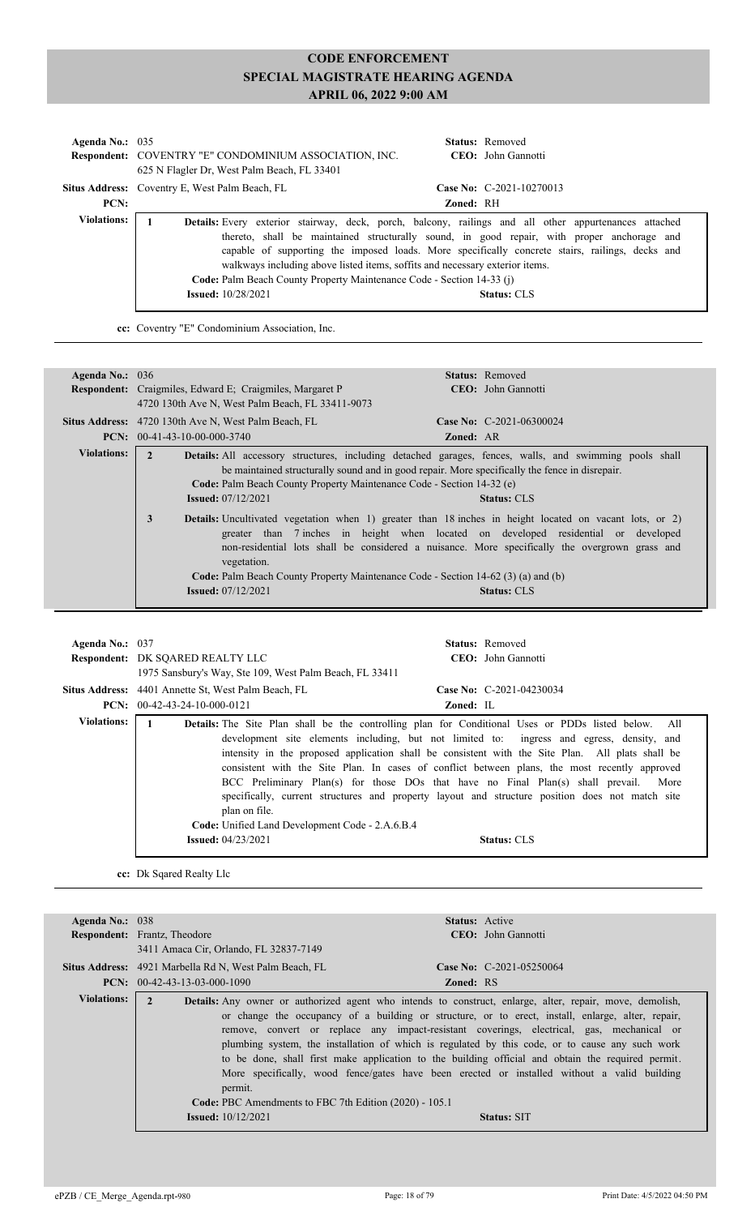| Agenda No.: $035$  | <b>Respondent:</b> COVENTRY "E" CONDOMINIUM ASSOCIATION, INC.<br>625 N Flagler Dr. West Palm Beach, FL 33401                                                                                                                                                                                       | <b>Status:</b> Removed<br><b>CEO</b> : John Gannotti                                                                                                                                                                |
|--------------------|----------------------------------------------------------------------------------------------------------------------------------------------------------------------------------------------------------------------------------------------------------------------------------------------------|---------------------------------------------------------------------------------------------------------------------------------------------------------------------------------------------------------------------|
|                    | <b>Situs Address:</b> Coventry E, West Palm Beach, FL                                                                                                                                                                                                                                              | Case No: C-2021-10270013                                                                                                                                                                                            |
| PCN:               |                                                                                                                                                                                                                                                                                                    | <b>Zoned: RH</b>                                                                                                                                                                                                    |
| <b>Violations:</b> | Details: Every exterior stairway, deck, porch, balcony, railings and all other appurtenances attached<br>walkways including above listed items, soffits and necessary exterior items.<br><b>Code:</b> Palm Beach County Property Maintenance Code - Section 14-33 (j)<br><b>Issued:</b> 10/28/2021 | thereto, shall be maintained structurally sound, in good repair, with proper anchorage and<br>capable of supporting the imposed loads. More specifically concrete stairs, railings, decks and<br><b>Status: CLS</b> |

**cc:** Coventry "E" Condominium Association, Inc.

| Agenda No.: $036$  | <b>Status:</b> Removed                                                                                                                                                                                                                                                                                                                                                                                                                                                    |
|--------------------|---------------------------------------------------------------------------------------------------------------------------------------------------------------------------------------------------------------------------------------------------------------------------------------------------------------------------------------------------------------------------------------------------------------------------------------------------------------------------|
|                    | CEO: John Gannotti<br><b>Respondent:</b> Craigmiles, Edward E; Craigmiles, Margaret P                                                                                                                                                                                                                                                                                                                                                                                     |
|                    | 4720 130th Ave N, West Palm Beach, FL 33411-9073                                                                                                                                                                                                                                                                                                                                                                                                                          |
|                    | Case No: $C-2021-06300024$<br><b>Situs Address:</b> 4720 130th Ave N, West Palm Beach, FL                                                                                                                                                                                                                                                                                                                                                                                 |
|                    | $PCN: 00-41-43-10-00-000-3740$<br><b>Zoned: AR</b>                                                                                                                                                                                                                                                                                                                                                                                                                        |
| <b>Violations:</b> | Details: All accessory structures, including detached garages, fences, walls, and swimming pools shall<br>be maintained structurally sound and in good repair. More specifically the fence in disrepair.<br>Code: Palm Beach County Property Maintenance Code - Section 14-32 (e)<br><b>Issued:</b> 07/12/2021<br><b>Status: CLS</b>                                                                                                                                      |
|                    | <b>Details:</b> Uncultivated vegetation when 1) greater than 18 inches in height located on vacant lots, or 2)<br>3<br>greater than 7 inches in height when located on developed residential or developed<br>non-residential lots shall be considered a nuisance. More specifically the overgrown grass and<br>vegetation.<br><b>Code:</b> Palm Beach County Property Maintenance Code - Section 14-62 (3) (a) and (b)<br><b>Issued:</b> 07/12/2021<br><b>Status: CLS</b> |

| Agenda No.: 037 | <b>Status:</b> Removed<br><b>Respondent: DK SQARED REALTY LLC</b><br>CEO: John Gannotti<br>1975 Sansbury's Way, Ste 109, West Palm Beach, FL 33411                                                                                                                                                                                                                                                                                                                                                                                                                                                                                                                                                                               |
|-----------------|----------------------------------------------------------------------------------------------------------------------------------------------------------------------------------------------------------------------------------------------------------------------------------------------------------------------------------------------------------------------------------------------------------------------------------------------------------------------------------------------------------------------------------------------------------------------------------------------------------------------------------------------------------------------------------------------------------------------------------|
|                 | <b>Situs Address:</b> 4401 Annette St, West Palm Beach, FL<br>Case No: $C-2021-04230034$<br><b>PCN:</b> $00-42-43-24-10-000-0121$<br>Zoned: IL                                                                                                                                                                                                                                                                                                                                                                                                                                                                                                                                                                                   |
| Violations:     | <b>Details:</b> The Site Plan shall be the controlling plan for Conditional Uses or PDDs listed below. All<br>development site elements including, but not limited to: ingress and egress, density, and<br>intensity in the proposed application shall be consistent with the Site Plan. All plats shall be<br>consistent with the Site Plan. In cases of conflict between plans, the most recently approved<br>BCC Preliminary Plan(s) for those DOs that have no Final Plan(s) shall prevail. More<br>specifically, current structures and property layout and structure position does not match site<br>plan on file.<br>Code: Unified Land Development Code - 2.A.6.B.4<br><b>Issued:</b> $04/23/2021$<br><b>Status: CLS</b> |

**cc:** Dk Sqared Realty Llc

| Agenda No.: $038$ | <b>Status:</b> Active                                                                                                                                                                                                                                                                                                                                                                                                                                                                                                                                                                                                                                                                                                                                                     |
|-------------------|---------------------------------------------------------------------------------------------------------------------------------------------------------------------------------------------------------------------------------------------------------------------------------------------------------------------------------------------------------------------------------------------------------------------------------------------------------------------------------------------------------------------------------------------------------------------------------------------------------------------------------------------------------------------------------------------------------------------------------------------------------------------------|
|                   | CEO: John Gannotti<br><b>Respondent:</b> Frantz, Theodore                                                                                                                                                                                                                                                                                                                                                                                                                                                                                                                                                                                                                                                                                                                 |
|                   | 3411 Amaca Cir, Orlando, FL 32837-7149                                                                                                                                                                                                                                                                                                                                                                                                                                                                                                                                                                                                                                                                                                                                    |
|                   | Case No: $C-2021-05250064$<br>Situs Address: 4921 Marbella Rd N, West Palm Beach, FL                                                                                                                                                                                                                                                                                                                                                                                                                                                                                                                                                                                                                                                                                      |
|                   | <b>PCN:</b> $00-42-43-13-03-000-1090$<br><b>Zoned: RS</b>                                                                                                                                                                                                                                                                                                                                                                                                                                                                                                                                                                                                                                                                                                                 |
| Violations:       | $\mathbf{2}$<br><b>Details:</b> Any owner or authorized agent who intends to construct, enlarge, alter, repair, move, demolish,<br>or change the occupancy of a building or structure, or to erect, install, enlarge, alter, repair,<br>remove, convert or replace any impact-resistant coverings, electrical, gas, mechanical or<br>plumbing system, the installation of which is regulated by this code, or to cause any such work<br>to be done, shall first make application to the building official and obtain the required permit.<br>More specifically, wood fence/gates have been erected or installed without a valid building<br>permit.<br><b>Code:</b> PBC Amendments to FBC 7th Edition (2020) - 105.1<br><b>Issued:</b> $10/12/2021$<br><b>Status: SIT</b> |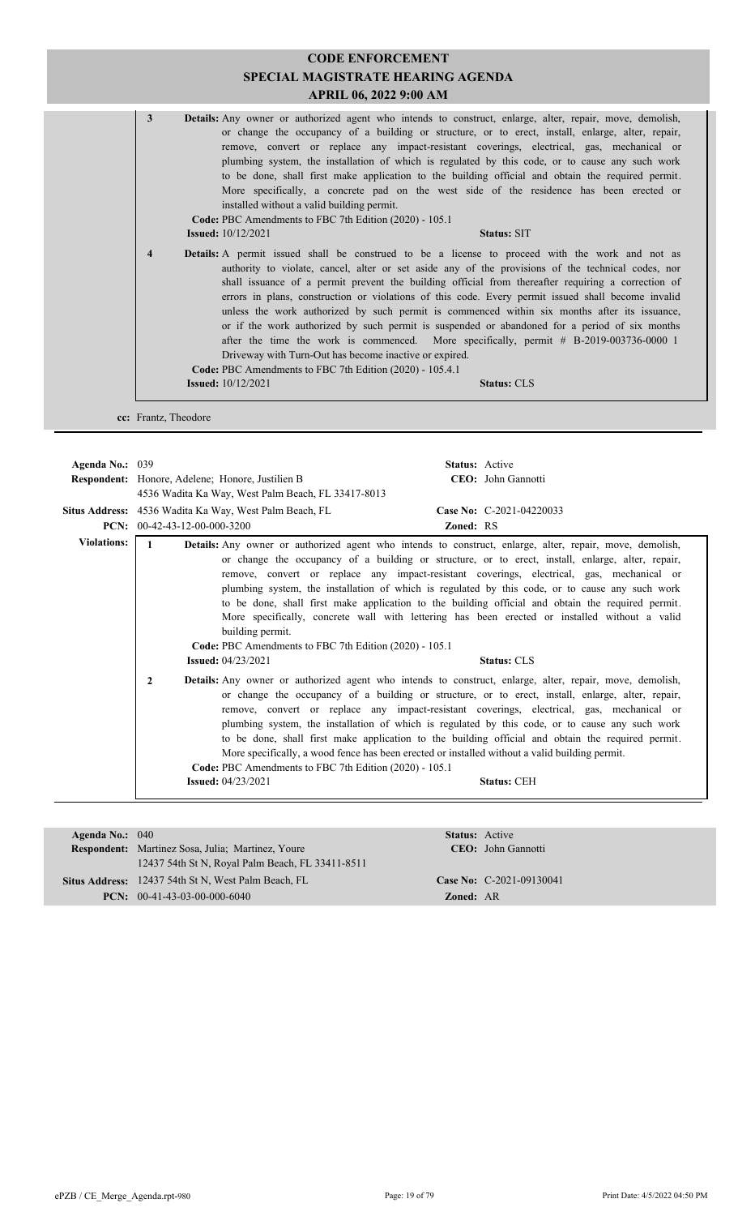|   |                                                                                                                                                 | <b>CODE ENFORCEMENT</b><br>SPECIAL MAGISTRATE HEARING AGENDA<br>APRIL 06, 2022 9:00 AM                                                                                                                                                                                                                                                                                                                                                                                                                                                                                                                                                                                                                                             |
|---|-------------------------------------------------------------------------------------------------------------------------------------------------|------------------------------------------------------------------------------------------------------------------------------------------------------------------------------------------------------------------------------------------------------------------------------------------------------------------------------------------------------------------------------------------------------------------------------------------------------------------------------------------------------------------------------------------------------------------------------------------------------------------------------------------------------------------------------------------------------------------------------------|
| 3 | installed without a valid building permit.<br>Code: PBC Amendments to FBC 7th Edition (2020) - 105.1<br><b>Issued:</b> 10/12/2021               | Details: Any owner or authorized agent who intends to construct, enlarge, alter, repair, move, demolish,<br>or change the occupancy of a building or structure, or to erect, install, enlarge, alter, repair,<br>remove, convert or replace any impact-resistant coverings, electrical, gas, mechanical or<br>plumbing system, the installation of which is regulated by this code, or to cause any such work<br>to be done, shall first make application to the building official and obtain the required permit.<br>More specifically, a concrete pad on the west side of the residence has been erected or<br><b>Status: SIT</b>                                                                                                |
| 4 | Driveway with Turn-Out has become inactive or expired.<br>Code: PBC Amendments to FBC 7th Edition (2020) - 105.4.1<br><b>Issued:</b> 10/12/2021 | Details: A permit issued shall be construed to be a license to proceed with the work and not as<br>authority to violate, cancel, alter or set aside any of the provisions of the technical codes, nor<br>shall issuance of a permit prevent the building official from thereafter requiring a correction of<br>errors in plans, construction or violations of this code. Every permit issued shall become invalid<br>unless the work authorized by such permit is commenced within six months after its issuance,<br>or if the work authorized by such permit is suspended or abandoned for a period of six months<br>after the time the work is commenced. More specifically, permit # B-2019-003736-0000 1<br><b>Status: CLS</b> |
|   |                                                                                                                                                 |                                                                                                                                                                                                                                                                                                                                                                                                                                                                                                                                                                                                                                                                                                                                    |

| Agenda No.: 039                             |                                |                                                                            | <b>Status:</b> Active                                                                                                                                                                                                                                                                                                                                                                                                                                                                                                                                                                                                                             |  |
|---------------------------------------------|--------------------------------|----------------------------------------------------------------------------|---------------------------------------------------------------------------------------------------------------------------------------------------------------------------------------------------------------------------------------------------------------------------------------------------------------------------------------------------------------------------------------------------------------------------------------------------------------------------------------------------------------------------------------------------------------------------------------------------------------------------------------------------|--|
|                                             |                                | <b>Respondent:</b> Honore, Adelene; Honore, Justilien B                    | CEO: John Gannotti                                                                                                                                                                                                                                                                                                                                                                                                                                                                                                                                                                                                                                |  |
|                                             |                                | 4536 Wadita Ka Way, West Palm Beach, FL 33417-8013                         |                                                                                                                                                                                                                                                                                                                                                                                                                                                                                                                                                                                                                                                   |  |
|                                             |                                | Situs Address: 4536 Wadita Ka Way, West Palm Beach, FL                     | Case No: C-2021-04220033                                                                                                                                                                                                                                                                                                                                                                                                                                                                                                                                                                                                                          |  |
|                                             | PCN: $00-42-43-12-00-000-3200$ |                                                                            | <b>Zoned: RS</b>                                                                                                                                                                                                                                                                                                                                                                                                                                                                                                                                                                                                                                  |  |
| <b>Violations:</b>                          | $\mathbf{1}$                   | building permit.<br>Code: PBC Amendments to FBC 7th Edition (2020) - 105.1 | <b>Details:</b> Any owner or authorized agent who intends to construct, enlarge, alter, repair, move, demolish,<br>or change the occupancy of a building or structure, or to erect, install, enlarge, alter, repair,<br>remove, convert or replace any impact-resistant coverings, electrical, gas, mechanical or<br>plumbing system, the installation of which is regulated by this code, or to cause any such work<br>to be done, shall first make application to the building official and obtain the required permit.<br>More specifically, concrete wall with lettering has been erected or installed without a valid                        |  |
|                                             |                                | <b>Issued:</b> $04/23/2021$                                                | <b>Status: CLS</b>                                                                                                                                                                                                                                                                                                                                                                                                                                                                                                                                                                                                                                |  |
| $\overline{2}$<br><b>Issued:</b> 04/23/2021 |                                | Code: PBC Amendments to FBC 7th Edition (2020) - 105.1                     | <b>Details:</b> Any owner or authorized agent who intends to construct, enlarge, alter, repair, move, demolish,<br>or change the occupancy of a building or structure, or to erect, install, enlarge, alter, repair,<br>remove, convert or replace any impact-resistant coverings, electrical, gas, mechanical or<br>plumbing system, the installation of which is regulated by this code, or to cause any such work<br>to be done, shall first make application to the building official and obtain the required permit.<br>More specifically, a wood fence has been erected or installed without a valid building permit.<br><b>Status: CEH</b> |  |
|                                             |                                |                                                                            |                                                                                                                                                                                                                                                                                                                                                                                                                                                                                                                                                                                                                                                   |  |

| Agenda No.: $040$ |                                                          | <b>Status:</b> Active |                            |
|-------------------|----------------------------------------------------------|-----------------------|----------------------------|
|                   | <b>Respondent:</b> Martinez Sosa, Julia; Martinez, Youre |                       | <b>CEO</b> : John Gannotti |
|                   | 12437 54th St N, Royal Palm Beach, FL 33411-8511         |                       |                            |
|                   | Situs Address: 12437 54th St N, West Palm Beach, FL      |                       | Case No: C-2021-09130041   |
|                   | <b>PCN:</b> $00-41-43-03-00-000-6040$                    | <b>Zoned: AR</b>      |                            |
|                   |                                                          |                       |                            |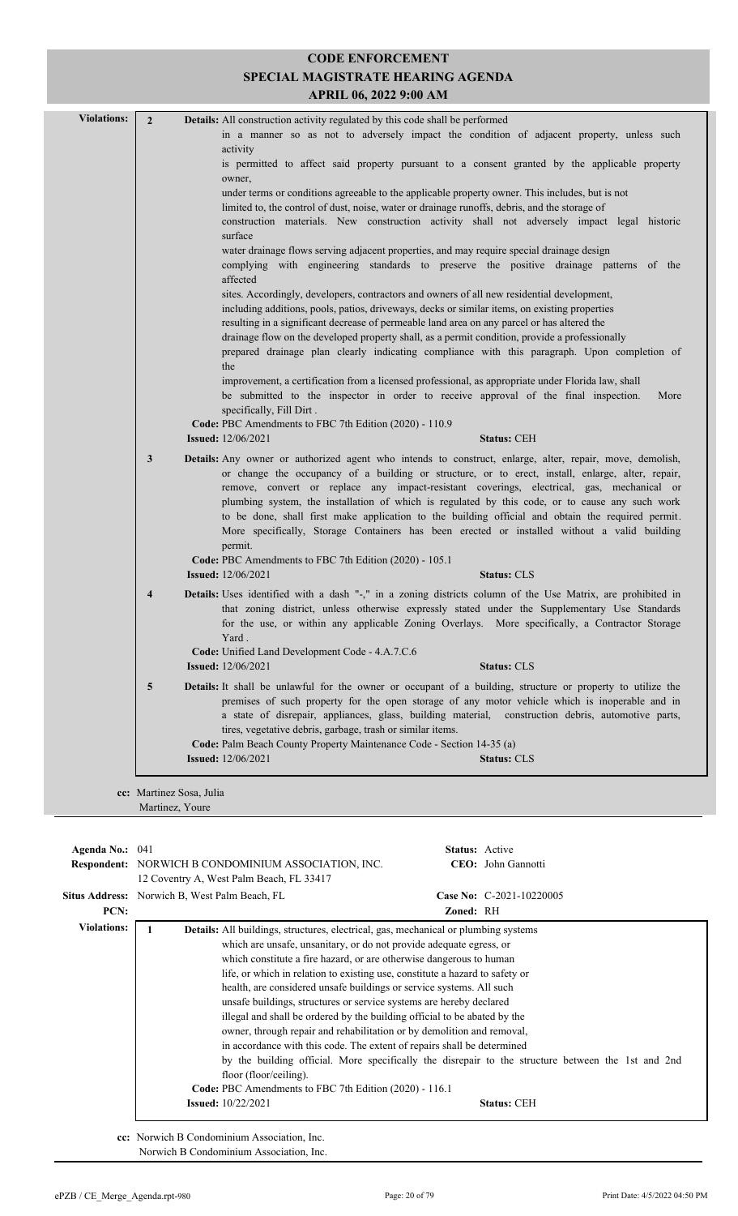| <b>Violations:</b> | $\overline{2}$          | Details: All construction activity regulated by this code shall be performed                                                                                                                                                                                                                                                                                                                                                                                                                                                                                                                                              |
|--------------------|-------------------------|---------------------------------------------------------------------------------------------------------------------------------------------------------------------------------------------------------------------------------------------------------------------------------------------------------------------------------------------------------------------------------------------------------------------------------------------------------------------------------------------------------------------------------------------------------------------------------------------------------------------------|
|                    |                         | in a manner so as not to adversely impact the condition of adjacent property, unless such                                                                                                                                                                                                                                                                                                                                                                                                                                                                                                                                 |
|                    |                         | activity<br>is permitted to affect said property pursuant to a consent granted by the applicable property                                                                                                                                                                                                                                                                                                                                                                                                                                                                                                                 |
|                    |                         | owner,                                                                                                                                                                                                                                                                                                                                                                                                                                                                                                                                                                                                                    |
|                    |                         | under terms or conditions agreeable to the applicable property owner. This includes, but is not                                                                                                                                                                                                                                                                                                                                                                                                                                                                                                                           |
|                    |                         | limited to, the control of dust, noise, water or drainage runoffs, debris, and the storage of                                                                                                                                                                                                                                                                                                                                                                                                                                                                                                                             |
|                    |                         | construction materials. New construction activity shall not adversely impact legal historic<br>surface                                                                                                                                                                                                                                                                                                                                                                                                                                                                                                                    |
|                    |                         | water drainage flows serving adjacent properties, and may require special drainage design                                                                                                                                                                                                                                                                                                                                                                                                                                                                                                                                 |
|                    |                         | complying with engineering standards to preserve the positive drainage patterns of the<br>affected                                                                                                                                                                                                                                                                                                                                                                                                                                                                                                                        |
|                    |                         | sites. Accordingly, developers, contractors and owners of all new residential development,                                                                                                                                                                                                                                                                                                                                                                                                                                                                                                                                |
|                    |                         | including additions, pools, patios, driveways, decks or similar items, on existing properties                                                                                                                                                                                                                                                                                                                                                                                                                                                                                                                             |
|                    |                         | resulting in a significant decrease of permeable land area on any parcel or has altered the                                                                                                                                                                                                                                                                                                                                                                                                                                                                                                                               |
|                    |                         | drainage flow on the developed property shall, as a permit condition, provide a professionally                                                                                                                                                                                                                                                                                                                                                                                                                                                                                                                            |
|                    |                         | prepared drainage plan clearly indicating compliance with this paragraph. Upon completion of                                                                                                                                                                                                                                                                                                                                                                                                                                                                                                                              |
|                    |                         | the                                                                                                                                                                                                                                                                                                                                                                                                                                                                                                                                                                                                                       |
|                    |                         | improvement, a certification from a licensed professional, as appropriate under Florida law, shall<br>be submitted to the inspector in order to receive approval of the final inspection.<br>More                                                                                                                                                                                                                                                                                                                                                                                                                         |
|                    |                         | specifically, Fill Dirt.                                                                                                                                                                                                                                                                                                                                                                                                                                                                                                                                                                                                  |
|                    |                         | Code: PBC Amendments to FBC 7th Edition (2020) - 110.9                                                                                                                                                                                                                                                                                                                                                                                                                                                                                                                                                                    |
|                    |                         | <b>Issued:</b> 12/06/2021<br><b>Status: CEH</b>                                                                                                                                                                                                                                                                                                                                                                                                                                                                                                                                                                           |
|                    | 3                       | <b>Details:</b> Any owner or authorized agent who intends to construct, enlarge, alter, repair, move, demolish,<br>or change the occupancy of a building or structure, or to erect, install, enlarge, alter, repair,<br>remove, convert or replace any impact-resistant coverings, electrical, gas, mechanical or<br>plumbing system, the installation of which is regulated by this code, or to cause any such work<br>to be done, shall first make application to the building official and obtain the required permit.<br>More specifically, Storage Containers has been erected or installed without a valid building |
|                    |                         | permit.                                                                                                                                                                                                                                                                                                                                                                                                                                                                                                                                                                                                                   |
|                    |                         | Code: PBC Amendments to FBC 7th Edition (2020) - 105.1                                                                                                                                                                                                                                                                                                                                                                                                                                                                                                                                                                    |
|                    |                         | <b>Issued:</b> 12/06/2021<br><b>Status: CLS</b>                                                                                                                                                                                                                                                                                                                                                                                                                                                                                                                                                                           |
|                    | $\overline{\mathbf{4}}$ | Details: Uses identified with a dash "-," in a zoning districts column of the Use Matrix, are prohibited in<br>that zoning district, unless otherwise expressly stated under the Supplementary Use Standards<br>for the use, or within any applicable Zoning Overlays. More specifically, a Contractor Storage<br>Yard.                                                                                                                                                                                                                                                                                                   |
|                    |                         | Code: Unified Land Development Code - 4.A.7.C.6                                                                                                                                                                                                                                                                                                                                                                                                                                                                                                                                                                           |
|                    |                         | <b>Issued:</b> 12/06/2021<br><b>Status: CLS</b>                                                                                                                                                                                                                                                                                                                                                                                                                                                                                                                                                                           |
|                    | 5                       | Details: It shall be unlawful for the owner or occupant of a building, structure or property to utilize the<br>premises of such property for the open storage of any motor vehicle which is inoperable and in<br>a state of disrepair, appliances, glass, building material, construction debris, automotive parts,                                                                                                                                                                                                                                                                                                       |
|                    |                         | tires, vegetative debris, garbage, trash or similar items.                                                                                                                                                                                                                                                                                                                                                                                                                                                                                                                                                                |
|                    |                         | Code: Palm Beach County Property Maintenance Code - Section 14-35 (a)<br><b>Issued:</b> 12/06/2021<br><b>Status: CLS</b>                                                                                                                                                                                                                                                                                                                                                                                                                                                                                                  |
|                    |                         |                                                                                                                                                                                                                                                                                                                                                                                                                                                                                                                                                                                                                           |
|                    |                         | cc: Martinez Sosa, Julia                                                                                                                                                                                                                                                                                                                                                                                                                                                                                                                                                                                                  |
|                    |                         |                                                                                                                                                                                                                                                                                                                                                                                                                                                                                                                                                                                                                           |

| Agenda No.: 041    | <b>Respondent:</b> NORWICH B CONDOMINIUM ASSOCIATION, INC.<br>12 Coventry A, West Palm Beach, FL 33417                                                                                                                                                                                                                                                                                                                                                                                                                                                                                                                                                                                                                                                                                                                                                                                                                                                 | <b>Status:</b> Active | CEO: John Gannotti       |  |
|--------------------|--------------------------------------------------------------------------------------------------------------------------------------------------------------------------------------------------------------------------------------------------------------------------------------------------------------------------------------------------------------------------------------------------------------------------------------------------------------------------------------------------------------------------------------------------------------------------------------------------------------------------------------------------------------------------------------------------------------------------------------------------------------------------------------------------------------------------------------------------------------------------------------------------------------------------------------------------------|-----------------------|--------------------------|--|
|                    | <b>Situs Address:</b> Norwich B, West Palm Beach, FL                                                                                                                                                                                                                                                                                                                                                                                                                                                                                                                                                                                                                                                                                                                                                                                                                                                                                                   |                       | Case No: C-2021-10220005 |  |
| PCN:               |                                                                                                                                                                                                                                                                                                                                                                                                                                                                                                                                                                                                                                                                                                                                                                                                                                                                                                                                                        | Zoned: RH             |                          |  |
| <b>Violations:</b> | <b>Details:</b> All buildings, structures, electrical, gas, mechanical or plumbing systems<br>which are unsafe, unsanitary, or do not provide adequate egress, or<br>which constitute a fire hazard, or are otherwise dangerous to human<br>life, or which in relation to existing use, constitute a hazard to safety or<br>health, are considered unsafe buildings or service systems. All such<br>unsafe buildings, structures or service systems are hereby declared<br>illegal and shall be ordered by the building official to be abated by the<br>owner, through repair and rehabilitation or by demolition and removal,<br>in accordance with this code. The extent of repairs shall be determined<br>by the building official. More specifically the disrepair to the structure between the 1st and 2nd<br>floor (floor/ceiling).<br>Code: PBC Amendments to FBC 7th Edition (2020) - 116.1<br><b>Issued:</b> 10/22/2021<br><b>Status: CEH</b> |                       |                          |  |

**cc:** Norwich B Condominium Association, Inc.

Norwich B Condominium Association, Inc.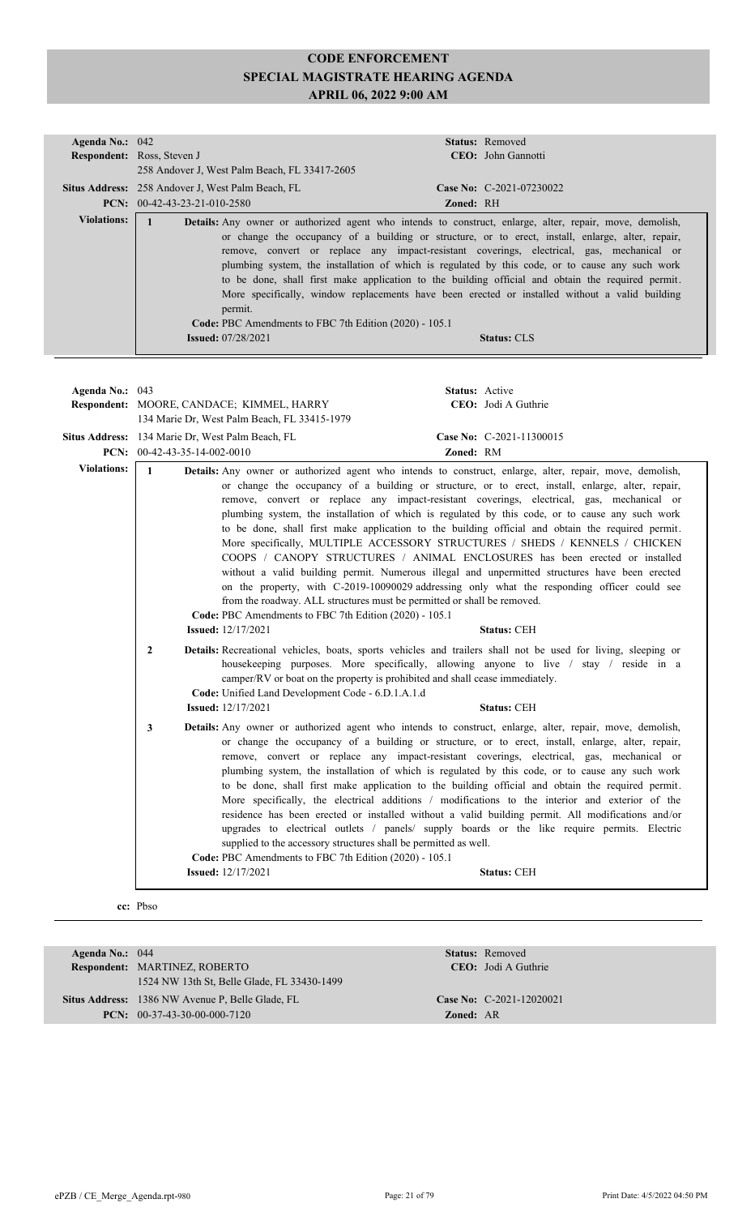| Status: Removed<br>Agenda No.: 042<br>CEO: John Gannotti<br>Respondent: Ross, Steven J<br>258 Andover J, West Palm Beach, FL 33417-2605<br>Case No: C-2021-07230022<br>Situs Address: 258 Andover J, West Palm Beach, FL<br>PCN: 00-42-43-23-21-010-2580<br><b>Zoned: RH</b><br><b>Violations:</b><br>$\mathbf{1}$<br>Details: Any owner or authorized agent who intends to construct, enlarge, alter, repair, move, demolish,<br>or change the occupancy of a building or structure, or to erect, install, enlarge, alter, repair,<br>remove, convert or replace any impact-resistant coverings, electrical, gas, mechanical or<br>plumbing system, the installation of which is regulated by this code, or to cause any such work<br>to be done, shall first make application to the building official and obtain the required permit.<br>More specifically, window replacements have been erected or installed without a valid building<br>permit.<br>Code: PBC Amendments to FBC 7th Edition (2020) - 105.1<br><b>Issued: 07/28/2021</b><br><b>Status: CLS</b><br>Status: Active<br>Agenda No.: 043<br>CEO: Jodi A Guthrie<br>Respondent: MOORE, CANDACE; KIMMEL, HARRY<br>134 Marie Dr, West Palm Beach, FL 33415-1979<br>Situs Address: 134 Marie Dr, West Palm Beach, FL<br>Case No: C-2021-11300015<br>PCN: $00-42-43-35-14-002-0010$<br>Zoned: RM<br><b>Violations:</b><br>$\mathbf{1}$<br>Details: Any owner or authorized agent who intends to construct, enlarge, alter, repair, move, demolish,<br>or change the occupancy of a building or structure, or to erect, install, enlarge, alter, repair,<br>remove, convert or replace any impact-resistant coverings, electrical, gas, mechanical or<br>plumbing system, the installation of which is regulated by this code, or to cause any such work<br>to be done, shall first make application to the building official and obtain the required permit.<br>More specifically, MULTIPLE ACCESSORY STRUCTURES / SHEDS / KENNELS / CHICKEN<br>COOPS / CANOPY STRUCTURES / ANIMAL ENCLOSURES has been erected or installed<br>without a valid building permit. Numerous illegal and unpermitted structures have been erected<br>on the property, with C-2019-10090029 addressing only what the responding officer could see<br>from the roadway. ALL structures must be permitted or shall be removed.<br>Code: PBC Amendments to FBC 7th Edition (2020) - 105.1<br><b>Issued:</b> 12/17/2021<br><b>Status: CEH</b><br>$\mathbf{2}$<br><b>Details:</b> Recreational vehicles, boats, sports vehicles and trailers shall not be used for living, sleeping or<br>housekeeping purposes. More specifically, allowing anyone to live / stay / reside in a<br>camper/RV or boat on the property is prohibited and shall cease immediately.<br>Code: Unified Land Development Code - 6.D.1.A.1.d<br><b>Issued:</b> 12/17/2021<br>Status: CEH<br>Details: Any owner or authorized agent who intends to construct, enlarge, alter, repair, move, demolish,<br>3<br>or change the occupancy of a building or structure, or to erect, install, enlarge, alter, repair,<br>remove, convert or replace any impact-resistant coverings, electrical, gas, mechanical or<br>plumbing system, the installation of which is regulated by this code, or to cause any such work<br>to be done, shall first make application to the building official and obtain the required permit.<br>More specifically, the electrical additions / modifications to the interior and exterior of the |  |  |
|---------------------------------------------------------------------------------------------------------------------------------------------------------------------------------------------------------------------------------------------------------------------------------------------------------------------------------------------------------------------------------------------------------------------------------------------------------------------------------------------------------------------------------------------------------------------------------------------------------------------------------------------------------------------------------------------------------------------------------------------------------------------------------------------------------------------------------------------------------------------------------------------------------------------------------------------------------------------------------------------------------------------------------------------------------------------------------------------------------------------------------------------------------------------------------------------------------------------------------------------------------------------------------------------------------------------------------------------------------------------------------------------------------------------------------------------------------------------------------------------------------------------------------------------------------------------------------------------------------------------------------------------------------------------------------------------------------------------------------------------------------------------------------------------------------------------------------------------------------------------------------------------------------------------------------------------------------------------------------------------------------------------------------------------------------------------------------------------------------------------------------------------------------------------------------------------------------------------------------------------------------------------------------------------------------------------------------------------------------------------------------------------------------------------------------------------------------------------------------------------------------------------------------------------------------------------------------------------------------------------------------------------------------------------------------------------------------------------------------------------------------------------------------------------------------------------------------------------------------------------------------------------------------------------------------------------------------------------------------------------------------------------------------------------------------------------------------------------------------------------------------------------------------------------------------------------------------------------------------------------------------------------------------------------------------------------------------------------------------------------------------------------------------------------------------------------------------------------------------------------------------------------------------|--|--|
|                                                                                                                                                                                                                                                                                                                                                                                                                                                                                                                                                                                                                                                                                                                                                                                                                                                                                                                                                                                                                                                                                                                                                                                                                                                                                                                                                                                                                                                                                                                                                                                                                                                                                                                                                                                                                                                                                                                                                                                                                                                                                                                                                                                                                                                                                                                                                                                                                                                                                                                                                                                                                                                                                                                                                                                                                                                                                                                                                                                                                                                                                                                                                                                                                                                                                                                                                                                                                                                                                                                                 |  |  |
|                                                                                                                                                                                                                                                                                                                                                                                                                                                                                                                                                                                                                                                                                                                                                                                                                                                                                                                                                                                                                                                                                                                                                                                                                                                                                                                                                                                                                                                                                                                                                                                                                                                                                                                                                                                                                                                                                                                                                                                                                                                                                                                                                                                                                                                                                                                                                                                                                                                                                                                                                                                                                                                                                                                                                                                                                                                                                                                                                                                                                                                                                                                                                                                                                                                                                                                                                                                                                                                                                                                                 |  |  |
|                                                                                                                                                                                                                                                                                                                                                                                                                                                                                                                                                                                                                                                                                                                                                                                                                                                                                                                                                                                                                                                                                                                                                                                                                                                                                                                                                                                                                                                                                                                                                                                                                                                                                                                                                                                                                                                                                                                                                                                                                                                                                                                                                                                                                                                                                                                                                                                                                                                                                                                                                                                                                                                                                                                                                                                                                                                                                                                                                                                                                                                                                                                                                                                                                                                                                                                                                                                                                                                                                                                                 |  |  |
|                                                                                                                                                                                                                                                                                                                                                                                                                                                                                                                                                                                                                                                                                                                                                                                                                                                                                                                                                                                                                                                                                                                                                                                                                                                                                                                                                                                                                                                                                                                                                                                                                                                                                                                                                                                                                                                                                                                                                                                                                                                                                                                                                                                                                                                                                                                                                                                                                                                                                                                                                                                                                                                                                                                                                                                                                                                                                                                                                                                                                                                                                                                                                                                                                                                                                                                                                                                                                                                                                                                                 |  |  |
|                                                                                                                                                                                                                                                                                                                                                                                                                                                                                                                                                                                                                                                                                                                                                                                                                                                                                                                                                                                                                                                                                                                                                                                                                                                                                                                                                                                                                                                                                                                                                                                                                                                                                                                                                                                                                                                                                                                                                                                                                                                                                                                                                                                                                                                                                                                                                                                                                                                                                                                                                                                                                                                                                                                                                                                                                                                                                                                                                                                                                                                                                                                                                                                                                                                                                                                                                                                                                                                                                                                                 |  |  |
|                                                                                                                                                                                                                                                                                                                                                                                                                                                                                                                                                                                                                                                                                                                                                                                                                                                                                                                                                                                                                                                                                                                                                                                                                                                                                                                                                                                                                                                                                                                                                                                                                                                                                                                                                                                                                                                                                                                                                                                                                                                                                                                                                                                                                                                                                                                                                                                                                                                                                                                                                                                                                                                                                                                                                                                                                                                                                                                                                                                                                                                                                                                                                                                                                                                                                                                                                                                                                                                                                                                                 |  |  |
|                                                                                                                                                                                                                                                                                                                                                                                                                                                                                                                                                                                                                                                                                                                                                                                                                                                                                                                                                                                                                                                                                                                                                                                                                                                                                                                                                                                                                                                                                                                                                                                                                                                                                                                                                                                                                                                                                                                                                                                                                                                                                                                                                                                                                                                                                                                                                                                                                                                                                                                                                                                                                                                                                                                                                                                                                                                                                                                                                                                                                                                                                                                                                                                                                                                                                                                                                                                                                                                                                                                                 |  |  |
|                                                                                                                                                                                                                                                                                                                                                                                                                                                                                                                                                                                                                                                                                                                                                                                                                                                                                                                                                                                                                                                                                                                                                                                                                                                                                                                                                                                                                                                                                                                                                                                                                                                                                                                                                                                                                                                                                                                                                                                                                                                                                                                                                                                                                                                                                                                                                                                                                                                                                                                                                                                                                                                                                                                                                                                                                                                                                                                                                                                                                                                                                                                                                                                                                                                                                                                                                                                                                                                                                                                                 |  |  |
|                                                                                                                                                                                                                                                                                                                                                                                                                                                                                                                                                                                                                                                                                                                                                                                                                                                                                                                                                                                                                                                                                                                                                                                                                                                                                                                                                                                                                                                                                                                                                                                                                                                                                                                                                                                                                                                                                                                                                                                                                                                                                                                                                                                                                                                                                                                                                                                                                                                                                                                                                                                                                                                                                                                                                                                                                                                                                                                                                                                                                                                                                                                                                                                                                                                                                                                                                                                                                                                                                                                                 |  |  |
|                                                                                                                                                                                                                                                                                                                                                                                                                                                                                                                                                                                                                                                                                                                                                                                                                                                                                                                                                                                                                                                                                                                                                                                                                                                                                                                                                                                                                                                                                                                                                                                                                                                                                                                                                                                                                                                                                                                                                                                                                                                                                                                                                                                                                                                                                                                                                                                                                                                                                                                                                                                                                                                                                                                                                                                                                                                                                                                                                                                                                                                                                                                                                                                                                                                                                                                                                                                                                                                                                                                                 |  |  |
|                                                                                                                                                                                                                                                                                                                                                                                                                                                                                                                                                                                                                                                                                                                                                                                                                                                                                                                                                                                                                                                                                                                                                                                                                                                                                                                                                                                                                                                                                                                                                                                                                                                                                                                                                                                                                                                                                                                                                                                                                                                                                                                                                                                                                                                                                                                                                                                                                                                                                                                                                                                                                                                                                                                                                                                                                                                                                                                                                                                                                                                                                                                                                                                                                                                                                                                                                                                                                                                                                                                                 |  |  |
|                                                                                                                                                                                                                                                                                                                                                                                                                                                                                                                                                                                                                                                                                                                                                                                                                                                                                                                                                                                                                                                                                                                                                                                                                                                                                                                                                                                                                                                                                                                                                                                                                                                                                                                                                                                                                                                                                                                                                                                                                                                                                                                                                                                                                                                                                                                                                                                                                                                                                                                                                                                                                                                                                                                                                                                                                                                                                                                                                                                                                                                                                                                                                                                                                                                                                                                                                                                                                                                                                                                                 |  |  |
|                                                                                                                                                                                                                                                                                                                                                                                                                                                                                                                                                                                                                                                                                                                                                                                                                                                                                                                                                                                                                                                                                                                                                                                                                                                                                                                                                                                                                                                                                                                                                                                                                                                                                                                                                                                                                                                                                                                                                                                                                                                                                                                                                                                                                                                                                                                                                                                                                                                                                                                                                                                                                                                                                                                                                                                                                                                                                                                                                                                                                                                                                                                                                                                                                                                                                                                                                                                                                                                                                                                                 |  |  |
| residence has been erected or installed without a valid building permit. All modifications and/or<br>upgrades to electrical outlets / panels/ supply boards or the like require permits. Electric<br>supplied to the accessory structures shall be permitted as well.<br>Code: PBC Amendments to FBC 7th Edition (2020) - 105.1                                                                                                                                                                                                                                                                                                                                                                                                                                                                                                                                                                                                                                                                                                                                                                                                                                                                                                                                                                                                                                                                                                                                                                                                                                                                                                                                                                                                                                                                                                                                                                                                                                                                                                                                                                                                                                                                                                                                                                                                                                                                                                                                                                                                                                                                                                                                                                                                                                                                                                                                                                                                                                                                                                                                                                                                                                                                                                                                                                                                                                                                                                                                                                                                 |  |  |
| <b>Status: CEH</b><br><b>Issued:</b> 12/17/2021                                                                                                                                                                                                                                                                                                                                                                                                                                                                                                                                                                                                                                                                                                                                                                                                                                                                                                                                                                                                                                                                                                                                                                                                                                                                                                                                                                                                                                                                                                                                                                                                                                                                                                                                                                                                                                                                                                                                                                                                                                                                                                                                                                                                                                                                                                                                                                                                                                                                                                                                                                                                                                                                                                                                                                                                                                                                                                                                                                                                                                                                                                                                                                                                                                                                                                                                                                                                                                                                                 |  |  |
|                                                                                                                                                                                                                                                                                                                                                                                                                                                                                                                                                                                                                                                                                                                                                                                                                                                                                                                                                                                                                                                                                                                                                                                                                                                                                                                                                                                                                                                                                                                                                                                                                                                                                                                                                                                                                                                                                                                                                                                                                                                                                                                                                                                                                                                                                                                                                                                                                                                                                                                                                                                                                                                                                                                                                                                                                                                                                                                                                                                                                                                                                                                                                                                                                                                                                                                                                                                                                                                                                                                                 |  |  |

| Agenda No.: $044$ |                                                  |                  | <b>Status:</b> Removed      |
|-------------------|--------------------------------------------------|------------------|-----------------------------|
|                   | <b>Respondent: MARTINEZ, ROBERTO</b>             |                  | <b>CEO</b> : Jodi A Guthrie |
|                   | 1524 NW 13th St, Belle Glade, FL 33430-1499      |                  |                             |
|                   | Situs Address: 1386 NW Avenue P, Belle Glade, FL |                  | Case No: C-2021-12020021    |
|                   | <b>PCN:</b> $00-37-43-30-00-000-7120$            | <b>Zoned: AR</b> |                             |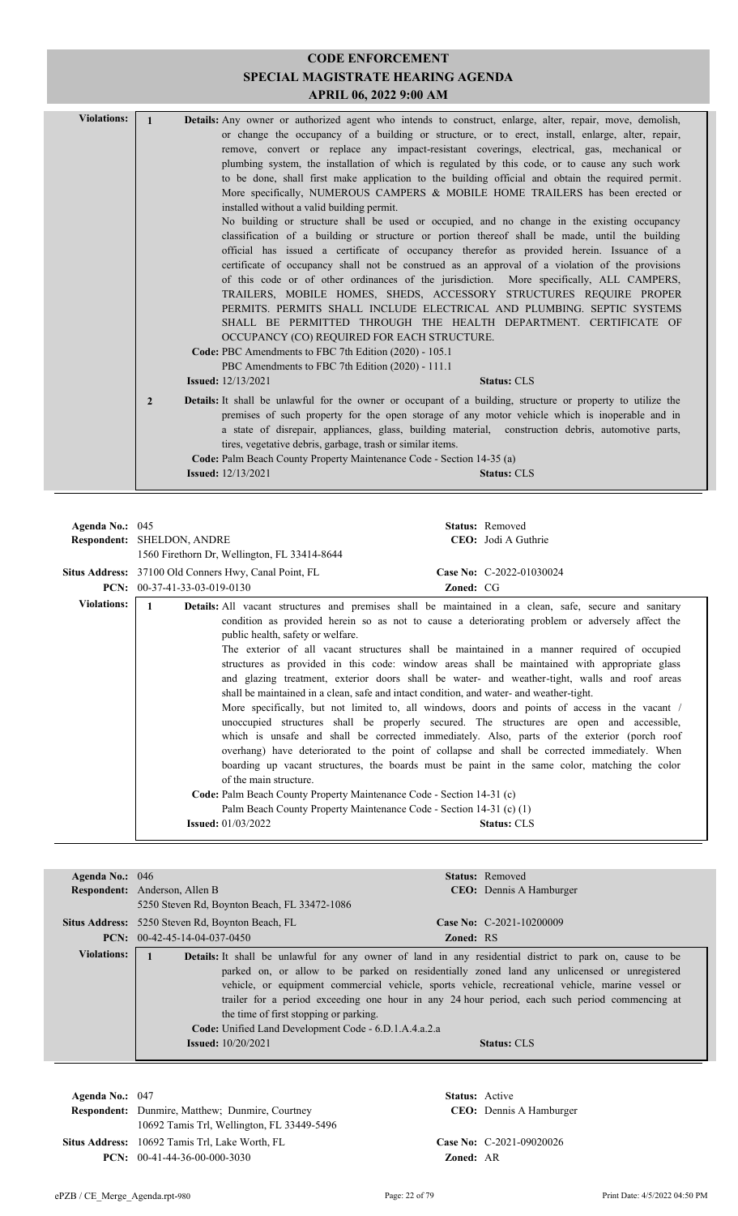| <b>Violations:</b> | $\mathbf{1}$   | <b>Details:</b> Any owner or authorized agent who intends to construct, enlarge, alter, repair, move, demolish, |                                                                                                    |  |
|--------------------|----------------|-----------------------------------------------------------------------------------------------------------------|----------------------------------------------------------------------------------------------------|--|
|                    |                |                                                                                                                 | or change the occupancy of a building or structure, or to erect, install, enlarge, alter, repair,  |  |
|                    |                |                                                                                                                 | remove, convert or replace any impact-resistant coverings, electrical, gas, mechanical or          |  |
|                    |                |                                                                                                                 | plumbing system, the installation of which is regulated by this code, or to cause any such work    |  |
|                    |                |                                                                                                                 |                                                                                                    |  |
|                    |                |                                                                                                                 | to be done, shall first make application to the building official and obtain the required permit.  |  |
|                    |                |                                                                                                                 | More specifically, NUMEROUS CAMPERS & MOBILE HOME TRAILERS has been erected or                     |  |
|                    |                | installed without a valid building permit.                                                                      |                                                                                                    |  |
|                    |                |                                                                                                                 | No building or structure shall be used or occupied, and no change in the existing occupancy        |  |
|                    |                |                                                                                                                 | classification of a building or structure or portion thereof shall be made, until the building     |  |
|                    |                |                                                                                                                 | official has issued a certificate of occupancy therefor as provided herein. Issuance of a          |  |
|                    |                |                                                                                                                 | certificate of occupancy shall not be construed as an approval of a violation of the provisions    |  |
|                    |                |                                                                                                                 | of this code or of other ordinances of the jurisdiction. More specifically, ALL CAMPERS,           |  |
|                    |                |                                                                                                                 | TRAILERS, MOBILE HOMES, SHEDS, ACCESSORY STRUCTURES REQUIRE PROPER                                 |  |
|                    |                |                                                                                                                 | PERMITS. PERMITS SHALL INCLUDE ELECTRICAL AND PLUMBING. SEPTIC SYSTEMS                             |  |
|                    |                |                                                                                                                 | SHALL BE PERMITTED THROUGH THE HEALTH DEPARTMENT. CERTIFICATE OF                                   |  |
|                    |                | OCCUPANCY (CO) REQUIRED FOR EACH STRUCTURE.                                                                     |                                                                                                    |  |
|                    |                | Code: PBC Amendments to FBC 7th Edition (2020) - 105.1                                                          |                                                                                                    |  |
|                    |                | PBC Amendments to FBC 7th Edition (2020) - 111.1                                                                |                                                                                                    |  |
|                    |                | <b>Issued:</b> $12/13/2021$                                                                                     | <b>Status: CLS</b>                                                                                 |  |
|                    | $\overline{2}$ | Details: It shall be unlawful for the owner or occupant of a building, structure or property to utilize the     | premises of such property for the open storage of any motor vehicle which is inoperable and in     |  |
|                    |                |                                                                                                                 | a state of disrepair, appliances, glass, building material, construction debris, automotive parts, |  |
|                    |                | tires, vegetative debris, garbage, trash or similar items.                                                      |                                                                                                    |  |
|                    |                | <b>Code:</b> Palm Beach County Property Maintenance Code - Section 14-35 (a)                                    |                                                                                                    |  |
|                    |                | <b>Issued:</b> 12/13/2021                                                                                       | <b>Status: CLS</b>                                                                                 |  |
|                    |                |                                                                                                                 |                                                                                                    |  |

| Agenda No.: $045$  | <b>Respondent: SHELDON, ANDRE</b><br>1560 Firethorn Dr, Wellington, FL 33414-8644<br><b>Situs Address:</b> 37100 Old Conners Hwy, Canal Point, FL<br><b>PCN:</b> $00-37-41-33-03-019-0130$ | <b>Zoned: CG</b>                                                                                                                                                                                                                         | <b>Status:</b> Removed<br>CEO: Jodi A Guthrie<br>Case No: C-2022-01030024                                                                                                                                                                                                                                                                                                                                                                                                                                                                                                                                                                                                                                                                                                                                                                                                                                                                                                                                                           |
|--------------------|--------------------------------------------------------------------------------------------------------------------------------------------------------------------------------------------|------------------------------------------------------------------------------------------------------------------------------------------------------------------------------------------------------------------------------------------|-------------------------------------------------------------------------------------------------------------------------------------------------------------------------------------------------------------------------------------------------------------------------------------------------------------------------------------------------------------------------------------------------------------------------------------------------------------------------------------------------------------------------------------------------------------------------------------------------------------------------------------------------------------------------------------------------------------------------------------------------------------------------------------------------------------------------------------------------------------------------------------------------------------------------------------------------------------------------------------------------------------------------------------|
| <b>Violations:</b> | public health, safety or welfare.<br>of the main structure.<br><b>Issued:</b> 01/03/2022                                                                                                   | shall be maintained in a clean, safe and intact condition, and water- and weather-tight.<br>Code: Palm Beach County Property Maintenance Code - Section 14-31 (c)<br>Palm Beach County Property Maintenance Code - Section 14-31 (c) (1) | <b>Details:</b> All vacant structures and premises shall be maintained in a clean, safe, secure and sanitary<br>condition as provided herein so as not to cause a deteriorating problem or adversely affect the<br>The exterior of all vacant structures shall be maintained in a manner required of occupied<br>structures as provided in this code: window areas shall be maintained with appropriate glass<br>and glazing treatment, exterior doors shall be water- and weather-tight, walls and roof areas<br>More specifically, but not limited to, all windows, doors and points of access in the vacant /<br>unoccupied structures shall be properly secured. The structures are open and accessible,<br>which is unsafe and shall be corrected immediately. Also, parts of the exterior (porch roof<br>overhang) have deteriorated to the point of collapse and shall be corrected immediately. When<br>boarding up vacant structures, the boards must be paint in the same color, matching the color<br><b>Status: CLS</b> |

| Agenda No.: $046$  |                                                         |                  | <b>Status:</b> Removed                                                                                         |
|--------------------|---------------------------------------------------------|------------------|----------------------------------------------------------------------------------------------------------------|
|                    | <b>Respondent:</b> Anderson, Allen B                    |                  | <b>CEO</b> : Dennis A Hamburger                                                                                |
|                    | 5250 Steven Rd, Boynton Beach, FL 33472-1086            |                  |                                                                                                                |
|                    | <b>Situs Address:</b> 5250 Steven Rd, Boynton Beach, FL |                  | Case No: $C-2021-10200009$                                                                                     |
|                    | <b>PCN:</b> $00-42-45-14-04-037-0450$                   | <b>Zoned: RS</b> |                                                                                                                |
| <b>Violations:</b> |                                                         |                  | <b>Details:</b> It shall be unlawful for any owner of land in any residential district to park on, cause to be |
|                    |                                                         |                  | parked on, or allow to be parked on residentially zoned land any unlicensed or unregistered                    |
|                    |                                                         |                  | vehicle, or equipment commercial vehicle, sports vehicle, recreational vehicle, marine vessel or               |
|                    |                                                         |                  | trailer for a period exceeding one hour in any 24 hour period, each such period commencing at                  |
|                    | the time of first stopping or parking.                  |                  |                                                                                                                |
|                    | Code: Unified Land Development Code - 6.D.1.A.4.a.2.a   |                  |                                                                                                                |
|                    | <b>Issued:</b> $10/20/2021$                             |                  | <b>Status: CLS</b>                                                                                             |
|                    |                                                         |                  |                                                                                                                |

**Respondent:** Dunmire, Matthew; Dunmire, Courtney **Agenda No.:** 047 **Status:** Active 10692 Tamis Trl, Wellington, FL 33449-5496 **Situs Address:** 10692 Tamis Trl, Lake Worth, FL **Case No:** C-2021-09020026 **PCN:** 00-41-44-36-00-000-3030 **Zoned:** AR

CEO: Dennis A Hamburger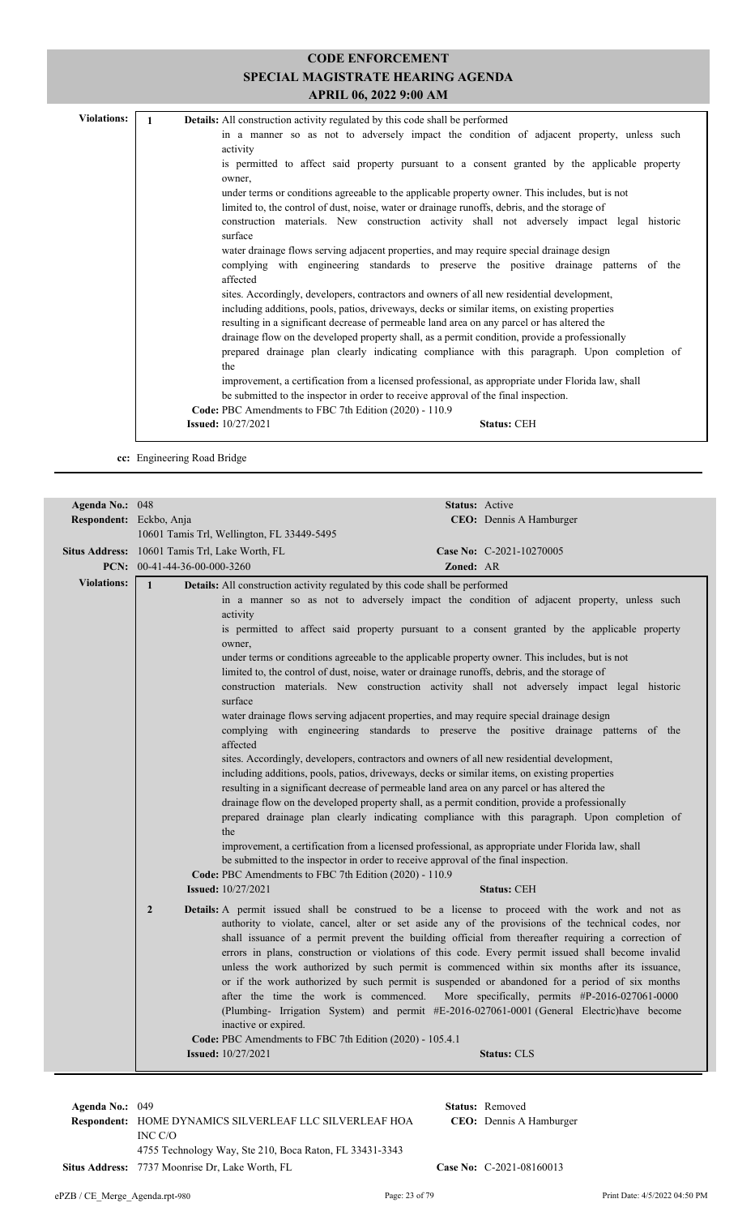| <b>Violations:</b> | <b>Details:</b> All construction activity regulated by this code shall be performed                     |
|--------------------|---------------------------------------------------------------------------------------------------------|
|                    | in a manner so as not to adversely impact the condition of adjacent property, unless such               |
|                    | activity                                                                                                |
|                    | is permitted to affect said property pursuant to a consent granted by the applicable property<br>owner. |
|                    | under terms or conditions agreeable to the applicable property owner. This includes, but is not         |
|                    | limited to, the control of dust, noise, water or drainage runoffs, debris, and the storage of           |
|                    | construction materials. New construction activity shall not adversely impact legal historic<br>surface  |
|                    | water drainage flows serving adjacent properties, and may require special drainage design               |
|                    | complying with engineering standards to preserve the positive drainage patterns of the<br>affected      |
|                    | sites. Accordingly, developers, contractors and owners of all new residential development,              |
|                    | including additions, pools, patios, driveways, decks or similar items, on existing properties           |
|                    | resulting in a significant decrease of permeable land area on any parcel or has altered the             |
|                    | drainage flow on the developed property shall, as a permit condition, provide a professionally          |
|                    | prepared drainage plan clearly indicating compliance with this paragraph. Upon completion of            |
|                    | the                                                                                                     |
|                    | improvement, a certification from a licensed professional, as appropriate under Florida law, shall      |
|                    | be submitted to the inspector in order to receive approval of the final inspection.                     |
|                    | Code: PBC Amendments to FBC 7th Edition (2020) - 110.9                                                  |
|                    | <b>Issued:</b> 10/27/2021<br><b>Status: CEH</b>                                                         |
|                    |                                                                                                         |

**cc:** Engineering Road Bridge

| Agenda No.: 048         | <b>Status:</b> Active                                                                                                                                                                                                                                                                                                                                                                                                                                                                                                                                                                                                                                                                                                                                                                                                                                                                                                                                                                                                                                                                                                                                                                                                                                                                                                                                                                                                                                                                                                                                                                                                                                                                                                                                                                                                                                                                                                                                                                                                                                                                                                                                                                                                                                                                                                                                                                                                                                                                                                                                   |
|-------------------------|---------------------------------------------------------------------------------------------------------------------------------------------------------------------------------------------------------------------------------------------------------------------------------------------------------------------------------------------------------------------------------------------------------------------------------------------------------------------------------------------------------------------------------------------------------------------------------------------------------------------------------------------------------------------------------------------------------------------------------------------------------------------------------------------------------------------------------------------------------------------------------------------------------------------------------------------------------------------------------------------------------------------------------------------------------------------------------------------------------------------------------------------------------------------------------------------------------------------------------------------------------------------------------------------------------------------------------------------------------------------------------------------------------------------------------------------------------------------------------------------------------------------------------------------------------------------------------------------------------------------------------------------------------------------------------------------------------------------------------------------------------------------------------------------------------------------------------------------------------------------------------------------------------------------------------------------------------------------------------------------------------------------------------------------------------------------------------------------------------------------------------------------------------------------------------------------------------------------------------------------------------------------------------------------------------------------------------------------------------------------------------------------------------------------------------------------------------------------------------------------------------------------------------------------------------|
| Respondent: Eckbo, Anja | CEO: Dennis A Hamburger                                                                                                                                                                                                                                                                                                                                                                                                                                                                                                                                                                                                                                                                                                                                                                                                                                                                                                                                                                                                                                                                                                                                                                                                                                                                                                                                                                                                                                                                                                                                                                                                                                                                                                                                                                                                                                                                                                                                                                                                                                                                                                                                                                                                                                                                                                                                                                                                                                                                                                                                 |
|                         | 10601 Tamis Trl, Wellington, FL 33449-5495                                                                                                                                                                                                                                                                                                                                                                                                                                                                                                                                                                                                                                                                                                                                                                                                                                                                                                                                                                                                                                                                                                                                                                                                                                                                                                                                                                                                                                                                                                                                                                                                                                                                                                                                                                                                                                                                                                                                                                                                                                                                                                                                                                                                                                                                                                                                                                                                                                                                                                              |
|                         | Situs Address: 10601 Tamis Trl, Lake Worth, FL<br>Case No: C-2021-10270005                                                                                                                                                                                                                                                                                                                                                                                                                                                                                                                                                                                                                                                                                                                                                                                                                                                                                                                                                                                                                                                                                                                                                                                                                                                                                                                                                                                                                                                                                                                                                                                                                                                                                                                                                                                                                                                                                                                                                                                                                                                                                                                                                                                                                                                                                                                                                                                                                                                                              |
|                         | PCN: $00-41-44-36-00-000-3260$<br>Zoned: AR                                                                                                                                                                                                                                                                                                                                                                                                                                                                                                                                                                                                                                                                                                                                                                                                                                                                                                                                                                                                                                                                                                                                                                                                                                                                                                                                                                                                                                                                                                                                                                                                                                                                                                                                                                                                                                                                                                                                                                                                                                                                                                                                                                                                                                                                                                                                                                                                                                                                                                             |
| <b>Violations:</b>      | $\mathbf{1}$                                                                                                                                                                                                                                                                                                                                                                                                                                                                                                                                                                                                                                                                                                                                                                                                                                                                                                                                                                                                                                                                                                                                                                                                                                                                                                                                                                                                                                                                                                                                                                                                                                                                                                                                                                                                                                                                                                                                                                                                                                                                                                                                                                                                                                                                                                                                                                                                                                                                                                                                            |
|                         | Details: All construction activity regulated by this code shall be performed<br>in a manner so as not to adversely impact the condition of adjacent property, unless such<br>activity<br>is permitted to affect said property pursuant to a consent granted by the applicable property<br>owner,<br>under terms or conditions agreeable to the applicable property owner. This includes, but is not<br>limited to, the control of dust, noise, water or drainage runoffs, debris, and the storage of<br>construction materials. New construction activity shall not adversely impact legal historic<br>surface<br>water drainage flows serving adjacent properties, and may require special drainage design<br>complying with engineering standards to preserve the positive drainage patterns of the<br>affected<br>sites. Accordingly, developers, contractors and owners of all new residential development,<br>including additions, pools, patios, driveways, decks or similar items, on existing properties<br>resulting in a significant decrease of permeable land area on any parcel or has altered the<br>drainage flow on the developed property shall, as a permit condition, provide a professionally<br>prepared drainage plan clearly indicating compliance with this paragraph. Upon completion of<br>the<br>improvement, a certification from a licensed professional, as appropriate under Florida law, shall<br>be submitted to the inspector in order to receive approval of the final inspection.<br>Code: PBC Amendments to FBC 7th Edition (2020) - 110.9<br><b>Issued:</b> 10/27/2021<br><b>Status: CEH</b><br>$\overline{2}$<br>Details: A permit issued shall be construed to be a license to proceed with the work and not as<br>authority to violate, cancel, alter or set aside any of the provisions of the technical codes, nor<br>shall issuance of a permit prevent the building official from thereafter requiring a correction of<br>errors in plans, construction or violations of this code. Every permit issued shall become invalid<br>unless the work authorized by such permit is commenced within six months after its issuance,<br>or if the work authorized by such permit is suspended or abandoned for a period of six months<br>after the time the work is commenced.<br>More specifically, permits #P-2016-027061-0000<br>(Plumbing- Irrigation System) and permit #E-2016-027061-0001 (General Electric)have become<br>inactive or expired.<br>Code: PBC Amendments to FBC 7th Edition (2020) - 105.4.1 |
|                         | <b>Issued:</b> 10/27/2021<br><b>Status: CLS</b>                                                                                                                                                                                                                                                                                                                                                                                                                                                                                                                                                                                                                                                                                                                                                                                                                                                                                                                                                                                                                                                                                                                                                                                                                                                                                                                                                                                                                                                                                                                                                                                                                                                                                                                                                                                                                                                                                                                                                                                                                                                                                                                                                                                                                                                                                                                                                                                                                                                                                                         |
|                         |                                                                                                                                                                                                                                                                                                                                                                                                                                                                                                                                                                                                                                                                                                                                                                                                                                                                                                                                                                                                                                                                                                                                                                                                                                                                                                                                                                                                                                                                                                                                                                                                                                                                                                                                                                                                                                                                                                                                                                                                                                                                                                                                                                                                                                                                                                                                                                                                                                                                                                                                                         |

**Respondent:** HOME DYNAMICS SILVERLEAF LLC SILVERLEAF HOA **CEO:** INC C/O **Agenda No.:** 049 **Status:** Removed 4755 Technology Way, Ste 210, Boca Raton, FL 33431-3343 Situs Address: 7737 Moonrise Dr, Lake Worth, FL **Case No:** C-2021-08160013

CEO: Dennis A Hamburger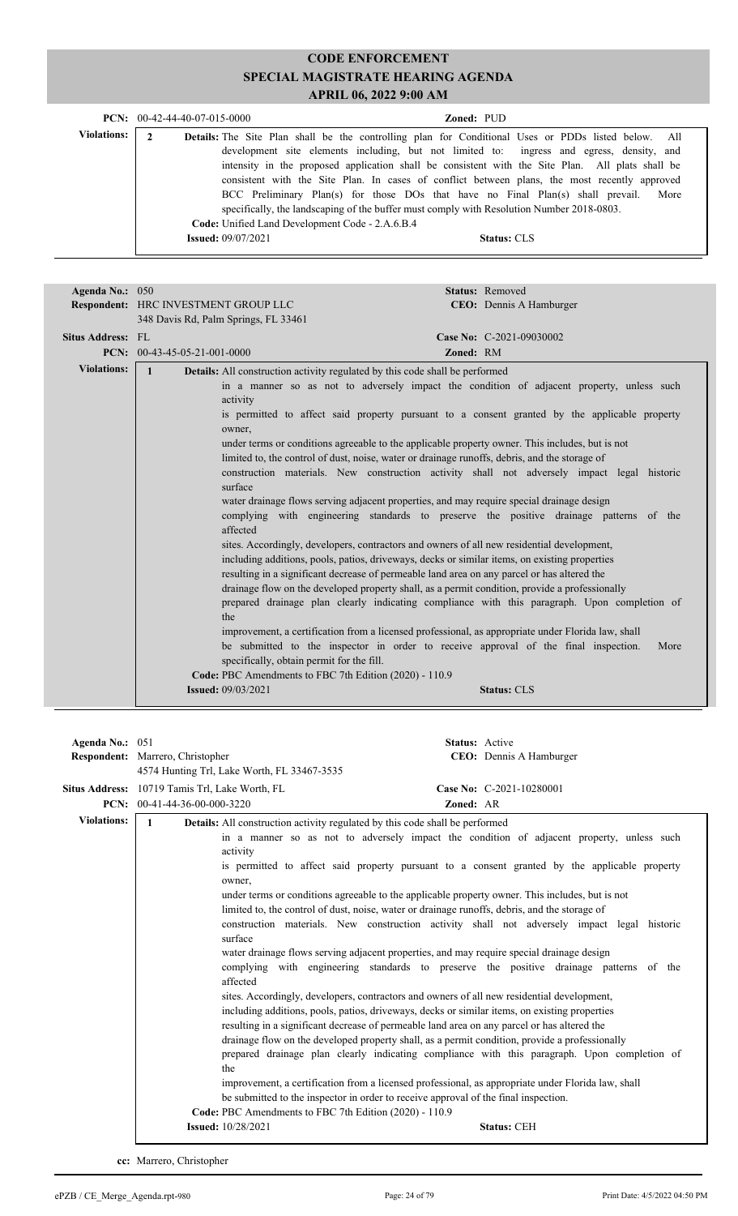|                    | <b>PCN:</b> $00-42-44-40-07-015-0000$                                                                                                                                                                                                               | <b>Zoned: PUD</b>                                                                                                                                                                                                                                                                                                                                                                 |      |
|--------------------|-----------------------------------------------------------------------------------------------------------------------------------------------------------------------------------------------------------------------------------------------------|-----------------------------------------------------------------------------------------------------------------------------------------------------------------------------------------------------------------------------------------------------------------------------------------------------------------------------------------------------------------------------------|------|
| <b>Violations:</b> | Details: The Site Plan shall be the controlling plan for Conditional Uses or PDDs listed below. All<br>specifically, the landscaping of the buffer must comply with Resolution Number 2018-0803.<br>Code: Unified Land Development Code - 2.A.6.B.4 | development site elements including, but not limited to: ingress and egress, density, and<br>intensity in the proposed application shall be consistent with the Site Plan. All plats shall be<br>consistent with the Site Plan. In cases of conflict between plans, the most recently approved<br>BCC Preliminary Plan(s) for those DOs that have no Final Plan(s) shall prevail. | More |
|                    | <b>Issued:</b> $09/07/2021$                                                                                                                                                                                                                         | <b>Status: CLS</b>                                                                                                                                                                                                                                                                                                                                                                |      |

| Agenda No.: 050    |                                                                                                                                                                                                      | Status: Removed                                                                                                                                                                                                                                                                                                                                                                                                                                                                                                                                                                                                                                                                                                                                                                                                                                                                                                                                                                                                                                                                                                                                                                                                                                                                                                                                                                           |
|--------------------|------------------------------------------------------------------------------------------------------------------------------------------------------------------------------------------------------|-------------------------------------------------------------------------------------------------------------------------------------------------------------------------------------------------------------------------------------------------------------------------------------------------------------------------------------------------------------------------------------------------------------------------------------------------------------------------------------------------------------------------------------------------------------------------------------------------------------------------------------------------------------------------------------------------------------------------------------------------------------------------------------------------------------------------------------------------------------------------------------------------------------------------------------------------------------------------------------------------------------------------------------------------------------------------------------------------------------------------------------------------------------------------------------------------------------------------------------------------------------------------------------------------------------------------------------------------------------------------------------------|
|                    | Respondent: HRC INVESTMENT GROUP LLC                                                                                                                                                                 | <b>CEO:</b> Dennis A Hamburger                                                                                                                                                                                                                                                                                                                                                                                                                                                                                                                                                                                                                                                                                                                                                                                                                                                                                                                                                                                                                                                                                                                                                                                                                                                                                                                                                            |
|                    | 348 Davis Rd, Palm Springs, FL 33461                                                                                                                                                                 |                                                                                                                                                                                                                                                                                                                                                                                                                                                                                                                                                                                                                                                                                                                                                                                                                                                                                                                                                                                                                                                                                                                                                                                                                                                                                                                                                                                           |
| Situs Address: FL  |                                                                                                                                                                                                      | Case No: C-2021-09030002                                                                                                                                                                                                                                                                                                                                                                                                                                                                                                                                                                                                                                                                                                                                                                                                                                                                                                                                                                                                                                                                                                                                                                                                                                                                                                                                                                  |
|                    | <b>PCN:</b> $00-43-45-05-21-001-0000$                                                                                                                                                                | Zoned: RM                                                                                                                                                                                                                                                                                                                                                                                                                                                                                                                                                                                                                                                                                                                                                                                                                                                                                                                                                                                                                                                                                                                                                                                                                                                                                                                                                                                 |
|                    |                                                                                                                                                                                                      |                                                                                                                                                                                                                                                                                                                                                                                                                                                                                                                                                                                                                                                                                                                                                                                                                                                                                                                                                                                                                                                                                                                                                                                                                                                                                                                                                                                           |
| <b>Violations:</b> | <b>Details:</b> All construction activity regulated by this code shall be performed<br>$\mathbf{1}$<br>activity<br>owner,<br>surface<br>affected<br>the<br>specifically, obtain permit for the fill. | in a manner so as not to adversely impact the condition of adjacent property, unless such<br>is permitted to affect said property pursuant to a consent granted by the applicable property<br>under terms or conditions agreeable to the applicable property owner. This includes, but is not<br>limited to, the control of dust, noise, water or drainage runoffs, debris, and the storage of<br>construction materials. New construction activity shall not adversely impact legal historic<br>water drainage flows serving adjacent properties, and may require special drainage design<br>complying with engineering standards to preserve the positive drainage patterns of the<br>sites. Accordingly, developers, contractors and owners of all new residential development,<br>including additions, pools, patios, driveways, decks or similar items, on existing properties<br>resulting in a significant decrease of permeable land area on any parcel or has altered the<br>drainage flow on the developed property shall, as a permit condition, provide a professionally<br>prepared drainage plan clearly indicating compliance with this paragraph. Upon completion of<br>improvement, a certification from a licensed professional, as appropriate under Florida law, shall<br>be submitted to the inspector in order to receive approval of the final inspection.<br>More |
|                    | Code: PBC Amendments to FBC 7th Edition (2020) - 110.9                                                                                                                                               |                                                                                                                                                                                                                                                                                                                                                                                                                                                                                                                                                                                                                                                                                                                                                                                                                                                                                                                                                                                                                                                                                                                                                                                                                                                                                                                                                                                           |
|                    | <b>Issued: 09/03/2021</b>                                                                                                                                                                            | <b>Status: CLS</b>                                                                                                                                                                                                                                                                                                                                                                                                                                                                                                                                                                                                                                                                                                                                                                                                                                                                                                                                                                                                                                                                                                                                                                                                                                                                                                                                                                        |
|                    |                                                                                                                                                                                                      |                                                                                                                                                                                                                                                                                                                                                                                                                                                                                                                                                                                                                                                                                                                                                                                                                                                                                                                                                                                                                                                                                                                                                                                                                                                                                                                                                                                           |

| Agenda No.: 051    |                                                |                                                                                                                                                                                                                                | Status: Active |                                                                                                                                                                                                                                                                                                                                                                                                                                                                                                                                                                                                                                                                                                                                                                                                                                                                                                                                                                                                                                                                                                                                                                                                                                                                                                                  |
|--------------------|------------------------------------------------|--------------------------------------------------------------------------------------------------------------------------------------------------------------------------------------------------------------------------------|----------------|------------------------------------------------------------------------------------------------------------------------------------------------------------------------------------------------------------------------------------------------------------------------------------------------------------------------------------------------------------------------------------------------------------------------------------------------------------------------------------------------------------------------------------------------------------------------------------------------------------------------------------------------------------------------------------------------------------------------------------------------------------------------------------------------------------------------------------------------------------------------------------------------------------------------------------------------------------------------------------------------------------------------------------------------------------------------------------------------------------------------------------------------------------------------------------------------------------------------------------------------------------------------------------------------------------------|
|                    | Respondent: Marrero, Christopher               |                                                                                                                                                                                                                                |                | CEO: Dennis A Hamburger                                                                                                                                                                                                                                                                                                                                                                                                                                                                                                                                                                                                                                                                                                                                                                                                                                                                                                                                                                                                                                                                                                                                                                                                                                                                                          |
|                    |                                                | 4574 Hunting Trl, Lake Worth, FL 33467-3535                                                                                                                                                                                    |                |                                                                                                                                                                                                                                                                                                                                                                                                                                                                                                                                                                                                                                                                                                                                                                                                                                                                                                                                                                                                                                                                                                                                                                                                                                                                                                                  |
|                    | Situs Address: 10719 Tamis Trl, Lake Worth, FL |                                                                                                                                                                                                                                |                | Case No: C-2021-10280001                                                                                                                                                                                                                                                                                                                                                                                                                                                                                                                                                                                                                                                                                                                                                                                                                                                                                                                                                                                                                                                                                                                                                                                                                                                                                         |
|                    | <b>PCN:</b> $00-41-44-36-00-000-3220$          |                                                                                                                                                                                                                                | Zoned: AR      |                                                                                                                                                                                                                                                                                                                                                                                                                                                                                                                                                                                                                                                                                                                                                                                                                                                                                                                                                                                                                                                                                                                                                                                                                                                                                                                  |
| <b>Violations:</b> | $\mathbf{1}$                                   | <b>Details:</b> All construction activity regulated by this code shall be performed                                                                                                                                            |                |                                                                                                                                                                                                                                                                                                                                                                                                                                                                                                                                                                                                                                                                                                                                                                                                                                                                                                                                                                                                                                                                                                                                                                                                                                                                                                                  |
|                    |                                                | activity<br>owner.<br>surface<br>affected<br>the<br>be submitted to the inspector in order to receive approval of the final inspection.<br>Code: PBC Amendments to FBC 7th Edition (2020) - 110.9<br><b>Issued:</b> 10/28/2021 |                | in a manner so as not to adversely impact the condition of adjacent property, unless such<br>is permitted to affect said property pursuant to a consent granted by the applicable property<br>under terms or conditions agreeable to the applicable property owner. This includes, but is not<br>limited to, the control of dust, noise, water or drainage runoffs, debris, and the storage of<br>construction materials. New construction activity shall not adversely impact legal historic<br>water drainage flows serving adjacent properties, and may require special drainage design<br>complying with engineering standards to preserve the positive drainage patterns of the<br>sites. Accordingly, developers, contractors and owners of all new residential development,<br>including additions, pools, patios, driveways, decks or similar items, on existing properties<br>resulting in a significant decrease of permeable land area on any parcel or has altered the<br>drainage flow on the developed property shall, as a permit condition, provide a professionally<br>prepared drainage plan clearly indicating compliance with this paragraph. Upon completion of<br>improvement, a certification from a licensed professional, as appropriate under Florida law, shall<br><b>Status: CEH</b> |

**cc:** Marrero, Christopher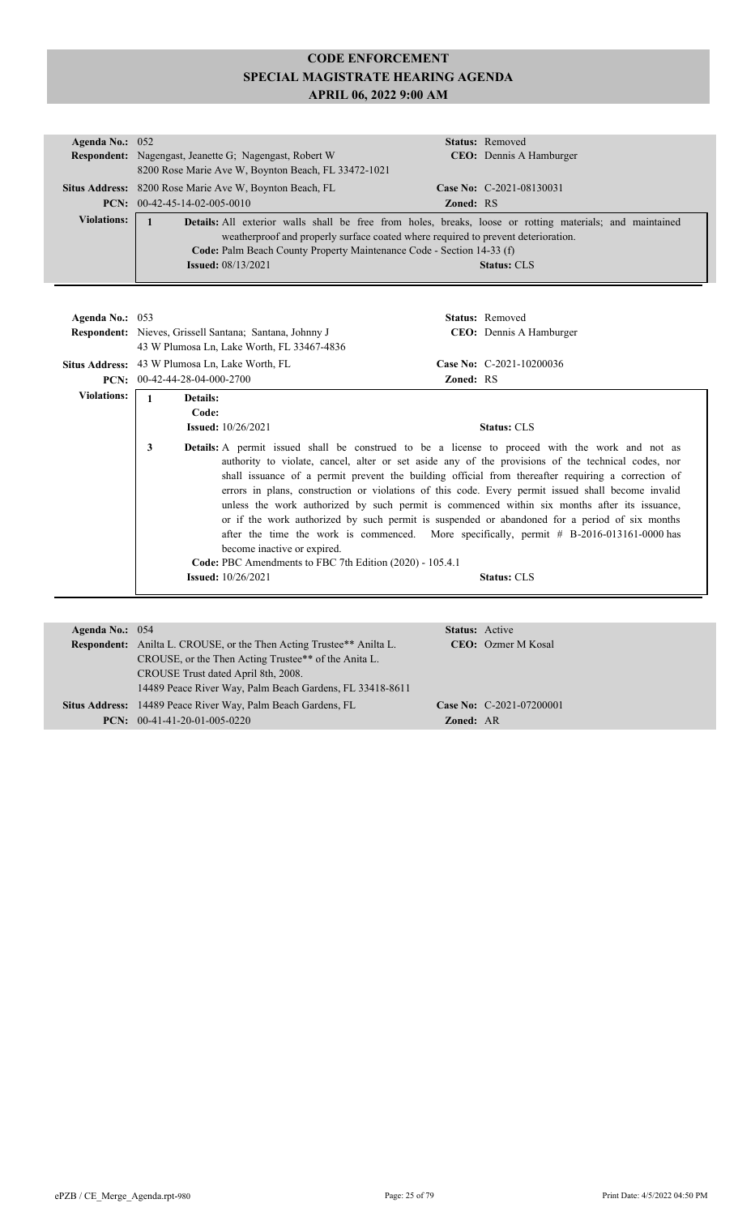| Agenda No.: $052$  |                                                                                                                                                                                                      |                  | <b>Status:</b> Removed          |
|--------------------|------------------------------------------------------------------------------------------------------------------------------------------------------------------------------------------------------|------------------|---------------------------------|
|                    | <b>Respondent:</b> Nagengast, Jeanette G; Nagengast, Robert W                                                                                                                                        |                  | <b>CEO</b> : Dennis A Hamburger |
|                    | 8200 Rose Marie Ave W, Boynton Beach, FL 33472-1021                                                                                                                                                  |                  |                                 |
|                    | Situs Address: 8200 Rose Marie Ave W, Boynton Beach, FL                                                                                                                                              |                  | Case No: C-2021-08130031        |
|                    | <b>PCN:</b> $00-42-45-14-02-005-0010$                                                                                                                                                                | <b>Zoned: RS</b> |                                 |
| <b>Violations:</b> | <b>Details:</b> All exterior walls shall be free from holes, breaks, loose or rotting materials; and maintained<br>weatherproof and properly surface coated where required to prevent deterioration. |                  |                                 |
|                    | Code: Palm Beach County Property Maintenance Code - Section 14-33 (f)                                                                                                                                |                  |                                 |
|                    | <b>Issued:</b> 08/13/2021                                                                                                                                                                            |                  | <b>Status: CLS</b>              |

| Agenda No.: $053$  |                                                       | Respondent: Nieves, Grissell Santana; Santana, Johnny J<br>43 W Plumosa Ln, Lake Worth, FL 33467-4836                                                 |                  | <b>Status:</b> Removed<br><b>CEO</b> : Dennis A Hamburger                                                                                                                                                                                                                                                                                                                                                                                                                                                                                                                                                                                                                                                                                                           |
|--------------------|-------------------------------------------------------|-------------------------------------------------------------------------------------------------------------------------------------------------------|------------------|---------------------------------------------------------------------------------------------------------------------------------------------------------------------------------------------------------------------------------------------------------------------------------------------------------------------------------------------------------------------------------------------------------------------------------------------------------------------------------------------------------------------------------------------------------------------------------------------------------------------------------------------------------------------------------------------------------------------------------------------------------------------|
|                    | <b>Situs Address:</b> 43 W Plumosa Ln, Lake Worth, FL |                                                                                                                                                       |                  | Case No: C-2021-10200036                                                                                                                                                                                                                                                                                                                                                                                                                                                                                                                                                                                                                                                                                                                                            |
|                    | <b>PCN:</b> $00-42-44-28-04-000-2700$                 |                                                                                                                                                       | <b>Zoned: RS</b> |                                                                                                                                                                                                                                                                                                                                                                                                                                                                                                                                                                                                                                                                                                                                                                     |
| <b>Violations:</b> | <b>Details:</b><br>Code:<br>3                         | <b>Issued:</b> $10/26/2021$<br>become inactive or expired.<br>Code: PBC Amendments to FBC 7th Edition (2020) - 105.4.1<br><b>Issued:</b> $10/26/2021$ |                  | <b>Status: CLS</b><br><b>Details:</b> A permit issued shall be construed to be a license to proceed with the work and not as<br>authority to violate, cancel, alter or set aside any of the provisions of the technical codes, nor<br>shall issuance of a permit prevent the building official from thereafter requiring a correction of<br>errors in plans, construction or violations of this code. Every permit issued shall become invalid<br>unless the work authorized by such permit is commenced within six months after its issuance,<br>or if the work authorized by such permit is suspended or abandoned for a period of six months<br>after the time the work is commenced. More specifically, permit $# B-2016-013161-0000$ has<br><b>Status: CLS</b> |

| Agenda No.: $054$ |                                                                             | <b>Status:</b> Active |                            |
|-------------------|-----------------------------------------------------------------------------|-----------------------|----------------------------|
|                   | <b>Respondent:</b> Anilta L. CROUSE, or the Then Acting Trustee** Anilta L. |                       | <b>CEO</b> : Ozmer M Kosal |
|                   | CROUSE, or the Then Acting Trustee** of the Anita L.                        |                       |                            |
|                   | CROUSE Trust dated April 8th, 2008.                                         |                       |                            |
|                   | 14489 Peace River Way, Palm Beach Gardens, FL 33418-8611                    |                       |                            |
|                   | Situs Address: 14489 Peace River Way, Palm Beach Gardens, FL                |                       | Case No: C-2021-07200001   |
|                   | <b>PCN:</b> $00-41-41-20-01-005-0220$                                       | <b>Zoned: AR</b>      |                            |
|                   |                                                                             |                       |                            |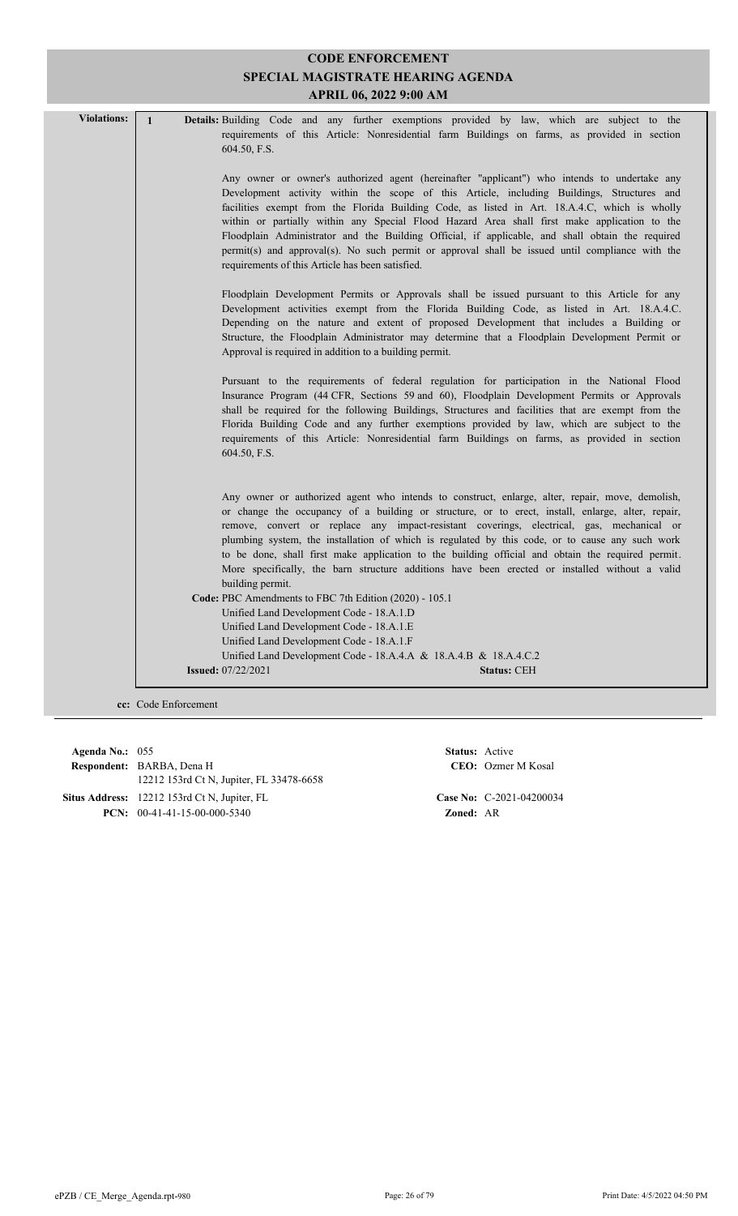|                    | SPECIAL MAGISTRATE HEARING AGENDA<br>APRIL 06, 2022 9:00 AM                                                                                                                                                                                                                                                                                                                                                                                                                                                                                                                                                                                                                                                                                                            |  |  |  |
|--------------------|------------------------------------------------------------------------------------------------------------------------------------------------------------------------------------------------------------------------------------------------------------------------------------------------------------------------------------------------------------------------------------------------------------------------------------------------------------------------------------------------------------------------------------------------------------------------------------------------------------------------------------------------------------------------------------------------------------------------------------------------------------------------|--|--|--|
| <b>Violations:</b> | Details: Building Code and any further exemptions provided by law, which are subject to the<br>$\mathbf{1}$<br>requirements of this Article: Nonresidential farm Buildings on farms, as provided in section                                                                                                                                                                                                                                                                                                                                                                                                                                                                                                                                                            |  |  |  |
|                    | 604.50, F.S.<br>Any owner or owner's authorized agent (hereinafter "applicant") who intends to undertake any<br>Development activity within the scope of this Article, including Buildings, Structures and<br>facilities exempt from the Florida Building Code, as listed in Art. 18.A.4.C, which is wholly<br>within or partially within any Special Flood Hazard Area shall first make application to the<br>Floodplain Administrator and the Building Official, if applicable, and shall obtain the required<br>permit(s) and approval(s). No such permit or approval shall be issued until compliance with the<br>requirements of this Article has been satisfied.<br>Floodplain Development Permits or Approvals shall be issued pursuant to this Article for any |  |  |  |
|                    | Development activities exempt from the Florida Building Code, as listed in Art. 18.A.4.C.<br>Depending on the nature and extent of proposed Development that includes a Building or<br>Structure, the Floodplain Administrator may determine that a Floodplain Development Permit or<br>Approval is required in addition to a building permit.                                                                                                                                                                                                                                                                                                                                                                                                                         |  |  |  |
|                    | Pursuant to the requirements of federal regulation for participation in the National Flood<br>Insurance Program (44 CFR, Sections 59 and 60), Floodplain Development Permits or Approvals<br>shall be required for the following Buildings, Structures and facilities that are exempt from the<br>Florida Building Code and any further exemptions provided by law, which are subject to the<br>requirements of this Article: Nonresidential farm Buildings on farms, as provided in section<br>604.50, F.S.                                                                                                                                                                                                                                                           |  |  |  |
|                    | Any owner or authorized agent who intends to construct, enlarge, alter, repair, move, demolish,<br>or change the occupancy of a building or structure, or to erect, install, enlarge, alter, repair,<br>remove, convert or replace any impact-resistant coverings, electrical, gas, mechanical or<br>plumbing system, the installation of which is regulated by this code, or to cause any such work<br>to be done, shall first make application to the building official and obtain the required permit.<br>More specifically, the barn structure additions have been erected or installed without a valid<br>building permit.                                                                                                                                        |  |  |  |
|                    | Code: PBC Amendments to FBC 7th Edition (2020) - 105.1<br>Unified Land Development Code - 18.A.1.D<br>Unified Land Development Code - 18.A.1.E                                                                                                                                                                                                                                                                                                                                                                                                                                                                                                                                                                                                                         |  |  |  |
|                    | Unified Land Development Code - 18.A.1.F<br>Unified Land Development Code - 18.A.4.A & 18.A.4.B & 18.A.4.C.2<br><b>Issued:</b> 07/22/2021<br><b>Status: CEH</b>                                                                                                                                                                                                                                                                                                                                                                                                                                                                                                                                                                                                        |  |  |  |

**CODE ENFORCEMENT**

**cc:** Code Enforcement

**Respondent:** BARBA, Dena H **Agenda No.:** 055 **Status:** Active 12212 153rd Ct N, Jupiter, FL 33478-6658 **Situs Address:** 12212 153rd Ct N, Jupiter, FL **Case No:** C-2021-04200034 **PCN:** 00-41-41-15-00-000-5340 **Zoned:** AR

CEO: Ozmer M Kosal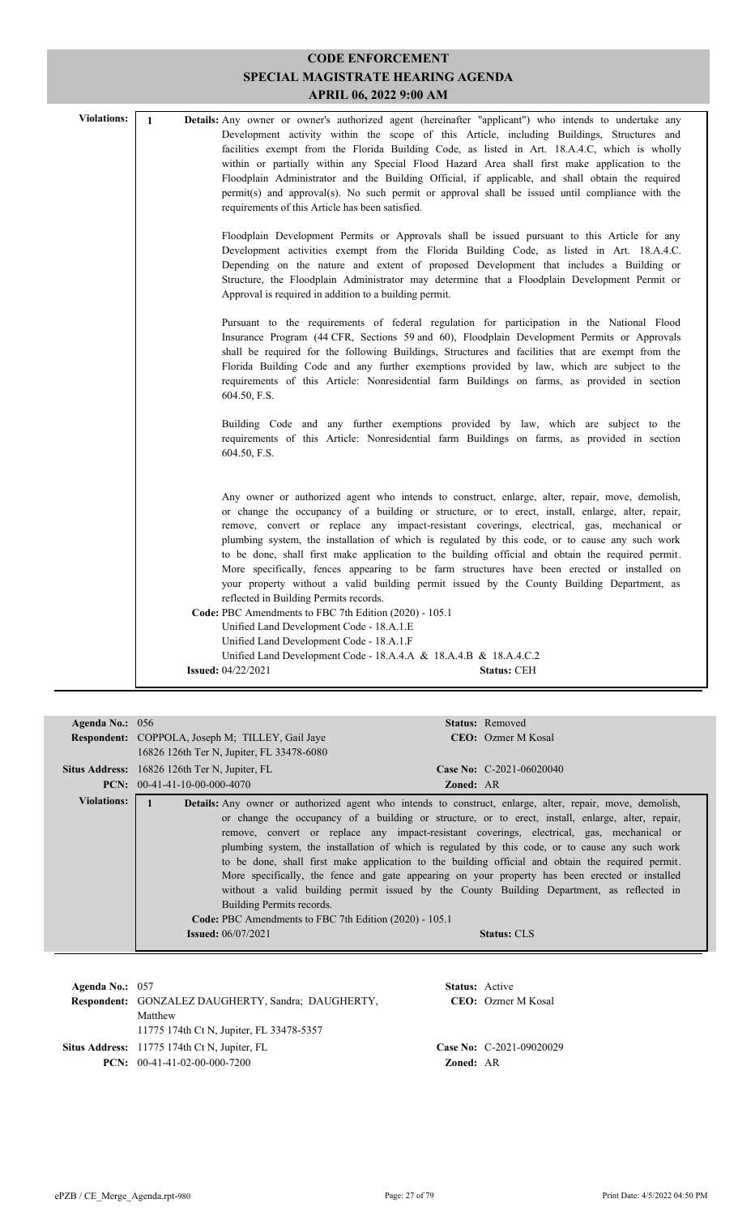| SPECIAL MAGISTRATE HEARING AGENDA<br><b>APRIL 06, 2022 9:00 AM</b> |              |                                                                                                                                                                                                                                                                                                                                                                                                                                                                                                                                                                                                                                                                                                                                                                                                            |  |
|--------------------------------------------------------------------|--------------|------------------------------------------------------------------------------------------------------------------------------------------------------------------------------------------------------------------------------------------------------------------------------------------------------------------------------------------------------------------------------------------------------------------------------------------------------------------------------------------------------------------------------------------------------------------------------------------------------------------------------------------------------------------------------------------------------------------------------------------------------------------------------------------------------------|--|
| <b>Violations:</b>                                                 | $\mathbf{1}$ | Details: Any owner or owner's authorized agent (hereinafter "applicant") who intends to undertake any<br>Development activity within the scope of this Article, including Buildings, Structures and<br>facilities exempt from the Florida Building Code, as listed in Art. 18.A.4.C, which is wholly<br>within or partially within any Special Flood Hazard Area shall first make application to the<br>Floodplain Administrator and the Building Official, if applicable, and shall obtain the required<br>permit(s) and approval(s). No such permit or approval shall be issued until compliance with the<br>requirements of this Article has been satisfied.                                                                                                                                            |  |
|                                                                    |              | Floodplain Development Permits or Approvals shall be issued pursuant to this Article for any<br>Development activities exempt from the Florida Building Code, as listed in Art. 18.A.4.C.<br>Depending on the nature and extent of proposed Development that includes a Building or<br>Structure, the Floodplain Administrator may determine that a Floodplain Development Permit or<br>Approval is required in addition to a building permit.                                                                                                                                                                                                                                                                                                                                                             |  |
|                                                                    |              | Pursuant to the requirements of federal regulation for participation in the National Flood<br>Insurance Program (44 CFR, Sections 59 and 60), Floodplain Development Permits or Approvals<br>shall be required for the following Buildings, Structures and facilities that are exempt from the<br>Florida Building Code and any further exemptions provided by law, which are subject to the<br>requirements of this Article: Nonresidential farm Buildings on farms, as provided in section<br>604.50, F.S.                                                                                                                                                                                                                                                                                               |  |
|                                                                    |              | Building Code and any further exemptions provided by law, which are subject to the<br>requirements of this Article: Nonresidential farm Buildings on farms, as provided in section<br>604.50, F.S.                                                                                                                                                                                                                                                                                                                                                                                                                                                                                                                                                                                                         |  |
|                                                                    |              | Any owner or authorized agent who intends to construct, enlarge, alter, repair, move, demolish,<br>or change the occupancy of a building or structure, or to erect, install, enlarge, alter, repair,<br>remove, convert or replace any impact-resistant coverings, electrical, gas, mechanical or<br>plumbing system, the installation of which is regulated by this code, or to cause any such work<br>to be done, shall first make application to the building official and obtain the required permit.<br>More specifically, fences appearing to be farm structures have been erected or installed on<br>your property without a valid building permit issued by the County Building Department, as<br>reflected in Building Permits records.<br>Code: PBC Amendments to FBC 7th Edition (2020) - 105.1 |  |
|                                                                    |              | Unified Land Development Code - 18.A.1.E<br>Unified Land Development Code - 18.A.1.F                                                                                                                                                                                                                                                                                                                                                                                                                                                                                                                                                                                                                                                                                                                       |  |
|                                                                    |              | Unified Land Development Code - $18.A.A.A & 18.A.A.B & 18.A.A.C.2$<br><b>Issued: 04/22/2021</b><br><b>Status: CEH</b>                                                                                                                                                                                                                                                                                                                                                                                                                                                                                                                                                                                                                                                                                      |  |

**CODE ENFORCEMENT**

| Agenda No.: $056$  |                                                         | <b>Status:</b> Removed                                                                                          |
|--------------------|---------------------------------------------------------|-----------------------------------------------------------------------------------------------------------------|
|                    | <b>Respondent:</b> COPPOLA, Joseph M; TILLEY, Gail Jaye | <b>CEO</b> : Ozmer M Kosal                                                                                      |
|                    | 16826 126th Ter N, Jupiter, FL 33478-6080               |                                                                                                                 |
|                    | <b>Situs Address:</b> 16826 126th Ter N, Jupiter, FL    | <b>Case No:</b> C-2021-06020040                                                                                 |
|                    |                                                         |                                                                                                                 |
|                    | <b>PCN:</b> $00-41-41-10-00-000-4070$                   | <b>Zoned: AR</b>                                                                                                |
| <b>Violations:</b> |                                                         | <b>Details:</b> Any owner or authorized agent who intends to construct, enlarge, alter, repair, move, demolish, |
|                    |                                                         | or change the occupancy of a building or structure, or to erect, install, enlarge, alter, repair,               |
|                    |                                                         | remove, convert or replace any impact-resistant coverings, electrical, gas, mechanical or                       |
|                    |                                                         | plumbing system, the installation of which is regulated by this code, or to cause any such work                 |
|                    |                                                         | to be done, shall first make application to the building official and obtain the required permit.               |
|                    |                                                         | More specifically, the fence and gate appearing on your property has been erected or installed                  |
|                    |                                                         |                                                                                                                 |
|                    |                                                         | without a valid building permit issued by the County Building Department, as reflected in                       |
|                    | Building Permits records.                               |                                                                                                                 |
|                    | Code: PBC Amendments to FBC 7th Edition (2020) - 105.1  |                                                                                                                 |
|                    | <b>Issued:</b> 06/07/2021                               | <b>Status: CLS</b>                                                                                              |
|                    |                                                         |                                                                                                                 |

| Agenda No.: $057$ | Respondent: GONZALEZ DAUGHERTY, Sandra; DAUGHERTY,<br>Matthew                                                                     | <b>Status:</b> Active | <b>CEO</b> : Ozmer M Kosal |
|-------------------|-----------------------------------------------------------------------------------------------------------------------------------|-----------------------|----------------------------|
|                   | 11775 174th Ct N, Jupiter, FL 33478-5357<br><b>Situs Address:</b> 11775 174th Ct N, Jupiter, FL<br>$PCN: 00-41-41-02-00-000-7200$ | <b>Zoned: AR</b>      | Case No: $C-2021-09020029$ |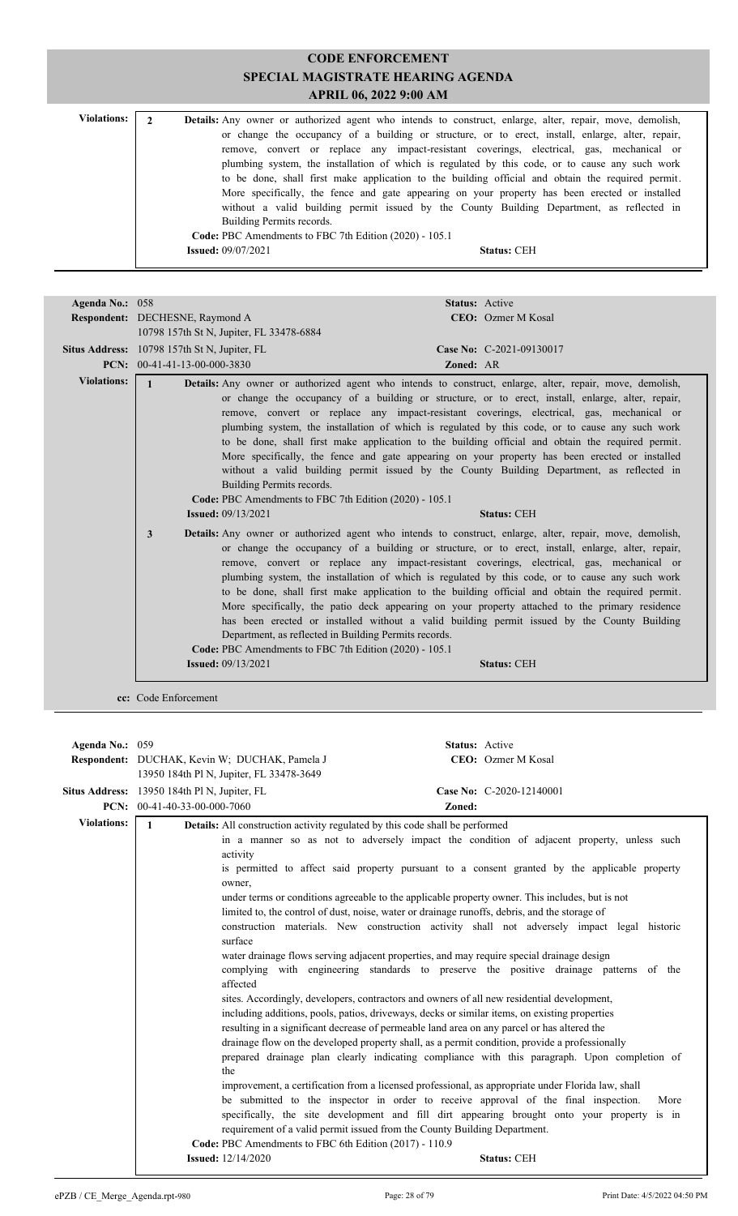| <b>Violations:</b> | Details: Any owner or authorized agent who intends to construct, enlarge, alter, repair, move, demolish,                                                                                                                                                                                          |
|--------------------|---------------------------------------------------------------------------------------------------------------------------------------------------------------------------------------------------------------------------------------------------------------------------------------------------|
|                    | or change the occupancy of a building or structure, or to erect, install, enlarge, alter, repair,<br>remove, convert or replace any impact-resistant coverings, electrical, gas, mechanical or<br>plumbing system, the installation of which is regulated by this code, or to cause any such work |
|                    | to be done, shall first make application to the building official and obtain the required permit.                                                                                                                                                                                                 |
|                    | More specifically, the fence and gate appearing on your property has been erected or installed<br>without a valid building permit issued by the County Building Department, as reflected in                                                                                                       |
|                    | Building Permits records.                                                                                                                                                                                                                                                                         |
|                    | Code: PBC Amendments to FBC 7th Edition (2020) - 105.1                                                                                                                                                                                                                                            |
|                    | <b>Issued:</b> 09/07/2021<br><b>Status: CEH</b>                                                                                                                                                                                                                                                   |

| Agenda No.: 058    |                                                                                                                                  | <b>Status: Active</b>                                                                                                                                                                                                                                                                                                                                                                                                                                                                                                                                                                                                                                                                                                                                                                              |
|--------------------|----------------------------------------------------------------------------------------------------------------------------------|----------------------------------------------------------------------------------------------------------------------------------------------------------------------------------------------------------------------------------------------------------------------------------------------------------------------------------------------------------------------------------------------------------------------------------------------------------------------------------------------------------------------------------------------------------------------------------------------------------------------------------------------------------------------------------------------------------------------------------------------------------------------------------------------------|
|                    | <b>Respondent:</b> DECHESNE, Raymond A                                                                                           | <b>CEO:</b> Ozmer M Kosal                                                                                                                                                                                                                                                                                                                                                                                                                                                                                                                                                                                                                                                                                                                                                                          |
|                    | 10798 157th St N, Jupiter, FL 33478-6884                                                                                         |                                                                                                                                                                                                                                                                                                                                                                                                                                                                                                                                                                                                                                                                                                                                                                                                    |
|                    | <b>Situs Address:</b> 10798 157th St N, Jupiter, FL                                                                              | Case No: C-2021-09130017                                                                                                                                                                                                                                                                                                                                                                                                                                                                                                                                                                                                                                                                                                                                                                           |
|                    | <b>PCN:</b> $00-41-41-13-00-000-3830$                                                                                            | Zoned: AR                                                                                                                                                                                                                                                                                                                                                                                                                                                                                                                                                                                                                                                                                                                                                                                          |
| <b>Violations:</b> |                                                                                                                                  |                                                                                                                                                                                                                                                                                                                                                                                                                                                                                                                                                                                                                                                                                                                                                                                                    |
|                    | $\mathbf{1}$<br>Building Permits records.<br>Code: PBC Amendments to FBC 7th Edition (2020) - 105.1<br><b>Issued:</b> 09/13/2021 | Details: Any owner or authorized agent who intends to construct, enlarge, alter, repair, move, demolish,<br>or change the occupancy of a building or structure, or to erect, install, enlarge, alter, repair,<br>remove, convert or replace any impact-resistant coverings, electrical, gas, mechanical or<br>plumbing system, the installation of which is regulated by this code, or to cause any such work<br>to be done, shall first make application to the building official and obtain the required permit.<br>More specifically, the fence and gate appearing on your property has been erected or installed<br>without a valid building permit issued by the County Building Department, as reflected in<br><b>Status: CEH</b>                                                            |
|                    | 3<br>Code: PBC Amendments to FBC 7th Edition (2020) - 105.1<br><b>Issued:</b> $09/13/2021$                                       | Details: Any owner or authorized agent who intends to construct, enlarge, alter, repair, move, demolish,<br>or change the occupancy of a building or structure, or to erect, install, enlarge, alter, repair,<br>remove, convert or replace any impact-resistant coverings, electrical, gas, mechanical or<br>plumbing system, the installation of which is regulated by this code, or to cause any such work<br>to be done, shall first make application to the building official and obtain the required permit.<br>More specifically, the patio deck appearing on your property attached to the primary residence<br>has been erected or installed without a valid building permit issued by the County Building<br>Department, as reflected in Building Permits records.<br><b>Status: CEH</b> |

**cc:** Code Enforcement

| Agenda No.: 059    |                                                  |                                                                                                                                                                                                                                                                                                                                                                                                                                                                                                                                                                                                                                                                                                                                                                                                                                                                                                                                                                                                                                                                                                                                                                                                                                                                                                                                                                                                                                                                                                                                                                         | Status: Active           |
|--------------------|--------------------------------------------------|-------------------------------------------------------------------------------------------------------------------------------------------------------------------------------------------------------------------------------------------------------------------------------------------------------------------------------------------------------------------------------------------------------------------------------------------------------------------------------------------------------------------------------------------------------------------------------------------------------------------------------------------------------------------------------------------------------------------------------------------------------------------------------------------------------------------------------------------------------------------------------------------------------------------------------------------------------------------------------------------------------------------------------------------------------------------------------------------------------------------------------------------------------------------------------------------------------------------------------------------------------------------------------------------------------------------------------------------------------------------------------------------------------------------------------------------------------------------------------------------------------------------------------------------------------------------------|--------------------------|
|                    | Respondent: DUCHAK, Kevin W; DUCHAK, Pamela J    |                                                                                                                                                                                                                                                                                                                                                                                                                                                                                                                                                                                                                                                                                                                                                                                                                                                                                                                                                                                                                                                                                                                                                                                                                                                                                                                                                                                                                                                                                                                                                                         | CEO: Ozmer M Kosal       |
|                    | 13950 184th Pl N, Jupiter, FL 33478-3649         |                                                                                                                                                                                                                                                                                                                                                                                                                                                                                                                                                                                                                                                                                                                                                                                                                                                                                                                                                                                                                                                                                                                                                                                                                                                                                                                                                                                                                                                                                                                                                                         |                          |
|                    | Situs Address: 13950 184th Pl N, Jupiter, FL     |                                                                                                                                                                                                                                                                                                                                                                                                                                                                                                                                                                                                                                                                                                                                                                                                                                                                                                                                                                                                                                                                                                                                                                                                                                                                                                                                                                                                                                                                                                                                                                         | Case No: C-2020-12140001 |
|                    | <b>PCN:</b> $00-41-40-33-00-000-7060$            | Zoned:                                                                                                                                                                                                                                                                                                                                                                                                                                                                                                                                                                                                                                                                                                                                                                                                                                                                                                                                                                                                                                                                                                                                                                                                                                                                                                                                                                                                                                                                                                                                                                  |                          |
| <b>Violations:</b> | $\mathbf{1}$                                     |                                                                                                                                                                                                                                                                                                                                                                                                                                                                                                                                                                                                                                                                                                                                                                                                                                                                                                                                                                                                                                                                                                                                                                                                                                                                                                                                                                                                                                                                                                                                                                         |                          |
|                    | activity<br>owner.<br>surface<br>affected<br>the | <b>Details:</b> All construction activity regulated by this code shall be performed<br>in a manner so as not to adversely impact the condition of adjacent property, unless such<br>is permitted to affect said property pursuant to a consent granted by the applicable property<br>under terms or conditions agreeable to the applicable property owner. This includes, but is not<br>limited to, the control of dust, noise, water or drainage runoffs, debris, and the storage of<br>construction materials. New construction activity shall not adversely impact legal historic<br>water drainage flows serving adjacent properties, and may require special drainage design<br>complying with engineering standards to preserve the positive drainage patterns of the<br>sites. Accordingly, developers, contractors and owners of all new residential development,<br>including additions, pools, patios, driveways, decks or similar items, on existing properties<br>resulting in a significant decrease of permeable land area on any parcel or has altered the<br>drainage flow on the developed property shall, as a permit condition, provide a professionally<br>prepared drainage plan clearly indicating compliance with this paragraph. Upon completion of<br>improvement, a certification from a licensed professional, as appropriate under Florida law, shall<br>be submitted to the inspector in order to receive approval of the final inspection.<br>specifically, the site development and fill dirt appearing brought onto your property is in | More                     |
|                    |                                                  | requirement of a valid permit issued from the County Building Department.<br>Code: PBC Amendments to FBC 6th Edition (2017) - 110.9                                                                                                                                                                                                                                                                                                                                                                                                                                                                                                                                                                                                                                                                                                                                                                                                                                                                                                                                                                                                                                                                                                                                                                                                                                                                                                                                                                                                                                     |                          |
|                    | <b>Issued:</b> 12/14/2020                        |                                                                                                                                                                                                                                                                                                                                                                                                                                                                                                                                                                                                                                                                                                                                                                                                                                                                                                                                                                                                                                                                                                                                                                                                                                                                                                                                                                                                                                                                                                                                                                         | <b>Status: CEH</b>       |
|                    |                                                  |                                                                                                                                                                                                                                                                                                                                                                                                                                                                                                                                                                                                                                                                                                                                                                                                                                                                                                                                                                                                                                                                                                                                                                                                                                                                                                                                                                                                                                                                                                                                                                         |                          |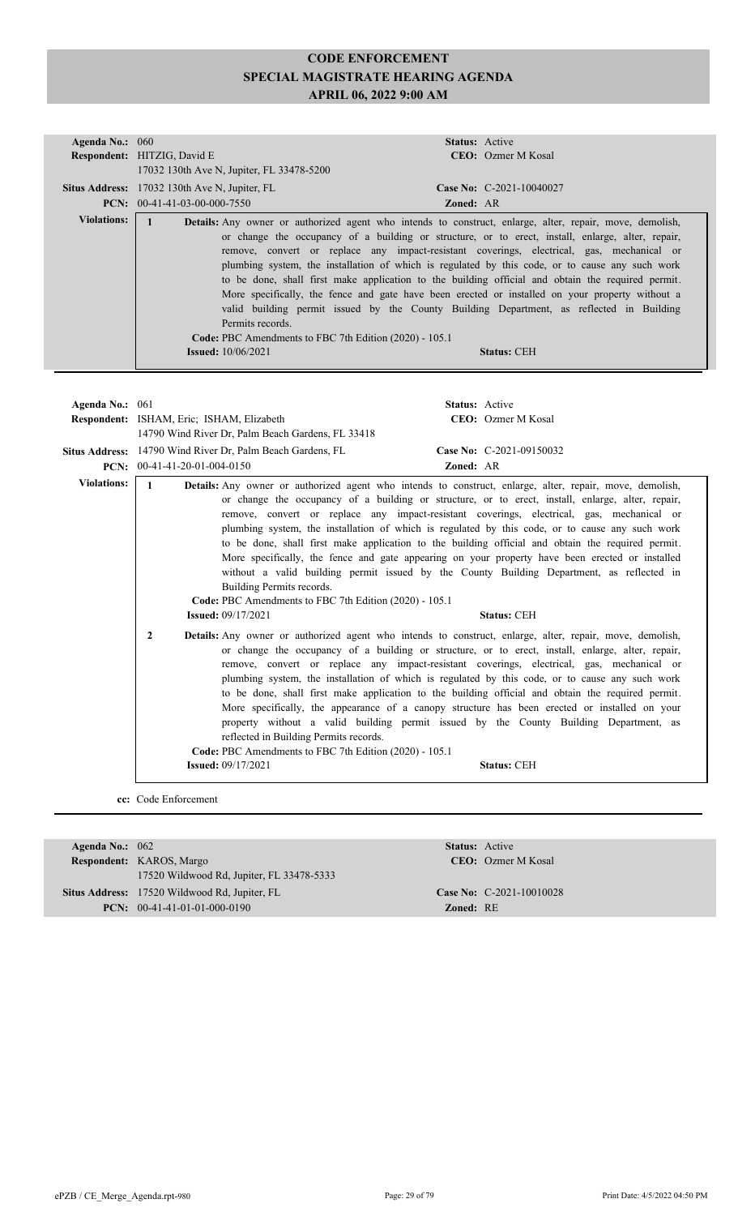| Agenda No.: 060    |                                                                                                                  | <b>Status:</b> Active                                                                                                                                                                                                                                                                                                                                                                                                                                                                                                                                                                                                                                                                                                                          |
|--------------------|------------------------------------------------------------------------------------------------------------------|------------------------------------------------------------------------------------------------------------------------------------------------------------------------------------------------------------------------------------------------------------------------------------------------------------------------------------------------------------------------------------------------------------------------------------------------------------------------------------------------------------------------------------------------------------------------------------------------------------------------------------------------------------------------------------------------------------------------------------------------|
|                    | <b>Respondent: HITZIG, David E</b>                                                                               | <b>CEO</b> : Ozmer M Kosal                                                                                                                                                                                                                                                                                                                                                                                                                                                                                                                                                                                                                                                                                                                     |
|                    | 17032 130th Ave N, Jupiter, FL 33478-5200                                                                        |                                                                                                                                                                                                                                                                                                                                                                                                                                                                                                                                                                                                                                                                                                                                                |
|                    | Situs Address: 17032 130th Ave N, Jupiter, FL                                                                    | Case No: C-2021-10040027                                                                                                                                                                                                                                                                                                                                                                                                                                                                                                                                                                                                                                                                                                                       |
|                    | <b>PCN:</b> $00-41-41-03-00-000-7550$                                                                            | <b>Zoned: AR</b>                                                                                                                                                                                                                                                                                                                                                                                                                                                                                                                                                                                                                                                                                                                               |
| <b>Violations:</b> | Permits records.<br><b>Code: PBC</b> Amendments to FBC 7th Edition (2020) - 105.1<br><b>Issued:</b> $10/06/2021$ | <b>Details:</b> Any owner or authorized agent who intends to construct, enlarge, alter, repair, move, demolish,<br>or change the occupancy of a building or structure, or to erect, install, enlarge, alter, repair,<br>remove, convert or replace any impact-resistant coverings, electrical, gas, mechanical or<br>plumbing system, the installation of which is regulated by this code, or to cause any such work<br>to be done, shall first make application to the building official and obtain the required permit.<br>More specifically, the fence and gate have been erected or installed on your property without a<br>valid building permit issued by the County Building Department, as reflected in Building<br><b>Status: CEH</b> |
| Agenda No.: - 061  |                                                                                                                  | Status: Active                                                                                                                                                                                                                                                                                                                                                                                                                                                                                                                                                                                                                                                                                                                                 |

| Agenda No.: 001    | Status: Active                                                                                                                                                                                                                                                                                                                                                                                                                                                                                                                                                                                                                                                                                                                                                                                                                                                                      |
|--------------------|-------------------------------------------------------------------------------------------------------------------------------------------------------------------------------------------------------------------------------------------------------------------------------------------------------------------------------------------------------------------------------------------------------------------------------------------------------------------------------------------------------------------------------------------------------------------------------------------------------------------------------------------------------------------------------------------------------------------------------------------------------------------------------------------------------------------------------------------------------------------------------------|
|                    | CEO: Ozmer M Kosal<br>Respondent: ISHAM, Eric; ISHAM, Elizabeth                                                                                                                                                                                                                                                                                                                                                                                                                                                                                                                                                                                                                                                                                                                                                                                                                     |
|                    | 14790 Wind River Dr. Palm Beach Gardens, FL 33418                                                                                                                                                                                                                                                                                                                                                                                                                                                                                                                                                                                                                                                                                                                                                                                                                                   |
|                    | Situs Address: 14790 Wind River Dr, Palm Beach Gardens, FL<br>Case No: C-2021-09150032                                                                                                                                                                                                                                                                                                                                                                                                                                                                                                                                                                                                                                                                                                                                                                                              |
|                    | PCN: $00-41-41-20-01-004-0150$<br>Zoned: AR                                                                                                                                                                                                                                                                                                                                                                                                                                                                                                                                                                                                                                                                                                                                                                                                                                         |
| <b>Violations:</b> | Details: Any owner or authorized agent who intends to construct, enlarge, alter, repair, move, demolish,<br>$\mathbf{1}$                                                                                                                                                                                                                                                                                                                                                                                                                                                                                                                                                                                                                                                                                                                                                            |
|                    | or change the occupancy of a building or structure, or to erect, install, enlarge, alter, repair,<br>remove, convert or replace any impact-resistant coverings, electrical, gas, mechanical or<br>plumbing system, the installation of which is regulated by this code, or to cause any such work<br>to be done, shall first make application to the building official and obtain the required permit.<br>More specifically, the fence and gate appearing on your property have been erected or installed<br>without a valid building permit issued by the County Building Department, as reflected in<br>Building Permits records.<br>Code: PBC Amendments to FBC 7th Edition (2020) - 105.1<br><b>Issued:</b> $09/17/2021$<br><b>Status: CEH</b>                                                                                                                                  |
|                    | Details: Any owner or authorized agent who intends to construct, enlarge, alter, repair, move, demolish,<br>$\mathbf{2}$<br>or change the occupancy of a building or structure, or to erect, install, enlarge, alter, repair,<br>remove, convert or replace any impact-resistant coverings, electrical, gas, mechanical or<br>plumbing system, the installation of which is regulated by this code, or to cause any such work<br>to be done, shall first make application to the building official and obtain the required permit.<br>More specifically, the appearance of a canopy structure has been erected or installed on your<br>property without a valid building permit issued by the County Building Department, as<br>reflected in Building Permits records.<br>Code: PBC Amendments to FBC 7th Edition (2020) - 105.1<br><b>Issued:</b> 09/17/2021<br><b>Status: CEH</b> |
|                    |                                                                                                                                                                                                                                                                                                                                                                                                                                                                                                                                                                                                                                                                                                                                                                                                                                                                                     |

**cc:** Code Enforcement

| Agenda No.: $062$ |                                                      |                  | <b>Status:</b> Active      |  |  |
|-------------------|------------------------------------------------------|------------------|----------------------------|--|--|
|                   | Respondent: KAROS, Margo                             |                  | <b>CEO</b> : Ozmer M Kosal |  |  |
|                   | 17520 Wildwood Rd, Jupiter, FL 33478-5333            |                  |                            |  |  |
|                   | <b>Situs Address:</b> 17520 Wildwood Rd, Jupiter, FL |                  | Case No: $C-2021-10010028$ |  |  |
|                   | <b>PCN:</b> $00-41-41-01-01-000-0190$                | <b>Zoned: RE</b> |                            |  |  |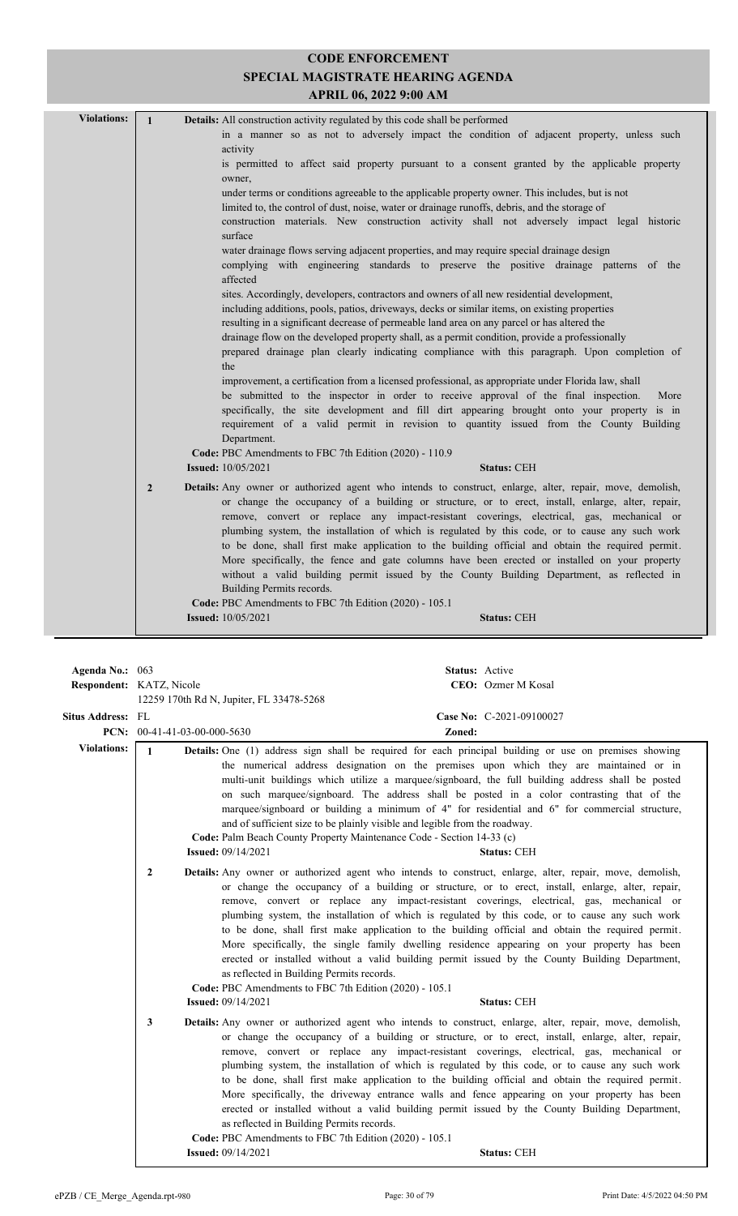| <b>Violations:</b> | $\mathbf{1}$   | <b>Details:</b> All construction activity regulated by this code shall be performed                                                                                                                                                                                                                                                                                                                                                                                                                                                                                                                                        |
|--------------------|----------------|----------------------------------------------------------------------------------------------------------------------------------------------------------------------------------------------------------------------------------------------------------------------------------------------------------------------------------------------------------------------------------------------------------------------------------------------------------------------------------------------------------------------------------------------------------------------------------------------------------------------------|
|                    |                | in a manner so as not to adversely impact the condition of adjacent property, unless such<br>activity                                                                                                                                                                                                                                                                                                                                                                                                                                                                                                                      |
|                    |                | is permitted to affect said property pursuant to a consent granted by the applicable property<br>owner,                                                                                                                                                                                                                                                                                                                                                                                                                                                                                                                    |
|                    |                | under terms or conditions agreeable to the applicable property owner. This includes, but is not                                                                                                                                                                                                                                                                                                                                                                                                                                                                                                                            |
|                    |                | limited to, the control of dust, noise, water or drainage runoffs, debris, and the storage of<br>construction materials. New construction activity shall not adversely impact legal historic<br>surface                                                                                                                                                                                                                                                                                                                                                                                                                    |
|                    |                | water drainage flows serving adjacent properties, and may require special drainage design<br>complying with engineering standards to preserve the positive drainage patterns of the<br>affected                                                                                                                                                                                                                                                                                                                                                                                                                            |
|                    |                | sites. Accordingly, developers, contractors and owners of all new residential development,<br>including additions, pools, patios, driveways, decks or similar items, on existing properties<br>resulting in a significant decrease of permeable land area on any parcel or has altered the                                                                                                                                                                                                                                                                                                                                 |
|                    |                | drainage flow on the developed property shall, as a permit condition, provide a professionally<br>prepared drainage plan clearly indicating compliance with this paragraph. Upon completion of<br>the                                                                                                                                                                                                                                                                                                                                                                                                                      |
|                    |                | improvement, a certification from a licensed professional, as appropriate under Florida law, shall<br>be submitted to the inspector in order to receive approval of the final inspection.<br>More                                                                                                                                                                                                                                                                                                                                                                                                                          |
|                    |                | specifically, the site development and fill dirt appearing brought onto your property is in<br>requirement of a valid permit in revision to quantity issued from the County Building<br>Department.                                                                                                                                                                                                                                                                                                                                                                                                                        |
|                    |                | Code: PBC Amendments to FBC 7th Edition (2020) - 110.9                                                                                                                                                                                                                                                                                                                                                                                                                                                                                                                                                                     |
|                    |                | <b>Issued:</b> 10/05/2021<br><b>Status: CEH</b>                                                                                                                                                                                                                                                                                                                                                                                                                                                                                                                                                                            |
|                    | $\overline{2}$ | <b>Details:</b> Any owner or authorized agent who intends to construct, enlarge, alter, repair, move, demolish,<br>or change the occupancy of a building or structure, or to erect, install, enlarge, alter, repair,<br>remove, convert or replace any impact-resistant coverings, electrical, gas, mechanical or<br>plumbing system, the installation of which is regulated by this code, or to cause any such work<br>to be done, shall first make application to the building official and obtain the required permit.<br>More specifically, the fence and gate columns have been erected or installed on your property |
|                    |                | without a valid building permit issued by the County Building Department, as reflected in<br>Building Permits records.                                                                                                                                                                                                                                                                                                                                                                                                                                                                                                     |
|                    |                | Code: PBC Amendments to FBC 7th Edition (2020) - 105.1                                                                                                                                                                                                                                                                                                                                                                                                                                                                                                                                                                     |
|                    |                | <b>Issued:</b> 10/05/2021<br><b>Status: CEH</b>                                                                                                                                                                                                                                                                                                                                                                                                                                                                                                                                                                            |
|                    |                |                                                                                                                                                                                                                                                                                                                                                                                                                                                                                                                                                                                                                            |

| Agenda No.: 063<br><b>Respondent:</b> KATZ, Nicole |                                       | 12259 170th Rd N, Jupiter, FL 33478-5268                                                                                                                                         | Status: Active | CEO: Ozmer M Kosal                                                                                                                                                                                                                                                                                                                                                                                                                                                                                                                                                                                                                                                                                                                               |
|----------------------------------------------------|---------------------------------------|----------------------------------------------------------------------------------------------------------------------------------------------------------------------------------|----------------|--------------------------------------------------------------------------------------------------------------------------------------------------------------------------------------------------------------------------------------------------------------------------------------------------------------------------------------------------------------------------------------------------------------------------------------------------------------------------------------------------------------------------------------------------------------------------------------------------------------------------------------------------------------------------------------------------------------------------------------------------|
| <b>Situs Address: FL</b>                           | <b>PCN:</b> $00-41-41-03-00-000-5630$ |                                                                                                                                                                                  | Zoned:         | Case No: C-2021-09100027                                                                                                                                                                                                                                                                                                                                                                                                                                                                                                                                                                                                                                                                                                                         |
| <b>Violations:</b>                                 | $\mathbf{1}$                          | and of sufficient size to be plainly visible and legible from the roadway.<br>Code: Palm Beach County Property Maintenance Code - Section 14-33 (c)<br><b>Issued: 09/14/2021</b> |                | Details: One (1) address sign shall be required for each principal building or use on premises showing<br>the numerical address designation on the premises upon which they are maintained or in<br>multi-unit buildings which utilize a marquee/signboard, the full building address shall be posted<br>on such marquee/signboard. The address shall be posted in a color contrasting that of the<br>marquee/signboard or building a minimum of 4" for residential and 6" for commercial structure,<br><b>Status: CEH</b>                                                                                                                                                                                                                       |
|                                                    | $\overline{2}$                        | as reflected in Building Permits records.<br>Code: PBC Amendments to FBC 7th Edition (2020) - 105.1<br><b>Issued: 09/14/2021</b>                                                 |                | <b>Details:</b> Any owner or authorized agent who intends to construct, enlarge, alter, repair, move, demolish,<br>or change the occupancy of a building or structure, or to erect, install, enlarge, alter, repair,<br>remove, convert or replace any impact-resistant coverings, electrical, gas, mechanical or<br>plumbing system, the installation of which is regulated by this code, or to cause any such work<br>to be done, shall first make application to the building official and obtain the required permit.<br>More specifically, the single family dwelling residence appearing on your property has been<br>erected or installed without a valid building permit issued by the County Building Department,<br><b>Status: CEH</b> |
|                                                    | 3                                     | as reflected in Building Permits records.<br>Code: PBC Amendments to FBC 7th Edition (2020) - 105.1<br><b>Issued:</b> 09/14/2021                                                 |                | Details: Any owner or authorized agent who intends to construct, enlarge, alter, repair, move, demolish,<br>or change the occupancy of a building or structure, or to erect, install, enlarge, alter, repair,<br>remove, convert or replace any impact-resistant coverings, electrical, gas, mechanical or<br>plumbing system, the installation of which is regulated by this code, or to cause any such work<br>to be done, shall first make application to the building official and obtain the required permit.<br>More specifically, the driveway entrance walls and fence appearing on your property has been<br>erected or installed without a valid building permit issued by the County Building Department,<br><b>Status: CEH</b>       |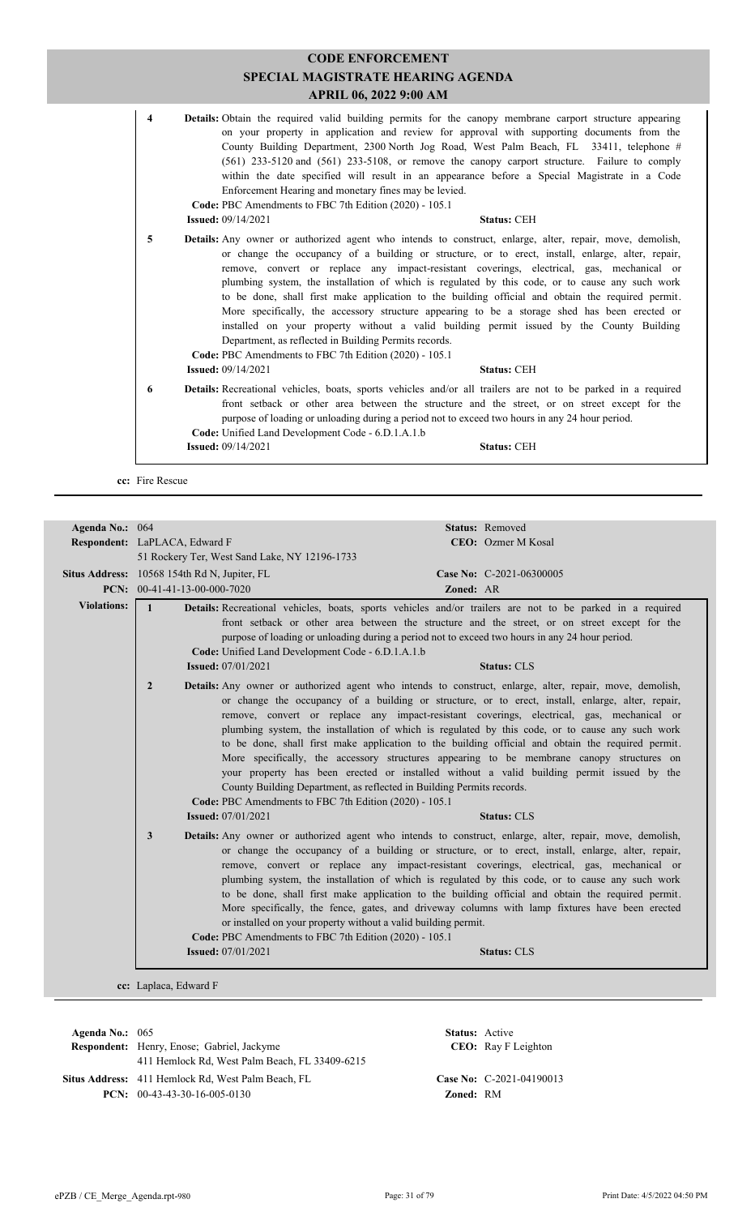|                         | <b>APRIL 06, 2022 9:00 AM</b>                                                                                                                                                                                                                                                                                                                                                                                                                                                                                                                                                                                                                                                                                                                                                                                                                                                         |
|-------------------------|---------------------------------------------------------------------------------------------------------------------------------------------------------------------------------------------------------------------------------------------------------------------------------------------------------------------------------------------------------------------------------------------------------------------------------------------------------------------------------------------------------------------------------------------------------------------------------------------------------------------------------------------------------------------------------------------------------------------------------------------------------------------------------------------------------------------------------------------------------------------------------------|
| $\overline{\mathbf{4}}$ | <b>Details:</b> Obtain the required valid building permits for the canopy membrane carport structure appearing<br>on your property in application and review for approval with supporting documents from the<br>County Building Department, 2300 North Jog Road, West Palm Beach, FL 33411, telephone #<br>$(561)$ 233-5120 and $(561)$ 233-5108, or remove the canopy carport structure. Failure to comply<br>within the date specified will result in an appearance before a Special Magistrate in a Code<br>Enforcement Hearing and monetary fines may be levied.<br>Code: PBC Amendments to FBC 7th Edition (2020) - 105.1<br><b>Issued: 09/14/2021</b><br><b>Status: CEH</b>                                                                                                                                                                                                     |
|                         |                                                                                                                                                                                                                                                                                                                                                                                                                                                                                                                                                                                                                                                                                                                                                                                                                                                                                       |
| 5                       | Details: Any owner or authorized agent who intends to construct, enlarge, alter, repair, move, demolish,<br>or change the occupancy of a building or structure, or to erect, install, enlarge, alter, repair,<br>remove, convert or replace any impact-resistant coverings, electrical, gas, mechanical or<br>plumbing system, the installation of which is regulated by this code, or to cause any such work<br>to be done, shall first make application to the building official and obtain the required permit.<br>More specifically, the accessory structure appearing to be a storage shed has been erected or<br>installed on your property without a valid building permit issued by the County Building<br>Department, as reflected in Building Permits records.<br>Code: PBC Amendments to FBC 7th Edition (2020) - 105.1<br><b>Issued: 09/14/2021</b><br><b>Status: CEH</b> |
| 6                       | Details: Recreational vehicles, boats, sports vehicles and/or all trailers are not to be parked in a required<br>front setback or other area between the structure and the street, or on street except for the<br>purpose of loading or unloading during a period not to exceed two hours in any 24 hour period.<br>Code: Unified Land Development Code - 6.D.1.A.1.b                                                                                                                                                                                                                                                                                                                                                                                                                                                                                                                 |
|                         | <b>Issued: 09/14/2021</b><br><b>Status: CEH</b>                                                                                                                                                                                                                                                                                                                                                                                                                                                                                                                                                                                                                                                                                                                                                                                                                                       |

| Agenda No.: 064    |                                                                                                                                          | Status: Removed                                                                                                                                                                                                                                                                                                                                                                                                                                                                                                                                                                                                                                                                                                                                                                              |
|--------------------|------------------------------------------------------------------------------------------------------------------------------------------|----------------------------------------------------------------------------------------------------------------------------------------------------------------------------------------------------------------------------------------------------------------------------------------------------------------------------------------------------------------------------------------------------------------------------------------------------------------------------------------------------------------------------------------------------------------------------------------------------------------------------------------------------------------------------------------------------------------------------------------------------------------------------------------------|
|                    | Respondent: LaPLACA, Edward F                                                                                                            | CEO: Ozmer M Kosal                                                                                                                                                                                                                                                                                                                                                                                                                                                                                                                                                                                                                                                                                                                                                                           |
|                    | 51 Rockery Ter, West Sand Lake, NY 12196-1733                                                                                            |                                                                                                                                                                                                                                                                                                                                                                                                                                                                                                                                                                                                                                                                                                                                                                                              |
|                    | Situs Address: 10568 154th Rd N, Jupiter, FL                                                                                             | Case No: C-2021-06300005                                                                                                                                                                                                                                                                                                                                                                                                                                                                                                                                                                                                                                                                                                                                                                     |
|                    | PCN: $00-41-41-13-00-000-7020$                                                                                                           | Zoned: AR                                                                                                                                                                                                                                                                                                                                                                                                                                                                                                                                                                                                                                                                                                                                                                                    |
| <b>Violations:</b> | $\mathbf{1}$<br>Code: Unified Land Development Code - 6.D.1.A.1.b<br><b>Issued:</b> 07/01/2021                                           | Details: Recreational vehicles, boats, sports vehicles and/or trailers are not to be parked in a required<br>front setback or other area between the structure and the street, or on street except for the<br>purpose of loading or unloading during a period not to exceed two hours in any 24 hour period.<br><b>Status: CLS</b>                                                                                                                                                                                                                                                                                                                                                                                                                                                           |
|                    | $\overline{2}$<br>Code: PBC Amendments to FBC 7th Edition (2020) - 105.1                                                                 | <b>Details:</b> Any owner or authorized agent who intends to construct, enlarge, alter, repair, move, demolish,<br>or change the occupancy of a building or structure, or to erect, install, enlarge, alter, repair,<br>remove, convert or replace any impact-resistant coverings, electrical, gas, mechanical or<br>plumbing system, the installation of which is regulated by this code, or to cause any such work<br>to be done, shall first make application to the building official and obtain the required permit.<br>More specifically, the accessory structures appearing to be membrane canopy structures on<br>your property has been erected or installed without a valid building permit issued by the<br>County Building Department, as reflected in Building Permits records. |
|                    | <b>Issued:</b> 07/01/2021                                                                                                                | <b>Status: CLS</b>                                                                                                                                                                                                                                                                                                                                                                                                                                                                                                                                                                                                                                                                                                                                                                           |
|                    | $\mathbf{3}$<br>or installed on your property without a valid building permit.<br>Code: PBC Amendments to FBC 7th Edition (2020) - 105.1 | Details: Any owner or authorized agent who intends to construct, enlarge, alter, repair, move, demolish,<br>or change the occupancy of a building or structure, or to erect, install, enlarge, alter, repair,<br>remove, convert or replace any impact-resistant coverings, electrical, gas, mechanical or<br>plumbing system, the installation of which is regulated by this code, or to cause any such work<br>to be done, shall first make application to the building official and obtain the required permit.<br>More specifically, the fence, gates, and driveway columns with lamp fixtures have been erected                                                                                                                                                                         |
|                    | <b>Issued:</b> 07/01/2021                                                                                                                | <b>Status: CLS</b>                                                                                                                                                                                                                                                                                                                                                                                                                                                                                                                                                                                                                                                                                                                                                                           |
|                    | cc: Laplaca, Edward F                                                                                                                    |                                                                                                                                                                                                                                                                                                                                                                                                                                                                                                                                                                                                                                                                                                                                                                                              |

| Agenda No.: $065$ |                                                           | <b>Status:</b> Active |                             |
|-------------------|-----------------------------------------------------------|-----------------------|-----------------------------|
|                   | <b>Respondent:</b> Henry, Enose; Gabriel, Jackyme         |                       | <b>CEO</b> : Ray F Leighton |
|                   | 411 Hemlock Rd, West Palm Beach, FL 33409-6215            |                       |                             |
|                   | <b>Situs Address:</b> 411 Hemlock Rd, West Palm Beach, FL |                       | Case No: $C-2021-04190013$  |
|                   | <b>PCN:</b> $00-43-43-30-16-005-0130$                     | <b>Zoned: RM</b>      |                             |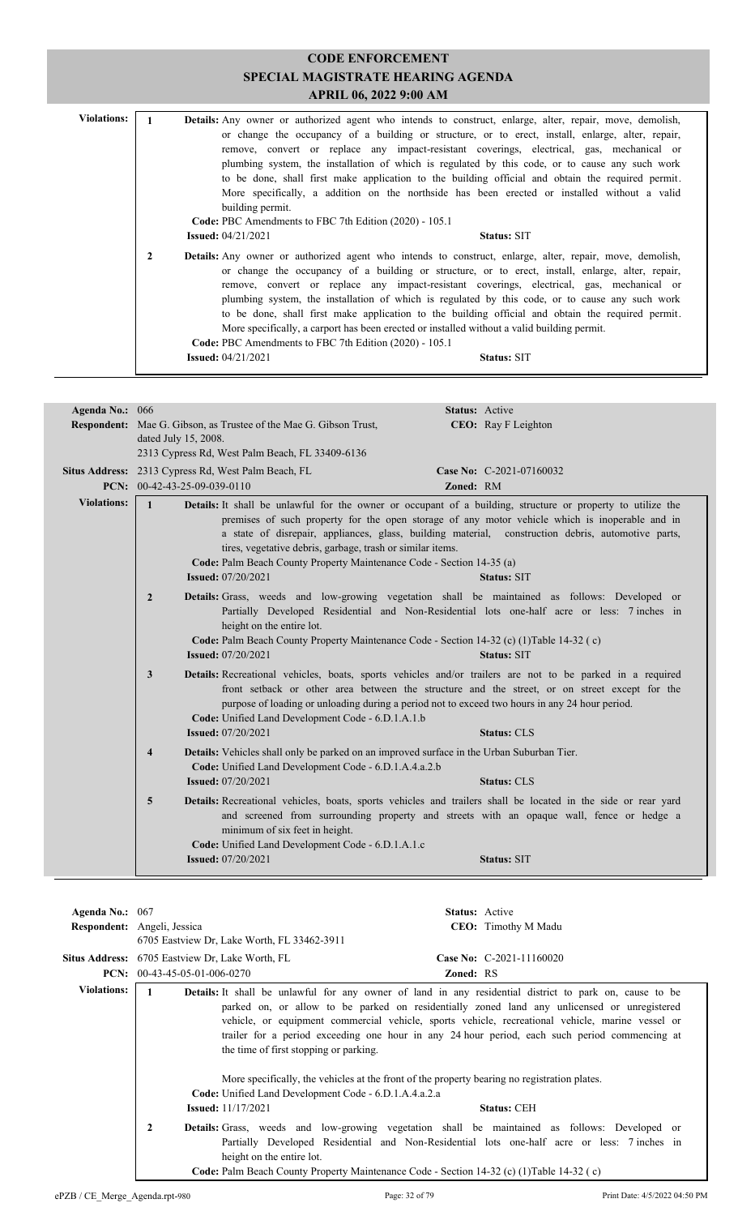| <b>Violations:</b> |              | <b>Details:</b> Any owner or authorized agent who intends to construct, enlarge, alter, repair, move, demolish,<br>or change the occupancy of a building or structure, or to erect, install, enlarge, alter, repair,<br>remove, convert or replace any impact-resistant coverings, electrical, gas, mechanical or<br>plumbing system, the installation of which is regulated by this code, or to cause any such work<br>to be done, shall first make application to the building official and obtain the required permit.<br>More specifically, a addition on the northside has been erected or installed without a valid<br>building permit.                                      |
|--------------------|--------------|------------------------------------------------------------------------------------------------------------------------------------------------------------------------------------------------------------------------------------------------------------------------------------------------------------------------------------------------------------------------------------------------------------------------------------------------------------------------------------------------------------------------------------------------------------------------------------------------------------------------------------------------------------------------------------|
|                    |              | Code: PBC Amendments to FBC 7th Edition (2020) - 105.1<br><b>Issued:</b> 04/21/2021<br><b>Status: SIT</b>                                                                                                                                                                                                                                                                                                                                                                                                                                                                                                                                                                          |
|                    | $\mathbf{2}$ | <b>Details:</b> Any owner or authorized agent who intends to construct, enlarge, alter, repair, move, demolish,<br>or change the occupancy of a building or structure, or to erect, install, enlarge, alter, repair,<br>remove, convert or replace any impact-resistant coverings, electrical, gas, mechanical or<br>plumbing system, the installation of which is regulated by this code, or to cause any such work<br>to be done, shall first make application to the building official and obtain the required permit.<br>More specifically, a carport has been erected or installed without a valid building permit.<br>Code: PBC Amendments to FBC 7th Edition (2020) - 105.1 |
|                    |              | <b>Issued:</b> $04/21/2021$<br><b>Status: SIT</b>                                                                                                                                                                                                                                                                                                                                                                                                                                                                                                                                                                                                                                  |

| Agenda No.: 066    | Status: Active                                                                                                                                                                                                                                                                                                                                                                                 |
|--------------------|------------------------------------------------------------------------------------------------------------------------------------------------------------------------------------------------------------------------------------------------------------------------------------------------------------------------------------------------------------------------------------------------|
|                    | <b>Respondent:</b> Mae G. Gibson, as Trustee of the Mae G. Gibson Trust,<br><b>CEO:</b> Ray F Leighton                                                                                                                                                                                                                                                                                         |
|                    | dated July 15, 2008.                                                                                                                                                                                                                                                                                                                                                                           |
|                    | 2313 Cypress Rd, West Palm Beach, FL 33409-6136                                                                                                                                                                                                                                                                                                                                                |
|                    | Situs Address: 2313 Cypress Rd, West Palm Beach, FL<br>Case No: C-2021-07160032                                                                                                                                                                                                                                                                                                                |
|                    | PCN: $00-42-43-25-09-039-0110$<br>Zoned: RM                                                                                                                                                                                                                                                                                                                                                    |
| <b>Violations:</b> | $\mathbf{1}$<br>Details: It shall be unlawful for the owner or occupant of a building, structure or property to utilize the                                                                                                                                                                                                                                                                    |
|                    | premises of such property for the open storage of any motor vehicle which is inoperable and in<br>a state of disrepair, appliances, glass, building material, construction debris, automotive parts,<br>tires, vegetative debris, garbage, trash or similar items.<br>Code: Palm Beach County Property Maintenance Code - Section 14-35 (a)<br><b>Issued:</b> 07/20/2021<br><b>Status: SIT</b> |
|                    |                                                                                                                                                                                                                                                                                                                                                                                                |
|                    | Details: Grass, weeds and low-growing vegetation shall be maintained as follows: Developed or<br>$\overline{2}$<br>Partially Developed Residential and Non-Residential lots one-half acre or less: 7 inches in<br>height on the entire lot.<br>Code: Palm Beach County Property Maintenance Code - Section 14-32 (c) (1) Table 14-32 (c)<br><b>Issued:</b> 07/20/2021<br><b>Status: SIT</b>    |
|                    | Details: Recreational vehicles, boats, sports vehicles and/or trailers are not to be parked in a required<br>3<br>front setback or other area between the structure and the street, or on street except for the<br>purpose of loading or unloading during a period not to exceed two hours in any 24 hour period.<br>Code: Unified Land Development Code - 6.D.1.A.1.b                         |
|                    | <b>Issued:</b> 07/20/2021<br><b>Status: CLS</b>                                                                                                                                                                                                                                                                                                                                                |
|                    | <b>Details:</b> Vehicles shall only be parked on an improved surface in the Urban Suburban Tier.<br>$\overline{\mathbf{4}}$<br>Code: Unified Land Development Code - 6.D.1.A.4.a.2.b<br><b>Issued:</b> 07/20/2021<br><b>Status: CLS</b>                                                                                                                                                        |
|                    |                                                                                                                                                                                                                                                                                                                                                                                                |
|                    | Details: Recreational vehicles, boats, sports vehicles and trailers shall be located in the side or rear yard<br>5<br>and screened from surrounding property and streets with an opaque wall, fence or hedge a<br>minimum of six feet in height.<br>Code: Unified Land Development Code - 6.D.1.A.1.c<br><b>Issued:</b> 07/20/2021<br><b>Status: SIT</b>                                       |
|                    |                                                                                                                                                                                                                                                                                                                                                                                                |

| Agenda No.: $067$  |                                                                        | <b>Status:</b> Active                                                                                                                                                                                                                                                                                                                                                                                                                                                    |
|--------------------|------------------------------------------------------------------------|--------------------------------------------------------------------------------------------------------------------------------------------------------------------------------------------------------------------------------------------------------------------------------------------------------------------------------------------------------------------------------------------------------------------------------------------------------------------------|
|                    | Respondent: Angeli, Jessica                                            | <b>CEO:</b> Timothy M Madu                                                                                                                                                                                                                                                                                                                                                                                                                                               |
|                    | 6705 Eastview Dr. Lake Worth, FL 33462-3911                            |                                                                                                                                                                                                                                                                                                                                                                                                                                                                          |
|                    | Situs Address: 6705 Eastview Dr, Lake Worth, FL                        | Case No: C-2021-11160020                                                                                                                                                                                                                                                                                                                                                                                                                                                 |
| PCN:               | 00-43-45-05-01-006-0270                                                | <b>Zoned: RS</b>                                                                                                                                                                                                                                                                                                                                                                                                                                                         |
| <b>Violations:</b> | 1                                                                      | <b>Details:</b> It shall be unlawful for any owner of land in any residential district to park on, cause to be<br>parked on, or allow to be parked on residentially zoned land any unlicensed or unregistered<br>vehicle, or equipment commercial vehicle, sports vehicle, recreational vehicle, marine vessel or<br>trailer for a period exceeding one hour in any 24 hour period, each such period commencing at<br>the time of first stopping or parking.             |
|                    | <b>Issued:</b> 11/17/2021<br>$\mathbf{2}$<br>height on the entire lot. | More specifically, the vehicles at the front of the property bearing no registration plates.<br>Code: Unified Land Development Code - 6.D.1.A.4.a.2.a<br><b>Status: CEH</b><br>Details: Grass, weeds and low-growing vegetation shall be maintained as follows: Developed or<br>Partially Developed Residential and Non-Residential lots one-half acre or less: 7 inches in<br>Code: Palm Beach County Property Maintenance Code - Section 14-32 (c) (1) Table 14-32 (c) |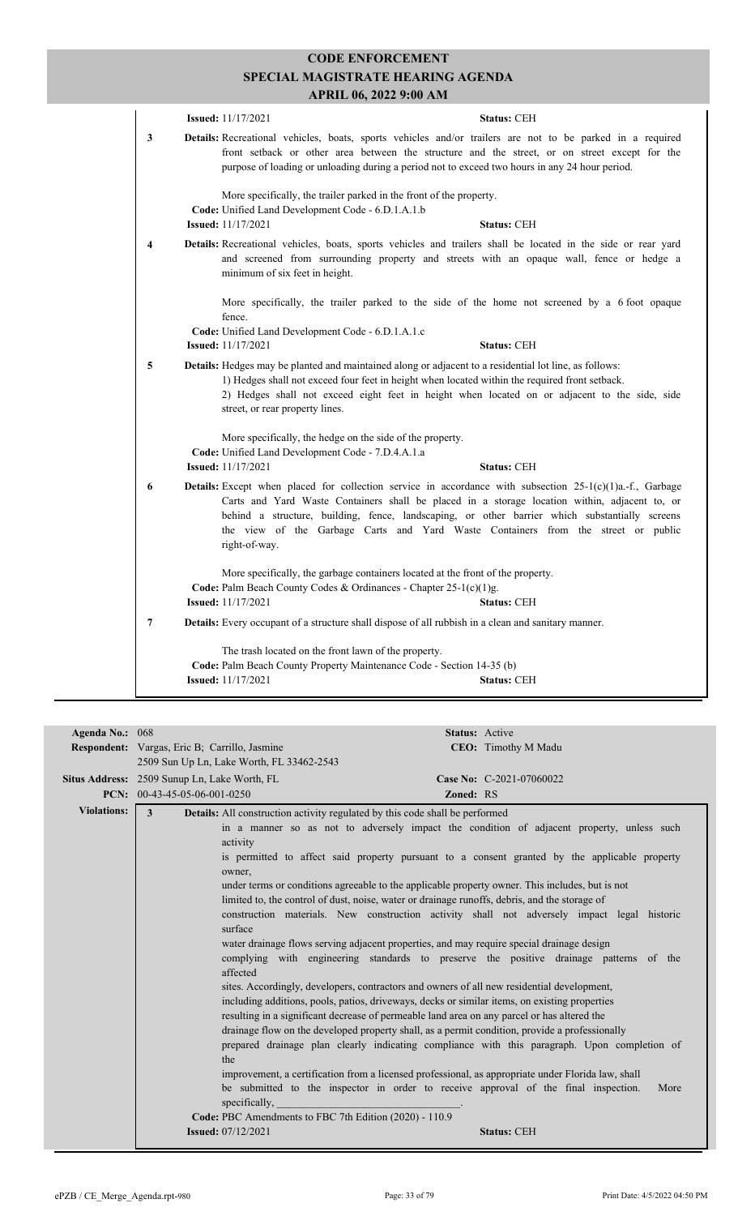|   | <b>Issued:</b> 11/17/2021                                                                                                                                                                                                                                                                                                                    | <b>Status: CEH</b>                                                                                                                                                                                                                                                                                                                                                                                        |  |
|---|----------------------------------------------------------------------------------------------------------------------------------------------------------------------------------------------------------------------------------------------------------------------------------------------------------------------------------------------|-----------------------------------------------------------------------------------------------------------------------------------------------------------------------------------------------------------------------------------------------------------------------------------------------------------------------------------------------------------------------------------------------------------|--|
| 3 |                                                                                                                                                                                                                                                                                                                                              | Details: Recreational vehicles, boats, sports vehicles and/or trailers are not to be parked in a required<br>front setback or other area between the structure and the street, or on street except for the<br>purpose of loading or unloading during a period not to exceed two hours in any 24 hour period.                                                                                              |  |
|   | More specifically, the trailer parked in the front of the property.<br>Code: Unified Land Development Code - 6.D.1.A.1.b<br><b>Issued:</b> 11/17/2021                                                                                                                                                                                        | <b>Status: CEH</b>                                                                                                                                                                                                                                                                                                                                                                                        |  |
| 4 | minimum of six feet in height.                                                                                                                                                                                                                                                                                                               | Details: Recreational vehicles, boats, sports vehicles and trailers shall be located in the side or rear yard<br>and screened from surrounding property and streets with an opaque wall, fence or hedge a                                                                                                                                                                                                 |  |
|   | fence.<br>Code: Unified Land Development Code - 6.D.1.A.1.c                                                                                                                                                                                                                                                                                  | More specifically, the trailer parked to the side of the home not screened by a 6 foot opaque                                                                                                                                                                                                                                                                                                             |  |
|   | <b>Issued:</b> 11/17/2021                                                                                                                                                                                                                                                                                                                    | <b>Status: CEH</b>                                                                                                                                                                                                                                                                                                                                                                                        |  |
| 5 | Details: Hedges may be planted and maintained along or adjacent to a residential lot line, as follows:<br>1) Hedges shall not exceed four feet in height when located within the required front setback.<br>2) Hedges shall not exceed eight feet in height when located on or adjacent to the side, side<br>street, or rear property lines. |                                                                                                                                                                                                                                                                                                                                                                                                           |  |
|   | More specifically, the hedge on the side of the property.<br>Code: Unified Land Development Code - 7.D.4.A.1.a<br><b>Issued:</b> 11/17/2021                                                                                                                                                                                                  | <b>Status: CEH</b>                                                                                                                                                                                                                                                                                                                                                                                        |  |
| 6 | right-of-way.                                                                                                                                                                                                                                                                                                                                | <b>Details:</b> Except when placed for collection service in accordance with subsection $25-I(c)(1)a.f.,$ Garbage<br>Carts and Yard Waste Containers shall be placed in a storage location within, adjacent to, or<br>behind a structure, building, fence, landscaping, or other barrier which substantially screens<br>the view of the Garbage Carts and Yard Waste Containers from the street or public |  |
|   | Code: Palm Beach County Codes & Ordinances - Chapter 25-1(c)(1)g.<br><b>Issued:</b> 11/17/2021                                                                                                                                                                                                                                               | More specifically, the garbage containers located at the front of the property.<br><b>Status: CEH</b>                                                                                                                                                                                                                                                                                                     |  |
| 7 |                                                                                                                                                                                                                                                                                                                                              | Details: Every occupant of a structure shall dispose of all rubbish in a clean and sanitary manner.                                                                                                                                                                                                                                                                                                       |  |
|   | The trash located on the front lawn of the property.                                                                                                                                                                                                                                                                                         |                                                                                                                                                                                                                                                                                                                                                                                                           |  |
|   | Code: Palm Beach County Property Maintenance Code - Section 14-35 (b)                                                                                                                                                                                                                                                                        |                                                                                                                                                                                                                                                                                                                                                                                                           |  |
|   | <b>Issued:</b> 11/17/2021                                                                                                                                                                                                                                                                                                                    | <b>Status: CEH</b>                                                                                                                                                                                                                                                                                                                                                                                        |  |

| CEO: Timothy M Madu<br><b>Respondent:</b> Vargas, Eric B; Carrillo, Jasmine<br>2509 Sun Up Ln, Lake Worth, FL 33462-2543<br><b>Situs Address:</b> 2509 Sunup Ln, Lake Worth, FL<br>Case No: C-2021-07060022<br>PCN: $00-43-45-05-06-001-0250$<br>Zoned: RS<br><b>Violations:</b><br>3<br><b>Details:</b> All construction activity regulated by this code shall be performed<br>in a manner so as not to adversely impact the condition of adjacent property, unless such<br>activity<br>is permitted to affect said property pursuant to a consent granted by the applicable property<br>owner,<br>under terms or conditions agreeable to the applicable property owner. This includes, but is not<br>limited to, the control of dust, noise, water or drainage runoffs, debris, and the storage of<br>construction materials. New construction activity shall not adversely impact legal historic<br>surface<br>water drainage flows serving adjacent properties, and may require special drainage design<br>complying with engineering standards to preserve the positive drainage patterns of the<br>affected<br>sites. Accordingly, developers, contractors and owners of all new residential development,<br>including additions, pools, patios, driveways, decks or similar items, on existing properties<br>resulting in a significant decrease of permeable land area on any parcel or has altered the<br>drainage flow on the developed property shall, as a permit condition, provide a professionally<br>prepared drainage plan clearly indicating compliance with this paragraph. Upon completion of<br>the<br>improvement, a certification from a licensed professional, as appropriate under Florida law, shall<br>be submitted to the inspector in order to receive approval of the final inspection.<br>More<br>specifically,<br>Code: PBC Amendments to FBC 7th Edition (2020) - 110.9 | Agenda No.: 068 | <b>Status: Active</b>                           |  |  |  |  |
|----------------------------------------------------------------------------------------------------------------------------------------------------------------------------------------------------------------------------------------------------------------------------------------------------------------------------------------------------------------------------------------------------------------------------------------------------------------------------------------------------------------------------------------------------------------------------------------------------------------------------------------------------------------------------------------------------------------------------------------------------------------------------------------------------------------------------------------------------------------------------------------------------------------------------------------------------------------------------------------------------------------------------------------------------------------------------------------------------------------------------------------------------------------------------------------------------------------------------------------------------------------------------------------------------------------------------------------------------------------------------------------------------------------------------------------------------------------------------------------------------------------------------------------------------------------------------------------------------------------------------------------------------------------------------------------------------------------------------------------------------------------------------------------------------------------------------------------------------------------------------------------------------------|-----------------|-------------------------------------------------|--|--|--|--|
|                                                                                                                                                                                                                                                                                                                                                                                                                                                                                                                                                                                                                                                                                                                                                                                                                                                                                                                                                                                                                                                                                                                                                                                                                                                                                                                                                                                                                                                                                                                                                                                                                                                                                                                                                                                                                                                                                                          |                 |                                                 |  |  |  |  |
|                                                                                                                                                                                                                                                                                                                                                                                                                                                                                                                                                                                                                                                                                                                                                                                                                                                                                                                                                                                                                                                                                                                                                                                                                                                                                                                                                                                                                                                                                                                                                                                                                                                                                                                                                                                                                                                                                                          |                 |                                                 |  |  |  |  |
|                                                                                                                                                                                                                                                                                                                                                                                                                                                                                                                                                                                                                                                                                                                                                                                                                                                                                                                                                                                                                                                                                                                                                                                                                                                                                                                                                                                                                                                                                                                                                                                                                                                                                                                                                                                                                                                                                                          |                 |                                                 |  |  |  |  |
|                                                                                                                                                                                                                                                                                                                                                                                                                                                                                                                                                                                                                                                                                                                                                                                                                                                                                                                                                                                                                                                                                                                                                                                                                                                                                                                                                                                                                                                                                                                                                                                                                                                                                                                                                                                                                                                                                                          |                 |                                                 |  |  |  |  |
|                                                                                                                                                                                                                                                                                                                                                                                                                                                                                                                                                                                                                                                                                                                                                                                                                                                                                                                                                                                                                                                                                                                                                                                                                                                                                                                                                                                                                                                                                                                                                                                                                                                                                                                                                                                                                                                                                                          |                 |                                                 |  |  |  |  |
|                                                                                                                                                                                                                                                                                                                                                                                                                                                                                                                                                                                                                                                                                                                                                                                                                                                                                                                                                                                                                                                                                                                                                                                                                                                                                                                                                                                                                                                                                                                                                                                                                                                                                                                                                                                                                                                                                                          |                 |                                                 |  |  |  |  |
|                                                                                                                                                                                                                                                                                                                                                                                                                                                                                                                                                                                                                                                                                                                                                                                                                                                                                                                                                                                                                                                                                                                                                                                                                                                                                                                                                                                                                                                                                                                                                                                                                                                                                                                                                                                                                                                                                                          |                 |                                                 |  |  |  |  |
|                                                                                                                                                                                                                                                                                                                                                                                                                                                                                                                                                                                                                                                                                                                                                                                                                                                                                                                                                                                                                                                                                                                                                                                                                                                                                                                                                                                                                                                                                                                                                                                                                                                                                                                                                                                                                                                                                                          |                 |                                                 |  |  |  |  |
|                                                                                                                                                                                                                                                                                                                                                                                                                                                                                                                                                                                                                                                                                                                                                                                                                                                                                                                                                                                                                                                                                                                                                                                                                                                                                                                                                                                                                                                                                                                                                                                                                                                                                                                                                                                                                                                                                                          |                 |                                                 |  |  |  |  |
|                                                                                                                                                                                                                                                                                                                                                                                                                                                                                                                                                                                                                                                                                                                                                                                                                                                                                                                                                                                                                                                                                                                                                                                                                                                                                                                                                                                                                                                                                                                                                                                                                                                                                                                                                                                                                                                                                                          |                 |                                                 |  |  |  |  |
|                                                                                                                                                                                                                                                                                                                                                                                                                                                                                                                                                                                                                                                                                                                                                                                                                                                                                                                                                                                                                                                                                                                                                                                                                                                                                                                                                                                                                                                                                                                                                                                                                                                                                                                                                                                                                                                                                                          |                 |                                                 |  |  |  |  |
|                                                                                                                                                                                                                                                                                                                                                                                                                                                                                                                                                                                                                                                                                                                                                                                                                                                                                                                                                                                                                                                                                                                                                                                                                                                                                                                                                                                                                                                                                                                                                                                                                                                                                                                                                                                                                                                                                                          |                 |                                                 |  |  |  |  |
|                                                                                                                                                                                                                                                                                                                                                                                                                                                                                                                                                                                                                                                                                                                                                                                                                                                                                                                                                                                                                                                                                                                                                                                                                                                                                                                                                                                                                                                                                                                                                                                                                                                                                                                                                                                                                                                                                                          |                 |                                                 |  |  |  |  |
|                                                                                                                                                                                                                                                                                                                                                                                                                                                                                                                                                                                                                                                                                                                                                                                                                                                                                                                                                                                                                                                                                                                                                                                                                                                                                                                                                                                                                                                                                                                                                                                                                                                                                                                                                                                                                                                                                                          |                 |                                                 |  |  |  |  |
|                                                                                                                                                                                                                                                                                                                                                                                                                                                                                                                                                                                                                                                                                                                                                                                                                                                                                                                                                                                                                                                                                                                                                                                                                                                                                                                                                                                                                                                                                                                                                                                                                                                                                                                                                                                                                                                                                                          |                 |                                                 |  |  |  |  |
|                                                                                                                                                                                                                                                                                                                                                                                                                                                                                                                                                                                                                                                                                                                                                                                                                                                                                                                                                                                                                                                                                                                                                                                                                                                                                                                                                                                                                                                                                                                                                                                                                                                                                                                                                                                                                                                                                                          |                 |                                                 |  |  |  |  |
|                                                                                                                                                                                                                                                                                                                                                                                                                                                                                                                                                                                                                                                                                                                                                                                                                                                                                                                                                                                                                                                                                                                                                                                                                                                                                                                                                                                                                                                                                                                                                                                                                                                                                                                                                                                                                                                                                                          |                 |                                                 |  |  |  |  |
|                                                                                                                                                                                                                                                                                                                                                                                                                                                                                                                                                                                                                                                                                                                                                                                                                                                                                                                                                                                                                                                                                                                                                                                                                                                                                                                                                                                                                                                                                                                                                                                                                                                                                                                                                                                                                                                                                                          |                 |                                                 |  |  |  |  |
|                                                                                                                                                                                                                                                                                                                                                                                                                                                                                                                                                                                                                                                                                                                                                                                                                                                                                                                                                                                                                                                                                                                                                                                                                                                                                                                                                                                                                                                                                                                                                                                                                                                                                                                                                                                                                                                                                                          |                 |                                                 |  |  |  |  |
|                                                                                                                                                                                                                                                                                                                                                                                                                                                                                                                                                                                                                                                                                                                                                                                                                                                                                                                                                                                                                                                                                                                                                                                                                                                                                                                                                                                                                                                                                                                                                                                                                                                                                                                                                                                                                                                                                                          |                 | <b>Issued:</b> 07/12/2021<br><b>Status: CEH</b> |  |  |  |  |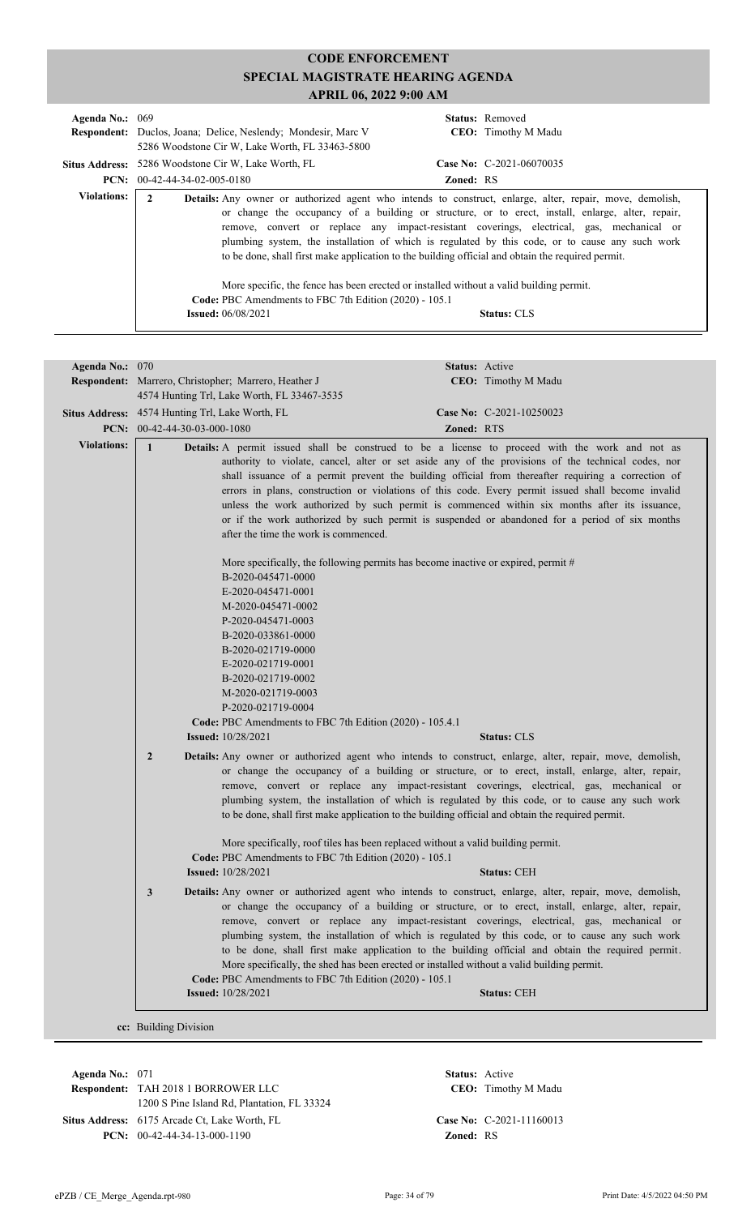| Agenda No.: $069$  | <b>Respondent:</b> Duclos, Joana; Delice, Neslendy; Mondesir, Marc V<br>5286 Woodstone Cir W, Lake Worth, FL 33463-5800                                                                                                                                                                                                                                                                                                |                  | <b>Status:</b> Removed<br><b>CEO:</b> Timothy M Madu                                                                                                                                                                                                                                                                    |
|--------------------|------------------------------------------------------------------------------------------------------------------------------------------------------------------------------------------------------------------------------------------------------------------------------------------------------------------------------------------------------------------------------------------------------------------------|------------------|-------------------------------------------------------------------------------------------------------------------------------------------------------------------------------------------------------------------------------------------------------------------------------------------------------------------------|
|                    | <b>Situs Address:</b> 5286 Woodstone Cir W, Lake Worth, FL                                                                                                                                                                                                                                                                                                                                                             |                  | Case No: $C-2021-06070035$                                                                                                                                                                                                                                                                                              |
|                    | $PCN: 00-42-44-34-02-005-0180$                                                                                                                                                                                                                                                                                                                                                                                         | <b>Zoned: RS</b> |                                                                                                                                                                                                                                                                                                                         |
| <b>Violations:</b> | <b>Details:</b> Any owner or authorized agent who intends to construct, enlarge, alter, repair, move, demolish,<br>$\mathbf{2}$<br>to be done, shall first make application to the building official and obtain the required permit.<br>More specific, the fence has been erected or installed without a valid building permit.<br>Code: PBC Amendments to FBC 7th Edition (2020) - 105.1<br><b>Issued:</b> 06/08/2021 |                  | or change the occupancy of a building or structure, or to erect, install, enlarge, alter, repair,<br>remove, convert or replace any impact-resistant coverings, electrical, gas, mechanical or<br>plumbing system, the installation of which is regulated by this code, or to cause any such work<br><b>Status: CLS</b> |

| Agenda No.: 070    |                                                                                                                                                                                                                                                                                                                                                                                                                                                                                                                                                                                                                                                                                    |                                                                                                                                                                                                                                                                                      | Status: Active                                                                    |                                                                                                                                                                                                                                                                                                                                                                                                                                                                                                                 |
|--------------------|------------------------------------------------------------------------------------------------------------------------------------------------------------------------------------------------------------------------------------------------------------------------------------------------------------------------------------------------------------------------------------------------------------------------------------------------------------------------------------------------------------------------------------------------------------------------------------------------------------------------------------------------------------------------------------|--------------------------------------------------------------------------------------------------------------------------------------------------------------------------------------------------------------------------------------------------------------------------------------|-----------------------------------------------------------------------------------|-----------------------------------------------------------------------------------------------------------------------------------------------------------------------------------------------------------------------------------------------------------------------------------------------------------------------------------------------------------------------------------------------------------------------------------------------------------------------------------------------------------------|
|                    | Respondent: Marrero, Christopher; Marrero, Heather J                                                                                                                                                                                                                                                                                                                                                                                                                                                                                                                                                                                                                               |                                                                                                                                                                                                                                                                                      |                                                                                   | CEO: Timothy M Madu                                                                                                                                                                                                                                                                                                                                                                                                                                                                                             |
|                    | 4574 Hunting Trl, Lake Worth, FL 33467-3535                                                                                                                                                                                                                                                                                                                                                                                                                                                                                                                                                                                                                                        |                                                                                                                                                                                                                                                                                      |                                                                                   |                                                                                                                                                                                                                                                                                                                                                                                                                                                                                                                 |
|                    | Situs Address: 4574 Hunting Trl, Lake Worth, FL                                                                                                                                                                                                                                                                                                                                                                                                                                                                                                                                                                                                                                    |                                                                                                                                                                                                                                                                                      |                                                                                   | Case No: C-2021-10250023                                                                                                                                                                                                                                                                                                                                                                                                                                                                                        |
|                    | PCN: $00-42-44-30-03-000-1080$                                                                                                                                                                                                                                                                                                                                                                                                                                                                                                                                                                                                                                                     |                                                                                                                                                                                                                                                                                      | Zoned: RTS                                                                        |                                                                                                                                                                                                                                                                                                                                                                                                                                                                                                                 |
| <b>Violations:</b> | $\mathbf{1}$                                                                                                                                                                                                                                                                                                                                                                                                                                                                                                                                                                                                                                                                       |                                                                                                                                                                                                                                                                                      |                                                                                   | Details: A permit issued shall be construed to be a license to proceed with the work and not as                                                                                                                                                                                                                                                                                                                                                                                                                 |
|                    |                                                                                                                                                                                                                                                                                                                                                                                                                                                                                                                                                                                                                                                                                    | after the time the work is commenced.                                                                                                                                                                                                                                                |                                                                                   | authority to violate, cancel, alter or set aside any of the provisions of the technical codes, nor<br>shall issuance of a permit prevent the building official from thereafter requiring a correction of<br>errors in plans, construction or violations of this code. Every permit issued shall become invalid<br>unless the work authorized by such permit is commenced within six months after its issuance,<br>or if the work authorized by such permit is suspended or abandoned for a period of six months |
|                    |                                                                                                                                                                                                                                                                                                                                                                                                                                                                                                                                                                                                                                                                                    | B-2020-045471-0000<br>E-2020-045471-0001<br>M-2020-045471-0002<br>P-2020-045471-0003<br>B-2020-033861-0000<br>B-2020-021719-0000<br>E-2020-021719-0001<br>B-2020-021719-0002<br>M-2020-021719-0003<br>P-2020-021719-0004<br>Code: PBC Amendments to FBC 7th Edition (2020) - 105.4.1 | More specifically, the following permits has become inactive or expired, permit # |                                                                                                                                                                                                                                                                                                                                                                                                                                                                                                                 |
|                    | <b>Issued:</b> 10/28/2021                                                                                                                                                                                                                                                                                                                                                                                                                                                                                                                                                                                                                                                          |                                                                                                                                                                                                                                                                                      |                                                                                   | <b>Status: CLS</b>                                                                                                                                                                                                                                                                                                                                                                                                                                                                                              |
|                    | Details: Any owner or authorized agent who intends to construct, enlarge, alter, repair, move, demolish,<br>$\overline{2}$<br>or change the occupancy of a building or structure, or to erect, install, enlarge, alter, repair,<br>remove, convert or replace any impact-resistant coverings, electrical, gas, mechanical or<br>plumbing system, the installation of which is regulated by this code, or to cause any such work<br>to be done, shall first make application to the building official and obtain the required permit.<br>More specifically, roof tiles has been replaced without a valid building permit.<br>Code: PBC Amendments to FBC 7th Edition (2020) - 105.1 |                                                                                                                                                                                                                                                                                      |                                                                                   |                                                                                                                                                                                                                                                                                                                                                                                                                                                                                                                 |
|                    | <b>Issued:</b> 10/28/2021                                                                                                                                                                                                                                                                                                                                                                                                                                                                                                                                                                                                                                                          |                                                                                                                                                                                                                                                                                      |                                                                                   | <b>Status: CEH</b>                                                                                                                                                                                                                                                                                                                                                                                                                                                                                              |
|                    | Details: Any owner or authorized agent who intends to construct, enlarge, alter, repair, move, demolish,<br>or change the occupancy of a building or structure, or to erect, install, enlarge, alter, repair,<br>remove, convert or replace any impact-resistant coverings, electrical, gas, mechanical or<br>plumbing system, the installation of which is regulated by this code, or to cause any such work<br>to be done, shall first make application to the building official and obtain the required permit.<br>More specifically, the shed has been erected or installed without a valid building permit.<br>Code: PBC Amendments to FBC 7th Edition (2020) - 105.1         |                                                                                                                                                                                                                                                                                      |                                                                                   |                                                                                                                                                                                                                                                                                                                                                                                                                                                                                                                 |
|                    | <b>Issued:</b> 10/28/2021                                                                                                                                                                                                                                                                                                                                                                                                                                                                                                                                                                                                                                                          |                                                                                                                                                                                                                                                                                      |                                                                                   | <b>Status: CEH</b>                                                                                                                                                                                                                                                                                                                                                                                                                                                                                              |
|                    | cc: Building Division                                                                                                                                                                                                                                                                                                                                                                                                                                                                                                                                                                                                                                                              |                                                                                                                                                                                                                                                                                      |                                                                                   |                                                                                                                                                                                                                                                                                                                                                                                                                                                                                                                 |

**Respondent:** TAH 2018 1 BORROWER LLC **Agenda No.:** 071 **Status:** Active 1200 S Pine Island Rd, Plantation, FL 33324 **Situs Address:** 6175 Arcade Ct, Lake Worth, FL **Case No:** C-2021-11160013 **PCN:** 00-42-44-34-13-000-1190 **Zoned:** RS

CEO: Timothy M Madu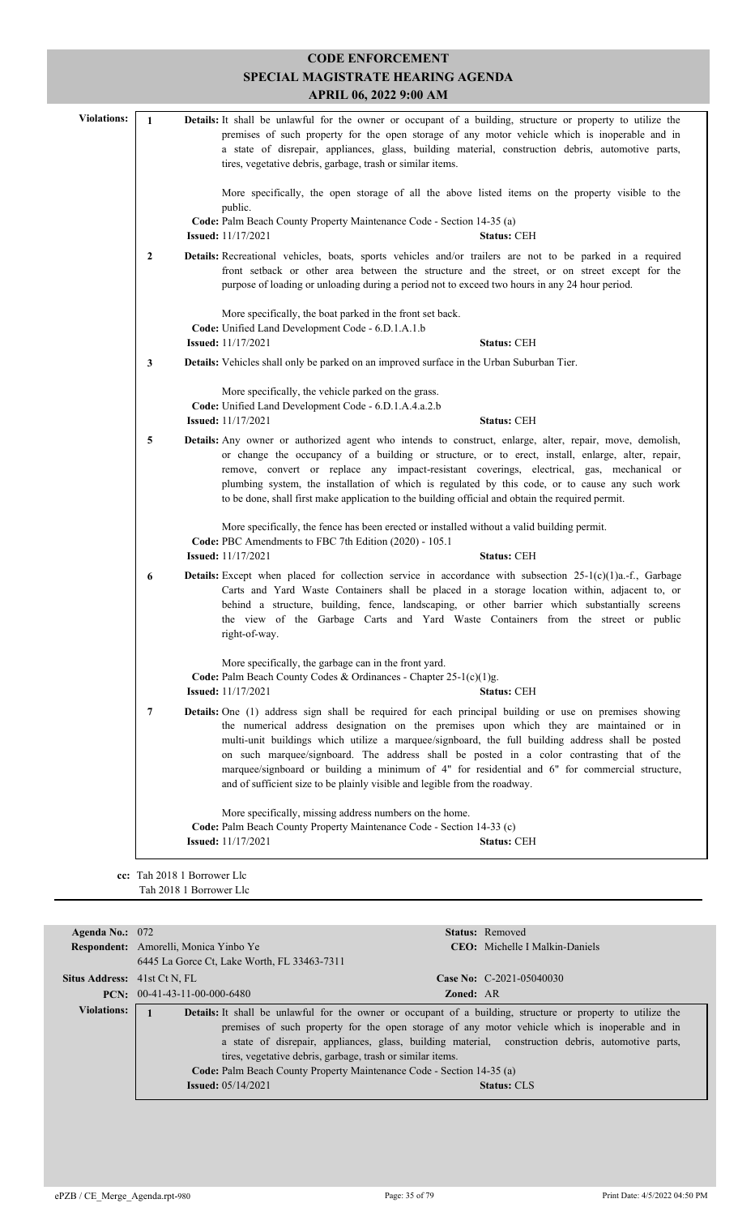|                    |              | <b>CODE ENFORCEMENT</b><br>SPECIAL MAGISTRATE HEARING AGENDA<br>APRIL 06, 2022 9:00 AM                                                                                                                                                                                                                                                                                                                                                                                                                                                                                                    |
|--------------------|--------------|-------------------------------------------------------------------------------------------------------------------------------------------------------------------------------------------------------------------------------------------------------------------------------------------------------------------------------------------------------------------------------------------------------------------------------------------------------------------------------------------------------------------------------------------------------------------------------------------|
|                    |              |                                                                                                                                                                                                                                                                                                                                                                                                                                                                                                                                                                                           |
| <b>Violations:</b> | $\mathbf{1}$ | Details: It shall be unlawful for the owner or occupant of a building, structure or property to utilize the<br>premises of such property for the open storage of any motor vehicle which is inoperable and in<br>a state of disrepair, appliances, glass, building material, construction debris, automotive parts,<br>tires, vegetative debris, garbage, trash or similar items.                                                                                                                                                                                                         |
|                    |              | More specifically, the open storage of all the above listed items on the property visible to the<br>public.<br>Code: Palm Beach County Property Maintenance Code - Section 14-35 (a)                                                                                                                                                                                                                                                                                                                                                                                                      |
|                    |              | <b>Issued:</b> 11/17/2021<br><b>Status: CEH</b>                                                                                                                                                                                                                                                                                                                                                                                                                                                                                                                                           |
|                    | 2            | Details: Recreational vehicles, boats, sports vehicles and/or trailers are not to be parked in a required<br>front setback or other area between the structure and the street, or on street except for the<br>purpose of loading or unloading during a period not to exceed two hours in any 24 hour period.                                                                                                                                                                                                                                                                              |
|                    |              | More specifically, the boat parked in the front set back.                                                                                                                                                                                                                                                                                                                                                                                                                                                                                                                                 |
|                    |              | Code: Unified Land Development Code - 6.D.1.A.1.b                                                                                                                                                                                                                                                                                                                                                                                                                                                                                                                                         |
|                    |              | <b>Issued:</b> 11/17/2021<br><b>Status: CEH</b>                                                                                                                                                                                                                                                                                                                                                                                                                                                                                                                                           |
|                    | 3            | <b>Details:</b> Vehicles shall only be parked on an improved surface in the Urban Suburban Tier.                                                                                                                                                                                                                                                                                                                                                                                                                                                                                          |
|                    |              | More specifically, the vehicle parked on the grass.<br>Code: Unified Land Development Code - 6.D.1.A.4.a.2.b                                                                                                                                                                                                                                                                                                                                                                                                                                                                              |
|                    |              | <b>Issued:</b> 11/17/2021<br><b>Status: CEH</b>                                                                                                                                                                                                                                                                                                                                                                                                                                                                                                                                           |
|                    | 5            | Details: Any owner or authorized agent who intends to construct, enlarge, alter, repair, move, demolish,<br>or change the occupancy of a building or structure, or to erect, install, enlarge, alter, repair,<br>remove, convert or replace any impact-resistant coverings, electrical, gas, mechanical or<br>plumbing system, the installation of which is regulated by this code, or to cause any such work<br>to be done, shall first make application to the building official and obtain the required permit.                                                                        |
|                    |              | More specifically, the fence has been erected or installed without a valid building permit.<br>Code: PBC Amendments to FBC 7th Edition (2020) - 105.1                                                                                                                                                                                                                                                                                                                                                                                                                                     |
|                    |              | <b>Issued:</b> 11/17/2021<br><b>Status: CEH</b>                                                                                                                                                                                                                                                                                                                                                                                                                                                                                                                                           |
|                    | 6            | <b>Details:</b> Except when placed for collection service in accordance with subsection $25-1(c)(1)a-f$ , Garbage<br>Carts and Yard Waste Containers shall be placed in a storage location within, adjacent to, or<br>behind a structure, building, fence, landscaping, or other barrier which substantially screens<br>the view of the Garbage Carts and Yard Waste Containers from the street or public<br>right-of-way.                                                                                                                                                                |
|                    |              | More specifically, the garbage can in the front yard.<br>Code: Palm Beach County Codes & Ordinances - Chapter $25-1(c)(1)g$ .<br><b>Issued:</b> 11/17/2021<br><b>Status: CEH</b>                                                                                                                                                                                                                                                                                                                                                                                                          |
|                    | 7            | <b>Details:</b> One (1) address sign shall be required for each principal building or use on premises showing<br>the numerical address designation on the premises upon which they are maintained or in<br>multi-unit buildings which utilize a marquee/signboard, the full building address shall be posted<br>on such marquee/signboard. The address shall be posted in a color contrasting that of the<br>marquee/signboard or building a minimum of 4" for residential and 6" for commercial structure,<br>and of sufficient size to be plainly visible and legible from the roadway. |
|                    |              | More specifically, missing address numbers on the home.<br>Code: Palm Beach County Property Maintenance Code - Section 14-33 (c)<br><b>Issued:</b> 11/17/2021<br><b>Status: CEH</b>                                                                                                                                                                                                                                                                                                                                                                                                       |

| Agenda No.: $072$                   |                                                                                                    |                  | <b>Status:</b> Removed                                                                                             |  |
|-------------------------------------|----------------------------------------------------------------------------------------------------|------------------|--------------------------------------------------------------------------------------------------------------------|--|
|                                     | Respondent: Amorelli, Monica Yinbo Ye                                                              |                  | <b>CEO:</b> Michelle I Malkin-Daniels                                                                              |  |
|                                     | 6445 La Gorce Ct, Lake Worth, FL 33463-7311                                                        |                  |                                                                                                                    |  |
| <b>Situs Address:</b> 41st Ct N, FL |                                                                                                    |                  | Case No: $C-2021-05040030$                                                                                         |  |
|                                     | <b>PCN:</b> $00-41-43-11-00-000-6480$                                                              | <b>Zoned: AR</b> |                                                                                                                    |  |
| <b>Violations:</b>                  |                                                                                                    |                  | <b>Details:</b> It shall be unlawful for the owner or occupant of a building, structure or property to utilize the |  |
|                                     | premises of such property for the open storage of any motor vehicle which is inoperable and in     |                  |                                                                                                                    |  |
|                                     | a state of disrepair, appliances, glass, building material, construction debris, automotive parts, |                  |                                                                                                                    |  |
|                                     | tires, vegetative debris, garbage, trash or similar items.                                         |                  |                                                                                                                    |  |
|                                     | Code: Palm Beach County Property Maintenance Code - Section 14-35 (a)                              |                  |                                                                                                                    |  |
|                                     | <b>Issued:</b> $05/14/2021$                                                                        |                  | <b>Status: CLS</b>                                                                                                 |  |
|                                     |                                                                                                    |                  |                                                                                                                    |  |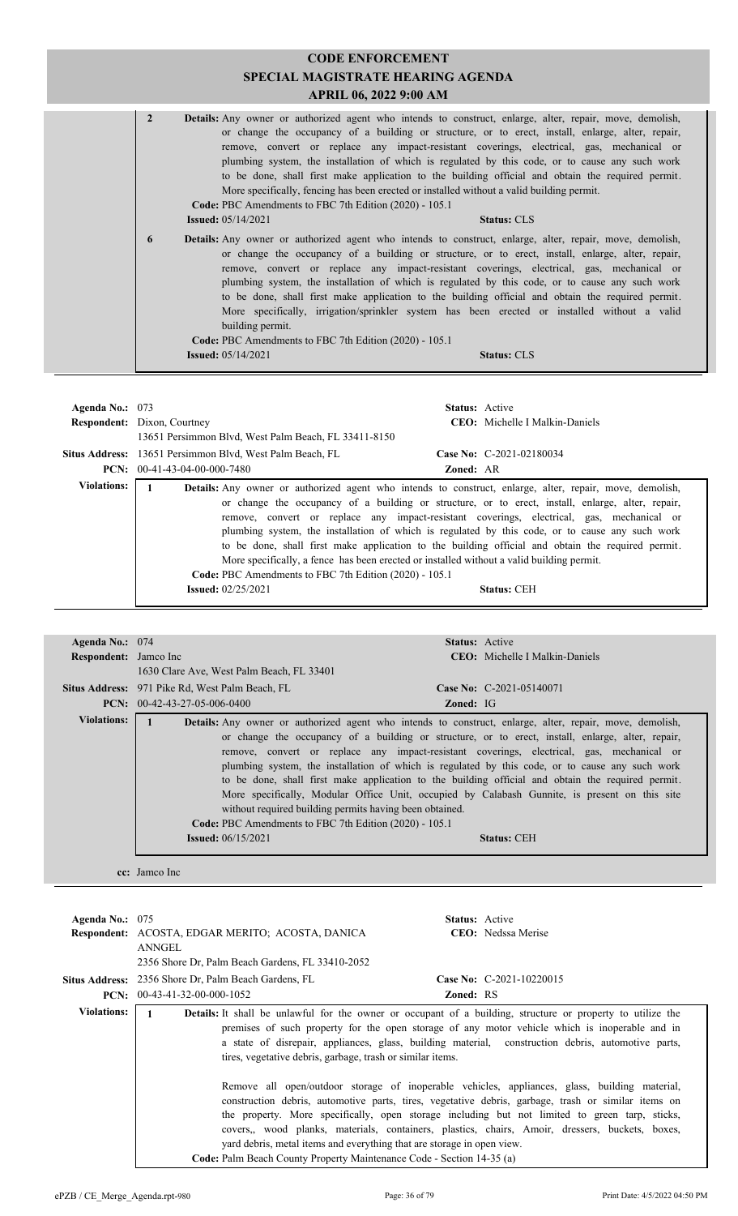| <b>CODE ENFORCEMENT</b><br><b>SPECIAL MAGISTRATE HEARING AGENDA</b><br>APRIL 06, 2022 9:00 AM |                                                                                                                                                                                                                                                                                                                                                                                                                                                                                                                                                                                                                                                                                                                              |  |  |
|-----------------------------------------------------------------------------------------------|------------------------------------------------------------------------------------------------------------------------------------------------------------------------------------------------------------------------------------------------------------------------------------------------------------------------------------------------------------------------------------------------------------------------------------------------------------------------------------------------------------------------------------------------------------------------------------------------------------------------------------------------------------------------------------------------------------------------------|--|--|
| $\overline{2}$                                                                                | Details: Any owner or authorized agent who intends to construct, enlarge, alter, repair, move, demolish,<br>or change the occupancy of a building or structure, or to erect, install, enlarge, alter, repair,<br>remove, convert or replace any impact-resistant coverings, electrical, gas, mechanical or<br>plumbing system, the installation of which is regulated by this code, or to cause any such work<br>to be done, shall first make application to the building official and obtain the required permit.<br>More specifically, fencing has been erected or installed without a valid building permit.<br>Code: PBC Amendments to FBC 7th Edition (2020) - 105.1<br><b>Issued:</b> 05/14/2021<br><b>Status: CLS</b> |  |  |
| 6                                                                                             | <b>Details:</b> Any owner or authorized agent who intends to construct, enlarge, alter, repair, move, demolish,<br>or change the occupancy of a building or structure, or to erect, install, enlarge, alter, repair,<br>remove, convert or replace any impact-resistant coverings, electrical, gas, mechanical or<br>plumbing system, the installation of which is regulated by this code, or to cause any such work<br>to be done, shall first make application to the building official and obtain the required permit.<br>More specifically, irrigation/sprinkler system has been erected or installed without a valid<br>building permit.<br>Code: PBC Amendments to FBC 7th Edition (2020) - 105.1                      |  |  |
|                                                                                               | <b>Issued:</b> $05/14/2021$<br><b>Status: CLS</b>                                                                                                                                                                                                                                                                                                                                                                                                                                                                                                                                                                                                                                                                            |  |  |

| Agenda No.: $073$  |                                                                                                                                                                                                                                                                                                                                                                                                                                                                                                                                                                                                                                                                                                                                     | <b>Status:</b> Active                 |
|--------------------|-------------------------------------------------------------------------------------------------------------------------------------------------------------------------------------------------------------------------------------------------------------------------------------------------------------------------------------------------------------------------------------------------------------------------------------------------------------------------------------------------------------------------------------------------------------------------------------------------------------------------------------------------------------------------------------------------------------------------------------|---------------------------------------|
|                    | <b>Respondent:</b> Dixon, Courtney                                                                                                                                                                                                                                                                                                                                                                                                                                                                                                                                                                                                                                                                                                  | <b>CEO:</b> Michelle I Malkin-Daniels |
|                    | 13651 Persimmon Blvd, West Palm Beach, FL 33411-8150                                                                                                                                                                                                                                                                                                                                                                                                                                                                                                                                                                                                                                                                                |                                       |
|                    | Situs Address: 13651 Persimmon Blvd, West Palm Beach, FL                                                                                                                                                                                                                                                                                                                                                                                                                                                                                                                                                                                                                                                                            | Case No: C-2021-02180034              |
|                    | <b>PCN:</b> $00-41-43-04-00-000-7480$                                                                                                                                                                                                                                                                                                                                                                                                                                                                                                                                                                                                                                                                                               | <b>Zoned: AR</b>                      |
| <b>Violations:</b> | <b>Details:</b> Any owner or authorized agent who intends to construct, enlarge, alter, repair, move, demolish,<br>or change the occupancy of a building or structure, or to erect, install, enlarge, alter, repair,<br>remove, convert or replace any impact-resistant coverings, electrical, gas, mechanical or<br>plumbing system, the installation of which is regulated by this code, or to cause any such work<br>to be done, shall first make application to the building official and obtain the required permit.<br>More specifically, a fence has been erected or installed without a valid building permit.<br>Code: PBC Amendments to FBC 7th Edition (2020) - 105.1<br><b>Issued:</b> 02/25/2021<br><b>Status: CEH</b> |                                       |

| Agenda No.: $074$            |                                                                                                                          | <b>Status:</b> Active                                                                                                                                                                                                                                                                                                                                                                                                                                                                                                                                                                                               |
|------------------------------|--------------------------------------------------------------------------------------------------------------------------|---------------------------------------------------------------------------------------------------------------------------------------------------------------------------------------------------------------------------------------------------------------------------------------------------------------------------------------------------------------------------------------------------------------------------------------------------------------------------------------------------------------------------------------------------------------------------------------------------------------------|
| <b>Respondent:</b> Jamco Inc |                                                                                                                          | <b>CEO:</b> Michelle I Malkin-Daniels                                                                                                                                                                                                                                                                                                                                                                                                                                                                                                                                                                               |
|                              | 1630 Clare Ave, West Palm Beach, FL 33401                                                                                |                                                                                                                                                                                                                                                                                                                                                                                                                                                                                                                                                                                                                     |
|                              | <b>Situs Address:</b> 971 Pike Rd, West Palm Beach, FL                                                                   | Case No: $C-2021-05140071$                                                                                                                                                                                                                                                                                                                                                                                                                                                                                                                                                                                          |
|                              | $PCN: 00-42-43-27-05-006-0400$                                                                                           | <b>Zoned:</b> IG                                                                                                                                                                                                                                                                                                                                                                                                                                                                                                                                                                                                    |
| <b>Violations:</b>           | without required building permits having been obtained.<br><b>Code: PBC</b> Amendments to FBC 7th Edition (2020) - 105.1 | Details: Any owner or authorized agent who intends to construct, enlarge, alter, repair, move, demolish,<br>or change the occupancy of a building or structure, or to erect, install, enlarge, alter, repair,<br>remove, convert or replace any impact-resistant coverings, electrical, gas, mechanical or<br>plumbing system, the installation of which is regulated by this code, or to cause any such work<br>to be done, shall first make application to the building official and obtain the required permit.<br>More specifically, Modular Office Unit, occupied by Calabash Gunnite, is present on this site |
|                              | <b>Issued:</b> $06/15/2021$                                                                                              | <b>Status: CEH</b>                                                                                                                                                                                                                                                                                                                                                                                                                                                                                                                                                                                                  |
|                              | cc: Jamco Inc                                                                                                            |                                                                                                                                                                                                                                                                                                                                                                                                                                                                                                                                                                                                                     |

| Agenda No.: $075$  | Respondent: ACOSTA, EDGAR MERITO; ACOSTA, DANICA                                                                                                                                                                                                                                                                                                                                         | <b>Status:</b> Active | <b>CEO</b> : Nedssa Merise                                                                                                                                                                                                                                                                                                                                                                               |
|--------------------|------------------------------------------------------------------------------------------------------------------------------------------------------------------------------------------------------------------------------------------------------------------------------------------------------------------------------------------------------------------------------------------|-----------------------|----------------------------------------------------------------------------------------------------------------------------------------------------------------------------------------------------------------------------------------------------------------------------------------------------------------------------------------------------------------------------------------------------------|
|                    | ANNGEL                                                                                                                                                                                                                                                                                                                                                                                   |                       |                                                                                                                                                                                                                                                                                                                                                                                                          |
|                    | 2356 Shore Dr. Palm Beach Gardens, FL 33410-2052                                                                                                                                                                                                                                                                                                                                         |                       |                                                                                                                                                                                                                                                                                                                                                                                                          |
|                    | <b>Situs Address:</b> 2356 Shore Dr, Palm Beach Gardens, FL                                                                                                                                                                                                                                                                                                                              |                       | Case No: C-2021-10220015                                                                                                                                                                                                                                                                                                                                                                                 |
|                    | <b>PCN:</b> $00-43-41-32-00-000-1052$                                                                                                                                                                                                                                                                                                                                                    | <b>Zoned: RS</b>      |                                                                                                                                                                                                                                                                                                                                                                                                          |
| <b>Violations:</b> | <b>Details:</b> It shall be unlawful for the owner or occupant of a building, structure or property to utilize the<br>premises of such property for the open storage of any motor vehicle which is inoperable and in<br>a state of disrepair, appliances, glass, building material, construction debris, automotive parts,<br>tires, vegetative debris, garbage, trash or similar items. |                       |                                                                                                                                                                                                                                                                                                                                                                                                          |
|                    | yard debris, metal items and everything that are storage in open view.<br>Code: Palm Beach County Property Maintenance Code - Section 14-35 (a)                                                                                                                                                                                                                                          |                       | Remove all open/outdoor storage of inoperable vehicles, appliances, glass, building material,<br>construction debris, automotive parts, tires, vegetative debris, garbage, trash or similar items on<br>the property. More specifically, open storage including but not limited to green tarp, sticks,<br>covers, wood planks, materials, containers, plastics, chairs, Amoir, dressers, buckets, boxes, |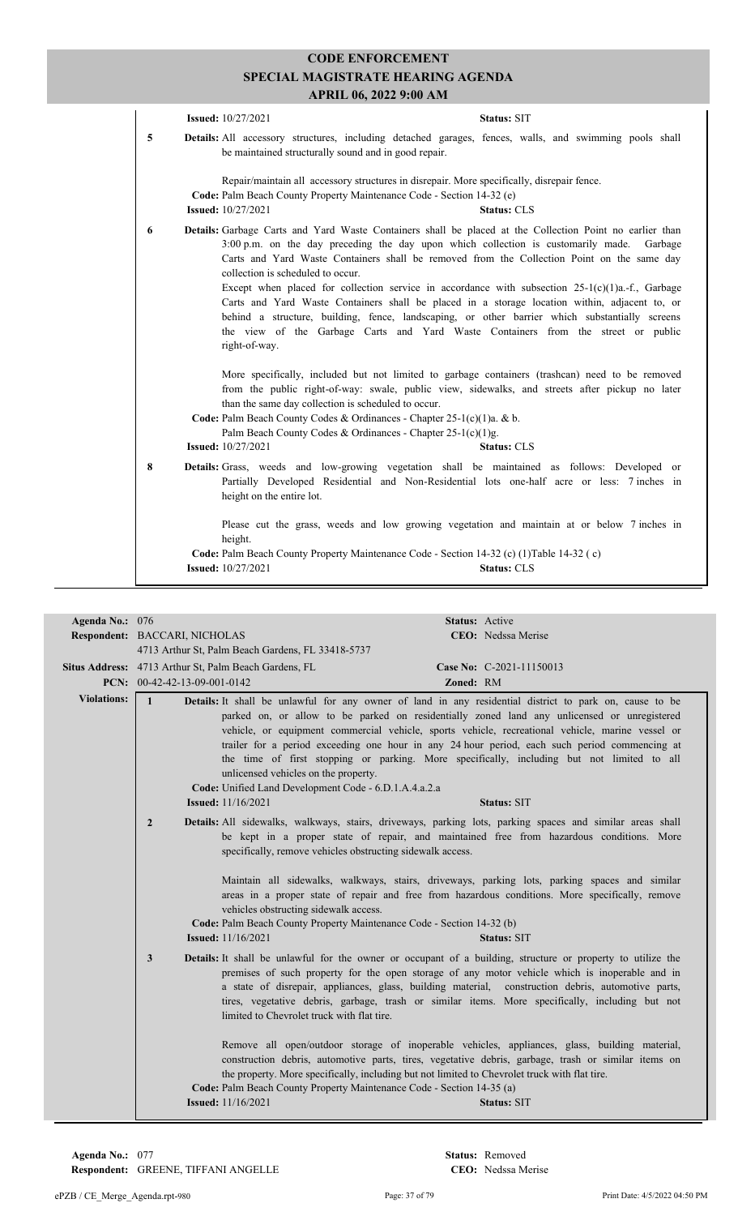|   | <b>Issued:</b> 10/27/2021<br>Status: SIT                                                                                                                                                                                                                                                                                                                                                                                                                                                                                                                                                                                                                                                                                                                    |
|---|-------------------------------------------------------------------------------------------------------------------------------------------------------------------------------------------------------------------------------------------------------------------------------------------------------------------------------------------------------------------------------------------------------------------------------------------------------------------------------------------------------------------------------------------------------------------------------------------------------------------------------------------------------------------------------------------------------------------------------------------------------------|
| 5 | <b>Details:</b> All accessory structures, including detached garages, fences, walls, and swimming pools shall<br>be maintained structurally sound and in good repair.                                                                                                                                                                                                                                                                                                                                                                                                                                                                                                                                                                                       |
|   | Repair/maintain all accessory structures in disrepair. More specifically, disrepair fence.<br>Code: Palm Beach County Property Maintenance Code - Section 14-32 (e)<br><b>Issued:</b> 10/27/2021<br><b>Status: CLS</b>                                                                                                                                                                                                                                                                                                                                                                                                                                                                                                                                      |
| 6 | Details: Garbage Carts and Yard Waste Containers shall be placed at the Collection Point no earlier than<br>3:00 p.m. on the day preceding the day upon which collection is customarily made.<br>Garbage<br>Carts and Yard Waste Containers shall be removed from the Collection Point on the same day<br>collection is scheduled to occur.<br>Except when placed for collection service in accordance with subsection $25-1(c)(1)a$ . f., Garbage<br>Carts and Yard Waste Containers shall be placed in a storage location within, adjacent to, or<br>behind a structure, building, fence, landscaping, or other barrier which substantially screens<br>the view of the Garbage Carts and Yard Waste Containers from the street or public<br>right-of-way. |
|   | More specifically, included but not limited to garbage containers (trashcan) need to be removed<br>from the public right-of-way: swale, public view, sidewalks, and streets after pickup no later<br>than the same day collection is scheduled to occur.<br>Code: Palm Beach County Codes & Ordinances - Chapter 25-1(c)(1)a. & b.<br>Palm Beach County Codes & Ordinances - Chapter 25-1(c)(1)g.<br><b>Issued:</b> 10/27/2021<br><b>Status: CLS</b>                                                                                                                                                                                                                                                                                                        |
| 8 | Details: Grass, weeds and low-growing vegetation shall be maintained as follows: Developed or<br>Partially Developed Residential and Non-Residential lots one-half acre or less: 7 inches in<br>height on the entire lot.                                                                                                                                                                                                                                                                                                                                                                                                                                                                                                                                   |
|   | Please cut the grass, weeds and low growing vegetation and maintain at or below 7 inches in<br>height.<br>Code: Palm Beach County Property Maintenance Code - Section 14-32 (c) (1) Table 14-32 (c)<br><b>Issued:</b> 10/27/2021<br><b>Status: CLS</b>                                                                                                                                                                                                                                                                                                                                                                                                                                                                                                      |

| Agenda No.: 076    |                                                                                                                                                                                                                                                        | Status: Active                                                                                                                                                                                                                                                                                                                                                                                                                                                                                                                                                                                                                                       |
|--------------------|--------------------------------------------------------------------------------------------------------------------------------------------------------------------------------------------------------------------------------------------------------|------------------------------------------------------------------------------------------------------------------------------------------------------------------------------------------------------------------------------------------------------------------------------------------------------------------------------------------------------------------------------------------------------------------------------------------------------------------------------------------------------------------------------------------------------------------------------------------------------------------------------------------------------|
|                    | Respondent: BACCARI, NICHOLAS                                                                                                                                                                                                                          | <b>CEO</b> : Nedssa Merise                                                                                                                                                                                                                                                                                                                                                                                                                                                                                                                                                                                                                           |
|                    | 4713 Arthur St, Palm Beach Gardens, FL 33418-5737                                                                                                                                                                                                      |                                                                                                                                                                                                                                                                                                                                                                                                                                                                                                                                                                                                                                                      |
|                    | Situs Address: 4713 Arthur St, Palm Beach Gardens, FL                                                                                                                                                                                                  | Case No: C-2021-11150013                                                                                                                                                                                                                                                                                                                                                                                                                                                                                                                                                                                                                             |
|                    | PCN: 00-42-42-13-09-001-0142                                                                                                                                                                                                                           | Zoned: RM                                                                                                                                                                                                                                                                                                                                                                                                                                                                                                                                                                                                                                            |
| <b>Violations:</b> | $\mathbf{1}$<br>unlicensed vehicles on the property.<br>Code: Unified Land Development Code - 6.D.1.A.4.a.2.a<br><b>Issued:</b> 11/16/2021                                                                                                             | Details: It shall be unlawful for any owner of land in any residential district to park on, cause to be<br>parked on, or allow to be parked on residentially zoned land any unlicensed or unregistered<br>vehicle, or equipment commercial vehicle, sports vehicle, recreational vehicle, marine vessel or<br>trailer for a period exceeding one hour in any 24 hour period, each such period commencing at<br>the time of first stopping or parking. More specifically, including but not limited to all<br><b>Status: SIT</b>                                                                                                                      |
|                    | $\overline{2}$<br>specifically, remove vehicles obstructing sidewalk access.<br>vehicles obstructing sidewalk access.<br>Code: Palm Beach County Property Maintenance Code - Section 14-32 (b)<br><b>Issued:</b> 11/16/2021                            | Details: All sidewalks, walkways, stairs, driveways, parking lots, parking spaces and similar areas shall<br>be kept in a proper state of repair, and maintained free from hazardous conditions. More<br>Maintain all sidewalks, walkways, stairs, driveways, parking lots, parking spaces and similar<br>areas in a proper state of repair and free from hazardous conditions. More specifically, remove<br><b>Status: SIT</b>                                                                                                                                                                                                                      |
|                    | 3<br>limited to Chevrolet truck with flat tire.<br>the property. More specifically, including but not limited to Chevrolet truck with flat tire.<br>Code: Palm Beach County Property Maintenance Code - Section 14-35 (a)<br><b>Issued:</b> 11/16/2021 | Details: It shall be unlawful for the owner or occupant of a building, structure or property to utilize the<br>premises of such property for the open storage of any motor vehicle which is inoperable and in<br>a state of disrepair, appliances, glass, building material, construction debris, automotive parts,<br>tires, vegetative debris, garbage, trash or similar items. More specifically, including but not<br>Remove all open/outdoor storage of inoperable vehicles, appliances, glass, building material,<br>construction debris, automotive parts, tires, vegetative debris, garbage, trash or similar items on<br><b>Status: SIT</b> |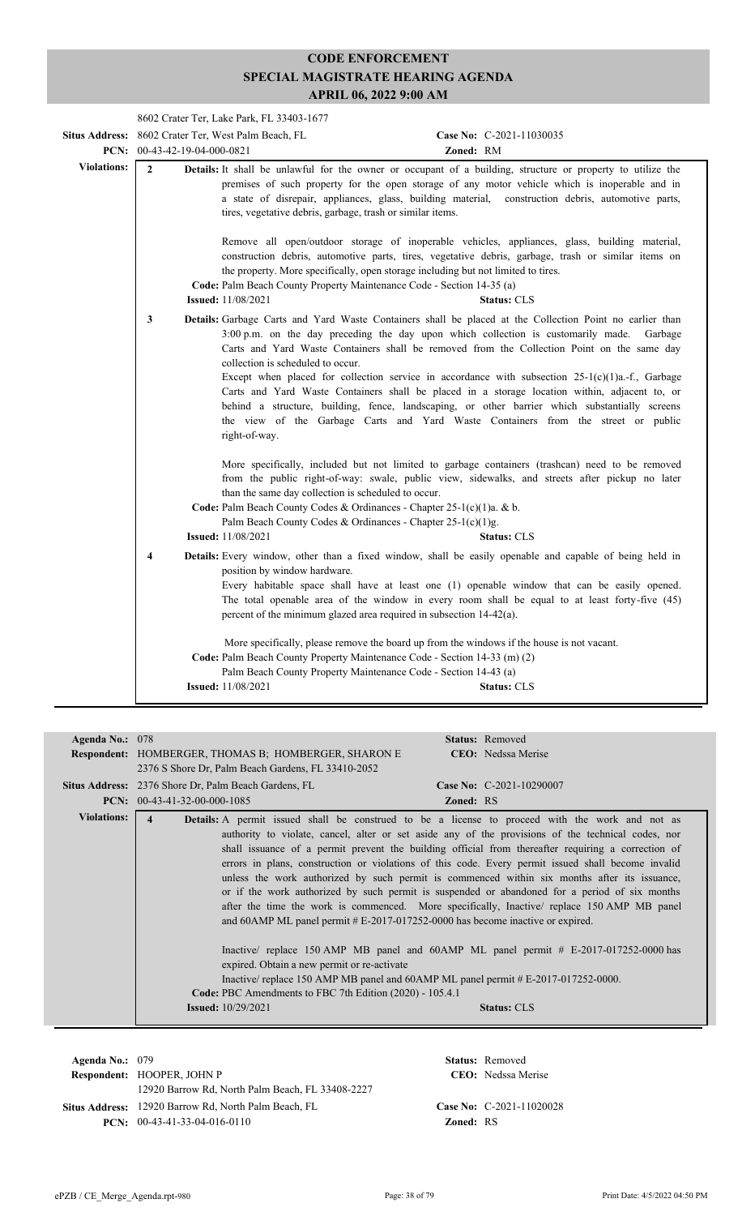|                    | 8602 Crater Ter, Lake Park, FL 33403-1677 |                                                                                                                                                                                                                                                                         |                                                                                                                                                                                                                                                                                                                                                                                                                                                                                                                                                                                                                  |  |
|--------------------|-------------------------------------------|-------------------------------------------------------------------------------------------------------------------------------------------------------------------------------------------------------------------------------------------------------------------------|------------------------------------------------------------------------------------------------------------------------------------------------------------------------------------------------------------------------------------------------------------------------------------------------------------------------------------------------------------------------------------------------------------------------------------------------------------------------------------------------------------------------------------------------------------------------------------------------------------------|--|
|                    |                                           | Situs Address: 8602 Crater Ter, West Palm Beach, FL                                                                                                                                                                                                                     | Case No: C-2021-11030035                                                                                                                                                                                                                                                                                                                                                                                                                                                                                                                                                                                         |  |
|                    | PCN: $00-43-42-19-04-000-0821$            |                                                                                                                                                                                                                                                                         | Zoned: RM                                                                                                                                                                                                                                                                                                                                                                                                                                                                                                                                                                                                        |  |
| <b>Violations:</b> | $\overline{2}$                            | tires, vegetative debris, garbage, trash or similar items.                                                                                                                                                                                                              | Details: It shall be unlawful for the owner or occupant of a building, structure or property to utilize the<br>premises of such property for the open storage of any motor vehicle which is inoperable and in<br>a state of disrepair, appliances, glass, building material, construction debris, automotive parts,                                                                                                                                                                                                                                                                                              |  |
|                    |                                           | the property. More specifically, open storage including but not limited to tires.<br>Code: Palm Beach County Property Maintenance Code - Section 14-35 (a)<br><b>Issued:</b> 11/08/2021                                                                                 | Remove all open/outdoor storage of inoperable vehicles, appliances, glass, building material,<br>construction debris, automotive parts, tires, vegetative debris, garbage, trash or similar items on<br><b>Status: CLS</b>                                                                                                                                                                                                                                                                                                                                                                                       |  |
|                    | $\mathbf{3}$                              | 3:00 p.m. on the day preceding the day upon which collection is customarily made.<br>collection is scheduled to occur.<br>right-of-way.                                                                                                                                 | Details: Garbage Carts and Yard Waste Containers shall be placed at the Collection Point no earlier than<br>Garbage<br>Carts and Yard Waste Containers shall be removed from the Collection Point on the same day<br>Except when placed for collection service in accordance with subsection $25-1(c)(1)a$ .-f., Garbage<br>Carts and Yard Waste Containers shall be placed in a storage location within, adjacent to, or<br>behind a structure, building, fence, landscaping, or other barrier which substantially screens<br>the view of the Garbage Carts and Yard Waste Containers from the street or public |  |
|                    |                                           | than the same day collection is scheduled to occur.<br>Code: Palm Beach County Codes & Ordinances - Chapter 25-1(c)(1)a. & b.<br>Palm Beach County Codes & Ordinances - Chapter 25-1(c)(1)g.<br><b>Issued:</b> 11/08/2021                                               | More specifically, included but not limited to garbage containers (trashcan) need to be removed<br>from the public right-of-way: swale, public view, sidewalks, and streets after pickup no later<br><b>Status: CLS</b>                                                                                                                                                                                                                                                                                                                                                                                          |  |
|                    | $\overline{\mathbf{4}}$                   | position by window hardware.<br>percent of the minimum glazed area required in subsection 14-42(a).                                                                                                                                                                     | Details: Every window, other than a fixed window, shall be easily openable and capable of being held in<br>Every habitable space shall have at least one (1) openable window that can be easily opened.<br>The total openable area of the window in every room shall be equal to at least forty-five (45)                                                                                                                                                                                                                                                                                                        |  |
|                    |                                           | More specifically, please remove the board up from the windows if the house is not vacant.<br>Code: Palm Beach County Property Maintenance Code - Section 14-33 (m) (2)<br>Palm Beach County Property Maintenance Code - Section 14-43 (a)<br><b>Issued:</b> 11/08/2021 | <b>Status: CLS</b>                                                                                                                                                                                                                                                                                                                                                                                                                                                                                                                                                                                               |  |

| Agenda No.: 078    |                                                                                               | <b>Status:</b> Removed                                                                                 |  |  |  |
|--------------------|-----------------------------------------------------------------------------------------------|--------------------------------------------------------------------------------------------------------|--|--|--|
|                    | <b>Respondent:</b> HOMBERGER, THOMAS B; HOMBERGER, SHARON E                                   | <b>CEO</b> : Nedssa Merise                                                                             |  |  |  |
|                    | 2376 S Shore Dr, Palm Beach Gardens, FL 33410-2052                                            |                                                                                                        |  |  |  |
|                    | <b>Situs Address:</b> 2376 Shore Dr, Palm Beach Gardens, FL                                   | Case No: C-2021-10290007                                                                               |  |  |  |
|                    | <b>PCN:</b> $00-43-41-32-00-000-1085$                                                         | <b>Zoned: RS</b>                                                                                       |  |  |  |
| <b>Violations:</b> |                                                                                               | <b>Details:</b> A permit issued shall be construed to be a license to proceed with the work and not as |  |  |  |
|                    |                                                                                               | authority to violate, cancel, alter or set aside any of the provisions of the technical codes, nor     |  |  |  |
|                    |                                                                                               | shall issuance of a permit prevent the building official from thereafter requiring a correction of     |  |  |  |
|                    |                                                                                               | errors in plans, construction or violations of this code. Every permit issued shall become invalid     |  |  |  |
|                    | unless the work authorized by such permit is commenced within six months after its issuance,  |                                                                                                        |  |  |  |
|                    | or if the work authorized by such permit is suspended or abandoned for a period of six months |                                                                                                        |  |  |  |
|                    |                                                                                               | after the time the work is commenced. More specifically, Inactive/ replace 150 AMP MB panel            |  |  |  |
|                    |                                                                                               | and 60AMP ML panel permit # E-2017-017252-0000 has become inactive or expired.                         |  |  |  |
|                    |                                                                                               |                                                                                                        |  |  |  |
|                    |                                                                                               | Inactive/ replace 150 AMP MB panel and 60AMP ML panel permit # E-2017-017252-0000 has                  |  |  |  |
|                    | expired. Obtain a new permit or re-activate                                                   |                                                                                                        |  |  |  |
|                    |                                                                                               | Inactive/ replace 150 AMP MB panel and 60AMP ML panel permit $#E-2017-017252-0000$ .                   |  |  |  |
|                    | Code: PBC Amendments to FBC 7th Edition (2020) - 105.4.1                                      |                                                                                                        |  |  |  |
|                    | <b>Issued:</b> 10/29/2021                                                                     | <b>Status: CLS</b>                                                                                     |  |  |  |
|                    |                                                                                               |                                                                                                        |  |  |  |
|                    |                                                                                               |                                                                                                        |  |  |  |

**Respondent:** HOOPER, JOHN P **Agenda No.:** 079 **Status:** Removed CEO: Nedssa Merise 12920 Barrow Rd, North Palm Beach, FL 33408-2227 Situs Address: 12920 Barrow Rd, North Palm Beach, FL **Case No:** C-2021-11020028 **PCN:** 00-43-41-33-04-016-0110 **Zoned:** RS

ePZB / CE\_Merge\_Agenda.rpt-980 Page: 38 of 79 Print Date: 4/5/2022 04:50 PM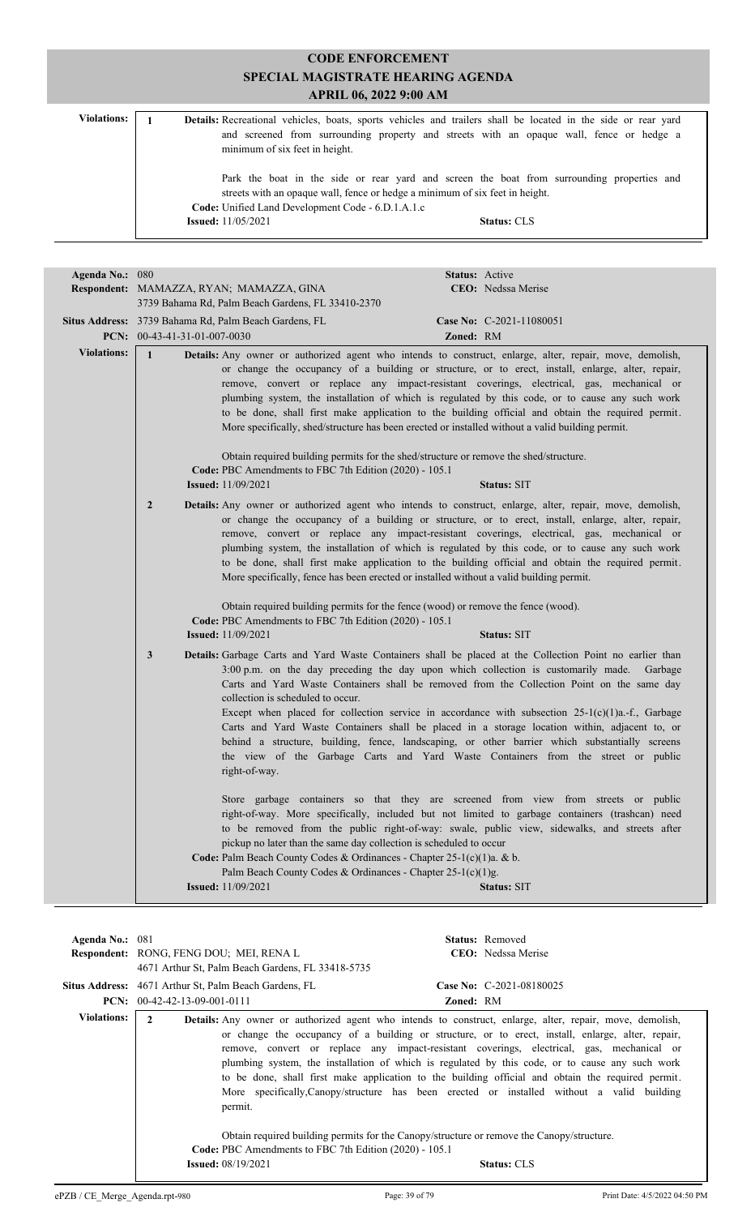|                    | <b>CODE ENFORCEMENT</b><br>SPECIAL MAGISTRATE HEARING AGENDA<br><b>APRIL 06, 2022 9:00 AM</b> |                                                                                                                                                                                                           |
|--------------------|-----------------------------------------------------------------------------------------------|-----------------------------------------------------------------------------------------------------------------------------------------------------------------------------------------------------------|
| <b>Violations:</b> | minimum of six feet in height.                                                                | Details: Recreational vehicles, boats, sports vehicles and trailers shall be located in the side or rear yard<br>and screened from surrounding property and streets with an opaque wall, fence or hedge a |
|                    | Code: Unified Land Development Code - 6.D.1.A.1.c<br><b>Issued:</b> 11/05/2021                | Park the boat in the side or rear yard and screen the boat from surrounding properties and<br>streets with an opaque wall, fence or hedge a minimum of six feet in height.<br><b>Status: CLS</b>          |

| Agenda No.: 080    | Status: Active                                                                                                                                                                                                                                                                                                                                                                                                                                                                                                                                                                                                                                                                                                                                                |
|--------------------|---------------------------------------------------------------------------------------------------------------------------------------------------------------------------------------------------------------------------------------------------------------------------------------------------------------------------------------------------------------------------------------------------------------------------------------------------------------------------------------------------------------------------------------------------------------------------------------------------------------------------------------------------------------------------------------------------------------------------------------------------------------|
|                    | Respondent: MAMAZZA, RYAN; MAMAZZA, GINA<br>CEO: Nedssa Merise                                                                                                                                                                                                                                                                                                                                                                                                                                                                                                                                                                                                                                                                                                |
|                    | 3739 Bahama Rd, Palm Beach Gardens, FL 33410-2370                                                                                                                                                                                                                                                                                                                                                                                                                                                                                                                                                                                                                                                                                                             |
|                    | Situs Address: 3739 Bahama Rd, Palm Beach Gardens, FL<br>Case No: C-2021-11080051                                                                                                                                                                                                                                                                                                                                                                                                                                                                                                                                                                                                                                                                             |
|                    | PCN: 00-43-41-31-01-007-0030<br>Zoned: RM                                                                                                                                                                                                                                                                                                                                                                                                                                                                                                                                                                                                                                                                                                                     |
| <b>Violations:</b> | $\mathbf{1}$<br><b>Details:</b> Any owner or authorized agent who intends to construct, enlarge, alter, repair, move, demolish,<br>or change the occupancy of a building or structure, or to erect, install, enlarge, alter, repair,<br>remove, convert or replace any impact-resistant coverings, electrical, gas, mechanical or<br>plumbing system, the installation of which is regulated by this code, or to cause any such work<br>to be done, shall first make application to the building official and obtain the required permit.<br>More specifically, shed/structure has been erected or installed without a valid building permit.                                                                                                                 |
|                    | Obtain required building permits for the shed/structure or remove the shed/structure.<br>Code: PBC Amendments to FBC 7th Edition (2020) - 105.1                                                                                                                                                                                                                                                                                                                                                                                                                                                                                                                                                                                                               |
|                    | <b>Issued:</b> 11/09/2021<br>Status: SIT                                                                                                                                                                                                                                                                                                                                                                                                                                                                                                                                                                                                                                                                                                                      |
|                    | $\overline{2}$<br><b>Details:</b> Any owner or authorized agent who intends to construct, enlarge, alter, repair, move, demolish,<br>or change the occupancy of a building or structure, or to erect, install, enlarge, alter, repair,<br>remove, convert or replace any impact-resistant coverings, electrical, gas, mechanical or<br>plumbing system, the installation of which is regulated by this code, or to cause any such work<br>to be done, shall first make application to the building official and obtain the required permit.<br>More specifically, fence has been erected or installed without a valid building permit.                                                                                                                        |
|                    | Obtain required building permits for the fence (wood) or remove the fence (wood).<br>Code: PBC Amendments to FBC 7th Edition (2020) - 105.1<br><b>Issued:</b> 11/09/2021<br><b>Status: SIT</b>                                                                                                                                                                                                                                                                                                                                                                                                                                                                                                                                                                |
|                    | 3<br>Details: Garbage Carts and Yard Waste Containers shall be placed at the Collection Point no earlier than<br>3:00 p.m. on the day preceding the day upon which collection is customarily made. Garbage<br>Carts and Yard Waste Containers shall be removed from the Collection Point on the same day<br>collection is scheduled to occur.<br>Except when placed for collection service in accordance with subsection $25-1(c)(1)a$ .-f., Garbage<br>Carts and Yard Waste Containers shall be placed in a storage location within, adjacent to, or<br>behind a structure, building, fence, landscaping, or other barrier which substantially screens<br>the view of the Garbage Carts and Yard Waste Containers from the street or public<br>right-of-way. |
|                    | Store garbage containers so that they are screened from view from streets or public<br>right-of-way. More specifically, included but not limited to garbage containers (trashcan) need<br>to be removed from the public right-of-way: swale, public view, sidewalks, and streets after<br>pickup no later than the same day collection is scheduled to occur<br>Code: Palm Beach County Codes & Ordinances - Chapter 25-1(c)(1)a. & b.<br>Palm Beach County Codes & Ordinances - Chapter 25-1(c)(1)g.<br><b>Issued:</b> 11/09/2021<br><b>Status: SIT</b>                                                                                                                                                                                                      |

| Agenda No.: $081$  |                                                                                                                                                                                                  |                  | <b>Status:</b> Removed                                                                                                                                                                                                                                                                                                                                                                                                                                                                                                                                                                                                                        |
|--------------------|--------------------------------------------------------------------------------------------------------------------------------------------------------------------------------------------------|------------------|-----------------------------------------------------------------------------------------------------------------------------------------------------------------------------------------------------------------------------------------------------------------------------------------------------------------------------------------------------------------------------------------------------------------------------------------------------------------------------------------------------------------------------------------------------------------------------------------------------------------------------------------------|
|                    | <b>Respondent: RONG, FENG DOU; MEI, RENA L</b>                                                                                                                                                   |                  | <b>CEO</b> : Nedssa Merise                                                                                                                                                                                                                                                                                                                                                                                                                                                                                                                                                                                                                    |
|                    | 4671 Arthur St, Palm Beach Gardens, FL 33418-5735                                                                                                                                                |                  |                                                                                                                                                                                                                                                                                                                                                                                                                                                                                                                                                                                                                                               |
|                    | Situs Address: 4671 Arthur St, Palm Beach Gardens, FL                                                                                                                                            |                  | Case No: C-2021-08180025                                                                                                                                                                                                                                                                                                                                                                                                                                                                                                                                                                                                                      |
|                    | <b>PCN:</b> $00-42-42-13-09-001-0111$                                                                                                                                                            | <b>Zoned: RM</b> |                                                                                                                                                                                                                                                                                                                                                                                                                                                                                                                                                                                                                                               |
| <b>Violations:</b> | 2<br>permit.<br>Obtain required building permits for the Canopy/structure or remove the Canopy/structure.<br>Code: PBC Amendments to FBC 7th Edition (2020) - 105.1<br><b>Issued:</b> 08/19/2021 |                  | <b>Details:</b> Any owner or authorized agent who intends to construct, enlarge, alter, repair, move, demolish,<br>or change the occupancy of a building or structure, or to erect, install, enlarge, alter, repair,<br>remove, convert or replace any impact-resistant coverings, electrical, gas, mechanical or<br>plumbing system, the installation of which is regulated by this code, or to cause any such work<br>to be done, shall first make application to the building official and obtain the required permit.<br>More specifically, Canopy/structure has been erected or installed without a valid building<br><b>Status: CLS</b> |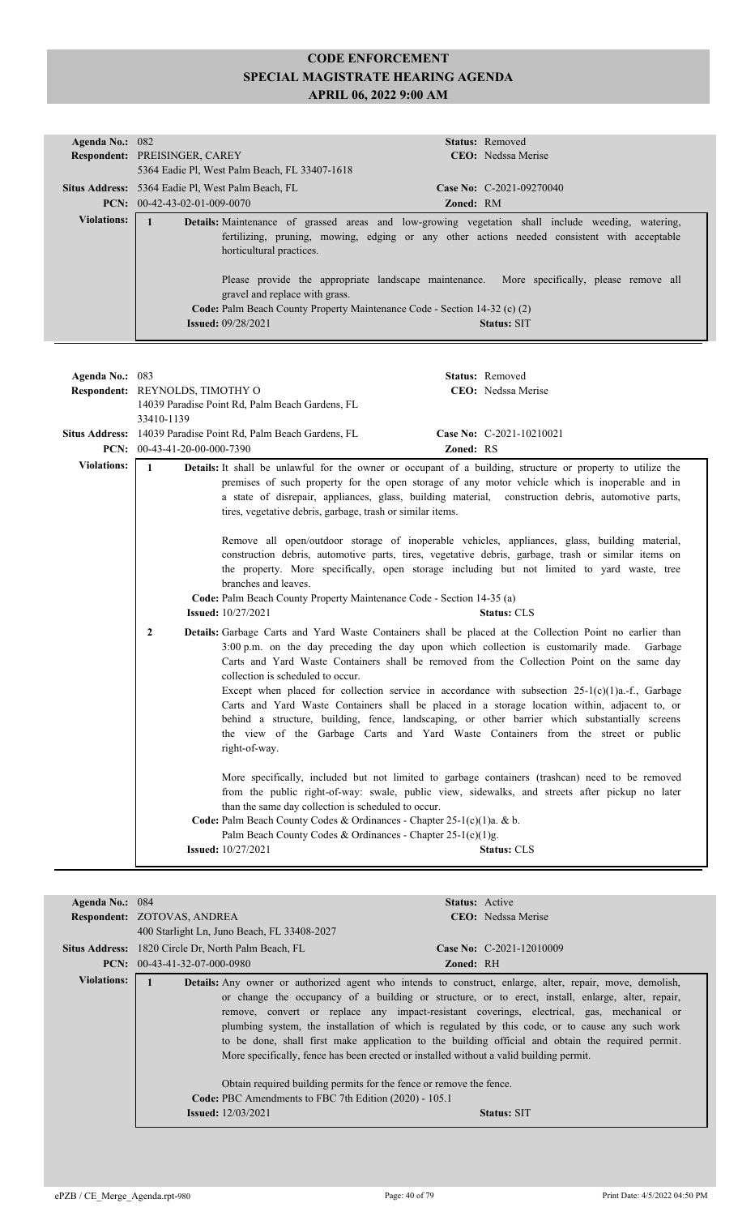| Agenda No.: 082    | Status: Removed                                                                                                                                                                                                                                                                                                                                                                                                                                                                                                                                       |
|--------------------|-------------------------------------------------------------------------------------------------------------------------------------------------------------------------------------------------------------------------------------------------------------------------------------------------------------------------------------------------------------------------------------------------------------------------------------------------------------------------------------------------------------------------------------------------------|
|                    | Respondent: PREISINGER, CAREY<br>CEO: Nedssa Merise<br>5364 Eadie Pl, West Palm Beach, FL 33407-1618                                                                                                                                                                                                                                                                                                                                                                                                                                                  |
|                    | Situs Address: 5364 Eadie Pl, West Palm Beach, FL<br>Case No: C-2021-09270040                                                                                                                                                                                                                                                                                                                                                                                                                                                                         |
|                    | PCN: $00-42-43-02-01-009-0070$<br>Zoned: RM                                                                                                                                                                                                                                                                                                                                                                                                                                                                                                           |
| <b>Violations:</b> | $\mathbf{1}$<br>Details: Maintenance of grassed areas and low-growing vegetation shall include weeding, watering,                                                                                                                                                                                                                                                                                                                                                                                                                                     |
|                    | fertilizing, pruning, mowing, edging or any other actions needed consistent with acceptable<br>horticultural practices.                                                                                                                                                                                                                                                                                                                                                                                                                               |
|                    | Please provide the appropriate landscape maintenance. More specifically, please remove all<br>gravel and replace with grass.                                                                                                                                                                                                                                                                                                                                                                                                                          |
|                    | Code: Palm Beach County Property Maintenance Code - Section 14-32 (c) (2)                                                                                                                                                                                                                                                                                                                                                                                                                                                                             |
|                    | <b>Issued: 09/28/2021</b><br><b>Status: SIT</b>                                                                                                                                                                                                                                                                                                                                                                                                                                                                                                       |
|                    |                                                                                                                                                                                                                                                                                                                                                                                                                                                                                                                                                       |
|                    |                                                                                                                                                                                                                                                                                                                                                                                                                                                                                                                                                       |
| Agenda No.: 083    | Status: Removed                                                                                                                                                                                                                                                                                                                                                                                                                                                                                                                                       |
|                    | CEO: Nedssa Merise<br>Respondent: REYNOLDS, TIMOTHY O                                                                                                                                                                                                                                                                                                                                                                                                                                                                                                 |
|                    | 14039 Paradise Point Rd, Palm Beach Gardens, FL                                                                                                                                                                                                                                                                                                                                                                                                                                                                                                       |
|                    | 33410-1139                                                                                                                                                                                                                                                                                                                                                                                                                                                                                                                                            |
|                    | Situs Address: 14039 Paradise Point Rd, Palm Beach Gardens, FL<br>Case No: C-2021-10210021                                                                                                                                                                                                                                                                                                                                                                                                                                                            |
|                    | Zoned: RS<br>PCN: $00-43-41-20-00-000-7390$                                                                                                                                                                                                                                                                                                                                                                                                                                                                                                           |
| <b>Violations:</b> | $\mathbf{1}$<br>Details: It shall be unlawful for the owner or occupant of a building, structure or property to utilize the<br>premises of such property for the open storage of any motor vehicle which is inoperable and in<br>a state of disrepair, appliances, glass, building material, construction debris, automotive parts,<br>tires, vegetative debris, garbage, trash or similar items.                                                                                                                                                     |
|                    | Remove all open/outdoor storage of inoperable vehicles, appliances, glass, building material,<br>construction debris, automotive parts, tires, vegetative debris, garbage, trash or similar items on<br>the property. More specifically, open storage including but not limited to yard waste, tree<br>branches and leaves.                                                                                                                                                                                                                           |
|                    | Code: Palm Beach County Property Maintenance Code - Section 14-35 (a)<br><b>Issued:</b> 10/27/2021<br><b>Status: CLS</b>                                                                                                                                                                                                                                                                                                                                                                                                                              |
|                    | Details: Garbage Carts and Yard Waste Containers shall be placed at the Collection Point no earlier than<br>2<br>3:00 p.m. on the day preceding the day upon which collection is customarily made. Garbage<br>Carts and Yard Waste Containers shall be removed from the Collection Point on the same day<br>collection is scheduled to occur.<br>Except when placed for collection service in accordance with subsection $25-1(c)(1)a$ .-f., Garbage<br>Carts and Yard Waste Containers shall be placed in a storage location within, adjacent to, or |
|                    | behind a structure, building, fence, landscaping, or other barrier which substantially screens<br>the view of the Garbage Carts and Yard Waste Containers from the street or public<br>right-of-way.                                                                                                                                                                                                                                                                                                                                                  |
|                    | More specifically, included but not limited to garbage containers (trashcan) need to be removed<br>from the public right-of-way: swale, public view, sidewalks, and streets after pickup no later<br>than the same day collection is scheduled to occur.<br>Code: Palm Beach County Codes & Ordinances - Chapter 25-1(c)(1)a. & b.                                                                                                                                                                                                                    |
|                    | Palm Beach County Codes & Ordinances - Chapter 25-1(c)(1)g.                                                                                                                                                                                                                                                                                                                                                                                                                                                                                           |
|                    | <b>Issued:</b> 10/27/2021<br><b>Status: CLS</b>                                                                                                                                                                                                                                                                                                                                                                                                                                                                                                       |

|                                             | <b>Status:</b> Active                                                                                                                                                                                                                                                                                                                                                                                                                                                                                                                                                                                                                                                                                      |
|---------------------------------------------|------------------------------------------------------------------------------------------------------------------------------------------------------------------------------------------------------------------------------------------------------------------------------------------------------------------------------------------------------------------------------------------------------------------------------------------------------------------------------------------------------------------------------------------------------------------------------------------------------------------------------------------------------------------------------------------------------------|
|                                             | <b>CEO</b> : Nedssa Merise                                                                                                                                                                                                                                                                                                                                                                                                                                                                                                                                                                                                                                                                                 |
| 400 Starlight Ln, Juno Beach, FL 33408-2027 |                                                                                                                                                                                                                                                                                                                                                                                                                                                                                                                                                                                                                                                                                                            |
|                                             | Case No: C-2021-12010009                                                                                                                                                                                                                                                                                                                                                                                                                                                                                                                                                                                                                                                                                   |
|                                             | <b>Zoned: RH</b>                                                                                                                                                                                                                                                                                                                                                                                                                                                                                                                                                                                                                                                                                           |
| <b>Issued:</b> $12/03/2021$                 | Details: Any owner or authorized agent who intends to construct, enlarge, alter, repair, move, demolish,<br>or change the occupancy of a building or structure, or to erect, install, enlarge, alter, repair,<br>remove, convert or replace any impact-resistant coverings, electrical, gas, mechanical or<br>plumbing system, the installation of which is regulated by this code, or to cause any such work<br>to be done, shall first make application to the building official and obtain the required permit.<br>More specifically, fence has been erected or installed without a valid building permit.<br>Obtain required building permits for the fence or remove the fence.<br><b>Status: SIT</b> |
|                                             | Agenda No.: 084<br>Respondent: ZOTOVAS, ANDREA<br><b>Situs Address:</b> 1820 Circle Dr, North Palm Beach, FL<br><b>PCN:</b> $00-43-41-32-07-000-0980$<br>Code: PBC Amendments to FBC 7th Edition (2020) - 105.1                                                                                                                                                                                                                                                                                                                                                                                                                                                                                            |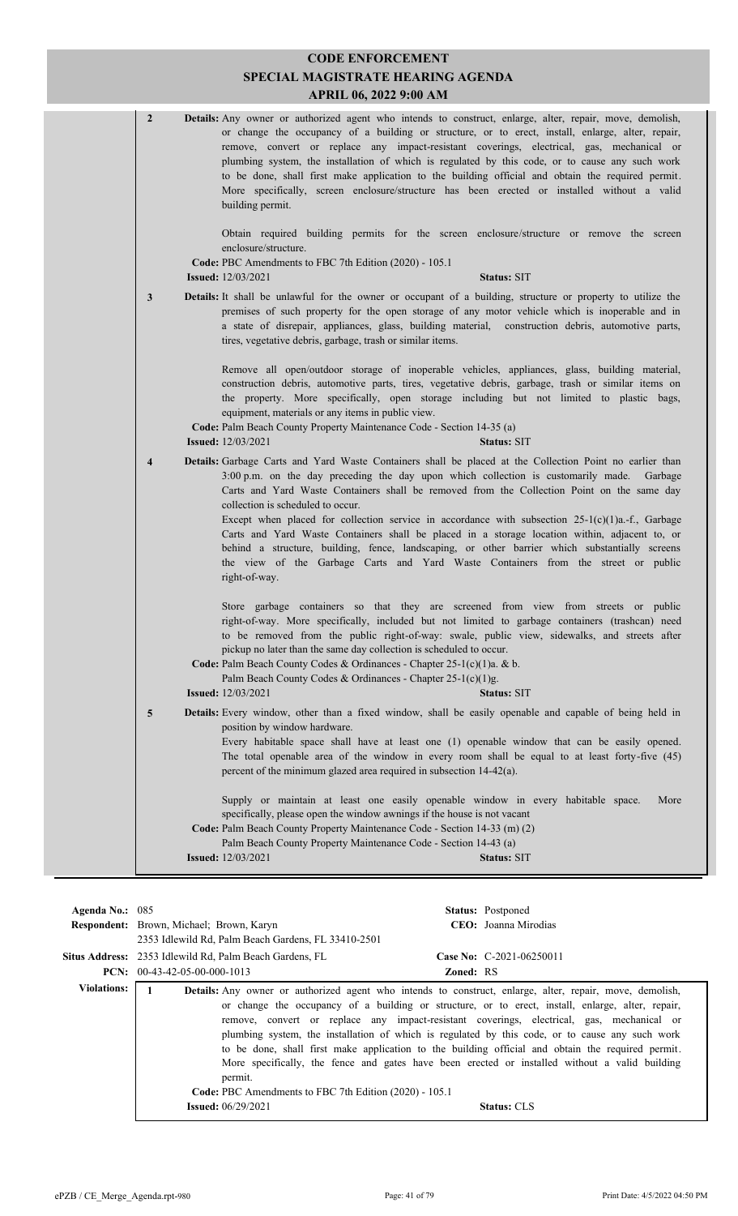| $\overline{2}$          | <b>Details:</b> Any owner or authorized agent who intends to construct, enlarge, alter, repair, move, demolish,<br>or change the occupancy of a building or structure, or to erect, install, enlarge, alter, repair,<br>remove, convert or replace any impact-resistant coverings, electrical, gas, mechanical or<br>plumbing system, the installation of which is regulated by this code, or to cause any such work<br>to be done, shall first make application to the building official and obtain the required permit.<br>More specifically, screen enclosure/structure has been erected or installed without a valid<br>building permit.                                                                                                                |
|-------------------------|-------------------------------------------------------------------------------------------------------------------------------------------------------------------------------------------------------------------------------------------------------------------------------------------------------------------------------------------------------------------------------------------------------------------------------------------------------------------------------------------------------------------------------------------------------------------------------------------------------------------------------------------------------------------------------------------------------------------------------------------------------------|
|                         | Obtain required building permits for the screen enclosure/structure or remove the screen<br>enclosure/structure.<br>Code: PBC Amendments to FBC 7th Edition (2020) - 105.1<br><b>Issued:</b> 12/03/2021<br><b>Status: SIT</b>                                                                                                                                                                                                                                                                                                                                                                                                                                                                                                                               |
| 3                       | <b>Details:</b> It shall be unlawful for the owner or occupant of a building, structure or property to utilize the<br>premises of such property for the open storage of any motor vehicle which is inoperable and in<br>a state of disrepair, appliances, glass, building material, construction debris, automotive parts,<br>tires, vegetative debris, garbage, trash or similar items.                                                                                                                                                                                                                                                                                                                                                                    |
|                         | Remove all open/outdoor storage of inoperable vehicles, appliances, glass, building material,<br>construction debris, automotive parts, tires, vegetative debris, garbage, trash or similar items on<br>the property. More specifically, open storage including but not limited to plastic bags,<br>equipment, materials or any items in public view.<br>Code: Palm Beach County Property Maintenance Code - Section 14-35 (a)<br><b>Issued:</b> 12/03/2021<br><b>Status: SIT</b>                                                                                                                                                                                                                                                                           |
| $\overline{\mathbf{4}}$ | Details: Garbage Carts and Yard Waste Containers shall be placed at the Collection Point no earlier than<br>3:00 p.m. on the day preceding the day upon which collection is customarily made.<br>Garbage<br>Carts and Yard Waste Containers shall be removed from the Collection Point on the same day<br>collection is scheduled to occur.<br>Except when placed for collection service in accordance with subsection $25-1(c)(1)a$ .-f., Garbage<br>Carts and Yard Waste Containers shall be placed in a storage location within, adjacent to, or<br>behind a structure, building, fence, landscaping, or other barrier which substantially screens<br>the view of the Garbage Carts and Yard Waste Containers from the street or public<br>right-of-way. |
|                         | Store garbage containers so that they are screened from view from streets or public<br>right-of-way. More specifically, included but not limited to garbage containers (trashcan) need<br>to be removed from the public right-of-way: swale, public view, sidewalks, and streets after<br>pickup no later than the same day collection is scheduled to occur.<br>Code: Palm Beach County Codes & Ordinances - Chapter 25-1(c)(1)a. & b.<br>Palm Beach County Codes & Ordinances - Chapter 25-1(c)(1)g.<br><b>Issued:</b> 12/03/2021<br>Status: SIT                                                                                                                                                                                                          |
| 5                       | Details: Every window, other than a fixed window, shall be easily openable and capable of being held in<br>position by window hardware.<br>Every habitable space shall have at least one (1) openable window that can be easily opened.<br>The total openable area of the window in every room shall be equal to at least forty-five (45)<br>percent of the minimum glazed area required in subsection 14-42(a).                                                                                                                                                                                                                                                                                                                                            |
|                         | Supply or maintain at least one easily openable window in every habitable space.<br>More<br>specifically, please open the window awnings if the house is not vacant<br>Code: Palm Beach County Property Maintenance Code - Section 14-33 (m) (2)<br>Palm Beach County Property Maintenance Code - Section 14-43 (a)<br><b>Issued:</b> 12/03/2021<br><b>Status: SIT</b>                                                                                                                                                                                                                                                                                                                                                                                      |

| Agenda No.: 085    |                                          |                                                                                                |                  | <b>Status:</b> Postponed                                                                                                                                                                                                                                                                                                                                                                                                                                                                                                                                                                                                                   |
|--------------------|------------------------------------------|------------------------------------------------------------------------------------------------|------------------|--------------------------------------------------------------------------------------------------------------------------------------------------------------------------------------------------------------------------------------------------------------------------------------------------------------------------------------------------------------------------------------------------------------------------------------------------------------------------------------------------------------------------------------------------------------------------------------------------------------------------------------------|
|                    | Respondent: Brown, Michael; Brown, Karyn |                                                                                                |                  | CEO: Joanna Mirodias                                                                                                                                                                                                                                                                                                                                                                                                                                                                                                                                                                                                                       |
|                    |                                          | 2353 Idlewild Rd, Palm Beach Gardens, FL 33410-2501                                            |                  |                                                                                                                                                                                                                                                                                                                                                                                                                                                                                                                                                                                                                                            |
|                    |                                          | Situs Address: 2353 Idlewild Rd, Palm Beach Gardens, FL                                        |                  | Case No: C-2021-06250011                                                                                                                                                                                                                                                                                                                                                                                                                                                                                                                                                                                                                   |
|                    | <b>PCN:</b> $00-43-42-05-00-000-1013$    |                                                                                                | <b>Zoned: RS</b> |                                                                                                                                                                                                                                                                                                                                                                                                                                                                                                                                                                                                                                            |
| <b>Violations:</b> |                                          | permit.<br>Code: PBC Amendments to FBC 7th Edition (2020) - 105.1<br><b>Issued:</b> 06/29/2021 |                  | Details: Any owner or authorized agent who intends to construct, enlarge, alter, repair, move, demolish,<br>or change the occupancy of a building or structure, or to erect, install, enlarge, alter, repair,<br>remove, convert or replace any impact-resistant coverings, electrical, gas, mechanical or<br>plumbing system, the installation of which is regulated by this code, or to cause any such work<br>to be done, shall first make application to the building official and obtain the required permit.<br>More specifically, the fence and gates have been erected or installed without a valid building<br><b>Status: CLS</b> |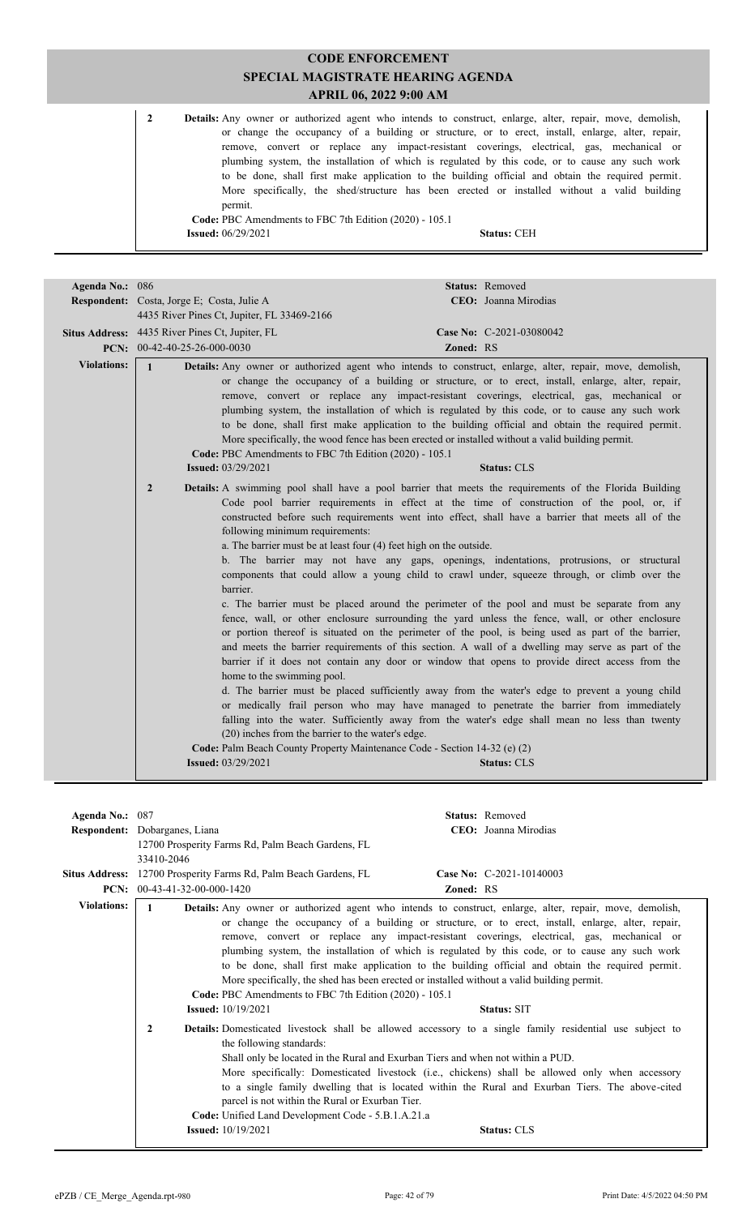| 2 | <b>Details:</b> Any owner or authorized agent who intends to construct, enlarge, alter, repair, move, demolish, |
|---|-----------------------------------------------------------------------------------------------------------------|
|   | or change the occupancy of a building or structure, or to erect, install, enlarge, alter, repair,               |
|   | remove, convert or replace any impact-resistant coverings, electrical, gas, mechanical or                       |
|   | plumbing system, the installation of which is regulated by this code, or to cause any such work                 |
|   | to be done, shall first make application to the building official and obtain the required permit.               |
|   | More specifically, the shed/structure has been erected or installed without a valid building                    |
|   | permit.                                                                                                         |
|   | Code: PBC Amendments to FBC 7th Edition (2020) - 105.1                                                          |
|   | <b>Issued:</b> $06/29/2021$<br><b>Status: CEH</b>                                                               |

| Agenda No.: 086    |                                                                                                                                                                                                                                                                          | Status: Removed                                                                                                                                                                                                                                                                                                                                                                                                                                                                                                                                                                                                                                                                                                                                                                                                                                                                                                                                                                                                                                                                                                                                                                                                                                                                                                                                                                                                                                                                                                                                                                                                                                                                                                                                                                                                                                                                                                                                                     |
|--------------------|--------------------------------------------------------------------------------------------------------------------------------------------------------------------------------------------------------------------------------------------------------------------------|---------------------------------------------------------------------------------------------------------------------------------------------------------------------------------------------------------------------------------------------------------------------------------------------------------------------------------------------------------------------------------------------------------------------------------------------------------------------------------------------------------------------------------------------------------------------------------------------------------------------------------------------------------------------------------------------------------------------------------------------------------------------------------------------------------------------------------------------------------------------------------------------------------------------------------------------------------------------------------------------------------------------------------------------------------------------------------------------------------------------------------------------------------------------------------------------------------------------------------------------------------------------------------------------------------------------------------------------------------------------------------------------------------------------------------------------------------------------------------------------------------------------------------------------------------------------------------------------------------------------------------------------------------------------------------------------------------------------------------------------------------------------------------------------------------------------------------------------------------------------------------------------------------------------------------------------------------------------|
|                    | Respondent: Costa, Jorge E; Costa, Julie A                                                                                                                                                                                                                               | CEO: Joanna Mirodias                                                                                                                                                                                                                                                                                                                                                                                                                                                                                                                                                                                                                                                                                                                                                                                                                                                                                                                                                                                                                                                                                                                                                                                                                                                                                                                                                                                                                                                                                                                                                                                                                                                                                                                                                                                                                                                                                                                                                |
|                    | 4435 River Pines Ct, Jupiter, FL 33469-2166                                                                                                                                                                                                                              |                                                                                                                                                                                                                                                                                                                                                                                                                                                                                                                                                                                                                                                                                                                                                                                                                                                                                                                                                                                                                                                                                                                                                                                                                                                                                                                                                                                                                                                                                                                                                                                                                                                                                                                                                                                                                                                                                                                                                                     |
|                    | Situs Address: 4435 River Pines Ct, Jupiter, FL                                                                                                                                                                                                                          | Case No: C-2021-03080042                                                                                                                                                                                                                                                                                                                                                                                                                                                                                                                                                                                                                                                                                                                                                                                                                                                                                                                                                                                                                                                                                                                                                                                                                                                                                                                                                                                                                                                                                                                                                                                                                                                                                                                                                                                                                                                                                                                                            |
|                    | PCN: 00-42-40-25-26-000-0030                                                                                                                                                                                                                                             | <b>Zoned: RS</b>                                                                                                                                                                                                                                                                                                                                                                                                                                                                                                                                                                                                                                                                                                                                                                                                                                                                                                                                                                                                                                                                                                                                                                                                                                                                                                                                                                                                                                                                                                                                                                                                                                                                                                                                                                                                                                                                                                                                                    |
| <b>Violations:</b> | $\mathbf{1}$<br>Code: PBC Amendments to FBC 7th Edition (2020) - 105.1<br><b>Issued: 03/29/2021</b><br>$\overline{2}$<br>following minimum requirements:<br>a. The barrier must be at least four (4) feet high on the outside.<br>barrier.<br>home to the swimming pool. | Details: Any owner or authorized agent who intends to construct, enlarge, alter, repair, move, demolish,<br>or change the occupancy of a building or structure, or to erect, install, enlarge, alter, repair,<br>remove, convert or replace any impact-resistant coverings, electrical, gas, mechanical or<br>plumbing system, the installation of which is regulated by this code, or to cause any such work<br>to be done, shall first make application to the building official and obtain the required permit.<br>More specifically, the wood fence has been erected or installed without a valid building permit.<br><b>Status: CLS</b><br>Details: A swimming pool shall have a pool barrier that meets the requirements of the Florida Building<br>Code pool barrier requirements in effect at the time of construction of the pool, or, if<br>constructed before such requirements went into effect, shall have a barrier that meets all of the<br>b. The barrier may not have any gaps, openings, indentations, protrusions, or structural<br>components that could allow a young child to crawl under, squeeze through, or climb over the<br>c. The barrier must be placed around the perimeter of the pool and must be separate from any<br>fence, wall, or other enclosure surrounding the yard unless the fence, wall, or other enclosure<br>or portion thereof is situated on the perimeter of the pool, is being used as part of the barrier,<br>and meets the barrier requirements of this section. A wall of a dwelling may serve as part of the<br>barrier if it does not contain any door or window that opens to provide direct access from the<br>d. The barrier must be placed sufficiently away from the water's edge to prevent a young child<br>or medically frail person who may have managed to penetrate the barrier from immediately<br>falling into the water. Sufficiently away from the water's edge shall mean no less than twenty |
|                    | (20) inches from the barrier to the water's edge.<br>Code: Palm Beach County Property Maintenance Code - Section 14-32 (e) (2)                                                                                                                                           |                                                                                                                                                                                                                                                                                                                                                                                                                                                                                                                                                                                                                                                                                                                                                                                                                                                                                                                                                                                                                                                                                                                                                                                                                                                                                                                                                                                                                                                                                                                                                                                                                                                                                                                                                                                                                                                                                                                                                                     |
|                    | <b>Issued:</b> 03/29/2021                                                                                                                                                                                                                                                | <b>Status: CLS</b>                                                                                                                                                                                                                                                                                                                                                                                                                                                                                                                                                                                                                                                                                                                                                                                                                                                                                                                                                                                                                                                                                                                                                                                                                                                                                                                                                                                                                                                                                                                                                                                                                                                                                                                                                                                                                                                                                                                                                  |
|                    |                                                                                                                                                                                                                                                                          |                                                                                                                                                                                                                                                                                                                                                                                                                                                                                                                                                                                                                                                                                                                                                                                                                                                                                                                                                                                                                                                                                                                                                                                                                                                                                                                                                                                                                                                                                                                                                                                                                                                                                                                                                                                                                                                                                                                                                                     |

| Agenda No.: 087       |                                                                                                                                                                                                                                                                 | Status: Removed                                                                                                                                                                                                                                                                                                                                                                                                                                                                                                                                                                                                                                                                                                                                                                                                                                                                                                                                                                                                                                                          |  |  |  |
|-----------------------|-----------------------------------------------------------------------------------------------------------------------------------------------------------------------------------------------------------------------------------------------------------------|--------------------------------------------------------------------------------------------------------------------------------------------------------------------------------------------------------------------------------------------------------------------------------------------------------------------------------------------------------------------------------------------------------------------------------------------------------------------------------------------------------------------------------------------------------------------------------------------------------------------------------------------------------------------------------------------------------------------------------------------------------------------------------------------------------------------------------------------------------------------------------------------------------------------------------------------------------------------------------------------------------------------------------------------------------------------------|--|--|--|
|                       | Respondent: Dobarganes, Liana                                                                                                                                                                                                                                   | CEO: Joanna Mirodias                                                                                                                                                                                                                                                                                                                                                                                                                                                                                                                                                                                                                                                                                                                                                                                                                                                                                                                                                                                                                                                     |  |  |  |
|                       | 12700 Prosperity Farms Rd, Palm Beach Gardens, FL<br>33410-2046                                                                                                                                                                                                 |                                                                                                                                                                                                                                                                                                                                                                                                                                                                                                                                                                                                                                                                                                                                                                                                                                                                                                                                                                                                                                                                          |  |  |  |
|                       |                                                                                                                                                                                                                                                                 |                                                                                                                                                                                                                                                                                                                                                                                                                                                                                                                                                                                                                                                                                                                                                                                                                                                                                                                                                                                                                                                                          |  |  |  |
| <b>Situs Address:</b> | 12700 Prosperity Farms Rd, Palm Beach Gardens, FL                                                                                                                                                                                                               | Case No: C-2021-10140003                                                                                                                                                                                                                                                                                                                                                                                                                                                                                                                                                                                                                                                                                                                                                                                                                                                                                                                                                                                                                                                 |  |  |  |
| PCN:                  | $00-43-41-32-00-000-1420$                                                                                                                                                                                                                                       | <b>Zoned: RS</b>                                                                                                                                                                                                                                                                                                                                                                                                                                                                                                                                                                                                                                                                                                                                                                                                                                                                                                                                                                                                                                                         |  |  |  |
| <b>Violations:</b>    | 1<br>Code: PBC Amendments to FBC 7th Edition (2020) - 105.1<br><b>Issued:</b> 10/19/2021<br>2<br>the following standards:<br>parcel is not within the Rural or Exurban Tier.<br>Code: Unified Land Development Code - 5.B.1.A.21.a<br><b>Issued:</b> 10/19/2021 | Details: Any owner or authorized agent who intends to construct, enlarge, alter, repair, move, demolish,<br>or change the occupancy of a building or structure, or to erect, install, enlarge, alter, repair,<br>remove, convert or replace any impact-resistant coverings, electrical, gas, mechanical or<br>plumbing system, the installation of which is regulated by this code, or to cause any such work<br>to be done, shall first make application to the building official and obtain the required permit.<br>More specifically, the shed has been erected or installed without a valid building permit.<br><b>Status: SIT</b><br><b>Details:</b> Domesticated livestock shall be allowed accessory to a single family residential use subject to<br>Shall only be located in the Rural and Exurban Tiers and when not within a PUD.<br>More specifically: Domesticated livestock (i.e., chickens) shall be allowed only when accessory<br>to a single family dwelling that is located within the Rural and Exurban Tiers. The above-cited<br><b>Status: CLS</b> |  |  |  |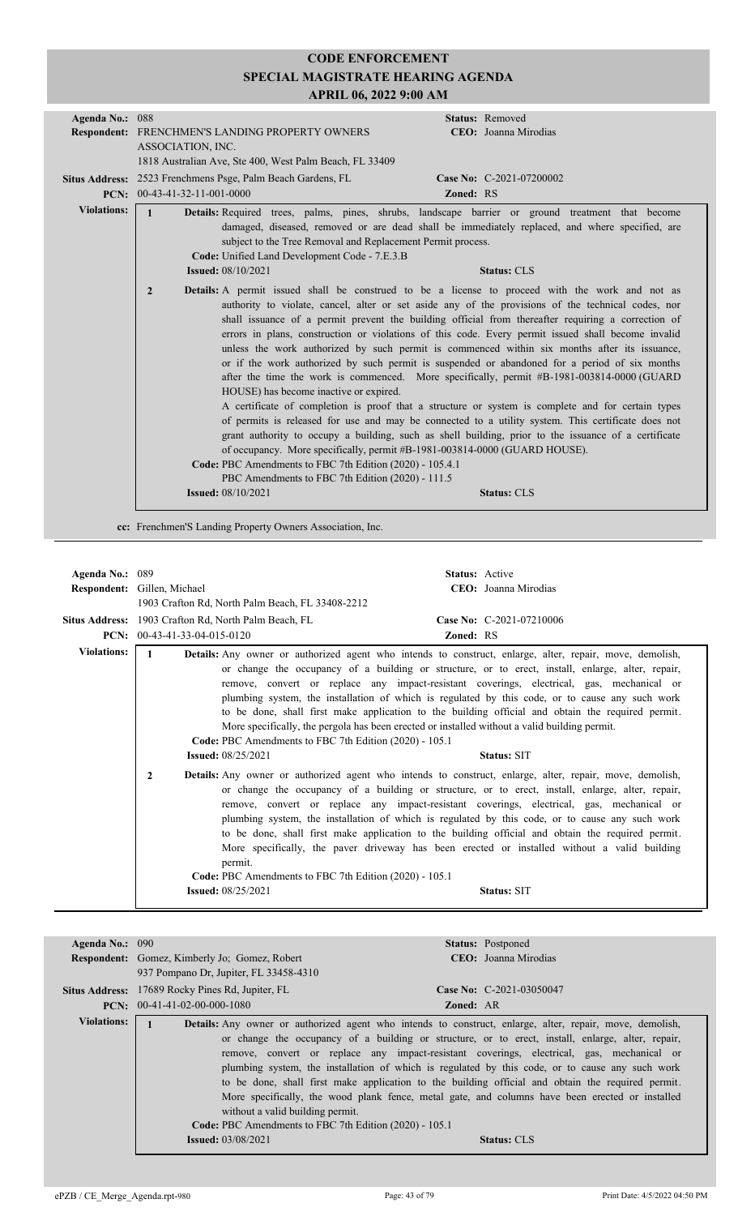| Agenda No.: 088    | Status: Removed                                                                                                                                                                                                                                                                                                                                                                                                                                                                                                                                                                                                                                                                                                                                                                                                                                                                                                                                                                                                                                                                                                                                                                                                                                                                                                                                         |
|--------------------|---------------------------------------------------------------------------------------------------------------------------------------------------------------------------------------------------------------------------------------------------------------------------------------------------------------------------------------------------------------------------------------------------------------------------------------------------------------------------------------------------------------------------------------------------------------------------------------------------------------------------------------------------------------------------------------------------------------------------------------------------------------------------------------------------------------------------------------------------------------------------------------------------------------------------------------------------------------------------------------------------------------------------------------------------------------------------------------------------------------------------------------------------------------------------------------------------------------------------------------------------------------------------------------------------------------------------------------------------------|
|                    | <b>Respondent: FRENCHMEN'S LANDING PROPERTY OWNERS</b><br>CEO: Joanna Mirodias                                                                                                                                                                                                                                                                                                                                                                                                                                                                                                                                                                                                                                                                                                                                                                                                                                                                                                                                                                                                                                                                                                                                                                                                                                                                          |
|                    | ASSOCIATION, INC.                                                                                                                                                                                                                                                                                                                                                                                                                                                                                                                                                                                                                                                                                                                                                                                                                                                                                                                                                                                                                                                                                                                                                                                                                                                                                                                                       |
|                    | 1818 Australian Ave, Ste 400, West Palm Beach, FL 33409                                                                                                                                                                                                                                                                                                                                                                                                                                                                                                                                                                                                                                                                                                                                                                                                                                                                                                                                                                                                                                                                                                                                                                                                                                                                                                 |
|                    | Situs Address: 2523 Frenchmens Psge, Palm Beach Gardens, FL<br>Case No: C-2021-07200002                                                                                                                                                                                                                                                                                                                                                                                                                                                                                                                                                                                                                                                                                                                                                                                                                                                                                                                                                                                                                                                                                                                                                                                                                                                                 |
|                    | <b>PCN:</b> $00-43-41-32-11-001-0000$<br>Zoned: RS                                                                                                                                                                                                                                                                                                                                                                                                                                                                                                                                                                                                                                                                                                                                                                                                                                                                                                                                                                                                                                                                                                                                                                                                                                                                                                      |
|                    |                                                                                                                                                                                                                                                                                                                                                                                                                                                                                                                                                                                                                                                                                                                                                                                                                                                                                                                                                                                                                                                                                                                                                                                                                                                                                                                                                         |
| <b>Violations:</b> | Details: Required trees, palms, pines, shrubs, landscape barrier or ground treatment that become                                                                                                                                                                                                                                                                                                                                                                                                                                                                                                                                                                                                                                                                                                                                                                                                                                                                                                                                                                                                                                                                                                                                                                                                                                                        |
|                    | damaged, diseased, removed or are dead shall be immediately replaced, and where specified, are                                                                                                                                                                                                                                                                                                                                                                                                                                                                                                                                                                                                                                                                                                                                                                                                                                                                                                                                                                                                                                                                                                                                                                                                                                                          |
|                    | subject to the Tree Removal and Replacement Permit process.                                                                                                                                                                                                                                                                                                                                                                                                                                                                                                                                                                                                                                                                                                                                                                                                                                                                                                                                                                                                                                                                                                                                                                                                                                                                                             |
|                    | Code: Unified Land Development Code - 7.E.3.B                                                                                                                                                                                                                                                                                                                                                                                                                                                                                                                                                                                                                                                                                                                                                                                                                                                                                                                                                                                                                                                                                                                                                                                                                                                                                                           |
|                    | <b>Issued:</b> 08/10/2021<br><b>Status: CLS</b>                                                                                                                                                                                                                                                                                                                                                                                                                                                                                                                                                                                                                                                                                                                                                                                                                                                                                                                                                                                                                                                                                                                                                                                                                                                                                                         |
|                    | <b>Details:</b> A permit issued shall be construed to be a license to proceed with the work and not as<br>$\overline{2}$<br>authority to violate, cancel, alter or set aside any of the provisions of the technical codes, nor<br>shall issuance of a permit prevent the building official from thereafter requiring a correction of<br>errors in plans, construction or violations of this code. Every permit issued shall become invalid<br>unless the work authorized by such permit is commenced within six months after its issuance,<br>or if the work authorized by such permit is suspended or abandoned for a period of six months<br>after the time the work is commenced. More specifically, permit #B-1981-003814-0000 (GUARD<br>HOUSE) has become inactive or expired.<br>A certificate of completion is proof that a structure or system is complete and for certain types<br>of permits is released for use and may be connected to a utility system. This certificate does not<br>grant authority to occupy a building, such as shell building, prior to the issuance of a certificate<br>of occupancy. More specifically, permit #B-1981-003814-0000 (GUARD HOUSE).<br>Code: PBC Amendments to FBC 7th Edition (2020) - 105.4.1<br>PBC Amendments to FBC 7th Edition (2020) - 111.5<br><b>Issued:</b> 08/10/2021<br><b>Status: CLS</b> |

**cc:** Frenchmen'S Landing Property Owners Association, Inc.

| Agenda No.: 089    | Respondent: Gillen, Michael<br>1903 Crafton Rd, North Palm Beach, FL 33408-2212<br>Situs Address: 1903 Crafton Rd, North Palm Beach, FL                                                                                                                             | <b>Status:</b> Active<br>CEO: Joanna Mirodias<br>Case No: C-2021-07210006                                                                                                                                                                                                                                                                                                                                                                                                                              |
|--------------------|---------------------------------------------------------------------------------------------------------------------------------------------------------------------------------------------------------------------------------------------------------------------|--------------------------------------------------------------------------------------------------------------------------------------------------------------------------------------------------------------------------------------------------------------------------------------------------------------------------------------------------------------------------------------------------------------------------------------------------------------------------------------------------------|
| PCN:               | 00-43-41-33-04-015-0120                                                                                                                                                                                                                                             | <b>Zoned: RS</b>                                                                                                                                                                                                                                                                                                                                                                                                                                                                                       |
| <b>Violations:</b> | Details: Any owner or authorized agent who intends to construct, enlarge, alter, repair, move, demolish,<br>More specifically, the pergola has been erected or installed without a valid building permit.<br>Code: PBC Amendments to FBC 7th Edition (2020) - 105.1 | or change the occupancy of a building or structure, or to erect, install, enlarge, alter, repair,<br>remove, convert or replace any impact-resistant coverings, electrical, gas, mechanical or<br>plumbing system, the installation of which is regulated by this code, or to cause any such work<br>to be done, shall first make application to the building official and obtain the required permit.                                                                                                 |
|                    | <b>Issued:</b> 08/25/2021                                                                                                                                                                                                                                           | <b>Status: SIT</b>                                                                                                                                                                                                                                                                                                                                                                                                                                                                                     |
|                    | $\mathbf{2}$<br><b>Details:</b> Any owner or authorized agent who intends to construct, enlarge, alter, repair, move, demolish,<br>permit.<br>Code: PBC Amendments to FBC 7th Edition (2020) - 105.1                                                                | or change the occupancy of a building or structure, or to erect, install, enlarge, alter, repair,<br>remove, convert or replace any impact-resistant coverings, electrical, gas, mechanical or<br>plumbing system, the installation of which is regulated by this code, or to cause any such work<br>to be done, shall first make application to the building official and obtain the required permit.<br>More specifically, the paver driveway has been erected or installed without a valid building |
|                    | <b>Issued: 08/25/2021</b>                                                                                                                                                                                                                                           | <b>Status: SIT</b>                                                                                                                                                                                                                                                                                                                                                                                                                                                                                     |

| Agenda No.: 090    |                                                                                                                         | <b>Status:</b> Postponed                                                                                                                                                                                                                                                                                                                                                                                                                                                                                                                                                                                                                           |
|--------------------|-------------------------------------------------------------------------------------------------------------------------|----------------------------------------------------------------------------------------------------------------------------------------------------------------------------------------------------------------------------------------------------------------------------------------------------------------------------------------------------------------------------------------------------------------------------------------------------------------------------------------------------------------------------------------------------------------------------------------------------------------------------------------------------|
|                    | <b>Respondent:</b> Gomez, Kimberly Jo; Gomez, Robert                                                                    | <b>CEO</b> : Joanna Mirodias                                                                                                                                                                                                                                                                                                                                                                                                                                                                                                                                                                                                                       |
|                    | 937 Pompano Dr. Jupiter, FL 33458-4310                                                                                  |                                                                                                                                                                                                                                                                                                                                                                                                                                                                                                                                                                                                                                                    |
|                    | <b>Situs Address:</b> 17689 Rocky Pines Rd, Jupiter, FL                                                                 | Case No: $C-2021-03050047$                                                                                                                                                                                                                                                                                                                                                                                                                                                                                                                                                                                                                         |
|                    | $PCN: 00-41-41-02-00-000-1080$                                                                                          | <b>Zoned: AR</b>                                                                                                                                                                                                                                                                                                                                                                                                                                                                                                                                                                                                                                   |
| <b>Violations:</b> | without a valid building permit.<br>Code: PBC Amendments to FBC 7th Edition (2020) - 105.1<br><b>Issued:</b> 03/08/2021 | <b>Details:</b> Any owner or authorized agent who intends to construct, enlarge, alter, repair, move, demolish,<br>or change the occupancy of a building or structure, or to erect, install, enlarge, alter, repair,<br>remove, convert or replace any impact-resistant coverings, electrical, gas, mechanical or<br>plumbing system, the installation of which is regulated by this code, or to cause any such work<br>to be done, shall first make application to the building official and obtain the required permit.<br>More specifically, the wood plank fence, metal gate, and columns have been erected or installed<br><b>Status: CLS</b> |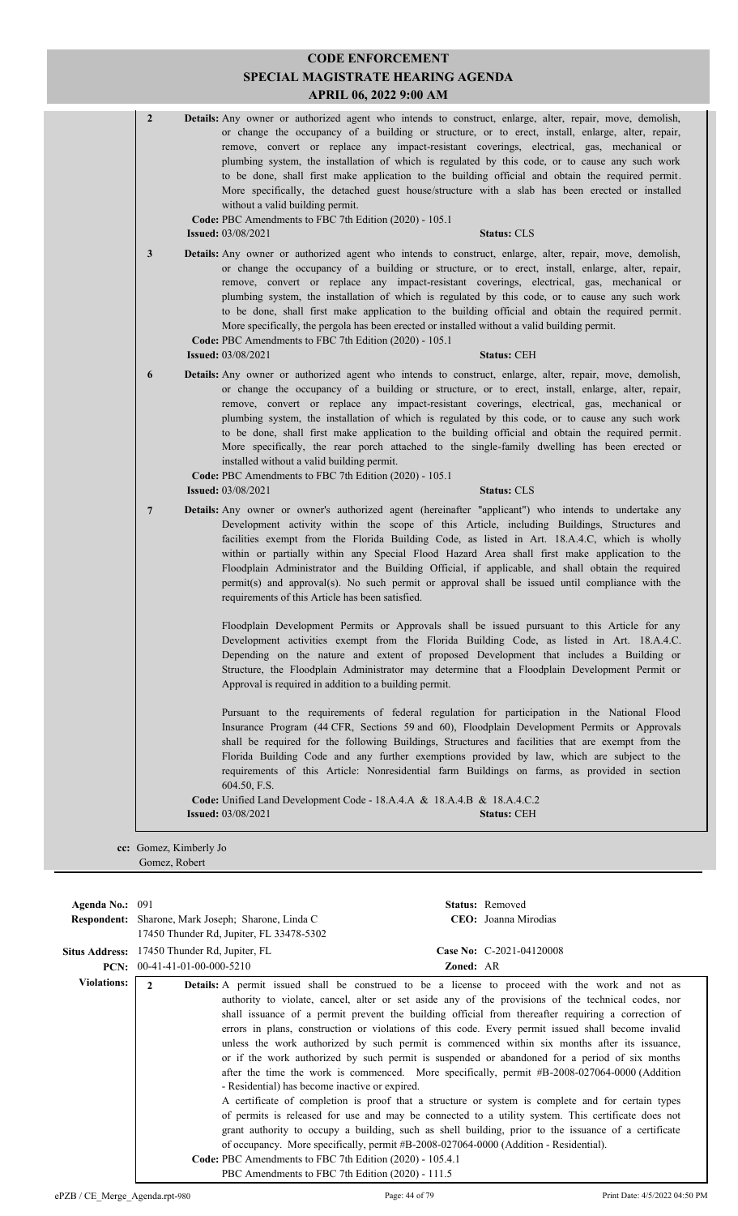| $\mathbf{2}$   | <b>Details:</b> Any owner or authorized agent who intends to construct, enlarge, alter, repair, move, demolish,<br>or change the occupancy of a building or structure, or to erect, install, enlarge, alter, repair,<br>remove, convert or replace any impact-resistant coverings, electrical, gas, mechanical or<br>plumbing system, the installation of which is regulated by this code, or to cause any such work<br>to be done, shall first make application to the building official and obtain the required permit.<br>More specifically, the detached guest house/structure with a slab has been erected or installed<br>without a valid building permit.<br>Code: PBC Amendments to FBC 7th Edition (2020) - 105.1<br><b>Issued: 03/08/2021</b><br><b>Status: CLS</b> |
|----------------|-------------------------------------------------------------------------------------------------------------------------------------------------------------------------------------------------------------------------------------------------------------------------------------------------------------------------------------------------------------------------------------------------------------------------------------------------------------------------------------------------------------------------------------------------------------------------------------------------------------------------------------------------------------------------------------------------------------------------------------------------------------------------------|
| 3              | <b>Details:</b> Any owner or authorized agent who intends to construct, enlarge, alter, repair, move, demolish,<br>or change the occupancy of a building or structure, or to erect, install, enlarge, alter, repair,<br>remove, convert or replace any impact-resistant coverings, electrical, gas, mechanical or<br>plumbing system, the installation of which is regulated by this code, or to cause any such work<br>to be done, shall first make application to the building official and obtain the required permit.<br>More specifically, the pergola has been erected or installed without a valid building permit.<br>Code: PBC Amendments to FBC 7th Edition (2020) - 105.1<br><b>Issued:</b> 03/08/2021<br><b>Status: CEH</b>                                       |
| 6              | Details: Any owner or authorized agent who intends to construct, enlarge, alter, repair, move, demolish,<br>or change the occupancy of a building or structure, or to erect, install, enlarge, alter, repair,<br>remove, convert or replace any impact-resistant coverings, electrical, gas, mechanical or<br>plumbing system, the installation of which is regulated by this code, or to cause any such work<br>to be done, shall first make application to the building official and obtain the required permit.<br>More specifically, the rear porch attached to the single-family dwelling has been erected or<br>installed without a valid building permit.<br>Code: PBC Amendments to FBC 7th Edition (2020) - 105.1<br><b>Issued: 03/08/2021</b><br><b>Status: CLS</b> |
| $\overline{7}$ | Details: Any owner or owner's authorized agent (hereinafter "applicant") who intends to undertake any<br>Development activity within the scope of this Article, including Buildings, Structures and<br>facilities exempt from the Florida Building Code, as listed in Art. 18.A.4.C, which is wholly<br>within or partially within any Special Flood Hazard Area shall first make application to the<br>Floodplain Administrator and the Building Official, if applicable, and shall obtain the required<br>permit(s) and approval(s). No such permit or approval shall be issued until compliance with the<br>requirements of this Article has been satisfied.                                                                                                               |
|                | Floodplain Development Permits or Approvals shall be issued pursuant to this Article for any<br>Development activities exempt from the Florida Building Code, as listed in Art. 18.A.4.C.<br>Depending on the nature and extent of proposed Development that includes a Building or<br>Structure, the Floodplain Administrator may determine that a Floodplain Development Permit or<br>Approval is required in addition to a building permit.                                                                                                                                                                                                                                                                                                                                |
|                | Pursuant to the requirements of federal regulation for participation in the National Flood<br>Insurance Program (44 CFR, Sections 59 and 60), Floodplain Development Permits or Approvals<br>shall be required for the following Buildings, Structures and facilities that are exempt from the<br>Florida Building Code and any further exemptions provided by law, which are subject to the<br>requirements of this Article: Nonresidential farm Buildings on farms, as provided in section                                                                                                                                                                                                                                                                                  |
|                | 604.50, F.S.                                                                                                                                                                                                                                                                                                                                                                                                                                                                                                                                                                                                                                                                                                                                                                  |

| Agenda No.: $091$  |                                                                                                    | <b>Status:</b> Removed                                                                                 |  |  |  |
|--------------------|----------------------------------------------------------------------------------------------------|--------------------------------------------------------------------------------------------------------|--|--|--|
|                    | <b>Respondent:</b> Sharone, Mark Joseph; Sharone, Linda C                                          | CEO: Joanna Mirodias                                                                                   |  |  |  |
|                    | 17450 Thunder Rd, Jupiter, FL 33478-5302                                                           |                                                                                                        |  |  |  |
|                    | <b>Situs Address:</b> 17450 Thunder Rd, Jupiter, FL                                                | Case No: C-2021-04120008                                                                               |  |  |  |
| PCN:               | $00-41-41-01-00-000-5210$                                                                          | <b>Zoned: AR</b>                                                                                       |  |  |  |
| <b>Violations:</b> | $\mathfrak{D}$                                                                                     | <b>Details:</b> A permit issued shall be construed to be a license to proceed with the work and not as |  |  |  |
|                    |                                                                                                    | authority to violate, cancel, alter or set aside any of the provisions of the technical codes, nor     |  |  |  |
|                    |                                                                                                    | shall issuance of a permit prevent the building official from thereafter requiring a correction of     |  |  |  |
|                    | errors in plans, construction or violations of this code. Every permit issued shall become invalid |                                                                                                        |  |  |  |
|                    |                                                                                                    | unless the work authorized by such permit is commenced within six months after its issuance,           |  |  |  |
|                    | or if the work authorized by such permit is suspended or abandoned for a period of six months      |                                                                                                        |  |  |  |
|                    |                                                                                                    | after the time the work is commenced. More specifically, permit #B-2008-027064-0000 (Addition          |  |  |  |
|                    | - Residential) has become inactive or expired.                                                     |                                                                                                        |  |  |  |
|                    |                                                                                                    | A certificate of completion is proof that a structure or system is complete and for certain types      |  |  |  |
|                    |                                                                                                    | of permits is released for use and may be connected to a utility system. This certificate does not     |  |  |  |
|                    |                                                                                                    | grant authority to occupy a building, such as shell building, prior to the issuance of a certificate   |  |  |  |
|                    |                                                                                                    | of occupancy. More specifically, permit #B-2008-027064-0000 (Addition - Residential).                  |  |  |  |
|                    | Code: PBC Amendments to FBC 7th Edition (2020) - 105.4.1                                           |                                                                                                        |  |  |  |
|                    | PBC Amendments to FBC 7th Edition (2020) - 111.5                                                   |                                                                                                        |  |  |  |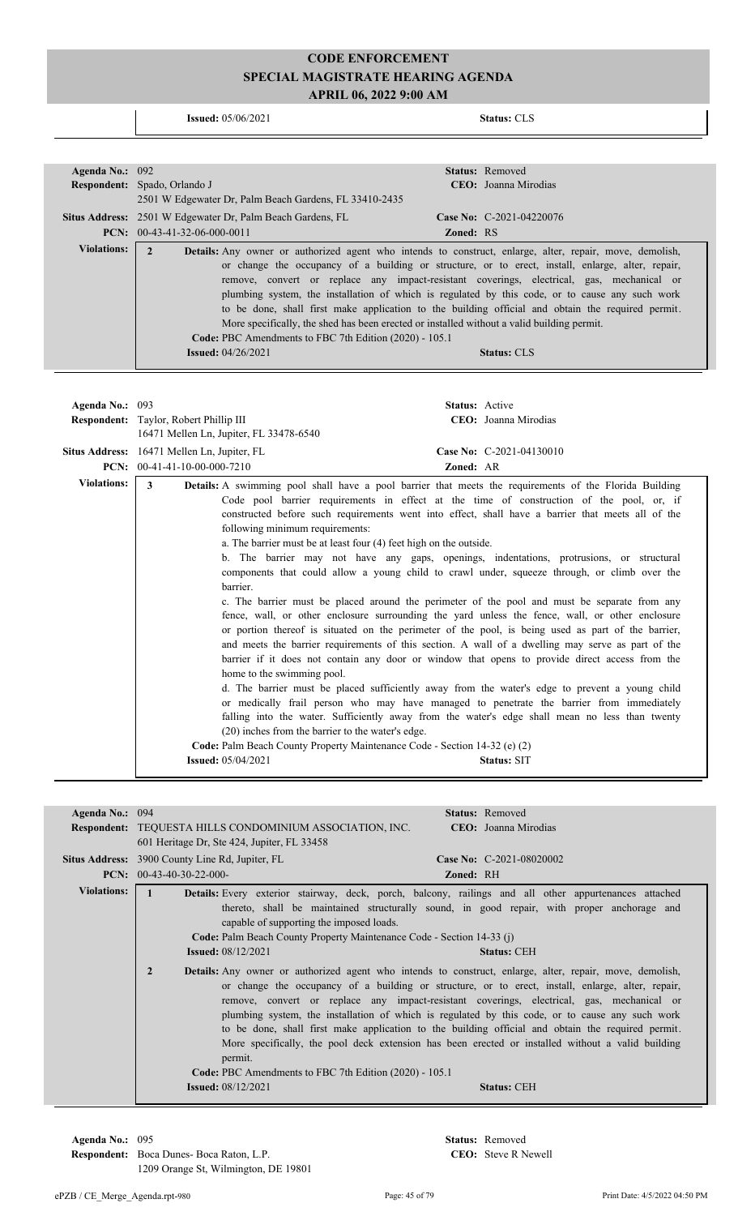**Issued:** 05/06/2021 **Status:** CLS

| Agenda No.: 092    |                                                                                                                                                                                                         |                  | Status: Removed          |
|--------------------|---------------------------------------------------------------------------------------------------------------------------------------------------------------------------------------------------------|------------------|--------------------------|
|                    | Respondent: Spado, Orlando J                                                                                                                                                                            |                  | CEO: Joanna Mirodias     |
|                    | 2501 W Edgewater Dr, Palm Beach Gardens, FL 33410-2435                                                                                                                                                  |                  |                          |
|                    | Situs Address: 2501 W Edgewater Dr, Palm Beach Gardens, FL                                                                                                                                              |                  | Case No: C-2021-04220076 |
|                    | PCN: $00-43-41-32-06-000-0011$                                                                                                                                                                          | <b>Zoned: RS</b> |                          |
| <b>Violations:</b> | $\overline{2}$<br>Details: Any owner or authorized agent who intends to construct, enlarge, alter, repair, move, demolish,                                                                              |                  |                          |
|                    | or change the occupancy of a building or structure, or to erect, install, enlarge, alter, repair,<br>remove, convert or replace any impact-resistant coverings, electrical, gas, mechanical or          |                  |                          |
|                    | plumbing system, the installation of which is regulated by this code, or to cause any such work                                                                                                         |                  |                          |
|                    | to be done, shall first make application to the building official and obtain the required permit.                                                                                                       |                  |                          |
|                    | More specifically, the shed has been erected or installed without a valid building permit.                                                                                                              |                  |                          |
|                    | Code: PBC Amendments to FBC 7th Edition (2020) - 105.1                                                                                                                                                  |                  |                          |
|                    | <b>Issued: 04/26/2021</b>                                                                                                                                                                               |                  | <b>Status: CLS</b>       |
|                    |                                                                                                                                                                                                         |                  |                          |
|                    |                                                                                                                                                                                                         |                  |                          |
| Agenda No.: 093    |                                                                                                                                                                                                         |                  | Status: Active           |
|                    | Respondent: Taylor, Robert Phillip III                                                                                                                                                                  |                  | CEO: Joanna Mirodias     |
|                    | 16471 Mellen Ln, Jupiter, FL 33478-6540                                                                                                                                                                 |                  |                          |
|                    | Situs Address: 16471 Mellen Ln, Jupiter, FL                                                                                                                                                             |                  | Case No: C-2021-04130010 |
|                    | <b>PCN:</b> $00-41-41-10-00-000-7210$                                                                                                                                                                   | Zoned: AR        |                          |
| <b>Violations:</b> | 3<br>Details: A swimming pool shall have a pool barrier that meets the requirements of the Florida Building                                                                                             |                  |                          |
|                    | Code pool barrier requirements in effect at the time of construction of the pool, or, if                                                                                                                |                  |                          |
|                    | constructed before such requirements went into effect, shall have a barrier that meets all of the                                                                                                       |                  |                          |
|                    | following minimum requirements:                                                                                                                                                                         |                  |                          |
|                    | a. The barrier must be at least four (4) feet high on the outside.                                                                                                                                      |                  |                          |
|                    | b. The barrier may not have any gaps, openings, indentations, protrusions, or structural                                                                                                                |                  |                          |
|                    | components that could allow a young child to crawl under, squeeze through, or climb over the                                                                                                            |                  |                          |
|                    | barrier.                                                                                                                                                                                                |                  |                          |
|                    | c. The barrier must be placed around the perimeter of the pool and must be separate from any                                                                                                            |                  |                          |
|                    | fence, wall, or other enclosure surrounding the yard unless the fence, wall, or other enclosure                                                                                                         |                  |                          |
|                    | or portion thereof is situated on the perimeter of the pool, is being used as part of the barrier,<br>and meets the barrier requirements of this section. A wall of a dwelling may serve as part of the |                  |                          |
|                    | barrier if it does not contain any door or window that opens to provide direct access from the                                                                                                          |                  |                          |
|                    | home to the swimming pool.                                                                                                                                                                              |                  |                          |
|                    | d. The barrier must be placed sufficiently away from the water's edge to prevent a young child                                                                                                          |                  |                          |
|                    | or medically frail person who may have managed to penetrate the barrier from immediately                                                                                                                |                  |                          |
|                    | falling into the water. Sufficiently away from the water's edge shall mean no less than twenty                                                                                                          |                  |                          |
|                    | (20) inches from the barrier to the water's edge.                                                                                                                                                       |                  |                          |
|                    | Code: Palm Beach County Property Maintenance Code - Section 14-32 (e) (2)                                                                                                                               |                  |                          |
|                    | <b>Issued:</b> 05/04/2021                                                                                                                                                                               |                  | <b>Status: SIT</b>       |
|                    |                                                                                                                                                                                                         |                  |                          |
|                    |                                                                                                                                                                                                         |                  |                          |
| Agenda No.: 094    |                                                                                                                                                                                                         |                  | Status: Removed          |
|                    | Respondent: TEQUESTA HILLS CONDOMINIUM ASSOCIATION, INC.                                                                                                                                                |                  | CEO: Joanna Mirodias     |
|                    | 601 Heritage Dr, Ste 424, Jupiter, FL 33458                                                                                                                                                             |                  |                          |
|                    | Situs Address: 3900 County Line Rd, Jupiter, FL                                                                                                                                                         |                  | Case No: C-2021-08020002 |
|                    | PCN: 00-43-40-30-22-000-                                                                                                                                                                                | Zoned: RH        |                          |

| <b>Violations:</b> |              | <b>Details:</b> Every exterior stairway, deck, porch, balcony, railings and all other appurtenances attached<br>capable of supporting the imposed loads.<br>Code: Palm Beach County Property Maintenance Code - Section 14-33 (j) | thereto, shall be maintained structurally sound, in good repair, with proper anchorage and                                                                                                                                                                                                                                                                                                                                                                                                                  |                    |  |
|--------------------|--------------|-----------------------------------------------------------------------------------------------------------------------------------------------------------------------------------------------------------------------------------|-------------------------------------------------------------------------------------------------------------------------------------------------------------------------------------------------------------------------------------------------------------------------------------------------------------------------------------------------------------------------------------------------------------------------------------------------------------------------------------------------------------|--------------------|--|
|                    |              | <b>Issued:</b> $08/12/2021$                                                                                                                                                                                                       |                                                                                                                                                                                                                                                                                                                                                                                                                                                                                                             | <b>Status: CEH</b> |  |
|                    | $\mathbf{2}$ | <b>Details:</b> Any owner or authorized agent who intends to construct, enlarge, alter, repair, move, demolish,<br>permit.<br>Code: PBC Amendments to FBC 7th Edition (2020) - 105.1                                              | or change the occupancy of a building or structure, or to erect, install, enlarge, alter, repair,<br>remove, convert or replace any impact-resistant coverings, electrical, gas, mechanical or<br>plumbing system, the installation of which is regulated by this code, or to cause any such work<br>to be done, shall first make application to the building official and obtain the required permit.<br>More specifically, the pool deck extension has been erected or installed without a valid building |                    |  |
|                    |              | <b>Issued:</b> 08/12/2021                                                                                                                                                                                                         |                                                                                                                                                                                                                                                                                                                                                                                                                                                                                                             | <b>Status: CEH</b> |  |
|                    |              |                                                                                                                                                                                                                                   |                                                                                                                                                                                                                                                                                                                                                                                                                                                                                                             |                    |  |

**Respondent:** Boca Dunes- Boca Raton, L.P. 1209 Orange St, Wilmington, DE 19801

**Agenda No.:** 095 **Status:** Removed CEO: Steve R Newell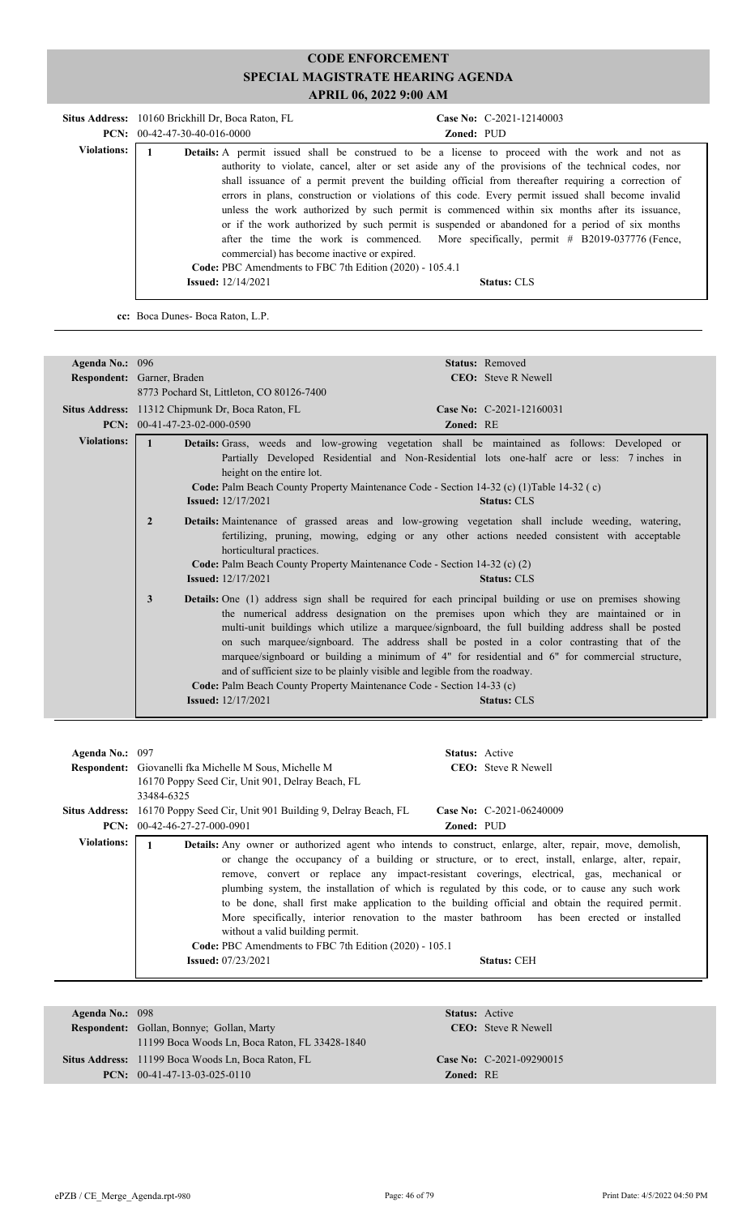|                    | Situs Address: 10160 Brickhill Dr. Boca Raton, FL<br>$PCN: 00-42-47-30-40-016-0000$                     | Case No: C-2021-12140003<br>Zoned: PUD                                                                                                                                                                                                                                                                                                                                                                                                                                                                                                                                                                                                                                                                                |
|--------------------|---------------------------------------------------------------------------------------------------------|-----------------------------------------------------------------------------------------------------------------------------------------------------------------------------------------------------------------------------------------------------------------------------------------------------------------------------------------------------------------------------------------------------------------------------------------------------------------------------------------------------------------------------------------------------------------------------------------------------------------------------------------------------------------------------------------------------------------------|
| <b>Violations:</b> | commercial) has become inactive or expired.<br>Code: PBC Amendments to FBC 7th Edition (2020) - 105.4.1 | <b>Details:</b> A permit issued shall be construed to be a license to proceed with the work and not as<br>authority to violate, cancel, alter or set aside any of the provisions of the technical codes, nor<br>shall issuance of a permit prevent the building official from thereafter requiring a correction of<br>errors in plans, construction or violations of this code. Every permit issued shall become invalid<br>unless the work authorized by such permit is commenced within six months after its issuance,<br>or if the work authorized by such permit is suspended or abandoned for a period of six months<br>after the time the work is commenced. More specifically, permit $# B2019-037776$ (Fence, |
|                    | <b>Issued:</b> 12/14/2021                                                                               | <b>Status: CLS</b>                                                                                                                                                                                                                                                                                                                                                                                                                                                                                                                                                                                                                                                                                                    |

**cc:** Boca Dunes- Boca Raton, L.P.

| Agenda No.: 096    |                                                                                                                                                                                                                                               | Status: Removed                                                                                                                                                                                                                                                                                                                                                                                                                                                                                                            |  |  |  |
|--------------------|-----------------------------------------------------------------------------------------------------------------------------------------------------------------------------------------------------------------------------------------------|----------------------------------------------------------------------------------------------------------------------------------------------------------------------------------------------------------------------------------------------------------------------------------------------------------------------------------------------------------------------------------------------------------------------------------------------------------------------------------------------------------------------------|--|--|--|
|                    | Respondent: Garner, Braden                                                                                                                                                                                                                    | <b>CEO</b> : Steve R Newell                                                                                                                                                                                                                                                                                                                                                                                                                                                                                                |  |  |  |
|                    | 8773 Pochard St, Littleton, CO 80126-7400                                                                                                                                                                                                     |                                                                                                                                                                                                                                                                                                                                                                                                                                                                                                                            |  |  |  |
|                    | Situs Address: 11312 Chipmunk Dr, Boca Raton, FL                                                                                                                                                                                              | Case No: C-2021-12160031                                                                                                                                                                                                                                                                                                                                                                                                                                                                                                   |  |  |  |
|                    | PCN: 00-41-47-23-02-000-0590                                                                                                                                                                                                                  | Zoned: RE                                                                                                                                                                                                                                                                                                                                                                                                                                                                                                                  |  |  |  |
| <b>Violations:</b> | $\mathbf{1}$<br>height on the entire lot.<br>Code: Palm Beach County Property Maintenance Code - Section 14-32 (c) (1) Table 14-32 (c)<br><b>Issued:</b> 12/17/2021                                                                           | Details: Grass, weeds and low-growing vegetation shall be maintained as follows: Developed or<br>Partially Developed Residential and Non-Residential lots one-half acre or less: 7 inches in<br><b>Status: CLS</b>                                                                                                                                                                                                                                                                                                         |  |  |  |
|                    | $\overline{2}$<br>horticultural practices.<br>Code: Palm Beach County Property Maintenance Code - Section 14-32 (c) (2)<br><b>Issued:</b> 12/17/2021                                                                                          | Details: Maintenance of grassed areas and low-growing vegetation shall include weeding, watering,<br>fertilizing, pruning, mowing, edging or any other actions needed consistent with acceptable<br><b>Status: CLS</b>                                                                                                                                                                                                                                                                                                     |  |  |  |
|                    | 3<br>and of sufficient size to be plainly visible and legible from the roadway.<br>Code: Palm Beach County Property Maintenance Code - Section 14-33 (c)<br><b>Issued:</b> 12/17/2021                                                         | Details: One (1) address sign shall be required for each principal building or use on premises showing<br>the numerical address designation on the premises upon which they are maintained or in<br>multi-unit buildings which utilize a marquee/signboard, the full building address shall be posted<br>on such marquee/signboard. The address shall be posted in a color contrasting that of the<br>marquee/signboard or building a minimum of 4" for residential and 6" for commercial structure,<br><b>Status: CLS</b> |  |  |  |
| Agenda No.: 097    | Respondent: Giovanelli fka Michelle M Sous, Michelle M<br>16170 Poppy Seed Cir, Unit 901, Delray Beach, FL<br>33484-6325                                                                                                                      | Status: Active<br><b>CEO:</b> Steve R Newell                                                                                                                                                                                                                                                                                                                                                                                                                                                                               |  |  |  |
|                    | Situs Address: 16170 Poppy Seed Cir, Unit 901 Building 9, Delray Beach, FL                                                                                                                                                                    | Case No: C-2021-06240009                                                                                                                                                                                                                                                                                                                                                                                                                                                                                                   |  |  |  |
|                    | PCN: 00-42-46-27-27-000-0901                                                                                                                                                                                                                  | Zoned: PUD                                                                                                                                                                                                                                                                                                                                                                                                                                                                                                                 |  |  |  |
| <b>Violations:</b> | $\mathbf{1}$<br>Details: Any owner or authorized agent who intends to construct, enlarge, alter, repair, move, demolish,<br>$\mathbf{r}$ and $\mathbf{r}$ are the set of the set of $\mathbf{r}$ and $\mathbf{r}$ are the set of $\mathbf{r}$ |                                                                                                                                                                                                                                                                                                                                                                                                                                                                                                                            |  |  |  |

| V IOIALIOIIS: - | <b>Details:</b> Any owner or authorized agent who intends to construct, enlarge, alter, repair, move, demolish, |  |
|-----------------|-----------------------------------------------------------------------------------------------------------------|--|
|                 | or change the occupancy of a building or structure, or to erect, install, enlarge, alter, repair,               |  |
|                 | remove, convert or replace any impact-resistant coverings, electrical, gas, mechanical or                       |  |
|                 | plumbing system, the installation of which is regulated by this code, or to cause any such work                 |  |
|                 | to be done, shall first make application to the building official and obtain the required permit.               |  |
|                 | More specifically, interior renovation to the master bathroom has been erected or installed                     |  |
|                 | without a valid building permit.                                                                                |  |
|                 | Code: PBC Amendments to FBC 7th Edition (2020) - 105.1                                                          |  |
|                 | <b>Issued:</b> $07/23/2021$<br><b>Status: CEH</b>                                                               |  |
|                 |                                                                                                                 |  |

| Agenda No.: $098$ |                                                    |                  | <b>Status:</b> Active      |
|-------------------|----------------------------------------------------|------------------|----------------------------|
|                   | <b>Respondent:</b> Gollan, Bonnye; Gollan, Marty   |                  | <b>CEO:</b> Steve R Newell |
|                   | 11199 Boca Woods Ln, Boca Raton, FL 33428-1840     |                  |                            |
|                   | Situs Address: 11199 Boca Woods Ln, Boca Raton, FL |                  | Case No: $C-2021-09290015$ |
|                   | <b>PCN:</b> $00-41-47-13-03-025-0110$              | <b>Zoned: RE</b> |                            |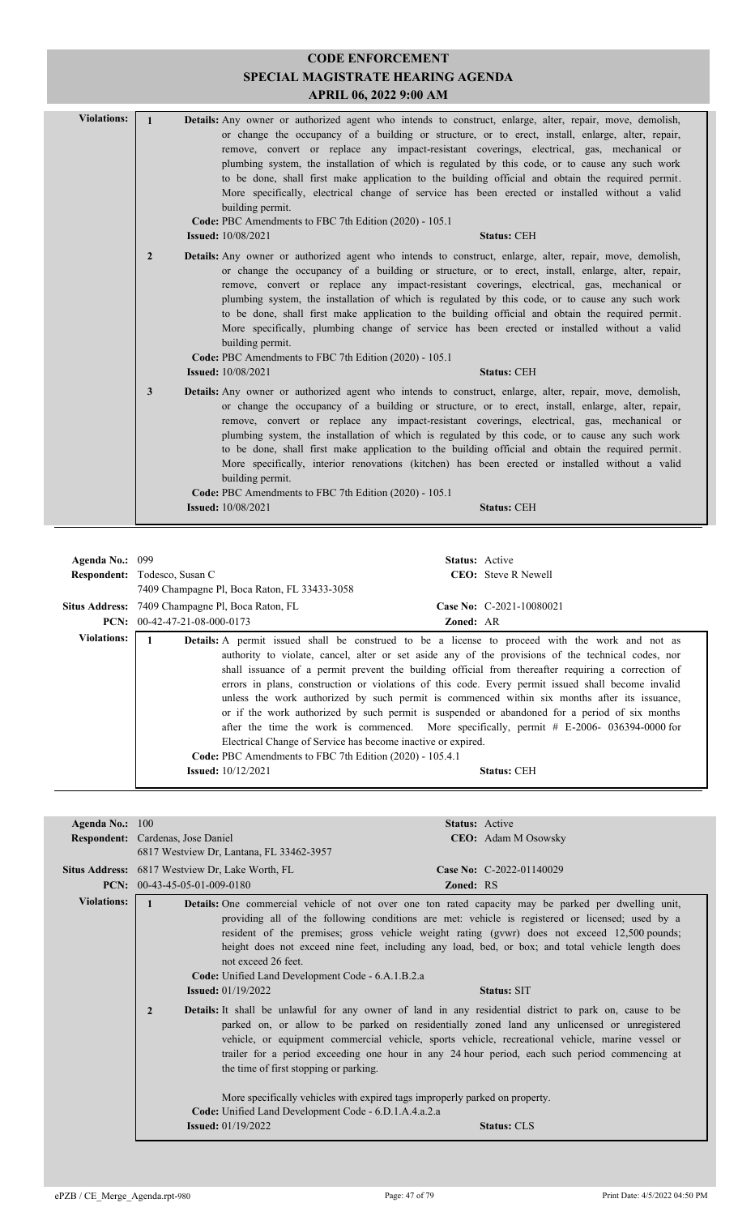| <b>Violations:</b> | $\mathbf{1}$<br><b>Details:</b> Any owner or authorized agent who intends to construct, enlarge, alter, repair, move, demolish,<br>or change the occupancy of a building or structure, or to erect, install, enlarge, alter, repair,<br>remove, convert or replace any impact-resistant coverings, electrical, gas, mechanical or<br>plumbing system, the installation of which is regulated by this code, or to cause any such work<br>to be done, shall first make application to the building official and obtain the required permit.<br>More specifically, electrical change of service has been erected or installed without a valid<br>building permit.<br>Code: PBC Amendments to FBC 7th Edition (2020) - 105.1<br><b>Issued:</b> 10/08/2021<br><b>Status: CEH</b> |  |
|--------------------|-----------------------------------------------------------------------------------------------------------------------------------------------------------------------------------------------------------------------------------------------------------------------------------------------------------------------------------------------------------------------------------------------------------------------------------------------------------------------------------------------------------------------------------------------------------------------------------------------------------------------------------------------------------------------------------------------------------------------------------------------------------------------------|--|
|                    | $\overline{2}$<br><b>Details:</b> Any owner or authorized agent who intends to construct, enlarge, alter, repair, move, demolish,<br>or change the occupancy of a building or structure, or to erect, install, enlarge, alter, repair,<br>remove, convert or replace any impact-resistant coverings, electrical, gas, mechanical or<br>plumbing system, the installation of which is regulated by this code, or to cause any such work<br>to be done, shall first make application to the building official and obtain the required permit.<br>More specifically, plumbing change of service has been erected or installed without a valid<br>building permit.<br>Code: PBC Amendments to FBC 7th Edition (2020) - 105.1<br><b>Issued:</b> 10/08/2021<br><b>Status: CEH</b> |  |
|                    | $\mathbf{3}$<br>Details: Any owner or authorized agent who intends to construct, enlarge, alter, repair, move, demolish,<br>or change the occupancy of a building or structure, or to erect, install, enlarge, alter, repair,<br>remove, convert or replace any impact-resistant coverings, electrical, gas, mechanical or<br>plumbing system, the installation of which is regulated by this code, or to cause any such work<br>to be done, shall first make application to the building official and obtain the required permit.<br>More specifically, interior renovations (kitchen) has been erected or installed without a valid<br>building permit.<br>Code: PBC Amendments to FBC 7th Edition (2020) - 105.1<br><b>Issued:</b> 10/08/2021<br><b>Status: CEH</b>      |  |
|                    |                                                                                                                                                                                                                                                                                                                                                                                                                                                                                                                                                                                                                                                                                                                                                                             |  |
| Agenda No.: 099    | Status: Active                                                                                                                                                                                                                                                                                                                                                                                                                                                                                                                                                                                                                                                                                                                                                              |  |
|                    | Respondent: Todesco, Susan C<br>CEO: Steve R Newell                                                                                                                                                                                                                                                                                                                                                                                                                                                                                                                                                                                                                                                                                                                         |  |
|                    | 7409 Champagne Pl, Boca Raton, FL 33433-3058                                                                                                                                                                                                                                                                                                                                                                                                                                                                                                                                                                                                                                                                                                                                |  |
|                    | Situs Address: 7409 Champagne Pl, Boca Raton, FL<br>Case No: C-2021-10080021                                                                                                                                                                                                                                                                                                                                                                                                                                                                                                                                                                                                                                                                                                |  |
|                    |                                                                                                                                                                                                                                                                                                                                                                                                                                                                                                                                                                                                                                                                                                                                                                             |  |

**PCN:** 00-42-47-21-08-000-0173 **Zoned:** AR **Violations:**  $\begin{bmatrix} 1 \\ 0 \end{bmatrix}$  **Details:** A permit issued shall be construed to be a license to proceed with the work and not as authority to violate, cancel, alter or set aside any of the provisions of the technical codes, nor shall issuance of a permit prevent the building official from thereafter requiring a correction of errors in plans, construction or violations of this code. Every permit issued shall become invalid unless the work authorized by such permit is commenced within six months after its issuance, or if the work authorized by such permit is suspended or abandoned for a period of six months after the time the work is commenced. More specifically, permit # E-2006- 036394-0000 for Electrical Change of Service has become inactive or expired. **Code:** PBC Amendments to FBC 7th Edition (2020) - 105.4.1 **Issued:** 10/12/2021 **Status:** CEH

| Agenda No.: $100$                                                                                                                                                                                                                                                                                                                                                                                                                                                                                                                                                                                                                                                                                                                                                                                                                                                                                                                                                   |                                                                                                                              | <b>Status:</b> Active                                                       |                                                                                                                     |
|---------------------------------------------------------------------------------------------------------------------------------------------------------------------------------------------------------------------------------------------------------------------------------------------------------------------------------------------------------------------------------------------------------------------------------------------------------------------------------------------------------------------------------------------------------------------------------------------------------------------------------------------------------------------------------------------------------------------------------------------------------------------------------------------------------------------------------------------------------------------------------------------------------------------------------------------------------------------|------------------------------------------------------------------------------------------------------------------------------|-----------------------------------------------------------------------------|---------------------------------------------------------------------------------------------------------------------|
|                                                                                                                                                                                                                                                                                                                                                                                                                                                                                                                                                                                                                                                                                                                                                                                                                                                                                                                                                                     | <b>Respondent:</b> Cardenas, Jose Daniel                                                                                     |                                                                             | <b>CEO:</b> Adam M Osowsky                                                                                          |
|                                                                                                                                                                                                                                                                                                                                                                                                                                                                                                                                                                                                                                                                                                                                                                                                                                                                                                                                                                     | 6817 Westview Dr. Lantana, FL 33462-3957                                                                                     |                                                                             |                                                                                                                     |
|                                                                                                                                                                                                                                                                                                                                                                                                                                                                                                                                                                                                                                                                                                                                                                                                                                                                                                                                                                     | Situs Address: 6817 Westview Dr, Lake Worth, FL                                                                              |                                                                             | Case No: C-2022-01140029                                                                                            |
|                                                                                                                                                                                                                                                                                                                                                                                                                                                                                                                                                                                                                                                                                                                                                                                                                                                                                                                                                                     |                                                                                                                              |                                                                             |                                                                                                                     |
| <b>PCN:</b> $00-43-45-05-01-009-0180$<br><b>Zoned: RS</b><br><b>Violations:</b><br>Details: One commercial vehicle of not over one ton rated capacity may be parked per dwelling unit,<br>providing all of the following conditions are met: vehicle is registered or licensed; used by a<br>resident of the premises; gross vehicle weight rating (gywr) does not exceed 12,500 pounds;<br>height does not exceed nine feet, including any load, bed, or box; and total vehicle length does<br>not exceed 26 feet<br>Code: Unified Land Development Code - 6.A.1.B.2.a<br><b>Issued:</b> $01/19/2022$<br><b>Status: SIT</b><br><b>Details:</b> It shall be unlawful for any owner of land in any residential district to park on, cause to be<br>$\overline{2}$<br>parked on, or allow to be parked on residentially zoned land any unlicensed or unregistered<br>vehicle, or equipment commercial vehicle, sports vehicle, recreational vehicle, marine vessel or |                                                                                                                              |                                                                             |                                                                                                                     |
|                                                                                                                                                                                                                                                                                                                                                                                                                                                                                                                                                                                                                                                                                                                                                                                                                                                                                                                                                                     | the time of first stopping or parking.<br>Code: Unified Land Development Code - 6.D.1.A.4.a.2.a<br><b>Issued:</b> 01/19/2022 | More specifically vehicles with expired tags improperly parked on property. | trailer for a period exceeding one hour in any 24 hour period, each such period commencing at<br><b>Status: CLS</b> |
|                                                                                                                                                                                                                                                                                                                                                                                                                                                                                                                                                                                                                                                                                                                                                                                                                                                                                                                                                                     |                                                                                                                              |                                                                             |                                                                                                                     |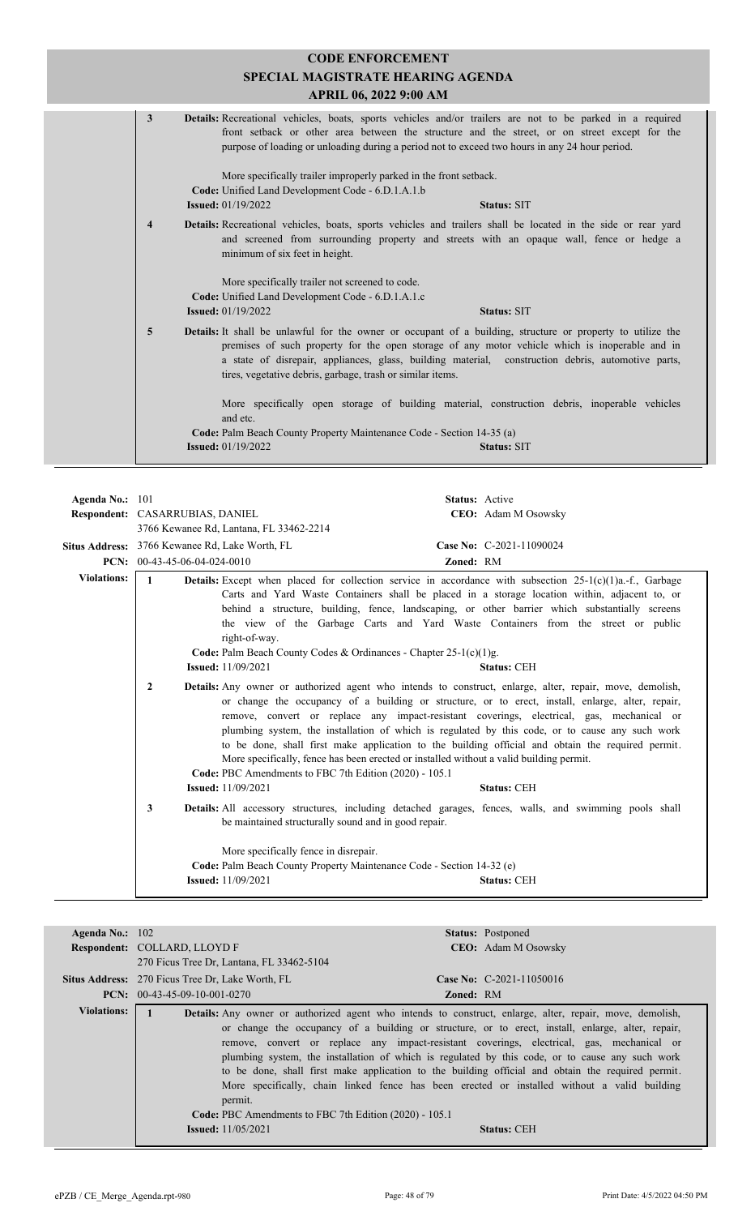| <b>CODE ENFORCEMENT</b><br>SPECIAL MAGISTRATE HEARING AGENDA<br>APRIL 06, 2022 9:00 AM                                                                                                                                                                                                                                                                                                        |
|-----------------------------------------------------------------------------------------------------------------------------------------------------------------------------------------------------------------------------------------------------------------------------------------------------------------------------------------------------------------------------------------------|
| Details: Recreational vehicles, boats, sports vehicles and/or trailers are not to be parked in a required<br>3<br>front setback or other area between the structure and the street, or on street except for the<br>purpose of loading or unloading during a period not to exceed two hours in any 24 hour period.                                                                             |
| More specifically trailer improperly parked in the front setback.<br>Code: Unified Land Development Code - 6.D.1.A.1.b<br><b>Issued:</b> 01/19/2022<br><b>Status: SIT</b>                                                                                                                                                                                                                     |
| Details: Recreational vehicles, boats, sports vehicles and trailers shall be located in the side or rear yard<br>$\overline{\mathbf{4}}$<br>and screened from surrounding property and streets with an opaque wall, fence or hedge a<br>minimum of six feet in height.                                                                                                                        |
| More specifically trailer not screened to code.<br>Code: Unified Land Development Code - 6.D.1.A.1.c<br><b>Issued:</b> 01/19/2022<br><b>Status: SIT</b>                                                                                                                                                                                                                                       |
| <b>Details:</b> It shall be unlawful for the owner or occupant of a building, structure or property to utilize the<br>5<br>premises of such property for the open storage of any motor vehicle which is inoperable and in<br>a state of disrepair, appliances, glass, building material, construction debris, automotive parts,<br>tires, vegetative debris, garbage, trash or similar items. |
| More specifically open storage of building material, construction debris, inoperable vehicles<br>and etc.<br>Code: Palm Beach County Property Maintenance Code - Section 14-35 (a)                                                                                                                                                                                                            |
| <b>Issued:</b> 01/19/2022<br><b>Status: SIT</b>                                                                                                                                                                                                                                                                                                                                               |

| Agenda No.: $101$  | Respondent: CASARRUBIAS, DANIEL                                                                                                    |                                                                                                                                                                                                                                                                                                                                                                                                                                                                                                                                                                                                                                                                                | <b>Status:</b> Active<br>CEO: Adam M Osowsky |
|--------------------|------------------------------------------------------------------------------------------------------------------------------------|--------------------------------------------------------------------------------------------------------------------------------------------------------------------------------------------------------------------------------------------------------------------------------------------------------------------------------------------------------------------------------------------------------------------------------------------------------------------------------------------------------------------------------------------------------------------------------------------------------------------------------------------------------------------------------|----------------------------------------------|
|                    | 3766 Kewanee Rd, Lantana, FL 33462-2214<br>Situs Address: 3766 Kewanee Rd, Lake Worth, FL<br><b>PCN:</b> $00-43-45-06-04-024-0010$ | Zoned: RM                                                                                                                                                                                                                                                                                                                                                                                                                                                                                                                                                                                                                                                                      | Case No: C-2021-11090024                     |
| <b>Violations:</b> | $\mathbf{1}$<br><b>Issued:</b> 11/09/2021                                                                                          | <b>Details:</b> Except when placed for collection service in accordance with subsection $25-1(c)(1)a$ .-f., Garbage<br>Carts and Yard Waste Containers shall be placed in a storage location within, adjacent to, or<br>behind a structure, building, fence, landscaping, or other barrier which substantially screens<br>the view of the Garbage Carts and Yard Waste Containers from the street or public<br>right-of-way.<br><b>Code:</b> Palm Beach County Codes & Ordinances - Chapter $25-1(c)(1)g$ .                                                                                                                                                                    | <b>Status: CEH</b>                           |
|                    | $\mathbf{2}$<br><b>Issued:</b> 11/09/2021                                                                                          | <b>Details:</b> Any owner or authorized agent who intends to construct, enlarge, alter, repair, move, demolish,<br>or change the occupancy of a building or structure, or to erect, install, enlarge, alter, repair,<br>remove, convert or replace any impact-resistant coverings, electrical, gas, mechanical or<br>plumbing system, the installation of which is regulated by this code, or to cause any such work<br>to be done, shall first make application to the building official and obtain the required permit.<br>More specifically, fence has been erected or installed without a valid building permit.<br>Code: PBC Amendments to FBC 7th Edition (2020) - 105.1 | <b>Status: CEH</b>                           |
|                    | 3<br><b>Issued:</b> 11/09/2021                                                                                                     | <b>Details:</b> All accessory structures, including detached garages, fences, walls, and swimming pools shall<br>be maintained structurally sound and in good repair.<br>More specifically fence in disrepair.<br><b>Code:</b> Palm Beach County Property Maintenance Code - Section 14-32 (e)                                                                                                                                                                                                                                                                                                                                                                                 | <b>Status: CEH</b>                           |

| Agenda No.: $102$ |                                                                                                | <b>Status:</b> Postponed                                                                                                                                                                                                                                                                                                                                                                                                                                                                                                                                                                                                                        |
|-------------------|------------------------------------------------------------------------------------------------|-------------------------------------------------------------------------------------------------------------------------------------------------------------------------------------------------------------------------------------------------------------------------------------------------------------------------------------------------------------------------------------------------------------------------------------------------------------------------------------------------------------------------------------------------------------------------------------------------------------------------------------------------|
|                   | <b>Respondent: COLLARD, LLOYD F</b>                                                            | CEO: Adam M Osowsky                                                                                                                                                                                                                                                                                                                                                                                                                                                                                                                                                                                                                             |
|                   | 270 Ficus Tree Dr. Lantana, FL 33462-5104                                                      |                                                                                                                                                                                                                                                                                                                                                                                                                                                                                                                                                                                                                                                 |
|                   | <b>Situs Address:</b> 270 Ficus Tree Dr, Lake Worth, FL                                        | Case No: $C-2021-11050016$                                                                                                                                                                                                                                                                                                                                                                                                                                                                                                                                                                                                                      |
|                   | $PCN: 00-43-45-09-10-001-0270$                                                                 | <b>Zoned: RM</b>                                                                                                                                                                                                                                                                                                                                                                                                                                                                                                                                                                                                                                |
| Violations:       | permit.<br>Code: PBC Amendments to FBC 7th Edition (2020) - 105.1<br><b>Issued:</b> 11/05/2021 | <b>Details:</b> Any owner or authorized agent who intends to construct, enlarge, alter, repair, move, demolish,<br>or change the occupancy of a building or structure, or to erect, install, enlarge, alter, repair,<br>remove, convert or replace any impact-resistant coverings, electrical, gas, mechanical or<br>plumbing system, the installation of which is regulated by this code, or to cause any such work<br>to be done, shall first make application to the building official and obtain the required permit.<br>More specifically, chain linked fence has been erected or installed without a valid building<br><b>Status: CEH</b> |
|                   |                                                                                                |                                                                                                                                                                                                                                                                                                                                                                                                                                                                                                                                                                                                                                                 |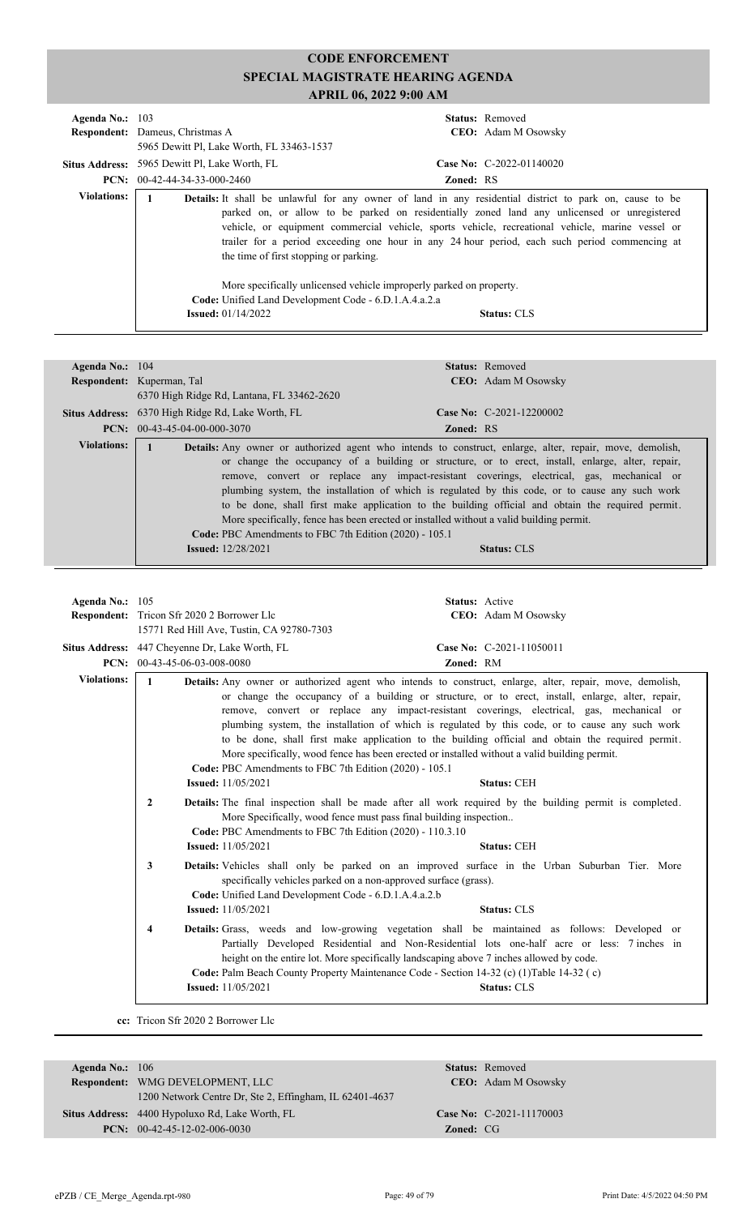| Agenda No.: $103$ | <b>Respondent:</b> Dameus, Christmas A<br>5965 Dewitt Pl, Lake Worth, FL 33463-1537    | <b>Status:</b> Removed<br><b>CEO:</b> Adam M Osowsky                                                                                                                                                                                                                                                                                                                                                                                                                                      |
|-------------------|----------------------------------------------------------------------------------------|-------------------------------------------------------------------------------------------------------------------------------------------------------------------------------------------------------------------------------------------------------------------------------------------------------------------------------------------------------------------------------------------------------------------------------------------------------------------------------------------|
|                   | <b>Situs Address:</b> 5965 Dewitt Pl, Lake Worth, FL<br>$PCN: 00-42-44-34-33-000-2460$ | Case No: $C-2022-01140020$<br><b>Zoned: RS</b>                                                                                                                                                                                                                                                                                                                                                                                                                                            |
| Violations:       | the time of first stopping or parking.                                                 | <b>Details:</b> It shall be unlawful for any owner of land in any residential district to park on, cause to be<br>parked on, or allow to be parked on residentially zoned land any unlicensed or unregistered<br>vehicle, or equipment commercial vehicle, sports vehicle, recreational vehicle, marine vessel or<br>trailer for a period exceeding one hour in any 24 hour period, each such period commencing at<br>More specifically unlicensed vehicle improperly parked on property. |
|                   | Code: Unified Land Development Code - 6.D.1.A.4.a.2.a<br><b>Issued:</b> $01/14/2022$   | <b>Status: CLS</b>                                                                                                                                                                                                                                                                                                                                                                                                                                                                        |

| Agenda No.: $104$  |                                                                                       | <b>Status:</b> Removed                                                                                                                                                                                                                                                                                                                                                                                                                                                                                                                                                                                                                     |
|--------------------|---------------------------------------------------------------------------------------|--------------------------------------------------------------------------------------------------------------------------------------------------------------------------------------------------------------------------------------------------------------------------------------------------------------------------------------------------------------------------------------------------------------------------------------------------------------------------------------------------------------------------------------------------------------------------------------------------------------------------------------------|
|                    | Respondent: Kuperman, Tal                                                             | <b>CEO:</b> Adam M Osowsky                                                                                                                                                                                                                                                                                                                                                                                                                                                                                                                                                                                                                 |
|                    | 6370 High Ridge Rd, Lantana, FL 33462-2620                                            |                                                                                                                                                                                                                                                                                                                                                                                                                                                                                                                                                                                                                                            |
|                    | <b>Situs Address:</b> 6370 High Ridge Rd, Lake Worth, FL                              | Case No: $C-2021-12200002$                                                                                                                                                                                                                                                                                                                                                                                                                                                                                                                                                                                                                 |
|                    | <b>PCN:</b> $00-43-45-04-00-000-3070$                                                 | <b>Zoned: RS</b>                                                                                                                                                                                                                                                                                                                                                                                                                                                                                                                                                                                                                           |
| <b>Violations:</b> | Code: PBC Amendments to FBC 7th Edition (2020) - 105.1<br><b>Issued:</b> $12/28/2021$ | <b>Details:</b> Any owner or authorized agent who intends to construct, enlarge, alter, repair, move, demolish,<br>or change the occupancy of a building or structure, or to erect, install, enlarge, alter, repair,<br>remove, convert or replace any impact-resistant coverings, electrical, gas, mechanical or<br>plumbing system, the installation of which is regulated by this code, or to cause any such work<br>to be done, shall first make application to the building official and obtain the required permit.<br>More specifically, fence has been erected or installed without a valid building permit.<br><b>Status: CLS</b> |

| Agenda No.: 105    |                                                   |                                                                                                                                                                                                                                                                                                                                                                                |                  | <b>Status:</b> Active                                                                                                                                                                                                                                                                                                                                                                                                                                                                                                                                                                                                                                                                                                                                                                                                                                                                      |
|--------------------|---------------------------------------------------|--------------------------------------------------------------------------------------------------------------------------------------------------------------------------------------------------------------------------------------------------------------------------------------------------------------------------------------------------------------------------------|------------------|--------------------------------------------------------------------------------------------------------------------------------------------------------------------------------------------------------------------------------------------------------------------------------------------------------------------------------------------------------------------------------------------------------------------------------------------------------------------------------------------------------------------------------------------------------------------------------------------------------------------------------------------------------------------------------------------------------------------------------------------------------------------------------------------------------------------------------------------------------------------------------------------|
|                    | <b>Respondent:</b> Tricon Sfr 2020 2 Borrower Llc |                                                                                                                                                                                                                                                                                                                                                                                |                  | CEO: Adam M Osowsky                                                                                                                                                                                                                                                                                                                                                                                                                                                                                                                                                                                                                                                                                                                                                                                                                                                                        |
|                    |                                                   | 15771 Red Hill Ave, Tustin, CA 92780-7303                                                                                                                                                                                                                                                                                                                                      |                  |                                                                                                                                                                                                                                                                                                                                                                                                                                                                                                                                                                                                                                                                                                                                                                                                                                                                                            |
|                    | Situs Address: 447 Cheyenne Dr, Lake Worth, FL    |                                                                                                                                                                                                                                                                                                                                                                                |                  | Case No: C-2021-11050011                                                                                                                                                                                                                                                                                                                                                                                                                                                                                                                                                                                                                                                                                                                                                                                                                                                                   |
|                    | <b>PCN:</b> $00-43-45-06-03-008-0080$             |                                                                                                                                                                                                                                                                                                                                                                                | <b>Zoned: RM</b> |                                                                                                                                                                                                                                                                                                                                                                                                                                                                                                                                                                                                                                                                                                                                                                                                                                                                                            |
| <b>Violations:</b> | $\mathbf{1}$<br>$\overline{2}$<br>3               | Code: PBC Amendments to FBC 7th Edition (2020) - 105.1<br><b>Issued:</b> 11/05/2021<br>More Specifically, wood fence must pass final building inspection<br>Code: PBC Amendments to FBC 7th Edition (2020) - 110.3.10<br><b>Issued:</b> 11/05/2021<br>specifically vehicles parked on a non-approved surface (grass).<br>Code: Unified Land Development Code - 6.D.1.A.4.a.2.b |                  | <b>Details:</b> Any owner or authorized agent who intends to construct, enlarge, alter, repair, move, demolish,<br>or change the occupancy of a building or structure, or to erect, install, enlarge, alter, repair,<br>remove, convert or replace any impact-resistant coverings, electrical, gas, mechanical or<br>plumbing system, the installation of which is regulated by this code, or to cause any such work<br>to be done, shall first make application to the building official and obtain the required permit.<br>More specifically, wood fence has been erected or installed without a valid building permit.<br><b>Status: CEH</b><br><b>Details:</b> The final inspection shall be made after all work required by the building permit is completed.<br><b>Status: CEH</b><br>Details: Vehicles shall only be parked on an improved surface in the Urban Suburban Tier. More |
|                    |                                                   | <b>Issued:</b> 11/05/2021                                                                                                                                                                                                                                                                                                                                                      |                  | <b>Status: CLS</b>                                                                                                                                                                                                                                                                                                                                                                                                                                                                                                                                                                                                                                                                                                                                                                                                                                                                         |
|                    | 4                                                 | height on the entire lot. More specifically landscaping above 7 inches allowed by code.<br>Code: Palm Beach County Property Maintenance Code - Section 14-32 (c) (1) Table 14-32 (c)<br><b>Issued:</b> 11/05/2021                                                                                                                                                              |                  | Details: Grass, weeds and low-growing vegetation shall be maintained as follows: Developed or<br>Partially Developed Residential and Non-Residential lots one-half acre or less: 7 inches in<br><b>Status: CLS</b>                                                                                                                                                                                                                                                                                                                                                                                                                                                                                                                                                                                                                                                                         |

**cc:** Tricon Sfr 2020 2 Borrower Llc

| Agenda No.: $106$ |                                                         |                  | <b>Status:</b> Removed     |
|-------------------|---------------------------------------------------------|------------------|----------------------------|
|                   | <b>Respondent:</b> WMG DEVELOPMENT, LLC                 |                  | <b>CEO:</b> Adam M Osowsky |
|                   | 1200 Network Centre Dr, Ste 2, Effingham, IL 62401-4637 |                  |                            |
|                   | <b>Situs Address:</b> 4400 Hypoluxo Rd, Lake Worth, FL  |                  | Case No: C-2021-11170003   |
|                   | <b>PCN:</b> $00-42-45-12-02-006-0030$                   | <b>Zoned: CG</b> |                            |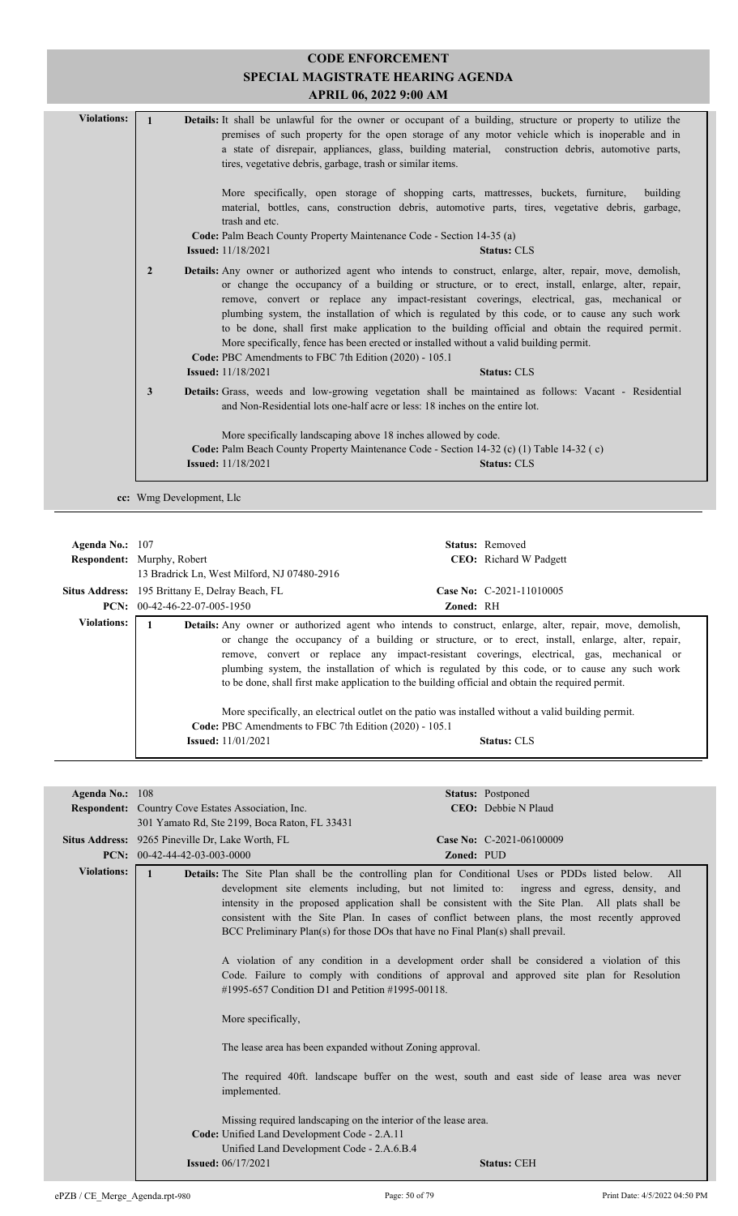|                    |                                                 | SPECIAL MAGISTRATE HEARING AGENDA                                                                                                                                                        | <b>CODE ENFORCEMENT</b> |                                                                                                                                                                                                                                                                                                                                                                                                                                                                                                                    |
|--------------------|-------------------------------------------------|------------------------------------------------------------------------------------------------------------------------------------------------------------------------------------------|-------------------------|--------------------------------------------------------------------------------------------------------------------------------------------------------------------------------------------------------------------------------------------------------------------------------------------------------------------------------------------------------------------------------------------------------------------------------------------------------------------------------------------------------------------|
|                    |                                                 |                                                                                                                                                                                          | APRIL 06, 2022 9:00 AM  |                                                                                                                                                                                                                                                                                                                                                                                                                                                                                                                    |
| <b>Violations:</b> | $\mathbf{1}$                                    | tires, vegetative debris, garbage, trash or similar items.                                                                                                                               |                         | Details: It shall be unlawful for the owner or occupant of a building, structure or property to utilize the<br>premises of such property for the open storage of any motor vehicle which is inoperable and in<br>a state of disrepair, appliances, glass, building material, construction debris, automotive parts,                                                                                                                                                                                                |
|                    |                                                 | trash and etc.                                                                                                                                                                           |                         | More specifically, open storage of shopping carts, mattresses, buckets, furniture,<br>building<br>material, bottles, cans, construction debris, automotive parts, tires, vegetative debris, garbage,                                                                                                                                                                                                                                                                                                               |
|                    |                                                 | Code: Palm Beach County Property Maintenance Code - Section 14-35 (a)<br><b>Issued:</b> 11/18/2021                                                                                       |                         | <b>Status: CLS</b>                                                                                                                                                                                                                                                                                                                                                                                                                                                                                                 |
|                    | $\overline{2}$                                  | More specifically, fence has been erected or installed without a valid building permit.<br>Code: PBC Amendments to FBC 7th Edition (2020) - 105.1                                        |                         | Details: Any owner or authorized agent who intends to construct, enlarge, alter, repair, move, demolish,<br>or change the occupancy of a building or structure, or to erect, install, enlarge, alter, repair,<br>remove, convert or replace any impact-resistant coverings, electrical, gas, mechanical or<br>plumbing system, the installation of which is regulated by this code, or to cause any such work<br>to be done, shall first make application to the building official and obtain the required permit. |
|                    | 3                                               | <b>Issued:</b> 11/18/2021<br>and Non-Residential lots one-half acre or less: 18 inches on the entire lot.                                                                                |                         | <b>Status: CLS</b><br>Details: Grass, weeds and low-growing vegetation shall be maintained as follows: Vacant - Residential                                                                                                                                                                                                                                                                                                                                                                                        |
|                    |                                                 | More specifically landscaping above 18 inches allowed by code.<br>Code: Palm Beach County Property Maintenance Code - Section 14-32 (c) (1) Table 14-32 (c)<br><b>Issued:</b> 11/18/2021 |                         | <b>Status: CLS</b>                                                                                                                                                                                                                                                                                                                                                                                                                                                                                                 |
|                    | cc: Wmg Development, Llc                        |                                                                                                                                                                                          |                         |                                                                                                                                                                                                                                                                                                                                                                                                                                                                                                                    |
|                    |                                                 |                                                                                                                                                                                          |                         |                                                                                                                                                                                                                                                                                                                                                                                                                                                                                                                    |
| Agenda No.: 107    |                                                 |                                                                                                                                                                                          |                         | Status: Removed                                                                                                                                                                                                                                                                                                                                                                                                                                                                                                    |
|                    | Respondent: Murphy, Robert                      | 13 Bradrick Ln, West Milford, NJ 07480-2916                                                                                                                                              |                         | CEO: Richard W Padgett                                                                                                                                                                                                                                                                                                                                                                                                                                                                                             |
|                    | Situs Address: 195 Brittany E, Delray Beach, FL |                                                                                                                                                                                          |                         | Case No: C-2021-11010005                                                                                                                                                                                                                                                                                                                                                                                                                                                                                           |
|                    | PCN: 00-42-46-22-07-005-1950                    |                                                                                                                                                                                          | Zoned: RH               |                                                                                                                                                                                                                                                                                                                                                                                                                                                                                                                    |

| <b>Violations:</b> | <b>Details:</b> Any owner or authorized agent who intends to construct, enlarge, alter, repair, move, demolish, |
|--------------------|-----------------------------------------------------------------------------------------------------------------|
|                    | or change the occupancy of a building or structure, or to erect, install, enlarge, alter, repair,               |
|                    | remove, convert or replace any impact-resistant coverings, electrical, gas, mechanical or                       |
|                    | plumbing system, the installation of which is regulated by this code, or to cause any such work                 |
|                    | to be done, shall first make application to the building official and obtain the required permit.               |
|                    |                                                                                                                 |
|                    | More specifically, an electrical outlet on the patio was installed without a valid building permit.             |

| Code: PBC Amendments to FBC 7th Edition (2020) - 105.1 | More specifically, an electrical outlet on the patio was installed without a valid building permit. |
|--------------------------------------------------------|-----------------------------------------------------------------------------------------------------|
| <b>Issued:</b> $11/01/2021$                            | <b>Status: CLS</b>                                                                                  |
|                                                        |                                                                                                     |

| Agenda No.: $108$  |                                                                                                                                                                                                                                                                                                                     | <b>Status: Postponed</b>                                                                                                                                                                                                                                                                                                                                                                                                                                                                                                                                                                                                                                                                                                                                                                |
|--------------------|---------------------------------------------------------------------------------------------------------------------------------------------------------------------------------------------------------------------------------------------------------------------------------------------------------------------|-----------------------------------------------------------------------------------------------------------------------------------------------------------------------------------------------------------------------------------------------------------------------------------------------------------------------------------------------------------------------------------------------------------------------------------------------------------------------------------------------------------------------------------------------------------------------------------------------------------------------------------------------------------------------------------------------------------------------------------------------------------------------------------------|
|                    | <b>Respondent:</b> Country Cove Estates Association, Inc.                                                                                                                                                                                                                                                           | CEO: Debbie N Plaud                                                                                                                                                                                                                                                                                                                                                                                                                                                                                                                                                                                                                                                                                                                                                                     |
|                    | 301 Yamato Rd, Ste 2199, Boca Raton, FL 33431                                                                                                                                                                                                                                                                       |                                                                                                                                                                                                                                                                                                                                                                                                                                                                                                                                                                                                                                                                                                                                                                                         |
|                    | Situs Address: 9265 Pineville Dr, Lake Worth, FL                                                                                                                                                                                                                                                                    | Case No: C-2021-06100009                                                                                                                                                                                                                                                                                                                                                                                                                                                                                                                                                                                                                                                                                                                                                                |
|                    | PCN: $00-42-44-42-03-003-0000$                                                                                                                                                                                                                                                                                      | Zoned: PUD                                                                                                                                                                                                                                                                                                                                                                                                                                                                                                                                                                                                                                                                                                                                                                              |
| <b>Violations:</b> | #1995-657 Condition D1 and Petition #1995-00118.<br>More specifically,<br>The lease area has been expanded without Zoning approval.<br>implemented.<br>Missing required landscaping on the interior of the lease area.<br>Code: Unified Land Development Code - 2.A.11<br>Unified Land Development Code - 2.A.6.B.4 | Details: The Site Plan shall be the controlling plan for Conditional Uses or PDDs listed below.<br>All<br>development site elements including, but not limited to: ingress and egress, density, and<br>intensity in the proposed application shall be consistent with the Site Plan. All plats shall be<br>consistent with the Site Plan. In cases of conflict between plans, the most recently approved<br>BCC Preliminary Plan(s) for those DOs that have no Final Plan(s) shall prevail.<br>A violation of any condition in a development order shall be considered a violation of this<br>Code. Failure to comply with conditions of approval and approved site plan for Resolution<br>The required 40ft. landscape buffer on the west, south and east side of lease area was never |
|                    | <b>Issued:</b> 06/17/2021                                                                                                                                                                                                                                                                                           | <b>Status: CEH</b>                                                                                                                                                                                                                                                                                                                                                                                                                                                                                                                                                                                                                                                                                                                                                                      |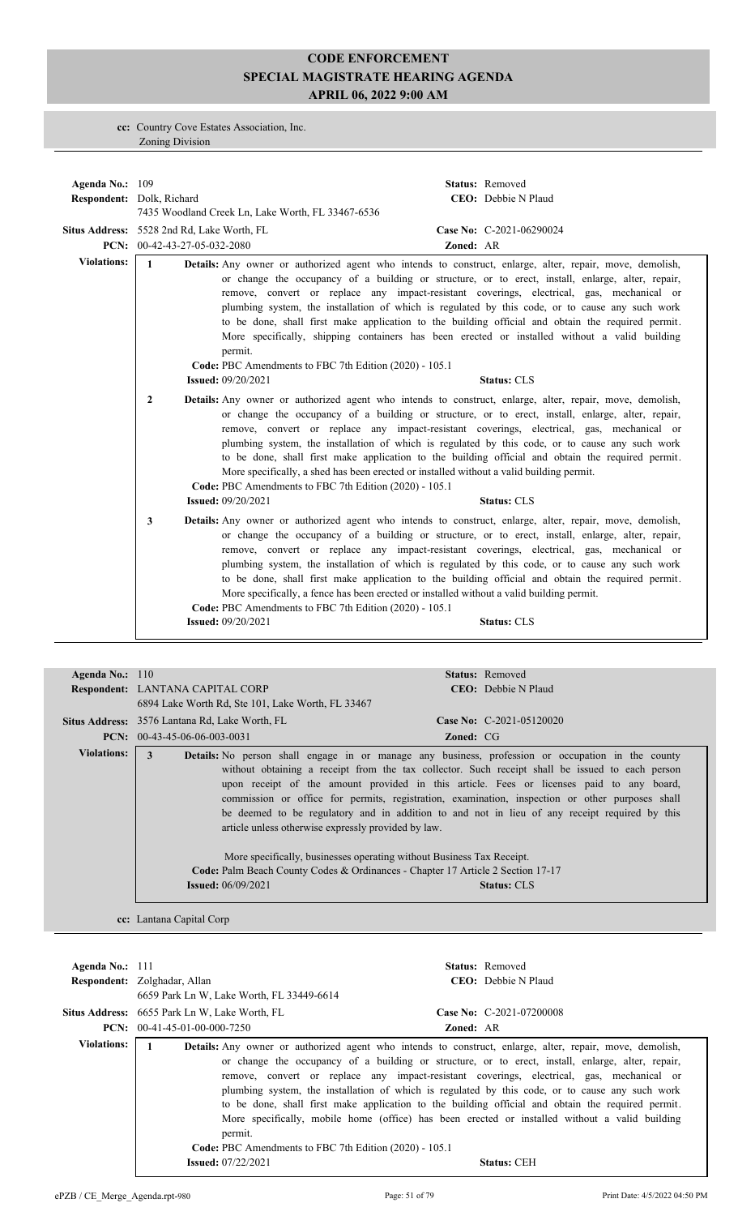**cc:** Country Cove Estates Association, Inc. Zoning Division

| Agenda No.: $109$  | Respondent: Dolk, Richard<br><b>Situs Address:</b> 5528 2nd Rd, Lake Worth, FL | 7435 Woodland Creek Ln, Lake Worth, FL 33467-6536                                                                                                                                |           | Status: Removed<br>CEO: Debbie N Plaud<br>Case No: C-2021-06290024                                                                                                                                                                                                                                                                                                                                                                                                                                                                                                                                                                               |
|--------------------|--------------------------------------------------------------------------------|----------------------------------------------------------------------------------------------------------------------------------------------------------------------------------|-----------|--------------------------------------------------------------------------------------------------------------------------------------------------------------------------------------------------------------------------------------------------------------------------------------------------------------------------------------------------------------------------------------------------------------------------------------------------------------------------------------------------------------------------------------------------------------------------------------------------------------------------------------------------|
|                    | PCN: 00-42-43-27-05-032-2080                                                   |                                                                                                                                                                                  | Zoned: AR |                                                                                                                                                                                                                                                                                                                                                                                                                                                                                                                                                                                                                                                  |
| <b>Violations:</b> | $\mathbf{1}$<br>$\overline{2}$                                                 | permit.<br>Code: PBC Amendments to FBC 7th Edition (2020) - 105.1<br><b>Issued: 09/20/2021</b>                                                                                   |           | <b>Details:</b> Any owner or authorized agent who intends to construct, enlarge, alter, repair, move, demolish,<br>or change the occupancy of a building or structure, or to erect, install, enlarge, alter, repair,<br>remove, convert or replace any impact-resistant coverings, electrical, gas, mechanical or<br>plumbing system, the installation of which is regulated by this code, or to cause any such work<br>to be done, shall first make application to the building official and obtain the required permit.<br>More specifically, shipping containers has been erected or installed without a valid building<br><b>Status: CLS</b> |
|                    |                                                                                | More specifically, a shed has been erected or installed without a valid building permit.<br>Code: PBC Amendments to FBC 7th Edition (2020) - 105.1<br><b>Issued:</b> 09/20/2021  |           | Details: Any owner or authorized agent who intends to construct, enlarge, alter, repair, move, demolish,<br>or change the occupancy of a building or structure, or to erect, install, enlarge, alter, repair,<br>remove, convert or replace any impact-resistant coverings, electrical, gas, mechanical or<br>plumbing system, the installation of which is regulated by this code, or to cause any such work<br>to be done, shall first make application to the building official and obtain the required permit.<br><b>Status: CLS</b>                                                                                                         |
|                    |                                                                                |                                                                                                                                                                                  |           |                                                                                                                                                                                                                                                                                                                                                                                                                                                                                                                                                                                                                                                  |
|                    | 3                                                                              | More specifically, a fence has been erected or installed without a valid building permit.<br>Code: PBC Amendments to FBC 7th Edition (2020) - 105.1<br><b>Issued: 09/20/2021</b> |           | Details: Any owner or authorized agent who intends to construct, enlarge, alter, repair, move, demolish,<br>or change the occupancy of a building or structure, or to erect, install, enlarge, alter, repair,<br>remove, convert or replace any impact-resistant coverings, electrical, gas, mechanical or<br>plumbing system, the installation of which is regulated by this code, or to cause any such work<br>to be done, shall first make application to the building official and obtain the required permit.<br><b>Status: CLS</b>                                                                                                         |

| Agenda No.: $110$  |                                                                                                                                                                                             | <b>Status:</b> Removed                                                                                   |  |  |  |
|--------------------|---------------------------------------------------------------------------------------------------------------------------------------------------------------------------------------------|----------------------------------------------------------------------------------------------------------|--|--|--|
|                    | <b>Respondent: LANTANA CAPITAL CORP</b>                                                                                                                                                     | <b>CEO</b> : Debbie N Plaud                                                                              |  |  |  |
|                    | 6894 Lake Worth Rd, Ste 101, Lake Worth, FL 33467                                                                                                                                           |                                                                                                          |  |  |  |
|                    | <b>Situs Address:</b> 3576 Lantana Rd, Lake Worth, FL                                                                                                                                       | Case No: C-2021-05120020                                                                                 |  |  |  |
|                    | <b>PCN:</b> $00-43-45-06-06-003-0031$                                                                                                                                                       | <b>Zoned:</b> CG                                                                                         |  |  |  |
| <b>Violations:</b> | 3                                                                                                                                                                                           | <b>Details:</b> No person shall engage in or manage any business, profession or occupation in the county |  |  |  |
|                    | without obtaining a receipt from the tax collector. Such receipt shall be issued to each person<br>upon receipt of the amount provided in this article. Fees or licenses paid to any board, |                                                                                                          |  |  |  |
|                    | commission or office for permits, registration, examination, inspection or other purposes shall                                                                                             |                                                                                                          |  |  |  |
|                    | be deemed to be regulatory and in addition to and not in lieu of any receipt required by this                                                                                               |                                                                                                          |  |  |  |
|                    | article unless otherwise expressly provided by law.                                                                                                                                         |                                                                                                          |  |  |  |
|                    |                                                                                                                                                                                             |                                                                                                          |  |  |  |
|                    | More specifically, businesses operating without Business Tax Receipt.                                                                                                                       |                                                                                                          |  |  |  |
|                    | Code: Palm Beach County Codes & Ordinances - Chapter 17 Article 2 Section 17-17                                                                                                             |                                                                                                          |  |  |  |
|                    | <b>Issued:</b> $06/09/2021$<br><b>Status: CLS</b>                                                                                                                                           |                                                                                                          |  |  |  |
|                    |                                                                                                                                                                                             |                                                                                                          |  |  |  |
|                    |                                                                                                                                                                                             |                                                                                                          |  |  |  |

**cc:** Lantana Capital Corp

| Agenda No.: $111$  | Respondent: Zolghadar, Allan<br>6659 Park Ln W, Lake Worth, FL 33449-6614                      | <b>Status:</b> Removed<br>CEO: Debbie N Plaud                                                                                                                                                                                                                                                                                                                                                                                                                                                                                                                                                                                                     |
|--------------------|------------------------------------------------------------------------------------------------|---------------------------------------------------------------------------------------------------------------------------------------------------------------------------------------------------------------------------------------------------------------------------------------------------------------------------------------------------------------------------------------------------------------------------------------------------------------------------------------------------------------------------------------------------------------------------------------------------------------------------------------------------|
|                    | Situs Address: 6655 Park Ln W, Lake Worth, FL<br>$PCN: 00-41-45-01-00-000-7250$                | Case No: C-2021-07200008<br><b>Zoned: AR</b>                                                                                                                                                                                                                                                                                                                                                                                                                                                                                                                                                                                                      |
| <b>Violations:</b> | permit.<br>Code: PBC Amendments to FBC 7th Edition (2020) - 105.1<br><b>Issued:</b> 07/22/2021 | <b>Details:</b> Any owner or authorized agent who intends to construct, enlarge, alter, repair, move, demolish,<br>or change the occupancy of a building or structure, or to erect, install, enlarge, alter, repair,<br>remove, convert or replace any impact-resistant coverings, electrical, gas, mechanical or<br>plumbing system, the installation of which is regulated by this code, or to cause any such work<br>to be done, shall first make application to the building official and obtain the required permit.<br>More specifically, mobile home (office) has been erected or installed without a valid building<br><b>Status: CEH</b> |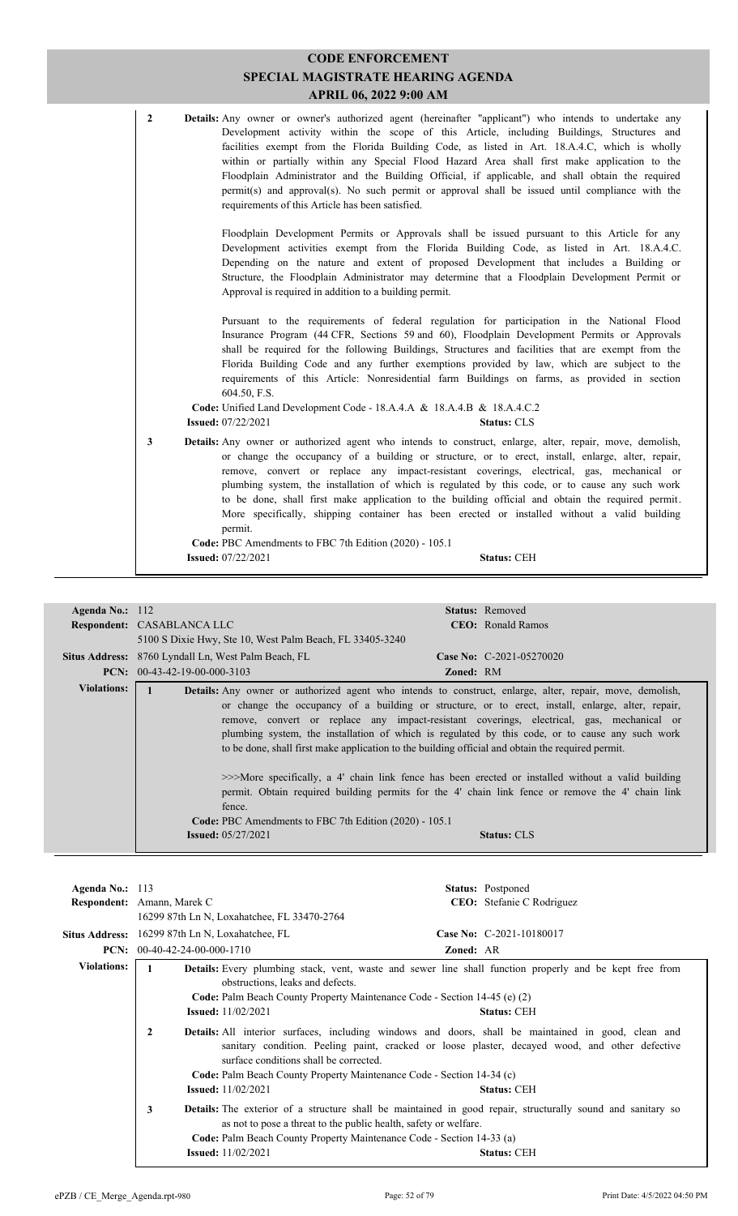| $\overline{2}$ | Details: Any owner or owner's authorized agent (hereinafter "applicant") who intends to undertake any<br>Development activity within the scope of this Article, including Buildings, Structures and<br>facilities exempt from the Florida Building Code, as listed in Art. 18.A.4.C, which is wholly<br>within or partially within any Special Flood Hazard Area shall first make application to the<br>Floodplain Administrator and the Building Official, if applicable, and shall obtain the required<br>permit(s) and approval(s). No such permit or approval shall be issued until compliance with the                                                                      |
|----------------|----------------------------------------------------------------------------------------------------------------------------------------------------------------------------------------------------------------------------------------------------------------------------------------------------------------------------------------------------------------------------------------------------------------------------------------------------------------------------------------------------------------------------------------------------------------------------------------------------------------------------------------------------------------------------------|
|                | requirements of this Article has been satisfied.<br>Floodplain Development Permits or Approvals shall be issued pursuant to this Article for any<br>Development activities exempt from the Florida Building Code, as listed in Art. 18.A.4.C.<br>Depending on the nature and extent of proposed Development that includes a Building or<br>Structure, the Floodplain Administrator may determine that a Floodplain Development Permit or<br>Approval is required in addition to a building permit.                                                                                                                                                                               |
|                | Pursuant to the requirements of federal regulation for participation in the National Flood<br>Insurance Program (44 CFR, Sections 59 and 60), Floodplain Development Permits or Approvals<br>shall be required for the following Buildings, Structures and facilities that are exempt from the<br>Florida Building Code and any further exemptions provided by law, which are subject to the<br>requirements of this Article: Nonresidential farm Buildings on farms, as provided in section<br>604.50, F.S.<br>Code: Unified Land Development Code - 18.A.4.A & 18.A.4.B & 18.A.4.C.2                                                                                           |
| 3              | <b>Issued:</b> 07/22/2021<br><b>Status: CLS</b><br>Details: Any owner or authorized agent who intends to construct, enlarge, alter, repair, move, demolish,<br>or change the occupancy of a building or structure, or to erect, install, enlarge, alter, repair,<br>remove, convert or replace any impact-resistant coverings, electrical, gas, mechanical or<br>plumbing system, the installation of which is regulated by this code, or to cause any such work<br>to be done, shall first make application to the building official and obtain the required permit.<br>More specifically, shipping container has been erected or installed without a valid building<br>permit. |
|                | Code: PBC Amendments to FBC 7th Edition (2020) - 105.1<br><b>Issued: 07/22/2021</b><br><b>Status: CEH</b>                                                                                                                                                                                                                                                                                                                                                                                                                                                                                                                                                                        |

|                    | <b>Respondent.</b> Cristiple mychindre                                                          | ево. конактивное                                                                                                                                                                                                                                                                                                                                                                                                                                                                                                                                                                                                                                                                                                                                   |
|--------------------|-------------------------------------------------------------------------------------------------|----------------------------------------------------------------------------------------------------------------------------------------------------------------------------------------------------------------------------------------------------------------------------------------------------------------------------------------------------------------------------------------------------------------------------------------------------------------------------------------------------------------------------------------------------------------------------------------------------------------------------------------------------------------------------------------------------------------------------------------------------|
|                    | 5100 S Dixie Hwy, Ste 10, West Palm Beach, FL 33405-3240                                        |                                                                                                                                                                                                                                                                                                                                                                                                                                                                                                                                                                                                                                                                                                                                                    |
|                    | Situs Address: 8760 Lyndall Ln, West Palm Beach, FL                                             | <b>Case No:</b> C-2021-05270020                                                                                                                                                                                                                                                                                                                                                                                                                                                                                                                                                                                                                                                                                                                    |
|                    | <b>PCN:</b> $00-43-42-19-00-000-3103$                                                           | <b>Zoned: RM</b>                                                                                                                                                                                                                                                                                                                                                                                                                                                                                                                                                                                                                                                                                                                                   |
| <b>Violations:</b> | fence.<br>Code: PBC Amendments to FBC 7th Edition (2020) - 105.1<br><b>Issued:</b> $05/27/2021$ | Details: Any owner or authorized agent who intends to construct, enlarge, alter, repair, move, demolish,<br>or change the occupancy of a building or structure, or to erect, install, enlarge, alter, repair,<br>remove, convert or replace any impact-resistant coverings, electrical, gas, mechanical or<br>plumbing system, the installation of which is regulated by this code, or to cause any such work<br>to be done, shall first make application to the building official and obtain the required permit.<br>>>>More specifically, a 4' chain link fence has been erected or installed without a valid building<br>permit. Obtain required building permits for the 4' chain link fence or remove the 4' chain link<br><b>Status: CLS</b> |

| Agenda No.: $113$  |                                                                                                                                                                                                                                                                      |                                                                              | <b>Status:</b> Postponed          |  |
|--------------------|----------------------------------------------------------------------------------------------------------------------------------------------------------------------------------------------------------------------------------------------------------------------|------------------------------------------------------------------------------|-----------------------------------|--|
|                    | <b>Respondent:</b> Amann, Marek C                                                                                                                                                                                                                                    |                                                                              | <b>CEO</b> : Stefanie C Rodriguez |  |
|                    |                                                                                                                                                                                                                                                                      | 16299 87th Ln N, Loxahatchee, FL 33470-2764                                  |                                   |  |
|                    | Situs Address: 16299 87th Ln N, Loxahatchee, FL                                                                                                                                                                                                                      |                                                                              | Case No: C-2021-10180017          |  |
|                    | <b>PCN:</b> $00-40-42-24-00-000-1710$                                                                                                                                                                                                                                | <b>Zoned: AR</b>                                                             |                                   |  |
| <b>Violations:</b> | <b>Details:</b> Every plumbing stack, vent, waste and sewer line shall function properly and be kept free from<br>$\mathbf{1}$<br>obstructions, leaks and defects.<br>Code: Palm Beach County Property Maintenance Code - Section 14-45 (e) (2)                      |                                                                              |                                   |  |
|                    | <b>Issued:</b> 11/02/2021                                                                                                                                                                                                                                            |                                                                              | <b>Status: CEH</b>                |  |
|                    | <b>Details:</b> All interior surfaces, including windows and doors, shall be maintained in good, clean and<br>2<br>sanitary condition. Peeling paint, cracked or loose plaster, decayed wood, and other defective<br>surface conditions shall be corrected.          |                                                                              |                                   |  |
|                    |                                                                                                                                                                                                                                                                      | <b>Code:</b> Palm Beach County Property Maintenance Code - Section 14-34 (c) |                                   |  |
|                    | <b>Issued:</b> 11/02/2021                                                                                                                                                                                                                                            |                                                                              | <b>Status: CEH</b>                |  |
|                    | <b>Details:</b> The exterior of a structure shall be maintained in good repair, structurally sound and sanitary so<br>3<br>as not to pose a threat to the public health, safety or welfare.<br>Code: Palm Beach County Property Maintenance Code - Section 14-33 (a) |                                                                              |                                   |  |
|                    | <b>Issued:</b> 11/02/2021                                                                                                                                                                                                                                            |                                                                              | <b>Status: CEH</b>                |  |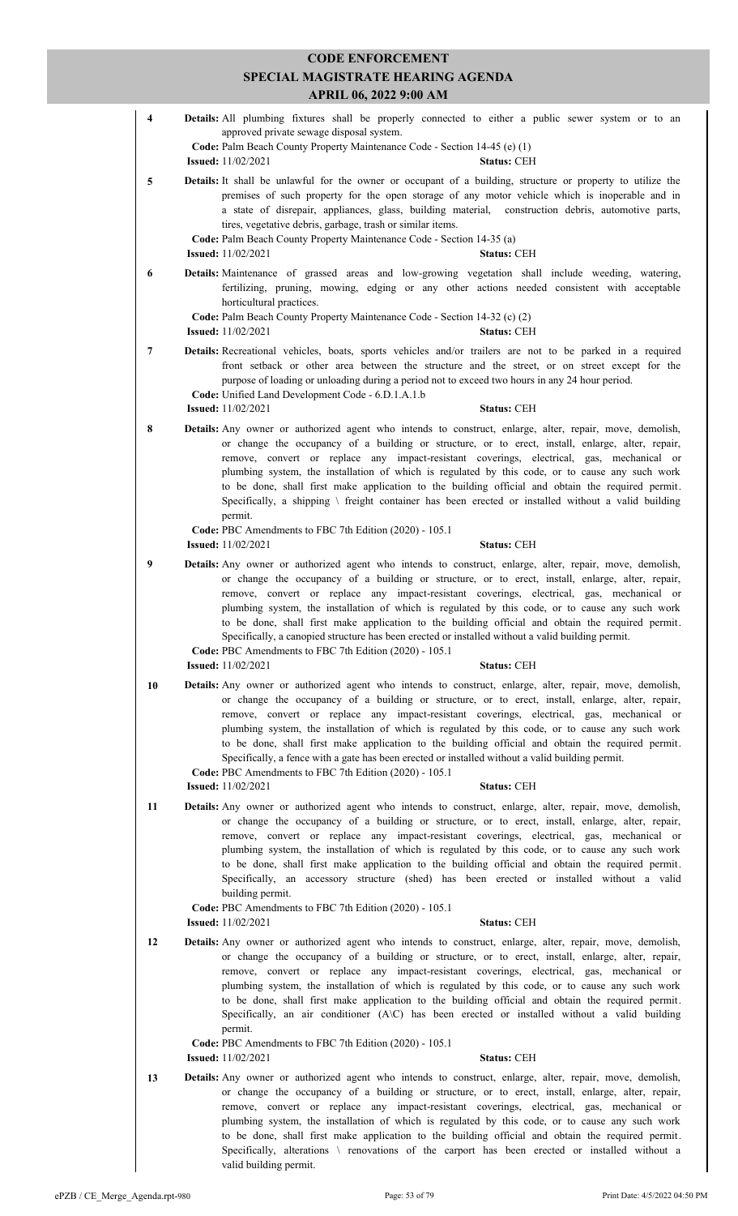| <b>CODE ENFORCEMENT</b> |  |                                                                                                                                                                                                                                                                                                                                                                                                                                                                                                                                                                                                                                                                                                                                            |  |  |
|-------------------------|--|--------------------------------------------------------------------------------------------------------------------------------------------------------------------------------------------------------------------------------------------------------------------------------------------------------------------------------------------------------------------------------------------------------------------------------------------------------------------------------------------------------------------------------------------------------------------------------------------------------------------------------------------------------------------------------------------------------------------------------------------|--|--|
|                         |  | SPECIAL MAGISTRATE HEARING AGENDA                                                                                                                                                                                                                                                                                                                                                                                                                                                                                                                                                                                                                                                                                                          |  |  |
|                         |  | <b>APRIL 06, 2022 9:00 AM</b>                                                                                                                                                                                                                                                                                                                                                                                                                                                                                                                                                                                                                                                                                                              |  |  |
| $\overline{\mathbf{4}}$ |  | Details: All plumbing fixtures shall be properly connected to either a public sewer system or to an<br>approved private sewage disposal system.<br>Code: Palm Beach County Property Maintenance Code - Section 14-45 (e) (1)<br><b>Issued:</b> 11/02/2021<br><b>Status: CEH</b>                                                                                                                                                                                                                                                                                                                                                                                                                                                            |  |  |
| 5                       |  | Details: It shall be unlawful for the owner or occupant of a building, structure or property to utilize the<br>premises of such property for the open storage of any motor vehicle which is inoperable and in<br>a state of disrepair, appliances, glass, building material, construction debris, automotive parts,<br>tires, vegetative debris, garbage, trash or similar items.<br>Code: Palm Beach County Property Maintenance Code - Section 14-35 (a)<br><b>Issued:</b> $11/02/2021$<br><b>Status: CEH</b>                                                                                                                                                                                                                            |  |  |
| 6                       |  | Details: Maintenance of grassed areas and low-growing vegetation shall include weeding, watering,<br>fertilizing, pruning, mowing, edging or any other actions needed consistent with acceptable<br>horticultural practices.                                                                                                                                                                                                                                                                                                                                                                                                                                                                                                               |  |  |
|                         |  | Code: Palm Beach County Property Maintenance Code - Section 14-32 (c) (2)<br><b>Issued:</b> 11/02/2021<br><b>Status: CEH</b>                                                                                                                                                                                                                                                                                                                                                                                                                                                                                                                                                                                                               |  |  |
| 7                       |  | Details: Recreational vehicles, boats, sports vehicles and/or trailers are not to be parked in a required<br>front setback or other area between the structure and the street, or on street except for the<br>purpose of loading or unloading during a period not to exceed two hours in any 24 hour period.<br>Code: Unified Land Development Code - 6.D.1.A.1.b                                                                                                                                                                                                                                                                                                                                                                          |  |  |
|                         |  | <b>Issued:</b> 11/02/2021<br><b>Status: CEH</b>                                                                                                                                                                                                                                                                                                                                                                                                                                                                                                                                                                                                                                                                                            |  |  |
| 8                       |  | Details: Any owner or authorized agent who intends to construct, enlarge, alter, repair, move, demolish,<br>or change the occupancy of a building or structure, or to erect, install, enlarge, alter, repair,<br>remove, convert or replace any impact-resistant coverings, electrical, gas, mechanical or<br>plumbing system, the installation of which is regulated by this code, or to cause any such work<br>to be done, shall first make application to the building official and obtain the required permit.<br>Specifically, a shipping $\setminus$ freight container has been erected or installed without a valid building<br>permit.                                                                                             |  |  |
|                         |  | Code: PBC Amendments to FBC 7th Edition (2020) - 105.1<br><b>Issued:</b> 11/02/2021<br><b>Status: CEH</b>                                                                                                                                                                                                                                                                                                                                                                                                                                                                                                                                                                                                                                  |  |  |
| $\boldsymbol{9}$        |  | Details: Any owner or authorized agent who intends to construct, enlarge, alter, repair, move, demolish,                                                                                                                                                                                                                                                                                                                                                                                                                                                                                                                                                                                                                                   |  |  |
|                         |  | or change the occupancy of a building or structure, or to erect, install, enlarge, alter, repair,<br>remove, convert or replace any impact-resistant coverings, electrical, gas, mechanical or<br>plumbing system, the installation of which is regulated by this code, or to cause any such work<br>to be done, shall first make application to the building official and obtain the required permit.<br>Specifically, a canopied structure has been erected or installed without a valid building permit.<br>Code: PBC Amendments to FBC 7th Edition (2020) - 105.1                                                                                                                                                                      |  |  |
|                         |  | <b>Issued:</b> 11/02/2021<br><b>Status: CEH</b>                                                                                                                                                                                                                                                                                                                                                                                                                                                                                                                                                                                                                                                                                            |  |  |
| 10                      |  | <b>Details:</b> Any owner or authorized agent who intends to construct, enlarge, alter, repair, move, demolish,<br>or change the occupancy of a building or structure, or to erect, install, enlarge, alter, repair,<br>remove, convert or replace any impact-resistant coverings, electrical, gas, mechanical or<br>plumbing system, the installation of which is regulated by this code, or to cause any such work<br>to be done, shall first make application to the building official and obtain the required permit.<br>Specifically, a fence with a gate has been erected or installed without a valid building permit.<br>Code: PBC Amendments to FBC 7th Edition (2020) - 105.1<br><b>Issued:</b> 11/02/2021<br><b>Status: CEH</b> |  |  |
| 11                      |  | <b>Details:</b> Any owner or authorized agent who intends to construct, enlarge, alter, repair, move, demolish,<br>or change the occupancy of a building or structure, or to erect, install, enlarge, alter, repair,<br>remove, convert or replace any impact-resistant coverings, electrical, gas, mechanical or<br>plumbing system, the installation of which is regulated by this code, or to cause any such work<br>to be done, shall first make application to the building official and obtain the required permit.<br>Specifically, an accessory structure (shed) has been erected or installed without a valid<br>building permit.<br>Code: PBC Amendments to FBC 7th Edition (2020) - 105.1                                       |  |  |
|                         |  | <b>Issued:</b> 11/02/2021<br><b>Status: CEH</b>                                                                                                                                                                                                                                                                                                                                                                                                                                                                                                                                                                                                                                                                                            |  |  |
| 12                      |  | <b>Details:</b> Any owner or authorized agent who intends to construct, enlarge, alter, repair, move, demolish,<br>or change the occupancy of a building or structure, or to erect, install, enlarge, alter, repair,<br>remove, convert or replace any impact-resistant coverings, electrical, gas, mechanical or<br>plumbing system, the installation of which is regulated by this code, or to cause any such work<br>to be done, shall first make application to the building official and obtain the required permit.<br>Specifically, an air conditioner (A\C) has been erected or installed without a valid building<br>permit.<br>Code: PBC Amendments to FBC 7th Edition (2020) - 105.1                                            |  |  |
|                         |  | <b>Issued:</b> 11/02/2021<br><b>Status: CEH</b>                                                                                                                                                                                                                                                                                                                                                                                                                                                                                                                                                                                                                                                                                            |  |  |
| 13                      |  | <b>Details:</b> Any owner or authorized agent who intends to construct, enlarge, alter, repair, move, demolish,<br>or change the occupancy of a building or structure, or to erect, install, enlarge, alter, repair,<br>remove, convert or replace any impact-resistant coverings, electrical, gas, mechanical or<br>plumbing system, the installation of which is regulated by this code, or to cause any such work<br>to be done, shall first make application to the building official and obtain the required permit.<br>Specifically, alterations \ renovations of the carport has been erected or installed without a                                                                                                                |  |  |

valid building permit.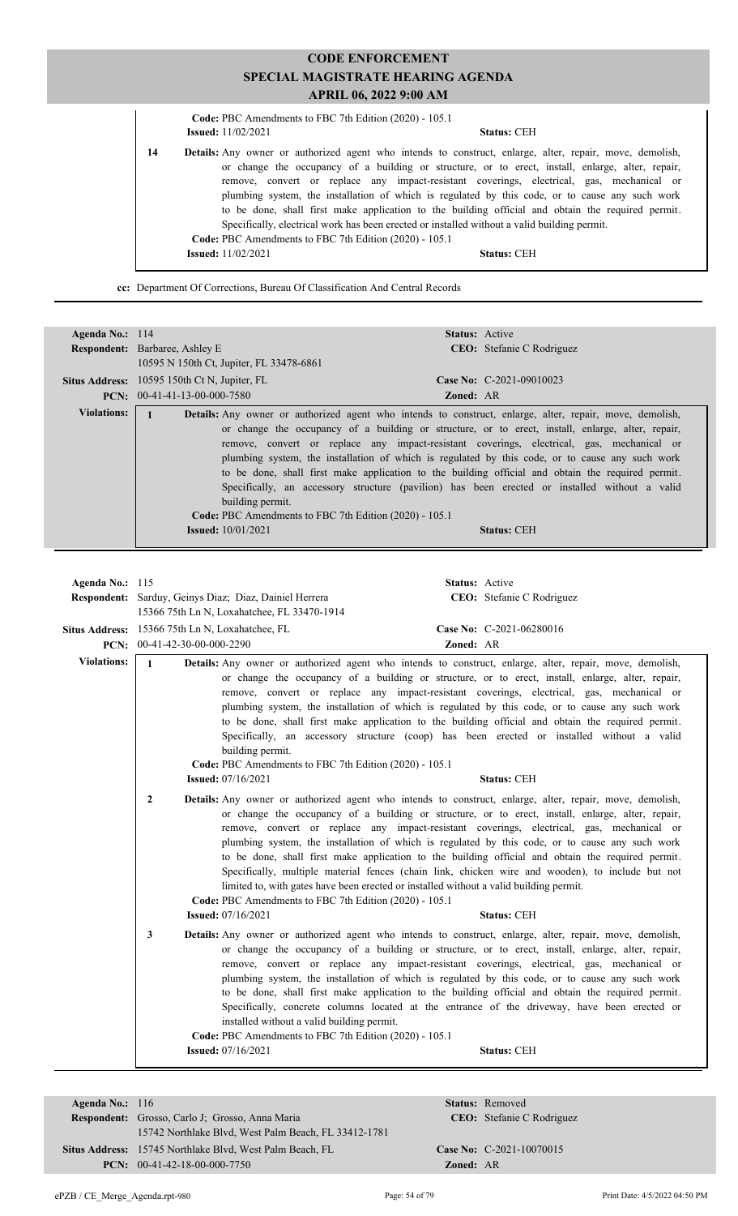|    | Code: PBC Amendments to FBC 7th Edition (2020) - 105.1 |                                                                                                                                                                                                                                                                                                                                                                                                                                                                                                                                                                                                                           |  |
|----|--------------------------------------------------------|---------------------------------------------------------------------------------------------------------------------------------------------------------------------------------------------------------------------------------------------------------------------------------------------------------------------------------------------------------------------------------------------------------------------------------------------------------------------------------------------------------------------------------------------------------------------------------------------------------------------------|--|
|    | <b>Issued:</b> $11/02/2021$                            | <b>Status: CEH</b>                                                                                                                                                                                                                                                                                                                                                                                                                                                                                                                                                                                                        |  |
| 14 | Code: PBC Amendments to FBC 7th Edition (2020) - 105.1 | <b>Details:</b> Any owner or authorized agent who intends to construct, enlarge, alter, repair, move, demolish,<br>or change the occupancy of a building or structure, or to erect, install, enlarge, alter, repair,<br>remove, convert or replace any impact-resistant coverings, electrical, gas, mechanical or<br>plumbing system, the installation of which is regulated by this code, or to cause any such work<br>to be done, shall first make application to the building official and obtain the required permit.<br>Specifically, electrical work has been erected or installed without a valid building permit. |  |
|    | <b>Issued:</b> 11/02/2021                              | <b>Status: CEH</b>                                                                                                                                                                                                                                                                                                                                                                                                                                                                                                                                                                                                        |  |

**cc:** Department Of Corrections, Bureau Of Classification And Central Records

| Agenda No.: $114$  | <b>Status:</b> Active                                                                                                                                                                                                                                                                                                                                                                                                                                                                                                                                                                                                                                                                                                                                         |
|--------------------|---------------------------------------------------------------------------------------------------------------------------------------------------------------------------------------------------------------------------------------------------------------------------------------------------------------------------------------------------------------------------------------------------------------------------------------------------------------------------------------------------------------------------------------------------------------------------------------------------------------------------------------------------------------------------------------------------------------------------------------------------------------|
|                    | <b>Respondent:</b> Barbaree, Ashley E<br><b>CEO:</b> Stefanie C Rodriguez                                                                                                                                                                                                                                                                                                                                                                                                                                                                                                                                                                                                                                                                                     |
|                    | 10595 N 150th Ct, Jupiter, FL 33478-6861                                                                                                                                                                                                                                                                                                                                                                                                                                                                                                                                                                                                                                                                                                                      |
|                    | Case No: $C-2021-09010023$<br><b>Situs Address:</b> 10595 150th Ct N, Jupiter, FL                                                                                                                                                                                                                                                                                                                                                                                                                                                                                                                                                                                                                                                                             |
|                    | $PCN: 00-41-41-13-00-000-7580$<br><b>Zoned: AR</b>                                                                                                                                                                                                                                                                                                                                                                                                                                                                                                                                                                                                                                                                                                            |
| <b>Violations:</b> | <b>Details:</b> Any owner or authorized agent who intends to construct, enlarge, alter, repair, move, demolish,<br>or change the occupancy of a building or structure, or to erect, install, enlarge, alter, repair,<br>remove, convert or replace any impact-resistant coverings, electrical, gas, mechanical or<br>plumbing system, the installation of which is regulated by this code, or to cause any such work<br>to be done, shall first make application to the building official and obtain the required permit.<br>Specifically, an accessory structure (pavilion) has been erected or installed without a valid<br>building permit.<br>Code: PBC Amendments to FBC 7th Edition (2020) - 105.1<br><b>Issued:</b> $10/01/2021$<br><b>Status: CEH</b> |

| Agenda No.: $115$  | Respondent: Sarduy, Geinys Diaz; Diaz, Dainiel Herrera<br>15366 75th Ln N, Loxahatchee, FL 33470-1914 |                                                                                                                                                  | Status: Active | CEO: Stefanie C Rodriguez                                                                                                                                                                                                                                                                                                                                                                                                                                                                                                                                                                                                                |
|--------------------|-------------------------------------------------------------------------------------------------------|--------------------------------------------------------------------------------------------------------------------------------------------------|----------------|------------------------------------------------------------------------------------------------------------------------------------------------------------------------------------------------------------------------------------------------------------------------------------------------------------------------------------------------------------------------------------------------------------------------------------------------------------------------------------------------------------------------------------------------------------------------------------------------------------------------------------------|
|                    | Situs Address: 15366 75th Ln N, Loxahatchee, FL<br>PCN: $00-41-42-30-00-000-2290$                     |                                                                                                                                                  | Zoned: AR      | Case No: C-2021-06280016                                                                                                                                                                                                                                                                                                                                                                                                                                                                                                                                                                                                                 |
| <b>Violations:</b> | $\mathbf{1}$                                                                                          | building permit.<br>Code: PBC Amendments to FBC 7th Edition (2020) - 105.1                                                                       |                | Details: Any owner or authorized agent who intends to construct, enlarge, alter, repair, move, demolish,<br>or change the occupancy of a building or structure, or to erect, install, enlarge, alter, repair,<br>remove, convert or replace any impact-resistant coverings, electrical, gas, mechanical or<br>plumbing system, the installation of which is regulated by this code, or to cause any such work<br>to be done, shall first make application to the building official and obtain the required permit.<br>Specifically, an accessory structure (coop) has been erected or installed without a valid                          |
|                    |                                                                                                       | <b>Issued:</b> 07/16/2021                                                                                                                        |                | <b>Status: CEH</b>                                                                                                                                                                                                                                                                                                                                                                                                                                                                                                                                                                                                                       |
|                    | $\overline{2}$                                                                                        | limited to, with gates have been erected or installed without a valid building permit.<br>Code: PBC Amendments to FBC 7th Edition (2020) - 105.1 |                | Details: Any owner or authorized agent who intends to construct, enlarge, alter, repair, move, demolish,<br>or change the occupancy of a building or structure, or to erect, install, enlarge, alter, repair,<br>remove, convert or replace any impact-resistant coverings, electrical, gas, mechanical or<br>plumbing system, the installation of which is regulated by this code, or to cause any such work<br>to be done, shall first make application to the building official and obtain the required permit.<br>Specifically, multiple material fences (chain link, chicken wire and wooden), to include but not                   |
|                    |                                                                                                       | <b>Issued:</b> 07/16/2021                                                                                                                        |                | <b>Status: CEH</b>                                                                                                                                                                                                                                                                                                                                                                                                                                                                                                                                                                                                                       |
|                    | 3                                                                                                     | installed without a valid building permit.<br>Code: PBC Amendments to FBC 7th Edition (2020) - 105.1<br><b>Issued:</b> 07/16/2021                |                | Details: Any owner or authorized agent who intends to construct, enlarge, alter, repair, move, demolish,<br>or change the occupancy of a building or structure, or to erect, install, enlarge, alter, repair,<br>remove, convert or replace any impact-resistant coverings, electrical, gas, mechanical or<br>plumbing system, the installation of which is regulated by this code, or to cause any such work<br>to be done, shall first make application to the building official and obtain the required permit.<br>Specifically, concrete columns located at the entrance of the driveway, have been erected or<br><b>Status: CEH</b> |
|                    |                                                                                                       |                                                                                                                                                  |                |                                                                                                                                                                                                                                                                                                                                                                                                                                                                                                                                                                                                                                          |

| Agenda No.: 116 |                                                                 | Status:         |
|-----------------|-----------------------------------------------------------------|-----------------|
|                 | <b>Respondent:</b> Grosso, Carlo J: Grosso, Anna Maria          |                 |
|                 | 15742 Northlake Blvd, West Palm Beach, FL 33412-1781            |                 |
|                 | <b>Situs Address:</b> 15745 Northlake Blvd, West Palm Beach, FL | <b>Case No:</b> |
|                 | <b>PCN:</b> $00-41-42-18-00-000-7750$                           | Zoned:          |

**Status:** Removed

 $\mathbf{Zoned:} \quad \mathbf{AR}$ 

CEO: Stefanie C Rodriguez

**Case No:** C-2021-10070015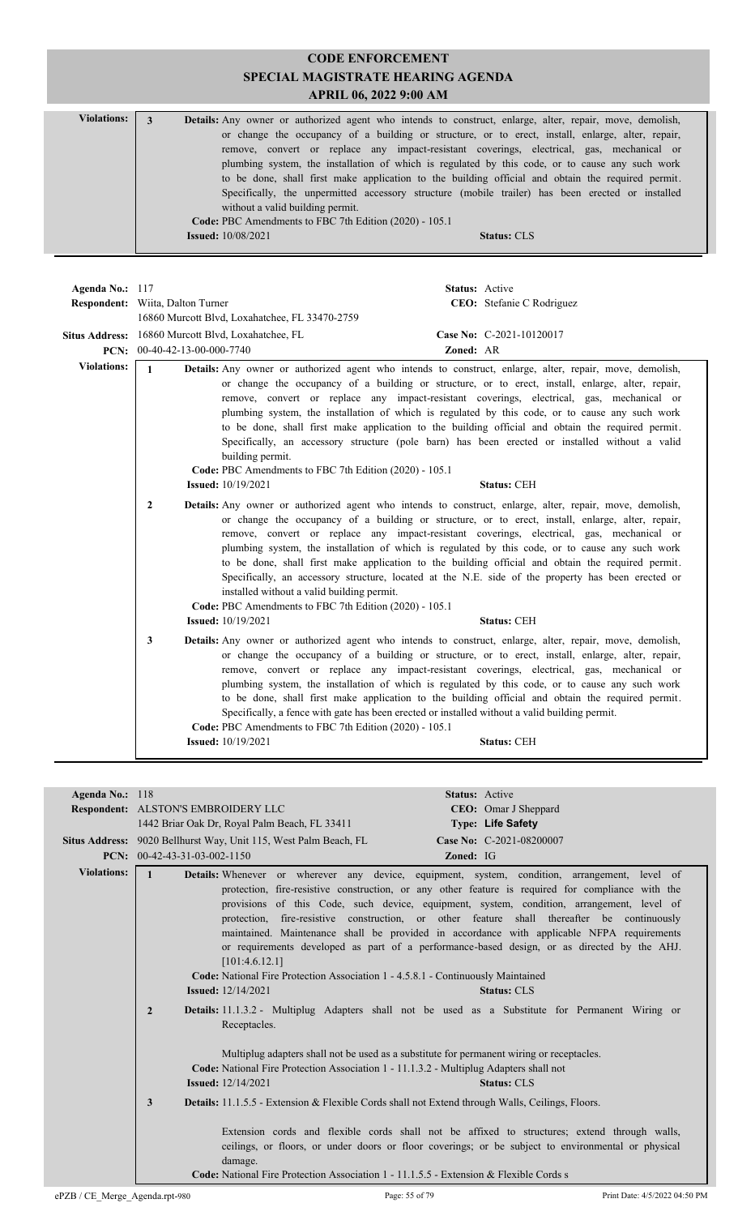| <b>Violations:</b> | Details: Any owner or authorized agent who intends to construct, enlarge, alter, repair, move, demolish, |
|--------------------|----------------------------------------------------------------------------------------------------------|
|                    | or change the occupancy of a building or structure, or to erect, install, enlarge, alter, repair,        |
|                    | remove, convert or replace any impact-resistant coverings, electrical, gas, mechanical or                |
|                    | plumbing system, the installation of which is regulated by this code, or to cause any such work          |
|                    | to be done, shall first make application to the building official and obtain the required permit.        |
|                    | Specifically, the unpermitted accessory structure (mobile trailer) has been erected or installed         |
|                    | without a valid building permit.                                                                         |
|                    | Code: PBC Amendments to FBC 7th Edition (2020) - 105.1                                                   |
|                    | <b>Issued:</b> 10/08/2021<br><b>Status: CLS</b>                                                          |
|                    |                                                                                                          |

| Agenda No.: 117    | Status: Active<br>CEO: Stefanie C Rodriguez<br><b>Respondent:</b> Wiita, Dalton Turner<br>16860 Murcott Blvd, Loxahatchee, FL 33470-2759                                                                                                                                                                                                                                                                                                                                                                                                                                                                                                                                                                                                                                                                     |  |
|--------------------|--------------------------------------------------------------------------------------------------------------------------------------------------------------------------------------------------------------------------------------------------------------------------------------------------------------------------------------------------------------------------------------------------------------------------------------------------------------------------------------------------------------------------------------------------------------------------------------------------------------------------------------------------------------------------------------------------------------------------------------------------------------------------------------------------------------|--|
|                    | Situs Address: 16860 Murcott Blvd, Loxahatchee, FL<br>Case No: C-2021-10120017<br>PCN: 00-40-42-13-00-000-7740<br>Zoned: AR                                                                                                                                                                                                                                                                                                                                                                                                                                                                                                                                                                                                                                                                                  |  |
| <b>Violations:</b> | $\mathbf{1}$<br><b>Details:</b> Any owner or authorized agent who intends to construct, enlarge, alter, repair, move, demolish,<br>or change the occupancy of a building or structure, or to erect, install, enlarge, alter, repair,<br>remove, convert or replace any impact-resistant coverings, electrical, gas, mechanical or<br>plumbing system, the installation of which is regulated by this code, or to cause any such work<br>to be done, shall first make application to the building official and obtain the required permit.<br>Specifically, an accessory structure (pole barn) has been erected or installed without a valid<br>building permit.<br>Code: PBC Amendments to FBC 7th Edition (2020) - 105.1<br><b>Status: CEH</b><br><b>Issued:</b> 10/19/2021                                 |  |
|                    | <b>Details:</b> Any owner or authorized agent who intends to construct, enlarge, alter, repair, move, demolish,<br>$\overline{2}$<br>or change the occupancy of a building or structure, or to erect, install, enlarge, alter, repair,<br>remove, convert or replace any impact-resistant coverings, electrical, gas, mechanical or<br>plumbing system, the installation of which is regulated by this code, or to cause any such work<br>to be done, shall first make application to the building official and obtain the required permit.<br>Specifically, an accessory structure, located at the N.E. side of the property has been erected or<br>installed without a valid building permit.<br>Code: PBC Amendments to FBC 7th Edition (2020) - 105.1<br><b>Issued:</b> 10/19/2021<br><b>Status: CEH</b> |  |
|                    | $\mathbf{3}$<br><b>Details:</b> Any owner or authorized agent who intends to construct, enlarge, alter, repair, move, demolish,<br>or change the occupancy of a building or structure, or to erect, install, enlarge, alter, repair,<br>remove, convert or replace any impact-resistant coverings, electrical, gas, mechanical or<br>plumbing system, the installation of which is regulated by this code, or to cause any such work<br>to be done, shall first make application to the building official and obtain the required permit.<br>Specifically, a fence with gate has been erected or installed without a valid building permit.<br>Code: PBC Amendments to FBC 7th Edition (2020) - 105.1<br><b>Issued:</b> 10/19/2021<br><b>Status: CEH</b>                                                     |  |

| Agenda No.: $118$  | <b>Status:</b> Active                                                                                                                                                                                                                                                                                                                                                                                                                                                                                                                                                                                                                                                                                                                                                                          |  |
|--------------------|------------------------------------------------------------------------------------------------------------------------------------------------------------------------------------------------------------------------------------------------------------------------------------------------------------------------------------------------------------------------------------------------------------------------------------------------------------------------------------------------------------------------------------------------------------------------------------------------------------------------------------------------------------------------------------------------------------------------------------------------------------------------------------------------|--|
|                    | Respondent: ALSTON'S EMBROIDERY LLC<br><b>CEO</b> : Omar J Sheppard                                                                                                                                                                                                                                                                                                                                                                                                                                                                                                                                                                                                                                                                                                                            |  |
|                    | 1442 Briar Oak Dr, Royal Palm Beach, FL 33411<br><b>Type: Life Safety</b>                                                                                                                                                                                                                                                                                                                                                                                                                                                                                                                                                                                                                                                                                                                      |  |
|                    | Case No: C-2021-08200007<br>Situs Address: 9020 Bellhurst Way, Unit 115, West Palm Beach, FL                                                                                                                                                                                                                                                                                                                                                                                                                                                                                                                                                                                                                                                                                                   |  |
|                    | <b>PCN:</b> $00-42-43-31-03-002-1150$<br><b>Zoned: IG</b>                                                                                                                                                                                                                                                                                                                                                                                                                                                                                                                                                                                                                                                                                                                                      |  |
| <b>Violations:</b> | Details: Whenever or wherever any device, equipment, system, condition, arrangement, level of<br>$\mathbf{1}$                                                                                                                                                                                                                                                                                                                                                                                                                                                                                                                                                                                                                                                                                  |  |
|                    | protection, fire-resistive construction, or any other feature is required for compliance with the<br>provisions of this Code, such device, equipment, system, condition, arrangement, level of<br>protection, fire-resistive construction, or other feature shall thereafter be continuously<br>maintained. Maintenance shall be provided in accordance with applicable NFPA requirements<br>or requirements developed as part of a performance-based design, or as directed by the AHJ.<br>[101:4.6.12.1]<br>Code: National Fire Protection Association 1 - 4.5.8.1 - Continuously Maintained<br><b>Issued:</b> 12/14/2021<br><b>Status: CLS</b><br><b>Details:</b> 11.1.3.2 - Multiplug Adapters shall not be used as a Substitute for Permanent Wiring or<br>$\overline{2}$<br>Receptacles. |  |
|                    | Multiplug adapters shall not be used as a substitute for permanent wiring or receptacles.<br>Code: National Fire Protection Association 1 - 11.1.3.2 - Multiplug Adapters shall not<br><b>Issued:</b> $12/14/2021$<br><b>Status: CLS</b><br><b>Details:</b> 11.1.5.5 - Extension & Flexible Cords shall not Extend through Walls, Ceilings, Floors.<br>3<br>Extension cords and flexible cords shall not be affixed to structures; extend through walls,<br>ceilings, or floors, or under doors or floor coverings; or be subject to environmental or physical<br>damage.<br><b>Code:</b> National Fire Protection Association 1 - 11.1.5.5 - Extension & Flexible Cords s                                                                                                                     |  |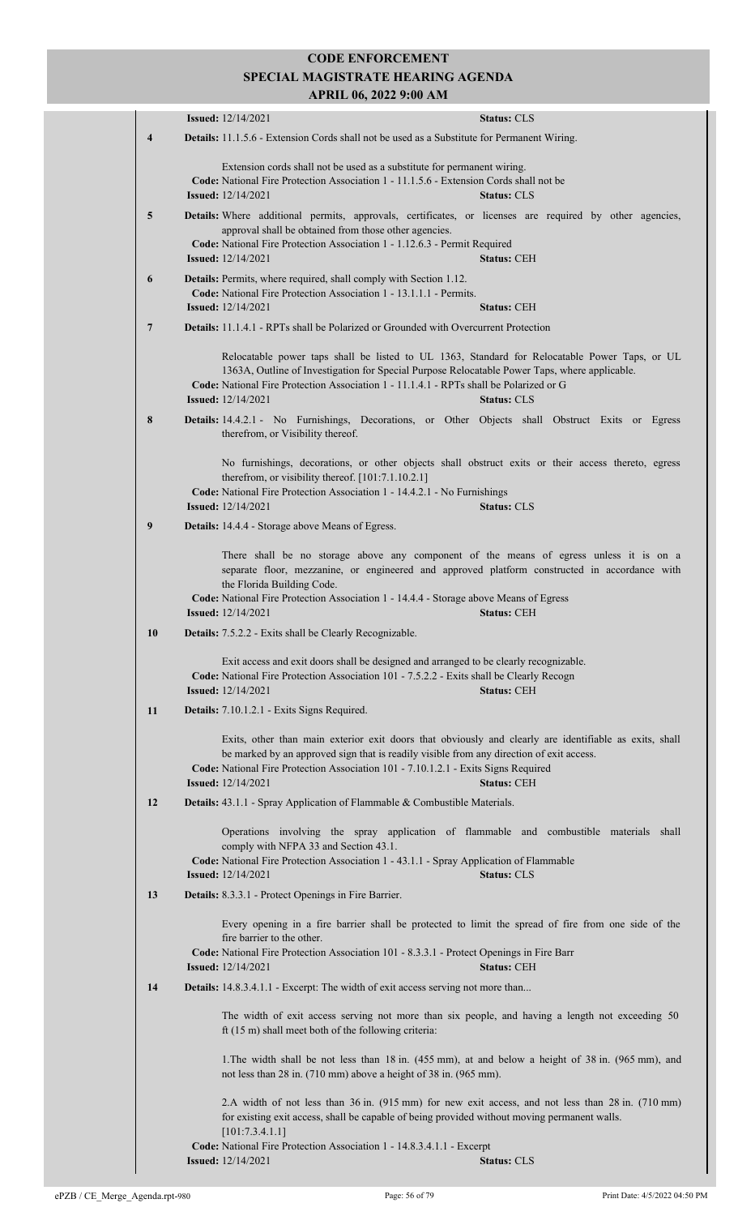|    | <b>Issued:</b> 12/14/2021                                                                                                                                                                                                                                                                                                                     | <b>Status: CLS</b> |
|----|-----------------------------------------------------------------------------------------------------------------------------------------------------------------------------------------------------------------------------------------------------------------------------------------------------------------------------------------------|--------------------|
| 4  | Details: 11.1.5.6 - Extension Cords shall not be used as a Substitute for Permanent Wiring.                                                                                                                                                                                                                                                   |                    |
|    | Extension cords shall not be used as a substitute for permanent wiring.<br>Code: National Fire Protection Association 1 - 11.1.5.6 - Extension Cords shall not be<br><b>Issued:</b> 12/14/2021                                                                                                                                                | <b>Status: CLS</b> |
| 5  | Details: Where additional permits, approvals, certificates, or licenses are required by other agencies,<br>approval shall be obtained from those other agencies.<br>Code: National Fire Protection Association 1 - 1.12.6.3 - Permit Required<br><b>Issued:</b> $12/14/2021$                                                                  | <b>Status: CEH</b> |
| 6  | Details: Permits, where required, shall comply with Section 1.12.<br>Code: National Fire Protection Association 1 - 13.1.1.1 - Permits.<br><b>Issued:</b> $12/14/2021$                                                                                                                                                                        | <b>Status: CEH</b> |
| 7  | <b>Details:</b> 11.1.4.1 - RPTs shall be Polarized or Grounded with Overcurrent Protection                                                                                                                                                                                                                                                    |                    |
|    | Relocatable power taps shall be listed to UL 1363, Standard for Relocatable Power Taps, or UL<br>1363A, Outline of Investigation for Special Purpose Relocatable Power Taps, where applicable.<br>Code: National Fire Protection Association 1 - 11.1.4.1 - RPTs shall be Polarized or G<br><b>Issued:</b> $12/14/2021$                       | <b>Status: CLS</b> |
| 8  | Details: 14.4.2.1 - No Furnishings, Decorations, or Other Objects shall Obstruct Exits or Egress<br>therefrom, or Visibility thereof.                                                                                                                                                                                                         |                    |
|    | No furnishings, decorations, or other objects shall obstruct exits or their access thereto, egress<br>therefrom, or visibility thereof. [101:7.1.10.2.1]<br>Code: National Fire Protection Association 1 - 14.4.2.1 - No Furnishings<br><b>Issued:</b> 12/14/2021                                                                             | <b>Status: CLS</b> |
| 9  | Details: 14.4.4 - Storage above Means of Egress.                                                                                                                                                                                                                                                                                              |                    |
|    | There shall be no storage above any component of the means of egress unless it is on a<br>separate floor, mezzanine, or engineered and approved platform constructed in accordance with<br>the Florida Building Code.<br>Code: National Fire Protection Association 1 - 14.4.4 - Storage above Means of Egress<br><b>Issued:</b> $12/14/2021$ | <b>Status: CEH</b> |
| 10 | Details: 7.5.2.2 - Exits shall be Clearly Recognizable.                                                                                                                                                                                                                                                                                       |                    |
|    | Exit access and exit doors shall be designed and arranged to be clearly recognizable.<br>Code: National Fire Protection Association 101 - 7.5.2.2 - Exits shall be Clearly Recogn<br><b>Issued:</b> 12/14/2021                                                                                                                                | <b>Status: CEH</b> |
| 11 | Details: 7.10.1.2.1 - Exits Signs Required.                                                                                                                                                                                                                                                                                                   |                    |
|    | Exits, other than main exterior exit doors that obviously and clearly are identifiable as exits, shall<br>be marked by an approved sign that is readily visible from any direction of exit access.<br>Code: National Fire Protection Association 101 - 7.10.1.2.1 - Exits Signs Required<br><b>Issued:</b> 12/14/2021                         | <b>Status: CEH</b> |
| 12 | Details: 43.1.1 - Spray Application of Flammable & Combustible Materials.                                                                                                                                                                                                                                                                     |                    |
|    | Operations involving the spray application of flammable and combustible materials shall<br>comply with NFPA 33 and Section 43.1.<br>Code: National Fire Protection Association 1 - 43.1.1 - Spray Application of Flammable<br><b>Issued:</b> $12/14/2021$                                                                                     | <b>Status: CLS</b> |
| 13 | Details: 8.3.3.1 - Protect Openings in Fire Barrier.                                                                                                                                                                                                                                                                                          |                    |
|    | Every opening in a fire barrier shall be protected to limit the spread of fire from one side of the<br>fire barrier to the other.<br>Code: National Fire Protection Association 101 - 8.3.3.1 - Protect Openings in Fire Barr<br><b>Issued:</b> 12/14/2021                                                                                    | <b>Status: CEH</b> |
| 14 | Details: 14.8.3.4.1.1 - Excerpt: The width of exit access serving not more than                                                                                                                                                                                                                                                               |                    |
|    | The width of exit access serving not more than six people, and having a length not exceeding 50<br>ft $(15 \text{ m})$ shall meet both of the following criteria:                                                                                                                                                                             |                    |
|    | 1. The width shall be not less than 18 in. (455 mm), at and below a height of 38 in. (965 mm), and<br>not less than 28 in. (710 mm) above a height of 38 in. (965 mm).                                                                                                                                                                        |                    |
|    | 2.A width of not less than 36 in. (915 mm) for new exit access, and not less than 28 in. (710 mm)<br>for existing exit access, shall be capable of being provided without moving permanent walls.<br>[101:7.3.4.1.1]                                                                                                                          |                    |
|    | Code: National Fire Protection Association 1 - 14.8.3.4.1.1 - Excerpt<br><b>Issued:</b> 12/14/2021                                                                                                                                                                                                                                            | <b>Status: CLS</b> |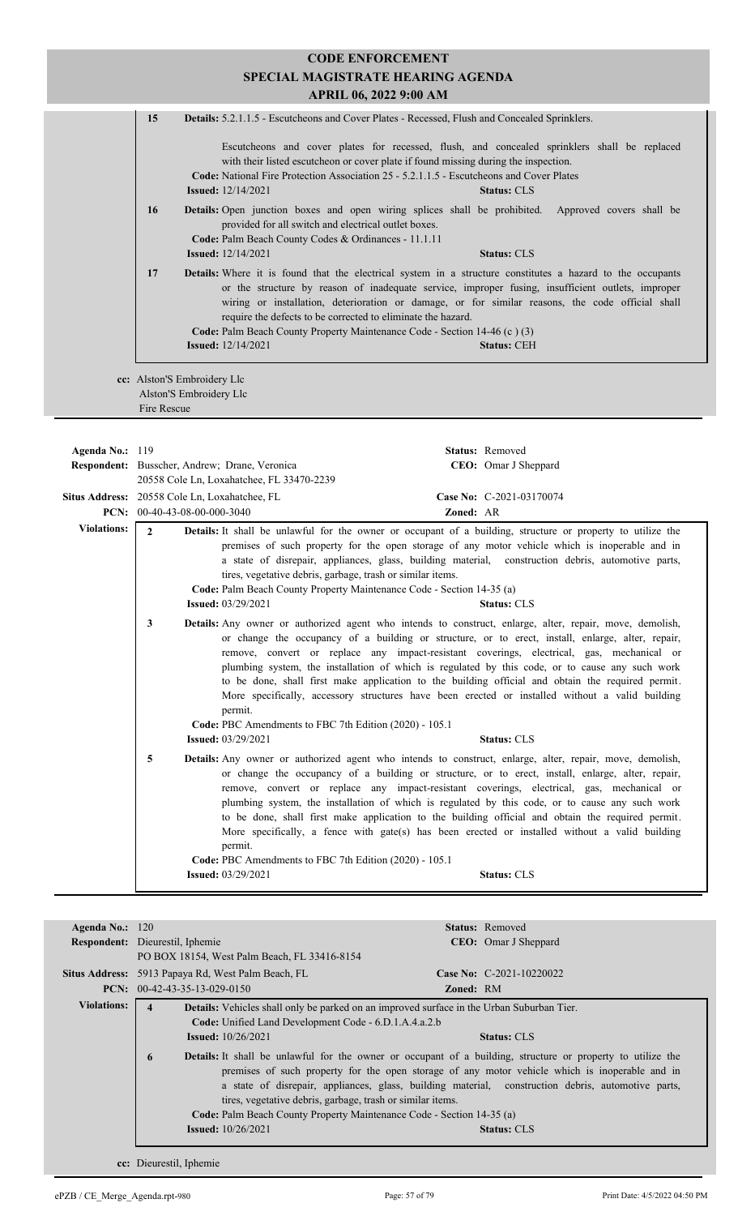| 15 | <b>Details:</b> 5.2.1.1.5 - Escutcheons and Cover Plates - Recessed, Flush and Concealed Sprinklers.                                                                                   |                                                                                                                                                                                                                                                                                                                            |
|----|----------------------------------------------------------------------------------------------------------------------------------------------------------------------------------------|----------------------------------------------------------------------------------------------------------------------------------------------------------------------------------------------------------------------------------------------------------------------------------------------------------------------------|
|    | with their listed escutcheon or cover plate if found missing during the inspection.<br><b>Code:</b> National Fire Protection Association 25 - 5.2.1.1.5 - Escutcheons and Cover Plates | Escutcheons and cover plates for recessed, flush, and concealed sprinklers shall be replaced                                                                                                                                                                                                                               |
|    | <b>Issued:</b> $12/14/2021$                                                                                                                                                            | <b>Status: CLS</b>                                                                                                                                                                                                                                                                                                         |
| 16 | provided for all switch and electrical outlet boxes.                                                                                                                                   | <b>Details:</b> Open junction boxes and open wiring splices shall be prohibited. Approved covers shall be                                                                                                                                                                                                                  |
|    | Code: Palm Beach County Codes & Ordinances - 11.1.11                                                                                                                                   |                                                                                                                                                                                                                                                                                                                            |
|    | <b>Issued:</b> 12/14/2021                                                                                                                                                              | <b>Status: CLS</b>                                                                                                                                                                                                                                                                                                         |
| 17 | require the defects to be corrected to eliminate the hazard.                                                                                                                           | <b>Details:</b> Where it is found that the electrical system in a structure constitutes a hazard to the occupants<br>or the structure by reason of inadequate service, improper fusing, insufficient outlets, improper<br>wiring or installation, deterioration or damage, or for similar reasons, the code official shall |
|    | Code: Palm Beach County Property Maintenance Code - Section 14-46 (c) (3)                                                                                                              |                                                                                                                                                                                                                                                                                                                            |
|    | <b>Issued:</b> 12/14/2021                                                                                                                                                              | <b>Status: CEH</b>                                                                                                                                                                                                                                                                                                         |

**cc:** Alston'S Embroidery Llc Alston'S Embroidery Llc Fire Rescue

| Agenda No.: $119$  | Status: Removed<br>CEO: Omar J Sheppard<br>Respondent: Busscher, Andrew; Drane, Veronica                                                                                                                                                                                                                                                                                                                                                                                                                                                                                                                                                                                                                                                                  |
|--------------------|-----------------------------------------------------------------------------------------------------------------------------------------------------------------------------------------------------------------------------------------------------------------------------------------------------------------------------------------------------------------------------------------------------------------------------------------------------------------------------------------------------------------------------------------------------------------------------------------------------------------------------------------------------------------------------------------------------------------------------------------------------------|
|                    | 20558 Cole Ln, Loxahatchee, FL 33470-2239                                                                                                                                                                                                                                                                                                                                                                                                                                                                                                                                                                                                                                                                                                                 |
|                    | Situs Address: 20558 Cole Ln, Loxahatchee, FL<br>Case No: C-2021-03170074                                                                                                                                                                                                                                                                                                                                                                                                                                                                                                                                                                                                                                                                                 |
|                    | PCN: $00-40-43-08-00-000-3040$<br>Zoned: AR                                                                                                                                                                                                                                                                                                                                                                                                                                                                                                                                                                                                                                                                                                               |
| <b>Violations:</b> | <b>Details:</b> It shall be unlawful for the owner or occupant of a building, structure or property to utilize the<br>$\mathbf{2}$<br>premises of such property for the open storage of any motor vehicle which is inoperable and in<br>a state of disrepair, appliances, glass, building material, construction debris, automotive parts,<br>tires, vegetative debris, garbage, trash or similar items.<br>Code: Palm Beach County Property Maintenance Code - Section 14-35 (a)<br><b>Issued:</b> 03/29/2021<br><b>Status: CLS</b>                                                                                                                                                                                                                      |
|                    | <b>Details:</b> Any owner or authorized agent who intends to construct, enlarge, alter, repair, move, demolish,<br>3<br>or change the occupancy of a building or structure, or to erect, install, enlarge, alter, repair,<br>remove, convert or replace any impact-resistant coverings, electrical, gas, mechanical or<br>plumbing system, the installation of which is regulated by this code, or to cause any such work<br>to be done, shall first make application to the building official and obtain the required permit.<br>More specifically, accessory structures have been erected or installed without a valid building<br>permit.<br>Code: PBC Amendments to FBC 7th Edition (2020) - 105.1<br><b>Issued:</b> 03/29/2021<br><b>Status: CLS</b> |
|                    | 5<br><b>Details:</b> Any owner or authorized agent who intends to construct, enlarge, alter, repair, move, demolish,<br>or change the occupancy of a building or structure, or to erect, install, enlarge, alter, repair,<br>remove, convert or replace any impact-resistant coverings, electrical, gas, mechanical or<br>plumbing system, the installation of which is regulated by this code, or to cause any such work<br>to be done, shall first make application to the building official and obtain the required permit.<br>More specifically, a fence with gate(s) has been erected or installed without a valid building<br>permit.<br>Code: PBC Amendments to FBC 7th Edition (2020) - 105.1<br><b>Issued: 03/29/2021</b><br><b>Status: CLS</b>  |
|                    |                                                                                                                                                                                                                                                                                                                                                                                                                                                                                                                                                                                                                                                                                                                                                           |

| Agenda No.: $120$  |                                                                                                                                                                                       |                  | <b>Status:</b> Removed                                                                                                                                                                               |
|--------------------|---------------------------------------------------------------------------------------------------------------------------------------------------------------------------------------|------------------|------------------------------------------------------------------------------------------------------------------------------------------------------------------------------------------------------|
|                    | <b>Respondent:</b> Dieurestil, Iphemie                                                                                                                                                |                  | <b>CEO</b> : Omar J Sheppard                                                                                                                                                                         |
|                    | PO BOX 18154, West Palm Beach, FL 33416-8154                                                                                                                                          |                  |                                                                                                                                                                                                      |
|                    | Situs Address: 5913 Papaya Rd, West Palm Beach, FL                                                                                                                                    |                  | Case No: $C-2021-10220022$                                                                                                                                                                           |
|                    | <b>PCN:</b> $00-42-43-35-13-029-0150$                                                                                                                                                 | <b>Zoned: RM</b> |                                                                                                                                                                                                      |
| <b>Violations:</b> | <b>Details:</b> Vehicles shall only be parked on an improved surface in the Urban Suburban Tier.<br>$\overline{\mathbf{4}}$                                                           |                  |                                                                                                                                                                                                      |
|                    | Code: Unified Land Development Code - 6.D.1.A.4.a.2.b                                                                                                                                 |                  |                                                                                                                                                                                                      |
|                    | <b>Issued:</b> $10/26/2021$                                                                                                                                                           |                  | <b>Status: CLS</b>                                                                                                                                                                                   |
|                    | <b>Details:</b> It shall be unlawful for the owner or occupant of a building, structure or property to utilize the<br>6<br>tires, vegetative debris, garbage, trash or similar items. |                  | premises of such property for the open storage of any motor vehicle which is inoperable and in<br>a state of disrepair, appliances, glass, building material, construction debris, automotive parts, |
|                    | <b>Code:</b> Palm Beach County Property Maintenance Code - Section 14-35 (a)                                                                                                          |                  |                                                                                                                                                                                                      |
|                    | <b>Issued:</b> $10/26/2021$                                                                                                                                                           |                  | <b>Status: CLS</b>                                                                                                                                                                                   |
|                    |                                                                                                                                                                                       |                  |                                                                                                                                                                                                      |
|                    |                                                                                                                                                                                       |                  |                                                                                                                                                                                                      |

**cc:** Dieurestil, Iphemie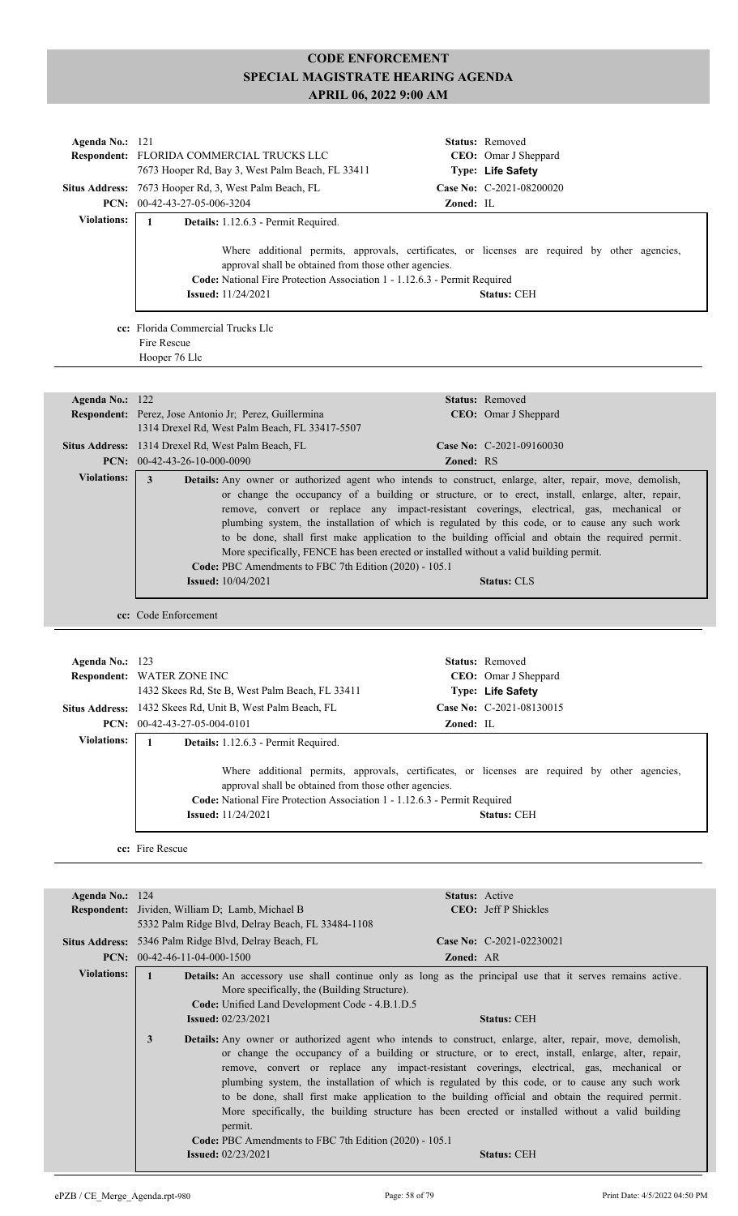| Agenda No.: 121    | Respondent: FLORIDA COMMERCIAL TRUCKS LLC                                                                                                                                                                                                                                                                                                                                                                                                                                                                                                                                                                                                                                                                                     |           | Status: Removed<br>CEO: Omar J Sheppard        |
|--------------------|-------------------------------------------------------------------------------------------------------------------------------------------------------------------------------------------------------------------------------------------------------------------------------------------------------------------------------------------------------------------------------------------------------------------------------------------------------------------------------------------------------------------------------------------------------------------------------------------------------------------------------------------------------------------------------------------------------------------------------|-----------|------------------------------------------------|
|                    | 7673 Hooper Rd, Bay 3, West Palm Beach, FL 33411<br>Situs Address: 7673 Hooper Rd, 3, West Palm Beach, FL                                                                                                                                                                                                                                                                                                                                                                                                                                                                                                                                                                                                                     |           | Type: Life Safety<br>Case No: C-2021-08200020  |
| <b>Violations:</b> | PCN: 00-42-43-27-05-006-3204                                                                                                                                                                                                                                                                                                                                                                                                                                                                                                                                                                                                                                                                                                  | Zoned: IL |                                                |
|                    | $\mathbf{1}$<br>Details: 1.12.6.3 - Permit Required.                                                                                                                                                                                                                                                                                                                                                                                                                                                                                                                                                                                                                                                                          |           |                                                |
|                    | Where additional permits, approvals, certificates, or licenses are required by other agencies,<br>approval shall be obtained from those other agencies.<br>Code: National Fire Protection Association 1 - 1.12.6.3 - Permit Required                                                                                                                                                                                                                                                                                                                                                                                                                                                                                          |           |                                                |
|                    | <b>Issued:</b> 11/24/2021                                                                                                                                                                                                                                                                                                                                                                                                                                                                                                                                                                                                                                                                                                     |           | <b>Status: CEH</b>                             |
|                    | cc: Florida Commercial Trucks Llc<br>Fire Rescue                                                                                                                                                                                                                                                                                                                                                                                                                                                                                                                                                                                                                                                                              |           |                                                |
|                    | Hooper 76 Llc                                                                                                                                                                                                                                                                                                                                                                                                                                                                                                                                                                                                                                                                                                                 |           |                                                |
| Agenda No.: 122    |                                                                                                                                                                                                                                                                                                                                                                                                                                                                                                                                                                                                                                                                                                                               |           | Status: Removed                                |
|                    | Respondent: Perez, Jose Antonio Jr; Perez, Guillermina<br>1314 Drexel Rd, West Palm Beach, FL 33417-5507                                                                                                                                                                                                                                                                                                                                                                                                                                                                                                                                                                                                                      |           | CEO: Omar J Sheppard                           |
|                    | Situs Address: 1314 Drexel Rd, West Palm Beach, FL<br>PCN: $00-42-43-26-10-000-0090$                                                                                                                                                                                                                                                                                                                                                                                                                                                                                                                                                                                                                                          | Zoned: RS | Case No: C-2021-09160030                       |
| <b>Violations:</b> | 3<br>Details: Any owner or authorized agent who intends to construct, enlarge, alter, repair, move, demolish,<br>or change the occupancy of a building or structure, or to erect, install, enlarge, alter, repair,<br>remove, convert or replace any impact-resistant coverings, electrical, gas, mechanical or<br>plumbing system, the installation of which is regulated by this code, or to cause any such work<br>to be done, shall first make application to the building official and obtain the required permit.<br>More specifically, FENCE has been erected or installed without a valid building permit.<br>Code: PBC Amendments to FBC 7th Edition (2020) - 105.1<br><b>Issued:</b> 10/04/2021                     |           | <b>Status: CLS</b>                             |
|                    | cc: Code Enforcement                                                                                                                                                                                                                                                                                                                                                                                                                                                                                                                                                                                                                                                                                                          |           |                                                |
|                    |                                                                                                                                                                                                                                                                                                                                                                                                                                                                                                                                                                                                                                                                                                                               |           |                                                |
|                    |                                                                                                                                                                                                                                                                                                                                                                                                                                                                                                                                                                                                                                                                                                                               |           | <b>Status:</b> Removed                         |
| Agenda No.: 123    | <b>Respondent: WATER ZONE INC</b>                                                                                                                                                                                                                                                                                                                                                                                                                                                                                                                                                                                                                                                                                             |           | CEO: Omar J Sheppard                           |
|                    | 1432 Skees Rd, Ste B, West Palm Beach, FL 33411                                                                                                                                                                                                                                                                                                                                                                                                                                                                                                                                                                                                                                                                               |           | Type: Life Safety                              |
|                    | Situs Address: 1432 Skees Rd, Unit B, West Palm Beach, FL<br>PCN: 00-42-43-27-05-004-0101                                                                                                                                                                                                                                                                                                                                                                                                                                                                                                                                                                                                                                     | Zoned: IL | Case No: C-2021-08130015                       |
| <b>Violations:</b> | $\mathbf{1}$<br>Details: 1.12.6.3 - Permit Required.                                                                                                                                                                                                                                                                                                                                                                                                                                                                                                                                                                                                                                                                          |           |                                                |
|                    | Where additional permits, approvals, certificates, or licenses are required by other agencies,<br>approval shall be obtained from those other agencies.<br>Code: National Fire Protection Association 1 - 1.12.6.3 - Permit Required<br><b>Issued:</b> 11/24/2021                                                                                                                                                                                                                                                                                                                                                                                                                                                             |           | <b>Status: CEH</b>                             |
|                    |                                                                                                                                                                                                                                                                                                                                                                                                                                                                                                                                                                                                                                                                                                                               |           |                                                |
|                    | cc: Fire Rescue                                                                                                                                                                                                                                                                                                                                                                                                                                                                                                                                                                                                                                                                                                               |           |                                                |
|                    |                                                                                                                                                                                                                                                                                                                                                                                                                                                                                                                                                                                                                                                                                                                               |           |                                                |
| Agenda No.: 124    | Respondent: Jividen, William D; Lamb, Michael B<br>5332 Palm Ridge Blvd, Delray Beach, FL 33484-1108                                                                                                                                                                                                                                                                                                                                                                                                                                                                                                                                                                                                                          |           | Status: Active<br><b>CEO</b> : Jeff P Shickles |
|                    | Situs Address: 5346 Palm Ridge Blvd, Delray Beach, FL<br>PCN: $00-42-46-11-04-000-1500$                                                                                                                                                                                                                                                                                                                                                                                                                                                                                                                                                                                                                                       | Zoned: AR | Case No: C-2021-02230021                       |
| <b>Violations:</b> | $\mathbf{1}$<br>Details: An accessory use shall continue only as long as the principal use that it serves remains active.<br>More specifically, the (Building Structure).<br>Code: Unified Land Development Code - 4.B.1.D.5<br><b>Issued:</b> 02/23/2021                                                                                                                                                                                                                                                                                                                                                                                                                                                                     |           | <b>Status: CEH</b>                             |
|                    | 3<br>Details: Any owner or authorized agent who intends to construct, enlarge, alter, repair, move, demolish,<br>or change the occupancy of a building or structure, or to erect, install, enlarge, alter, repair,<br>remove, convert or replace any impact-resistant coverings, electrical, gas, mechanical or<br>plumbing system, the installation of which is regulated by this code, or to cause any such work<br>to be done, shall first make application to the building official and obtain the required permit.<br>More specifically, the building structure has been erected or installed without a valid building<br>permit.<br>Code: PBC Amendments to FBC 7th Edition (2020) - 105.1<br><b>Issued:</b> 02/23/2021 |           | <b>Status: CEH</b>                             |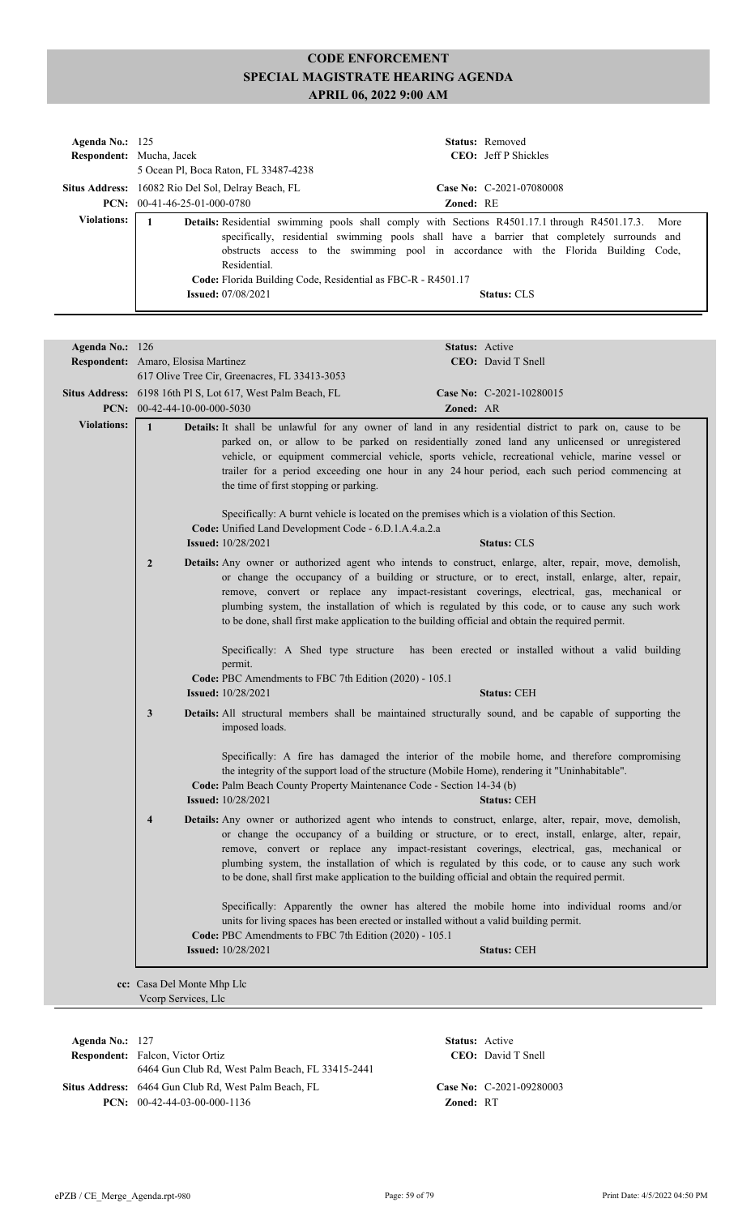| Agenda No.: $125$  | Respondent: Mucha, Jacek<br>5 Ocean Pl, Boca Raton, FL 33487-4238                                         | <b>Status:</b> Removed<br><b>CEO</b> : Jeff P Shickles                                                                                                                                                                                                                                                                   |
|--------------------|-----------------------------------------------------------------------------------------------------------|--------------------------------------------------------------------------------------------------------------------------------------------------------------------------------------------------------------------------------------------------------------------------------------------------------------------------|
|                    | Situs Address: 16082 Rio Del Sol, Delray Beach, FL                                                        | Case No: C-2021-07080008                                                                                                                                                                                                                                                                                                 |
|                    | <b>PCN:</b> $00-41-46-25-01-000-0780$                                                                     | <b>Zoned: RE</b>                                                                                                                                                                                                                                                                                                         |
| <b>Violations:</b> | Residential.<br>Code: Florida Building Code, Residential as FBC-R - R4501.17<br><b>Issued:</b> 07/08/2021 | <b>Details:</b> Residential swimming pools shall comply with Sections R4501.17.1 through R4501.17.3.<br>More<br>specifically, residential swimming pools shall have a barrier that completely surrounds and<br>obstructs access to the swimming pool in accordance with the Florida Building Code,<br><b>Status: CLS</b> |
|                    |                                                                                                           |                                                                                                                                                                                                                                                                                                                          |
| Agenda No.: $126$  |                                                                                                           | <b>Status:</b> Active                                                                                                                                                                                                                                                                                                    |
|                    | <b>Respondent:</b> Amaro, Elosisa Martinez<br>617 Olive Tree Cir, Greenacres, FL 33413-3053               | <b>CEO</b> : David T Snell                                                                                                                                                                                                                                                                                               |
|                    | <b>Situs Address:</b> 6198 16th Pl S, Lot 617, West Palm Beach, FL                                        | Case No: $C-2021-10280015$                                                                                                                                                                                                                                                                                               |

|                                    | <b>PCN:</b> $00-42-44-10-00-000-5030$<br><b>Zoned: AR</b>                                                                                                                                                                                                                                                                                                                                                                                                                                                          |
|------------------------------------|--------------------------------------------------------------------------------------------------------------------------------------------------------------------------------------------------------------------------------------------------------------------------------------------------------------------------------------------------------------------------------------------------------------------------------------------------------------------------------------------------------------------|
| <b>Violations:</b><br>$\mathbf{1}$ | Details: It shall be unlawful for any owner of land in any residential district to park on, cause to be<br>parked on, or allow to be parked on residentially zoned land any unlicensed or unregistered<br>vehicle, or equipment commercial vehicle, sports vehicle, recreational vehicle, marine vessel or<br>trailer for a period exceeding one hour in any 24 hour period, each such period commencing at<br>the time of first stopping or parking.                                                              |
|                                    | Specifically: A burnt vehicle is located on the premises which is a violation of this Section.<br>Code: Unified Land Development Code - 6.D.1.A.4.a.2.a<br><b>Issued:</b> 10/28/2021<br><b>Status: CLS</b>                                                                                                                                                                                                                                                                                                         |
| $\overline{2}$                     | Details: Any owner or authorized agent who intends to construct, enlarge, alter, repair, move, demolish,<br>or change the occupancy of a building or structure, or to erect, install, enlarge, alter, repair,<br>remove, convert or replace any impact-resistant coverings, electrical, gas, mechanical or<br>plumbing system, the installation of which is regulated by this code, or to cause any such work<br>to be done, shall first make application to the building official and obtain the required permit. |
|                                    | Specifically: A Shed type structure has been erected or installed without a valid building<br>permit.<br>Code: PBC Amendments to FBC 7th Edition (2020) - 105.1<br><b>Issued:</b> 10/28/2021<br><b>Status: CEH</b>                                                                                                                                                                                                                                                                                                 |
| $\mathbf{3}$                       | Details: All structural members shall be maintained structurally sound, and be capable of supporting the<br>imposed loads.                                                                                                                                                                                                                                                                                                                                                                                         |
|                                    | Specifically: A fire has damaged the interior of the mobile home, and therefore compromising<br>the integrity of the support load of the structure (Mobile Home), rendering it "Uninhabitable".<br>Code: Palm Beach County Property Maintenance Code - Section 14-34 (b)<br><b>Issued:</b> 10/28/2021<br><b>Status: CEH</b>                                                                                                                                                                                        |
| $\overline{\mathbf{4}}$            | Details: Any owner or authorized agent who intends to construct, enlarge, alter, repair, move, demolish,<br>or change the occupancy of a building or structure, or to erect, install, enlarge, alter, repair,<br>remove, convert or replace any impact-resistant coverings, electrical, gas, mechanical or<br>plumbing system, the installation of which is regulated by this code, or to cause any such work<br>to be done, shall first make application to the building official and obtain the required permit. |
|                                    | Specifically: Apparently the owner has altered the mobile home into individual rooms and/or<br>units for living spaces has been erected or installed without a valid building permit.<br>Code: PBC Amendments to FBC 7th Edition (2020) - 105.1                                                                                                                                                                                                                                                                    |
|                                    | <b>Issued:</b> 10/28/2021<br><b>Status: CEH</b>                                                                                                                                                                                                                                                                                                                                                                                                                                                                    |

**Respondent:** Falcon, Victor Ortiz **Agenda No.:** 127 **Status:** Active 6464 Gun Club Rd, West Palm Beach, FL 33415-2441 Situs Address: 6464 Gun Club Rd, West Palm Beach, FL **Case No:** C-2021-09280003 **PCN:** 00-42-44-03-00-000-1136 **Zoned:** RT

CEO: David T Snell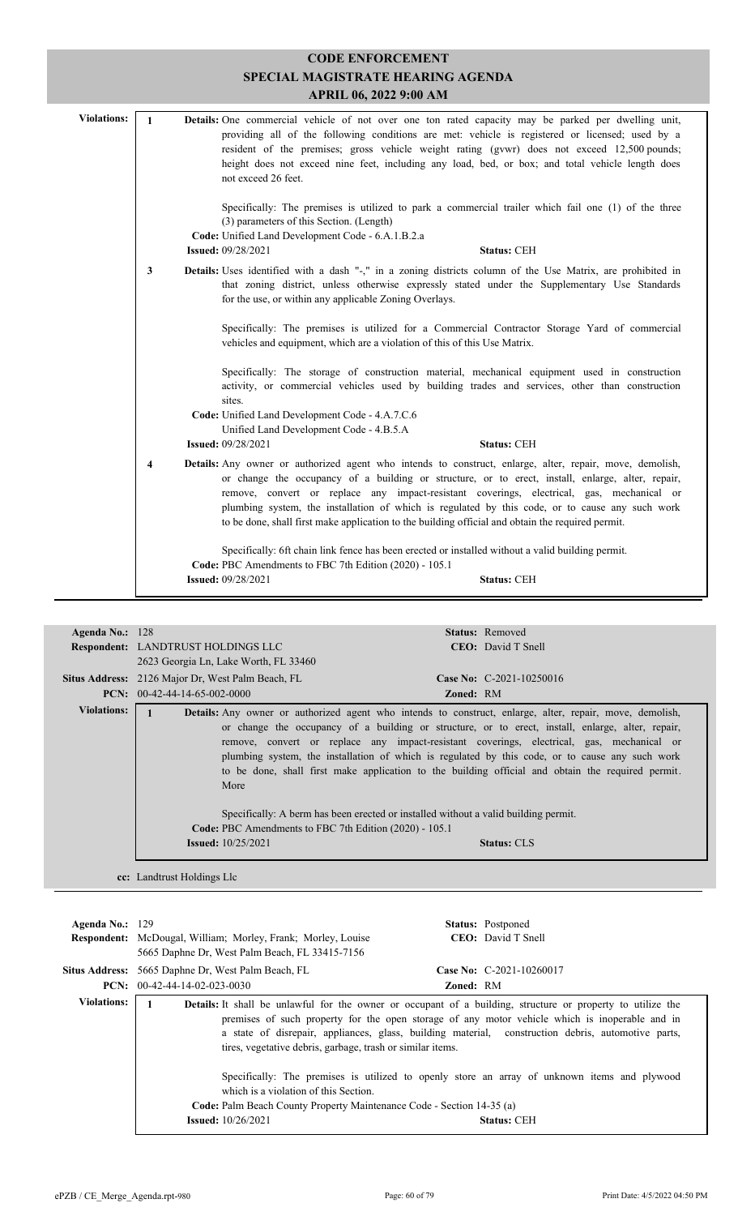| <b>CODE ENFORCEMENT</b><br>SPECIAL MAGISTRATE HEARING AGENDA<br>APRIL 06, 2022 9:00 AM |                         |                                                                                                                                                                                                                                                                                                                                                                                                                                                                                                                    |  |
|----------------------------------------------------------------------------------------|-------------------------|--------------------------------------------------------------------------------------------------------------------------------------------------------------------------------------------------------------------------------------------------------------------------------------------------------------------------------------------------------------------------------------------------------------------------------------------------------------------------------------------------------------------|--|
| <b>Violations:</b>                                                                     | $\mathbf{1}$            | Details: One commercial vehicle of not over one ton rated capacity may be parked per dwelling unit,<br>providing all of the following conditions are met: vehicle is registered or licensed; used by a<br>resident of the premises; gross vehicle weight rating (gvwr) does not exceed 12,500 pounds;<br>height does not exceed nine feet, including any load, bed, or box; and total vehicle length does<br>not exceed 26 feet.                                                                                   |  |
|                                                                                        |                         | Specifically: The premises is utilized to park a commercial trailer which fail one (1) of the three<br>(3) parameters of this Section. (Length)<br>Code: Unified Land Development Code - 6.A.1.B.2.a<br><b>Issued: 09/28/2021</b><br><b>Status: CEH</b>                                                                                                                                                                                                                                                            |  |
|                                                                                        | 3                       | Details: Uses identified with a dash "-," in a zoning districts column of the Use Matrix, are prohibited in<br>that zoning district, unless otherwise expressly stated under the Supplementary Use Standards<br>for the use, or within any applicable Zoning Overlays.                                                                                                                                                                                                                                             |  |
|                                                                                        |                         | Specifically: The premises is utilized for a Commercial Contractor Storage Yard of commercial<br>vehicles and equipment, which are a violation of this of this Use Matrix.                                                                                                                                                                                                                                                                                                                                         |  |
|                                                                                        |                         | Specifically: The storage of construction material, mechanical equipment used in construction<br>activity, or commercial vehicles used by building trades and services, other than construction<br>sites.                                                                                                                                                                                                                                                                                                          |  |
|                                                                                        |                         | Code: Unified Land Development Code - 4.A.7.C.6<br>Unified Land Development Code - 4.B.5.A<br><b>Issued: 09/28/2021</b><br><b>Status: CEH</b>                                                                                                                                                                                                                                                                                                                                                                      |  |
|                                                                                        | $\overline{\mathbf{4}}$ | Details: Any owner or authorized agent who intends to construct, enlarge, alter, repair, move, demolish,<br>or change the occupancy of a building or structure, or to erect, install, enlarge, alter, repair,<br>remove, convert or replace any impact-resistant coverings, electrical, gas, mechanical or<br>plumbing system, the installation of which is regulated by this code, or to cause any such work<br>to be done, shall first make application to the building official and obtain the required permit. |  |
|                                                                                        |                         | Specifically: 6ft chain link fence has been erected or installed without a valid building permit.<br>Code: PBC Amendments to FBC 7th Edition (2020) - 105.1<br><b>Issued: 09/28/2021</b><br><b>Status: CEH</b>                                                                                                                                                                                                                                                                                                     |  |
|                                                                                        |                         |                                                                                                                                                                                                                                                                                                                                                                                                                                                                                                                    |  |

| Agenda No.: $128$  | <b>Respondent: LANDTRUST HOLDINGS LLC</b><br>2623 Georgia Ln, Lake Worth, FL 33460 | <b>Status:</b> Removed<br><b>CEO</b> : David T Snell                                                                                                                                                                                                                                                                                                                                                                                                                                                                      |
|--------------------|------------------------------------------------------------------------------------|---------------------------------------------------------------------------------------------------------------------------------------------------------------------------------------------------------------------------------------------------------------------------------------------------------------------------------------------------------------------------------------------------------------------------------------------------------------------------------------------------------------------------|
|                    | <b>Situs Address:</b> 2126 Major Dr, West Palm Beach, FL                           | Case No: C-2021-10250016                                                                                                                                                                                                                                                                                                                                                                                                                                                                                                  |
|                    | <b>PCN:</b> $00-42-44-14-65-002-0000$                                              | <b>Zoned: RM</b>                                                                                                                                                                                                                                                                                                                                                                                                                                                                                                          |
| <b>Violations:</b> | More                                                                               | <b>Details:</b> Any owner or authorized agent who intends to construct, enlarge, alter, repair, move, demolish,<br>or change the occupancy of a building or structure, or to erect, install, enlarge, alter, repair,<br>remove, convert or replace any impact-resistant coverings, electrical, gas, mechanical or<br>plumbing system, the installation of which is regulated by this code, or to cause any such work<br>to be done, shall first make application to the building official and obtain the required permit. |
|                    | <b>Code: PBC</b> Amendments to FBC 7th Edition (2020) - 105.1                      | Specifically: A berm has been erected or installed without a valid building permit.                                                                                                                                                                                                                                                                                                                                                                                                                                       |
|                    | <b>Issued:</b> $10/25/2021$                                                        | <b>Status: CLS</b>                                                                                                                                                                                                                                                                                                                                                                                                                                                                                                        |
|                    | cc: Landtrust Holdings Llc                                                         |                                                                                                                                                                                                                                                                                                                                                                                                                                                                                                                           |

| Agenda No.: $129$  | <b>Status:</b> Postponed<br><b>CEO</b> : David T Snell<br><b>Respondent:</b> McDougal, William; Morley, Frank; Morley, Louise<br>5665 Daphne Dr, West Palm Beach, FL 33415-7156                                                                                                                                                                                                                                                                                                                                                                                                                                                                                 |
|--------------------|-----------------------------------------------------------------------------------------------------------------------------------------------------------------------------------------------------------------------------------------------------------------------------------------------------------------------------------------------------------------------------------------------------------------------------------------------------------------------------------------------------------------------------------------------------------------------------------------------------------------------------------------------------------------|
|                    | Case No: $C-2021-10260017$<br><b>Situs Address:</b> 5665 Daphne Dr, West Palm Beach, FL                                                                                                                                                                                                                                                                                                                                                                                                                                                                                                                                                                         |
|                    | <b>PCN:</b> $00-42-44-14-02-023-0030$<br><b>Zoned: RM</b>                                                                                                                                                                                                                                                                                                                                                                                                                                                                                                                                                                                                       |
| <b>Violations:</b> | <b>Details:</b> It shall be unlawful for the owner or occupant of a building, structure or property to utilize the<br>premises of such property for the open storage of any motor vehicle which is inoperable and in<br>a state of disrepair, appliances, glass, building material, construction debris, automotive parts,<br>tires, vegetative debris, garbage, trash or similar items.<br>Specifically: The premises is utilized to openly store an array of unknown items and plywood<br>which is a violation of this Section.<br>Code: Palm Beach County Property Maintenance Code - Section 14-35 (a)<br><b>Issued:</b> $10/26/2021$<br><b>Status: CEH</b> |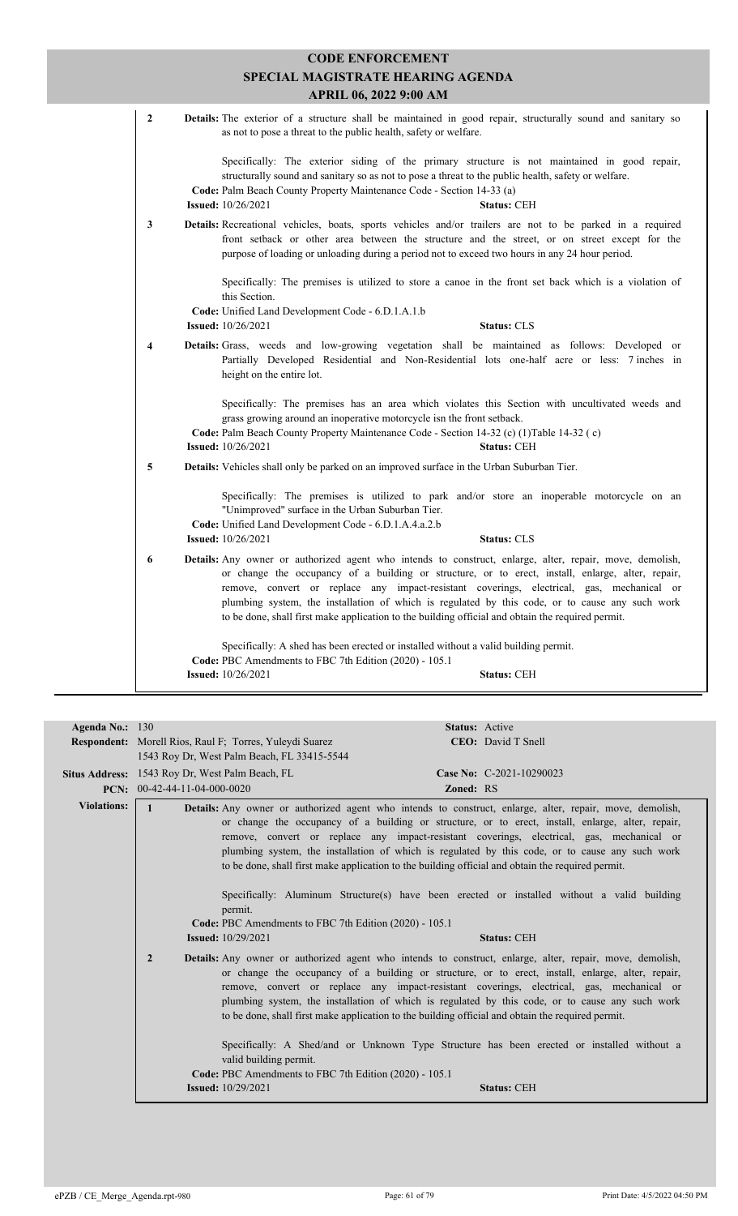|                | <b>CODE ENFORCEMENT</b><br>SPECIAL MAGISTRATE HEARING AGENDA<br>APRIL 06, 2022 9:00 AM                                                                                                                                                                                                                                                                                                                                                                                                                             |
|----------------|--------------------------------------------------------------------------------------------------------------------------------------------------------------------------------------------------------------------------------------------------------------------------------------------------------------------------------------------------------------------------------------------------------------------------------------------------------------------------------------------------------------------|
| $\overline{2}$ | Details: The exterior of a structure shall be maintained in good repair, structurally sound and sanitary so<br>as not to pose a threat to the public health, safety or welfare.                                                                                                                                                                                                                                                                                                                                    |
|                | Specifically: The exterior siding of the primary structure is not maintained in good repair,<br>structurally sound and sanitary so as not to pose a threat to the public health, safety or welfare.<br>Code: Palm Beach County Property Maintenance Code - Section 14-33 (a)<br><b>Issued:</b> 10/26/2021<br><b>Status: CEH</b>                                                                                                                                                                                    |
| $\mathbf{3}$   | Details: Recreational vehicles, boats, sports vehicles and/or trailers are not to be parked in a required<br>front setback or other area between the structure and the street, or on street except for the<br>purpose of loading or unloading during a period not to exceed two hours in any 24 hour period.                                                                                                                                                                                                       |
|                | Specifically: The premises is utilized to store a canoe in the front set back which is a violation of<br>this Section.<br>Code: Unified Land Development Code - 6.D.1.A.1.b                                                                                                                                                                                                                                                                                                                                        |
|                | <b>Issued:</b> 10/26/2021<br><b>Status: CLS</b>                                                                                                                                                                                                                                                                                                                                                                                                                                                                    |
| 4              | Details: Grass, weeds and low-growing vegetation shall be maintained as follows: Developed or<br>Partially Developed Residential and Non-Residential lots one-half acre or less: 7 inches in<br>height on the entire lot.                                                                                                                                                                                                                                                                                          |
|                | Specifically: The premises has an area which violates this Section with uncultivated weeds and<br>grass growing around an inoperative motorcycle isn the front setback.<br>Code: Palm Beach County Property Maintenance Code - Section 14-32 (c) (1) Table 14-32 (c)<br><b>Issued:</b> 10/26/2021<br><b>Status: CEH</b>                                                                                                                                                                                            |
| 5              | <b>Details:</b> Vehicles shall only be parked on an improved surface in the Urban Suburban Tier.                                                                                                                                                                                                                                                                                                                                                                                                                   |
|                | Specifically: The premises is utilized to park and/or store an inoperable motorcycle on an<br>"Unimproved" surface in the Urban Suburban Tier.<br>Code: Unified Land Development Code - 6.D.1.A.4.a.2.b                                                                                                                                                                                                                                                                                                            |
|                | <b>Issued:</b> 10/26/2021<br><b>Status: CLS</b>                                                                                                                                                                                                                                                                                                                                                                                                                                                                    |
| 6              | Details: Any owner or authorized agent who intends to construct, enlarge, alter, repair, move, demolish,<br>or change the occupancy of a building or structure, or to erect, install, enlarge, alter, repair,<br>remove, convert or replace any impact-resistant coverings, electrical, gas, mechanical or<br>plumbing system, the installation of which is regulated by this code, or to cause any such work<br>to be done, shall first make application to the building official and obtain the required permit. |
|                | Specifically: A shed has been erected or installed without a valid building permit.<br>Code: PBC Amendments to FBC 7th Edition (2020) - 105.1                                                                                                                                                                                                                                                                                                                                                                      |
|                |                                                                                                                                                                                                                                                                                                                                                                                                                                                                                                                    |

| Agenda No.: 130    |                                                                   | Status: Active                                                                                                                                                                                                                                                                                                                                                                                                                                                                                                                                                                                                           |  |  |  |
|--------------------|-------------------------------------------------------------------|--------------------------------------------------------------------------------------------------------------------------------------------------------------------------------------------------------------------------------------------------------------------------------------------------------------------------------------------------------------------------------------------------------------------------------------------------------------------------------------------------------------------------------------------------------------------------------------------------------------------------|--|--|--|
|                    | <b>Respondent:</b> Morell Rios, Raul F; Torres, Yuleydi Suarez    | <b>CEO</b> : David T Snell                                                                                                                                                                                                                                                                                                                                                                                                                                                                                                                                                                                               |  |  |  |
|                    | 1543 Roy Dr. West Palm Beach, FL 33415-5544                       |                                                                                                                                                                                                                                                                                                                                                                                                                                                                                                                                                                                                                          |  |  |  |
|                    | Situs Address: 1543 Roy Dr, West Palm Beach, FL                   | Case No: C-2021-10290023                                                                                                                                                                                                                                                                                                                                                                                                                                                                                                                                                                                                 |  |  |  |
|                    |                                                                   |                                                                                                                                                                                                                                                                                                                                                                                                                                                                                                                                                                                                                          |  |  |  |
|                    | <b>PCN:</b> $00-42-44-11-04-000-0020$                             | Zoned: RS                                                                                                                                                                                                                                                                                                                                                                                                                                                                                                                                                                                                                |  |  |  |
| <b>Violations:</b> | permit.<br>Code: PBC Amendments to FBC 7th Edition (2020) - 105.1 | <b>Details:</b> Any owner or authorized agent who intends to construct, enlarge, alter, repair, move, demolish,<br>or change the occupancy of a building or structure, or to erect, install, enlarge, alter, repair,<br>remove, convert or replace any impact-resistant coverings, electrical, gas, mechanical or<br>plumbing system, the installation of which is regulated by this code, or to cause any such work<br>to be done, shall first make application to the building official and obtain the required permit.<br>Specifically: Aluminum Structure(s) have been erected or installed without a valid building |  |  |  |
|                    | <b>Issued:</b> 10/29/2021                                         | <b>Status: CEH</b>                                                                                                                                                                                                                                                                                                                                                                                                                                                                                                                                                                                                       |  |  |  |
|                    | $\overline{2}$                                                    | <b>Details:</b> Any owner or authorized agent who intends to construct, enlarge, alter, repair, move, demolish,<br>or change the occupancy of a building or structure, or to erect, install, enlarge, alter, repair,<br>remove, convert or replace any impact-resistant coverings, electrical, gas, mechanical or<br>plumbing system, the installation of which is regulated by this code, or to cause any such work<br>to be done, shall first make application to the building official and obtain the required permit.                                                                                                |  |  |  |
|                    | valid building permit.                                            | Specifically: A Shed/and or Unknown Type Structure has been erected or installed without a                                                                                                                                                                                                                                                                                                                                                                                                                                                                                                                               |  |  |  |
|                    | Code: PBC Amendments to FBC 7th Edition (2020) - 105.1            |                                                                                                                                                                                                                                                                                                                                                                                                                                                                                                                                                                                                                          |  |  |  |
|                    | <b>Issued:</b> 10/29/2021                                         | <b>Status: CEH</b>                                                                                                                                                                                                                                                                                                                                                                                                                                                                                                                                                                                                       |  |  |  |
|                    |                                                                   |                                                                                                                                                                                                                                                                                                                                                                                                                                                                                                                                                                                                                          |  |  |  |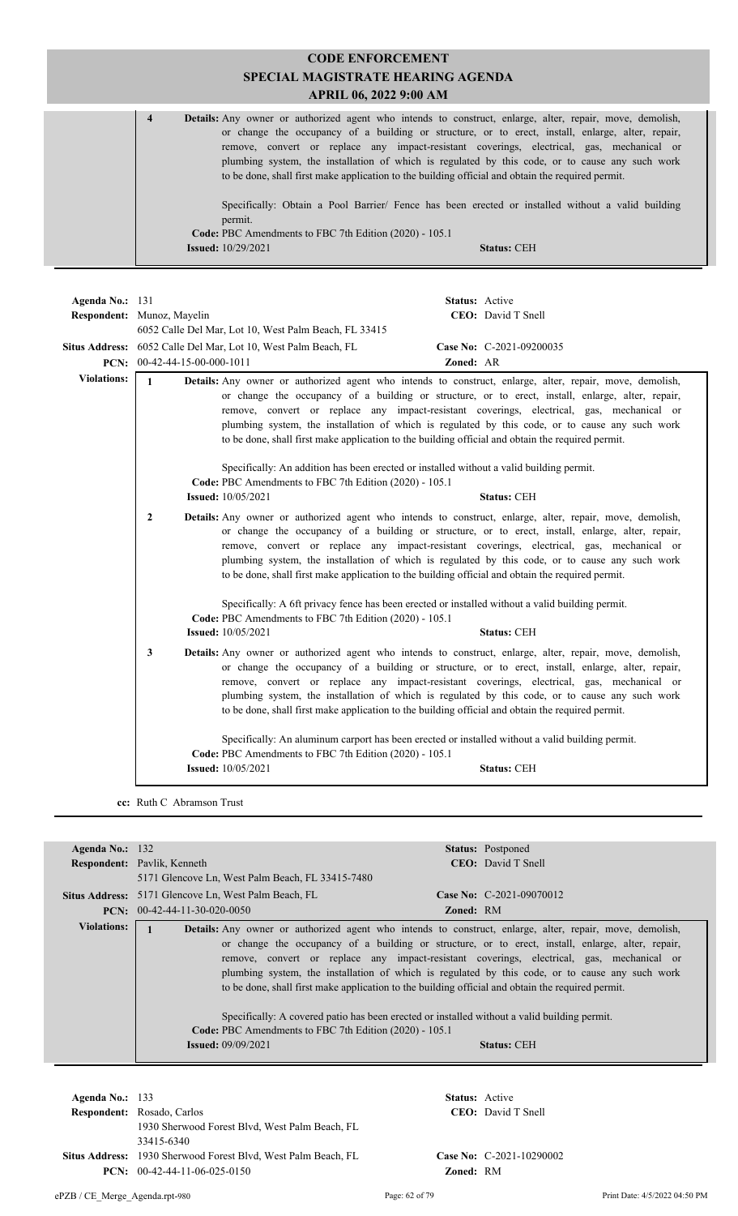| <b>CODE ENFORCEMENT</b>                                                                                                                                                                                                                                                                                                                                                                                                                                                                                                                              |  |  |  |  |
|------------------------------------------------------------------------------------------------------------------------------------------------------------------------------------------------------------------------------------------------------------------------------------------------------------------------------------------------------------------------------------------------------------------------------------------------------------------------------------------------------------------------------------------------------|--|--|--|--|
| SPECIAL MAGISTRATE HEARING AGENDA                                                                                                                                                                                                                                                                                                                                                                                                                                                                                                                    |  |  |  |  |
| APRIL 06, 2022 9:00 AM                                                                                                                                                                                                                                                                                                                                                                                                                                                                                                                               |  |  |  |  |
| $\overline{\mathbf{4}}$<br><b>Details:</b> Any owner or authorized agent who intends to construct, enlarge, alter, repair, move, demolish,<br>or change the occupancy of a building or structure, or to erect, install, enlarge, alter, repair,<br>remove, convert or replace any impact-resistant coverings, electrical, gas, mechanical or<br>plumbing system, the installation of which is regulated by this code, or to cause any such work<br>to be done, shall first make application to the building official and obtain the required permit. |  |  |  |  |
| Specifically: Obtain a Pool Barrier/ Fence has been erected or installed without a valid building<br>permit.                                                                                                                                                                                                                                                                                                                                                                                                                                         |  |  |  |  |
| Code: PBC Amendments to FBC 7th Edition (2020) - 105.1                                                                                                                                                                                                                                                                                                                                                                                                                                                                                               |  |  |  |  |
| <b>Issued:</b> 10/29/2021<br><b>Status: CEH</b>                                                                                                                                                                                                                                                                                                                                                                                                                                                                                                      |  |  |  |  |
|                                                                                                                                                                                                                                                                                                                                                                                                                                                                                                                                                      |  |  |  |  |

| Agenda No.: 131            | Status: Active                                                              |                                                                                     |                                                                                                                                                                                                                                                                                                                                                                                                                                                                                                                           |  |
|----------------------------|-----------------------------------------------------------------------------|-------------------------------------------------------------------------------------|---------------------------------------------------------------------------------------------------------------------------------------------------------------------------------------------------------------------------------------------------------------------------------------------------------------------------------------------------------------------------------------------------------------------------------------------------------------------------------------------------------------------------|--|
| Respondent: Munoz, Mayelin |                                                                             |                                                                                     | CEO: David T Snell                                                                                                                                                                                                                                                                                                                                                                                                                                                                                                        |  |
|                            |                                                                             | 6052 Calle Del Mar, Lot 10, West Palm Beach, FL 33415                               |                                                                                                                                                                                                                                                                                                                                                                                                                                                                                                                           |  |
| <b>Situs Address:</b>      | Case No: C-2021-09200035<br>6052 Calle Del Mar, Lot 10, West Palm Beach, FL |                                                                                     |                                                                                                                                                                                                                                                                                                                                                                                                                                                                                                                           |  |
| PCN:                       |                                                                             | $00-42-44-15-00-000-1011$                                                           | Zoned: AR                                                                                                                                                                                                                                                                                                                                                                                                                                                                                                                 |  |
| <b>Violations:</b>         | $\mathbf{1}$                                                                |                                                                                     | <b>Details:</b> Any owner or authorized agent who intends to construct, enlarge, alter, repair, move, demolish,<br>or change the occupancy of a building or structure, or to erect, install, enlarge, alter, repair,<br>remove, convert or replace any impact-resistant coverings, electrical, gas, mechanical or<br>plumbing system, the installation of which is regulated by this code, or to cause any such work<br>to be done, shall first make application to the building official and obtain the required permit. |  |
|                            |                                                                             | Code: PBC Amendments to FBC 7th Edition (2020) - 105.1                              | Specifically: An addition has been erected or installed without a valid building permit.                                                                                                                                                                                                                                                                                                                                                                                                                                  |  |
|                            |                                                                             | <b>Issued:</b> 10/05/2021                                                           | <b>Status: CEH</b>                                                                                                                                                                                                                                                                                                                                                                                                                                                                                                        |  |
|                            | $\overline{2}$                                                              |                                                                                     | Details: Any owner or authorized agent who intends to construct, enlarge, alter, repair, move, demolish,<br>or change the occupancy of a building or structure, or to erect, install, enlarge, alter, repair,<br>remove, convert or replace any impact-resistant coverings, electrical, gas, mechanical or<br>plumbing system, the installation of which is regulated by this code, or to cause any such work<br>to be done, shall first make application to the building official and obtain the required permit.        |  |
|                            |                                                                             | Code: PBC Amendments to FBC 7th Edition (2020) - 105.1                              | Specifically: A 6ft privacy fence has been erected or installed without a valid building permit.                                                                                                                                                                                                                                                                                                                                                                                                                          |  |
|                            |                                                                             | <b>Issued:</b> 10/05/2021                                                           | <b>Status: CEH</b>                                                                                                                                                                                                                                                                                                                                                                                                                                                                                                        |  |
|                            | 3                                                                           |                                                                                     | <b>Details:</b> Any owner or authorized agent who intends to construct, enlarge, alter, repair, move, demolish,<br>or change the occupancy of a building or structure, or to erect, install, enlarge, alter, repair,<br>remove, convert or replace any impact-resistant coverings, electrical, gas, mechanical or<br>plumbing system, the installation of which is regulated by this code, or to cause any such work<br>to be done, shall first make application to the building official and obtain the required permit. |  |
|                            |                                                                             | Code: PBC Amendments to FBC 7th Edition (2020) - 105.1<br><b>Issued:</b> 10/05/2021 | Specifically: An aluminum carport has been erected or installed without a valid building permit.<br><b>Status: CEH</b>                                                                                                                                                                                                                                                                                                                                                                                                    |  |
|                            |                                                                             |                                                                                     |                                                                                                                                                                                                                                                                                                                                                                                                                                                                                                                           |  |

**cc:** Ruth C Abramson Trust

| Agenda No.: $132$  |                                                                                       | <b>Status:</b> Postponed                                                                                                                                                                                                                                                                                                                                                                                                                                                                                                                                                                                                                        |
|--------------------|---------------------------------------------------------------------------------------|-------------------------------------------------------------------------------------------------------------------------------------------------------------------------------------------------------------------------------------------------------------------------------------------------------------------------------------------------------------------------------------------------------------------------------------------------------------------------------------------------------------------------------------------------------------------------------------------------------------------------------------------------|
|                    | <b>Respondent:</b> Pavlik, Kenneth                                                    | <b>CEO</b> : David T Snell                                                                                                                                                                                                                                                                                                                                                                                                                                                                                                                                                                                                                      |
|                    | 5171 Glencove Ln, West Palm Beach, FL 33415-7480                                      |                                                                                                                                                                                                                                                                                                                                                                                                                                                                                                                                                                                                                                                 |
|                    | <b>Situs Address:</b> 5171 Glencove Ln, West Palm Beach, FL                           | Case No: $C-2021-09070012$                                                                                                                                                                                                                                                                                                                                                                                                                                                                                                                                                                                                                      |
|                    | $PCN: 00-42-44-11-30-020-0050$                                                        | <b>Zoned: RM</b>                                                                                                                                                                                                                                                                                                                                                                                                                                                                                                                                                                                                                                |
| <b>Violations:</b> | Code: PBC Amendments to FBC 7th Edition (2020) - 105.1<br><b>Issued:</b> $09/09/2021$ | <b>Details:</b> Any owner or authorized agent who intends to construct, enlarge, alter, repair, move, demolish,<br>or change the occupancy of a building or structure, or to erect, install, enlarge, alter, repair,<br>remove, convert or replace any impact-resistant coverings, electrical, gas, mechanical or<br>plumbing system, the installation of which is regulated by this code, or to cause any such work<br>to be done, shall first make application to the building official and obtain the required permit.<br>Specifically: A covered patio has been erected or installed without a valid building permit.<br><b>Status: CEH</b> |

 $Respondent: Rosado, Carlos$ **Agenda No.:** 133 **Status:** Active 1930 Sherwood Forest Blvd, West Palm Beach, FL 33415-6340 Situs Address: 1930 Sherwood Forest Blvd, West Palm Beach, FL **Case No:** C-2021-10290002 **PCN:** 00-42-44-11-06-025-0150 **Zoned:** RM

CEO: David T Snell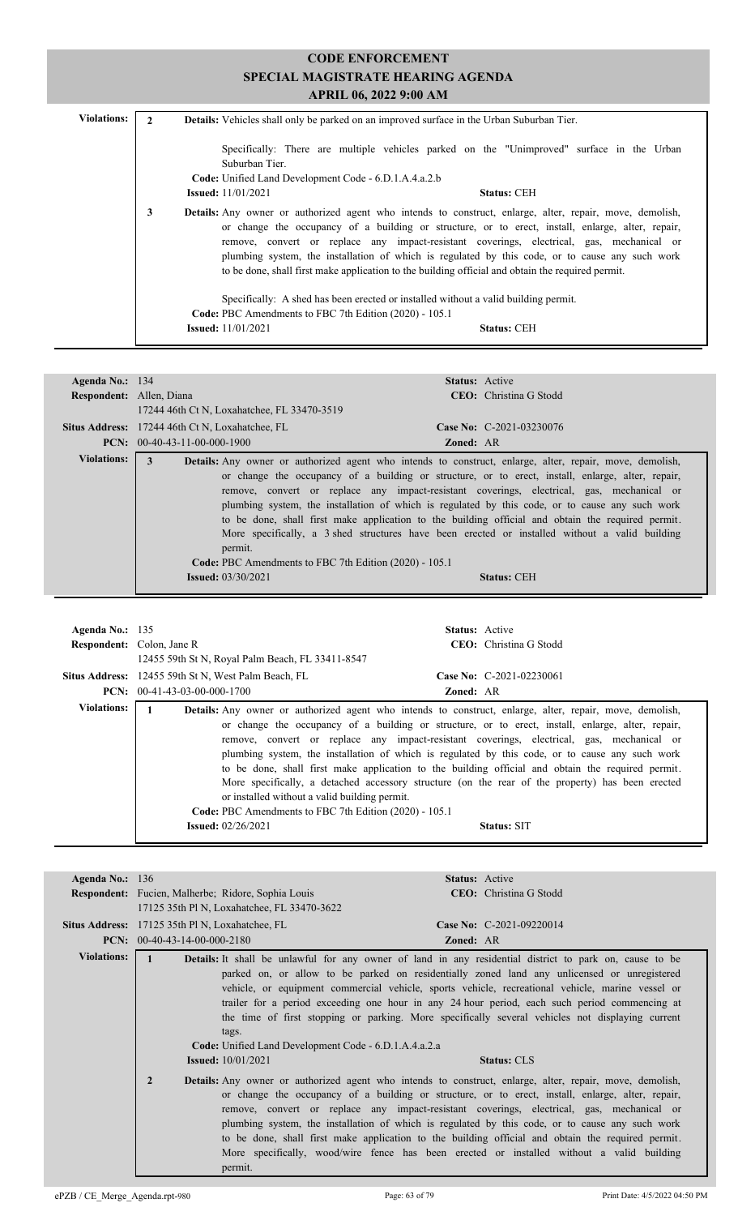| <b>Violations:</b> |   | <b>Details:</b> Vehicles shall only be parked on an improved surface in the Urban Suburban Tier.                                                                                                                                                                                                                                                                                                                                                                                                                          |
|--------------------|---|---------------------------------------------------------------------------------------------------------------------------------------------------------------------------------------------------------------------------------------------------------------------------------------------------------------------------------------------------------------------------------------------------------------------------------------------------------------------------------------------------------------------------|
|                    |   | Specifically: There are multiple vehicles parked on the "Unimproved" surface in the Urban<br>Suburban Tier.<br>Code: Unified Land Development Code - 6.D.1.A.4.a.2.b<br><b>Issued:</b> $11/01/2021$<br><b>Status: CEH</b>                                                                                                                                                                                                                                                                                                 |
|                    | 3 | <b>Details:</b> Any owner or authorized agent who intends to construct, enlarge, alter, repair, move, demolish,<br>or change the occupancy of a building or structure, or to erect, install, enlarge, alter, repair,<br>remove, convert or replace any impact-resistant coverings, electrical, gas, mechanical or<br>plumbing system, the installation of which is regulated by this code, or to cause any such work<br>to be done, shall first make application to the building official and obtain the required permit. |
|                    |   | Specifically: A shed has been erected or installed without a valid building permit.<br>Code: PBC Amendments to FBC 7th Edition (2020) - 105.1<br><b>Issued:</b> $11/01/2021$<br><b>Status: CEH</b>                                                                                                                                                                                                                                                                                                                        |

| Agenda No.: $134$        |                                                                                                       | <b>Status:</b> Active                                                                                                                                                                                                                                                                                                                                                                                                                                                                                                                                                                                                                             |  |
|--------------------------|-------------------------------------------------------------------------------------------------------|---------------------------------------------------------------------------------------------------------------------------------------------------------------------------------------------------------------------------------------------------------------------------------------------------------------------------------------------------------------------------------------------------------------------------------------------------------------------------------------------------------------------------------------------------------------------------------------------------------------------------------------------------|--|
| Respondent: Allen, Diana |                                                                                                       | <b>CEO</b> : Christina G Stodd                                                                                                                                                                                                                                                                                                                                                                                                                                                                                                                                                                                                                    |  |
|                          | 17244 46th Ct N, Loxahatchee, FL 33470-3519                                                           |                                                                                                                                                                                                                                                                                                                                                                                                                                                                                                                                                                                                                                                   |  |
|                          | Situs Address: 17244 46th Ct N, Loxahatchee, FL                                                       | Case No: $C-2021-03230076$                                                                                                                                                                                                                                                                                                                                                                                                                                                                                                                                                                                                                        |  |
|                          | $PCN: 00-40-43-11-00-000-1900$<br><b>Zoned: AR</b>                                                    |                                                                                                                                                                                                                                                                                                                                                                                                                                                                                                                                                                                                                                                   |  |
| Violations:              | 3<br>permit.<br>Code: PBC Amendments to FBC 7th Edition (2020) - 105.1<br><b>Issued:</b> $03/30/2021$ | <b>Details:</b> Any owner or authorized agent who intends to construct, enlarge, alter, repair, move, demolish,<br>or change the occupancy of a building or structure, or to erect, install, enlarge, alter, repair,<br>remove, convert or replace any impact-resistant coverings, electrical, gas, mechanical or<br>plumbing system, the installation of which is regulated by this code, or to cause any such work<br>to be done, shall first make application to the building official and obtain the required permit.<br>More specifically, a 3 shed structures have been erected or installed without a valid building<br><b>Status: CEH</b> |  |

| Agenda No.: $135$  | <b>Respondent:</b> Colon, Jane R<br>12455 59th St N, Royal Palm Beach, FL 33411-8547                                                           | <b>Status:</b> Active<br>CEO: Christina G Stodd                                                                                                                                                                                                                                                                                                                                                                                                                                                                                                                                                                                                     |  |
|--------------------|------------------------------------------------------------------------------------------------------------------------------------------------|-----------------------------------------------------------------------------------------------------------------------------------------------------------------------------------------------------------------------------------------------------------------------------------------------------------------------------------------------------------------------------------------------------------------------------------------------------------------------------------------------------------------------------------------------------------------------------------------------------------------------------------------------------|--|
|                    | Case No: $C-2021-02230061$<br><b>Situs Address:</b> 12455 59th St N, West Palm Beach, FL<br>$PCN: 00-41-43-03-00-000-1700$<br><b>Zoned: AR</b> |                                                                                                                                                                                                                                                                                                                                                                                                                                                                                                                                                                                                                                                     |  |
| <b>Violations:</b> | or installed without a valid building permit.<br>Code: PBC Amendments to FBC 7th Edition (2020) - 105.1<br><b>Issued:</b> $02/26/2021$         | <b>Details:</b> Any owner or authorized agent who intends to construct, enlarge, alter, repair, move, demolish,<br>or change the occupancy of a building or structure, or to erect, install, enlarge, alter, repair,<br>remove, convert or replace any impact-resistant coverings, electrical, gas, mechanical or<br>plumbing system, the installation of which is regulated by this code, or to cause any such work<br>to be done, shall first make application to the building official and obtain the required permit.<br>More specifically, a detached accessory structure (on the rear of the property) has been erected<br><b>Status: SIT</b> |  |

| Agenda No.: $136$  |                                                                                                                                                                                                                                                                                                                                                                                                                                                                        |                                                           | <b>Status:</b> Active |                                                                                                                                                                                                                                                                                                                                                                                                                                                                                                                                                                                                                        |
|--------------------|------------------------------------------------------------------------------------------------------------------------------------------------------------------------------------------------------------------------------------------------------------------------------------------------------------------------------------------------------------------------------------------------------------------------------------------------------------------------|-----------------------------------------------------------|-----------------------|------------------------------------------------------------------------------------------------------------------------------------------------------------------------------------------------------------------------------------------------------------------------------------------------------------------------------------------------------------------------------------------------------------------------------------------------------------------------------------------------------------------------------------------------------------------------------------------------------------------------|
|                    |                                                                                                                                                                                                                                                                                                                                                                                                                                                                        | <b>Respondent:</b> Fucien, Malherbe; Ridore, Sophia Louis |                       | CEO: Christina G Stodd                                                                                                                                                                                                                                                                                                                                                                                                                                                                                                                                                                                                 |
|                    |                                                                                                                                                                                                                                                                                                                                                                                                                                                                        | 17125 35th Pl N, Loxahatchee, FL 33470-3622               |                       |                                                                                                                                                                                                                                                                                                                                                                                                                                                                                                                                                                                                                        |
|                    | <b>Situs Address:</b> 17125 35th Pl N, Loxahatchee, FL                                                                                                                                                                                                                                                                                                                                                                                                                 |                                                           |                       | Case No: $C-2021-09220014$                                                                                                                                                                                                                                                                                                                                                                                                                                                                                                                                                                                             |
|                    | <b>PCN:</b> $00-40-43-14-00-000-2180$                                                                                                                                                                                                                                                                                                                                                                                                                                  |                                                           | <b>Zoned: AR</b>      |                                                                                                                                                                                                                                                                                                                                                                                                                                                                                                                                                                                                                        |
| <b>Violations:</b> |                                                                                                                                                                                                                                                                                                                                                                                                                                                                        |                                                           |                       | Details: It shall be unlawful for any owner of land in any residential district to park on, cause to be                                                                                                                                                                                                                                                                                                                                                                                                                                                                                                                |
|                    | parked on, or allow to be parked on residentially zoned land any unlicensed or unregistered<br>vehicle, or equipment commercial vehicle, sports vehicle, recreational vehicle, marine vessel or<br>trailer for a period exceeding one hour in any 24 hour period, each such period commencing at<br>the time of first stopping or parking. More specifically several vehicles not displaying current<br>tags.<br>Code: Unified Land Development Code - 6.D.1.A.4.a.2.a |                                                           |                       |                                                                                                                                                                                                                                                                                                                                                                                                                                                                                                                                                                                                                        |
|                    | <b>Issued:</b> $10/01/2021$<br><b>Status: CLS</b>                                                                                                                                                                                                                                                                                                                                                                                                                      |                                                           |                       |                                                                                                                                                                                                                                                                                                                                                                                                                                                                                                                                                                                                                        |
|                    | $\overline{2}$                                                                                                                                                                                                                                                                                                                                                                                                                                                         | permit.                                                   |                       | <b>Details:</b> Any owner or authorized agent who intends to construct, enlarge, alter, repair, move, demolish,<br>or change the occupancy of a building or structure, or to erect, install, enlarge, alter, repair,<br>remove, convert or replace any impact-resistant coverings, electrical, gas, mechanical or<br>plumbing system, the installation of which is regulated by this code, or to cause any such work<br>to be done, shall first make application to the building official and obtain the required permit.<br>More specifically, wood/wire fence has been erected or installed without a valid building |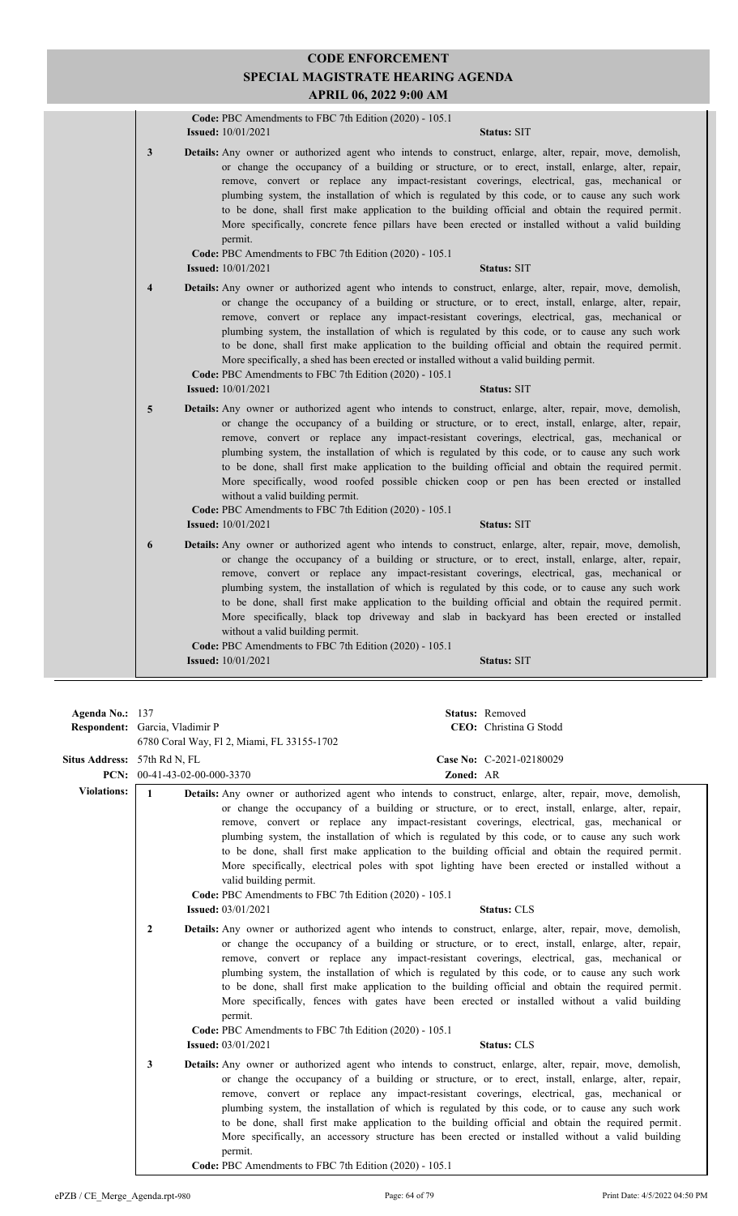|                         | Code: PBC Amendments to FBC 7th Edition (2020) - 105.1<br><b>Issued:</b> 10/01/2021<br>Status: SIT                                                                                                                                                                                                                                                                                                                                                                                                                                                                                                                                                                                                                                              |
|-------------------------|-------------------------------------------------------------------------------------------------------------------------------------------------------------------------------------------------------------------------------------------------------------------------------------------------------------------------------------------------------------------------------------------------------------------------------------------------------------------------------------------------------------------------------------------------------------------------------------------------------------------------------------------------------------------------------------------------------------------------------------------------|
| 3                       | Details: Any owner or authorized agent who intends to construct, enlarge, alter, repair, move, demolish,<br>or change the occupancy of a building or structure, or to erect, install, enlarge, alter, repair,<br>remove, convert or replace any impact-resistant coverings, electrical, gas, mechanical or<br>plumbing system, the installation of which is regulated by this code, or to cause any such work<br>to be done, shall first make application to the building official and obtain the required permit.<br>More specifically, concrete fence pillars have been erected or installed without a valid building<br>permit.<br>Code: PBC Amendments to FBC 7th Edition (2020) - 105.1<br><b>Issued:</b> 10/01/2021<br><b>Status: SIT</b> |
| $\overline{\mathbf{4}}$ | Details: Any owner or authorized agent who intends to construct, enlarge, alter, repair, move, demolish,<br>or change the occupancy of a building or structure, or to erect, install, enlarge, alter, repair,<br>remove, convert or replace any impact-resistant coverings, electrical, gas, mechanical or<br>plumbing system, the installation of which is regulated by this code, or to cause any such work<br>to be done, shall first make application to the building official and obtain the required permit.<br>More specifically, a shed has been erected or installed without a valid building permit.<br>Code: PBC Amendments to FBC 7th Edition (2020) - 105.1<br><b>Issued:</b> 10/01/2021<br>Status: SIT                            |
| 5                       | Details: Any owner or authorized agent who intends to construct, enlarge, alter, repair, move, demolish,<br>or change the occupancy of a building or structure, or to erect, install, enlarge, alter, repair,<br>remove, convert or replace any impact-resistant coverings, electrical, gas, mechanical or<br>plumbing system, the installation of which is regulated by this code, or to cause any such work<br>to be done, shall first make application to the building official and obtain the required permit.<br>More specifically, wood roofed possible chicken coop or pen has been erected or installed<br>without a valid building permit.<br>Code: PBC Amendments to FBC 7th Edition (2020) - 105.1                                   |
|                         | <b>Issued:</b> 10/01/2021<br>Status: SIT                                                                                                                                                                                                                                                                                                                                                                                                                                                                                                                                                                                                                                                                                                        |
| 6                       | Details: Any owner or authorized agent who intends to construct, enlarge, alter, repair, move, demolish,<br>or change the occupancy of a building or structure, or to erect, install, enlarge, alter, repair,<br>remove, convert or replace any impact-resistant coverings, electrical, gas, mechanical or<br>plumbing system, the installation of which is regulated by this code, or to cause any such work<br>to be done, shall first make application to the building official and obtain the required permit.<br>More specifically, black top driveway and slab in backyard has been erected or installed<br>without a valid building permit.<br>Code: PBC Amendments to FBC 7th Edition (2020) - 105.1                                    |
|                         | <b>Status: SIT</b><br><b>Issued:</b> $10/01/2021$                                                                                                                                                                                                                                                                                                                                                                                                                                                                                                                                                                                                                                                                                               |
|                         |                                                                                                                                                                                                                                                                                                                                                                                                                                                                                                                                                                                                                                                                                                                                                 |

| Agenda No.: $137$            |                                                                                                                                                                                                                                                                                                                                                                                                                                                                                                                                                                                                                                                                                                                                                                                                                                                                                                                                                                                                                                                                                                                                                                                                                                                                                                                                                                                                                                                                                                  |                                                                   |           | Status: Removed                                                                                                                                                                                                                                                                                                                                                                                                                                                                                                                                                                                                        |
|------------------------------|--------------------------------------------------------------------------------------------------------------------------------------------------------------------------------------------------------------------------------------------------------------------------------------------------------------------------------------------------------------------------------------------------------------------------------------------------------------------------------------------------------------------------------------------------------------------------------------------------------------------------------------------------------------------------------------------------------------------------------------------------------------------------------------------------------------------------------------------------------------------------------------------------------------------------------------------------------------------------------------------------------------------------------------------------------------------------------------------------------------------------------------------------------------------------------------------------------------------------------------------------------------------------------------------------------------------------------------------------------------------------------------------------------------------------------------------------------------------------------------------------|-------------------------------------------------------------------|-----------|------------------------------------------------------------------------------------------------------------------------------------------------------------------------------------------------------------------------------------------------------------------------------------------------------------------------------------------------------------------------------------------------------------------------------------------------------------------------------------------------------------------------------------------------------------------------------------------------------------------------|
|                              | Respondent: Garcia, Vladimir P                                                                                                                                                                                                                                                                                                                                                                                                                                                                                                                                                                                                                                                                                                                                                                                                                                                                                                                                                                                                                                                                                                                                                                                                                                                                                                                                                                                                                                                                   |                                                                   |           | CEO: Christina G Stodd                                                                                                                                                                                                                                                                                                                                                                                                                                                                                                                                                                                                 |
|                              |                                                                                                                                                                                                                                                                                                                                                                                                                                                                                                                                                                                                                                                                                                                                                                                                                                                                                                                                                                                                                                                                                                                                                                                                                                                                                                                                                                                                                                                                                                  | 6780 Coral Way, Fl 2, Miami, FL 33155-1702                        |           |                                                                                                                                                                                                                                                                                                                                                                                                                                                                                                                                                                                                                        |
| Situs Address: 57th Rd N, FL |                                                                                                                                                                                                                                                                                                                                                                                                                                                                                                                                                                                                                                                                                                                                                                                                                                                                                                                                                                                                                                                                                                                                                                                                                                                                                                                                                                                                                                                                                                  |                                                                   |           | Case No: C-2021-02180029                                                                                                                                                                                                                                                                                                                                                                                                                                                                                                                                                                                               |
|                              | <b>PCN:</b> $00-41-43-02-00-000-3370$                                                                                                                                                                                                                                                                                                                                                                                                                                                                                                                                                                                                                                                                                                                                                                                                                                                                                                                                                                                                                                                                                                                                                                                                                                                                                                                                                                                                                                                            |                                                                   | Zoned: AR |                                                                                                                                                                                                                                                                                                                                                                                                                                                                                                                                                                                                                        |
| <b>Violations:</b>           | $\mathbf{1}$<br><b>Details:</b> Any owner or authorized agent who intends to construct, enlarge, alter, repair, move, demolish,<br>or change the occupancy of a building or structure, or to erect, install, enlarge, alter, repair,<br>remove, convert or replace any impact-resistant coverings, electrical, gas, mechanical or<br>plumbing system, the installation of which is regulated by this code, or to cause any such work<br>to be done, shall first make application to the building official and obtain the required permit.<br>More specifically, electrical poles with spot lighting have been erected or installed without a<br>valid building permit.<br>Code: PBC Amendments to FBC 7th Edition (2020) - 105.1<br><b>Status: CLS</b><br><b>Issued:</b> 03/01/2021<br>$\overline{2}$<br>Details: Any owner or authorized agent who intends to construct, enlarge, alter, repair, move, demolish,<br>or change the occupancy of a building or structure, or to erect, install, enlarge, alter, repair,<br>remove, convert or replace any impact-resistant coverings, electrical, gas, mechanical or<br>plumbing system, the installation of which is regulated by this code, or to cause any such work<br>to be done, shall first make application to the building official and obtain the required permit.<br>More specifically, fences with gates have been erected or installed without a valid building<br>permit.<br>Code: PBC Amendments to FBC 7th Edition (2020) - 105.1 |                                                                   |           |                                                                                                                                                                                                                                                                                                                                                                                                                                                                                                                                                                                                                        |
|                              |                                                                                                                                                                                                                                                                                                                                                                                                                                                                                                                                                                                                                                                                                                                                                                                                                                                                                                                                                                                                                                                                                                                                                                                                                                                                                                                                                                                                                                                                                                  |                                                                   |           |                                                                                                                                                                                                                                                                                                                                                                                                                                                                                                                                                                                                                        |
|                              |                                                                                                                                                                                                                                                                                                                                                                                                                                                                                                                                                                                                                                                                                                                                                                                                                                                                                                                                                                                                                                                                                                                                                                                                                                                                                                                                                                                                                                                                                                  | <b>Issued:</b> 03/01/2021                                         |           | <b>Status: CLS</b>                                                                                                                                                                                                                                                                                                                                                                                                                                                                                                                                                                                                     |
|                              | 3                                                                                                                                                                                                                                                                                                                                                                                                                                                                                                                                                                                                                                                                                                                                                                                                                                                                                                                                                                                                                                                                                                                                                                                                                                                                                                                                                                                                                                                                                                | permit.<br>Code: PBC Amendments to FBC 7th Edition (2020) - 105.1 |           | Details: Any owner or authorized agent who intends to construct, enlarge, alter, repair, move, demolish,<br>or change the occupancy of a building or structure, or to erect, install, enlarge, alter, repair,<br>remove, convert or replace any impact-resistant coverings, electrical, gas, mechanical or<br>plumbing system, the installation of which is regulated by this code, or to cause any such work<br>to be done, shall first make application to the building official and obtain the required permit.<br>More specifically, an accessory structure has been erected or installed without a valid building |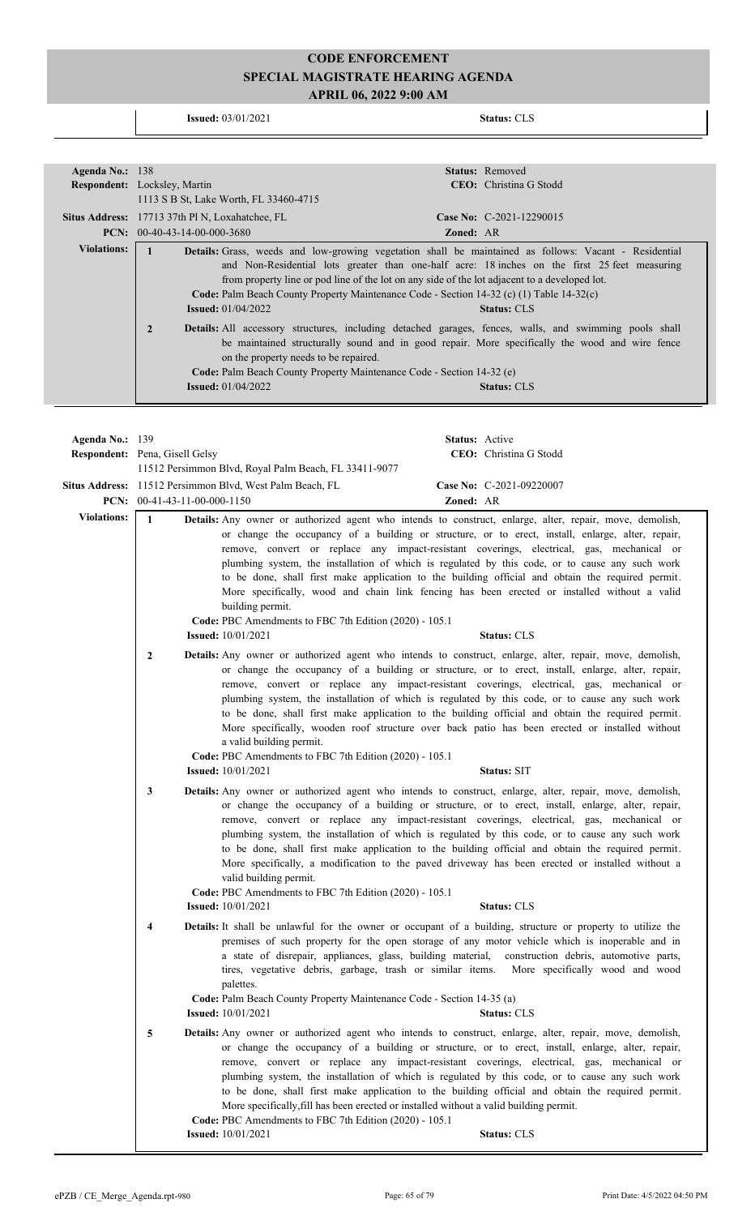**Issued:** 03/01/2021 **Status:** CLS

| Agenda No.: $138$  | <b>Status:</b> Removed                                                                                                                                                                                                                                                                                                                                                                                                                                          |
|--------------------|-----------------------------------------------------------------------------------------------------------------------------------------------------------------------------------------------------------------------------------------------------------------------------------------------------------------------------------------------------------------------------------------------------------------------------------------------------------------|
|                    | <b>CEO</b> : Christina G Stodd<br><b>Respondent:</b> Locksley, Martin                                                                                                                                                                                                                                                                                                                                                                                           |
|                    | 1113 S B St, Lake Worth, FL 33460-4715                                                                                                                                                                                                                                                                                                                                                                                                                          |
|                    | <b>Situs Address:</b> 17713 37th Pl N, Loxahatchee, FL<br>Case No: C-2021-12290015                                                                                                                                                                                                                                                                                                                                                                              |
|                    | <b>PCN:</b> $00-40-43-14-00-000-3680$<br><b>Zoned: AR</b>                                                                                                                                                                                                                                                                                                                                                                                                       |
| <b>Violations:</b> | <b>Details:</b> Grass, weeds and low-growing vegetation shall be maintained as follows: Vacant - Residential<br>and Non-Residential lots greater than one-half acre: 18 inches on the first 25 feet measuring<br>from property line or pod line of the lot on any side of the lot adjacent to a developed lot.<br>Code: Palm Beach County Property Maintenance Code - Section 14-32 (c) (1) Table 14-32(c)<br><b>Issued:</b> $01/04/2022$<br><b>Status: CLS</b> |
|                    | $\overline{2}$<br><b>Details:</b> All accessory structures, including detached garages, fences, walls, and swimming pools shall<br>be maintained structurally sound and in good repair. More specifically the wood and wire fence<br>on the property needs to be repaired.<br><b>Code:</b> Palm Beach County Property Maintenance Code - Section 14-32 (e)<br><b>Issued:</b> $01/04/2022$<br><b>Status: CLS</b>                                                 |

| Agenda No.: 139    |                                       |                                                                                                                                                                               | Status: Active |                                                                                                                                                                                                                                                                                                                                                                                                                                                                                                                                                                                                                                             |
|--------------------|---------------------------------------|-------------------------------------------------------------------------------------------------------------------------------------------------------------------------------|----------------|---------------------------------------------------------------------------------------------------------------------------------------------------------------------------------------------------------------------------------------------------------------------------------------------------------------------------------------------------------------------------------------------------------------------------------------------------------------------------------------------------------------------------------------------------------------------------------------------------------------------------------------------|
|                    | <b>Respondent:</b> Pena, Gisell Gelsy |                                                                                                                                                                               |                | CEO: Christina G Stodd                                                                                                                                                                                                                                                                                                                                                                                                                                                                                                                                                                                                                      |
|                    |                                       | 11512 Persimmon Blvd, Royal Palm Beach, FL 33411-9077                                                                                                                         |                |                                                                                                                                                                                                                                                                                                                                                                                                                                                                                                                                                                                                                                             |
|                    |                                       | Situs Address: 11512 Persimmon Blvd, West Palm Beach, FL                                                                                                                      |                | Case No: C-2021-09220007                                                                                                                                                                                                                                                                                                                                                                                                                                                                                                                                                                                                                    |
|                    | PCN: $00-41-43-11-00-000-1150$        |                                                                                                                                                                               | Zoned: AR      |                                                                                                                                                                                                                                                                                                                                                                                                                                                                                                                                                                                                                                             |
| <b>Violations:</b> | $\mathbf{1}$                          | building permit.<br>Code: PBC Amendments to FBC 7th Edition (2020) - 105.1<br><b>Issued:</b> 10/01/2021                                                                       |                | Details: Any owner or authorized agent who intends to construct, enlarge, alter, repair, move, demolish,<br>or change the occupancy of a building or structure, or to erect, install, enlarge, alter, repair,<br>remove, convert or replace any impact-resistant coverings, electrical, gas, mechanical or<br>plumbing system, the installation of which is regulated by this code, or to cause any such work<br>to be done, shall first make application to the building official and obtain the required permit.<br>More specifically, wood and chain link fencing has been erected or installed without a valid<br>Status: CLS           |
|                    | $\mathbf{2}$                          | a valid building permit.<br>Code: PBC Amendments to FBC 7th Edition (2020) - 105.1<br><b>Issued:</b> 10/01/2021                                                               |                | <b>Details:</b> Any owner or authorized agent who intends to construct, enlarge, alter, repair, move, demolish,<br>or change the occupancy of a building or structure, or to erect, install, enlarge, alter, repair,<br>remove, convert or replace any impact-resistant coverings, electrical, gas, mechanical or<br>plumbing system, the installation of which is regulated by this code, or to cause any such work<br>to be done, shall first make application to the building official and obtain the required permit.<br>More specifically, wooden roof structure over back patio has been erected or installed without<br>Status: SIT  |
|                    | 3                                     | valid building permit.<br>Code: PBC Amendments to FBC 7th Edition (2020) - 105.1<br><b>Issued:</b> 10/01/2021                                                                 |                | Details: Any owner or authorized agent who intends to construct, enlarge, alter, repair, move, demolish,<br>or change the occupancy of a building or structure, or to erect, install, enlarge, alter, repair,<br>remove, convert or replace any impact-resistant coverings, electrical, gas, mechanical or<br>plumbing system, the installation of which is regulated by this code, or to cause any such work<br>to be done, shall first make application to the building official and obtain the required permit.<br>More specifically, a modification to the paved driveway has been erected or installed without a<br><b>Status: CLS</b> |
|                    | 4                                     | palettes.<br>Code: Palm Beach County Property Maintenance Code - Section 14-35 (a)<br><b>Issued:</b> 10/01/2021                                                               |                | Details: It shall be unlawful for the owner or occupant of a building, structure or property to utilize the<br>premises of such property for the open storage of any motor vehicle which is inoperable and in<br>a state of disrepair, appliances, glass, building material, construction debris, automotive parts,<br>tires, vegetative debris, garbage, trash or similar items. More specifically wood and wood<br><b>Status: CLS</b>                                                                                                                                                                                                     |
|                    | 5                                     | More specifically, fill has been erected or installed without a valid building permit.<br>Code: PBC Amendments to FBC 7th Edition (2020) - 105.1<br><b>Issued:</b> 10/01/2021 |                | Details: Any owner or authorized agent who intends to construct, enlarge, alter, repair, move, demolish,<br>or change the occupancy of a building or structure, or to erect, install, enlarge, alter, repair,<br>remove, convert or replace any impact-resistant coverings, electrical, gas, mechanical or<br>plumbing system, the installation of which is regulated by this code, or to cause any such work<br>to be done, shall first make application to the building official and obtain the required permit.<br><b>Status: CLS</b>                                                                                                    |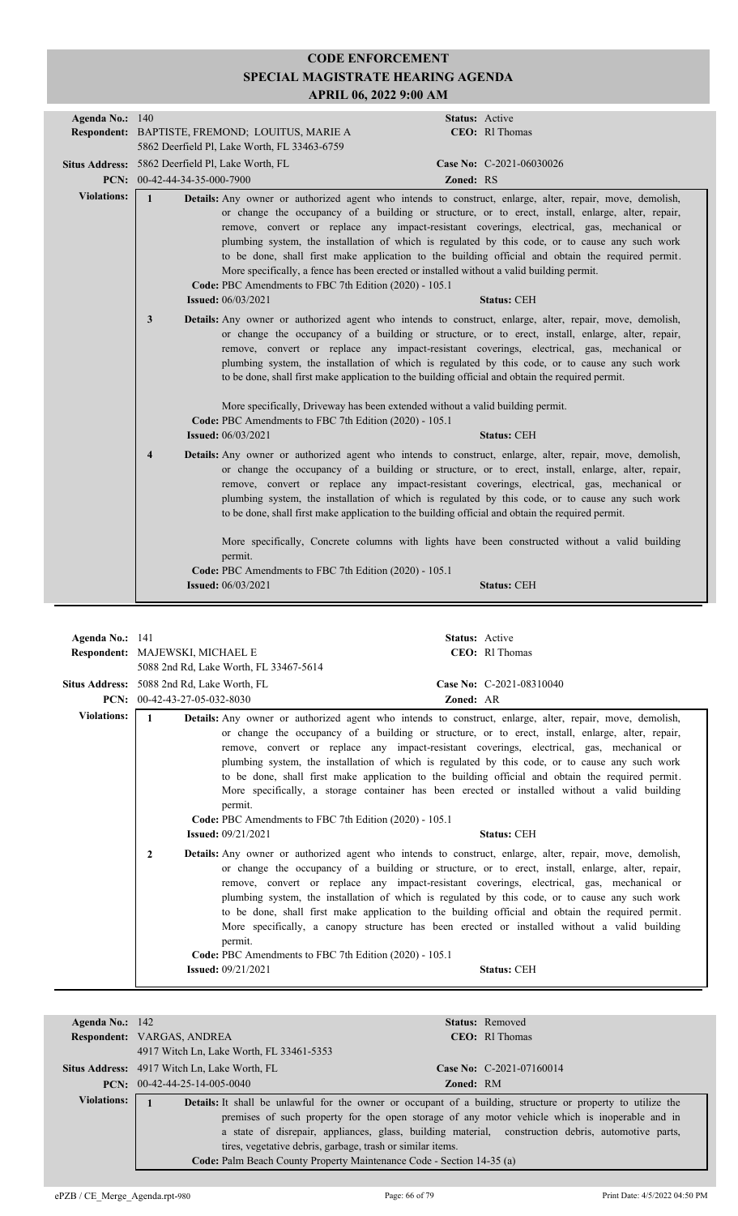| Agenda No.: 140        |                                                                                                     | Status: Active                                                                                                                                                                                                                                                                                                                                                                                                                                                                                                                                                                                                                        |
|------------------------|-----------------------------------------------------------------------------------------------------|---------------------------------------------------------------------------------------------------------------------------------------------------------------------------------------------------------------------------------------------------------------------------------------------------------------------------------------------------------------------------------------------------------------------------------------------------------------------------------------------------------------------------------------------------------------------------------------------------------------------------------------|
|                        | Respondent: BAPTISTE, FREMOND; LOUITUS, MARIE A                                                     | CEO: RI Thomas                                                                                                                                                                                                                                                                                                                                                                                                                                                                                                                                                                                                                        |
|                        | 5862 Deerfield Pl, Lake Worth, FL 33463-6759                                                        |                                                                                                                                                                                                                                                                                                                                                                                                                                                                                                                                                                                                                                       |
|                        | Situs Address: 5862 Deerfield Pl, Lake Worth, FL                                                    | Case No: C-2021-06030026                                                                                                                                                                                                                                                                                                                                                                                                                                                                                                                                                                                                              |
|                        | PCN: 00-42-44-34-35-000-7900                                                                        | Zoned: RS                                                                                                                                                                                                                                                                                                                                                                                                                                                                                                                                                                                                                             |
| <b>Violations:</b>     | $\mathbf{1}$<br>Code: PBC Amendments to FBC 7th Edition (2020) - 105.1<br><b>Issued:</b> 06/03/2021 | Details: Any owner or authorized agent who intends to construct, enlarge, alter, repair, move, demolish,<br>or change the occupancy of a building or structure, or to erect, install, enlarge, alter, repair,<br>remove, convert or replace any impact-resistant coverings, electrical, gas, mechanical or<br>plumbing system, the installation of which is regulated by this code, or to cause any such work<br>to be done, shall first make application to the building official and obtain the required permit.<br>More specifically, a fence has been erected or installed without a valid building permit.<br><b>Status: CEH</b> |
|                        |                                                                                                     |                                                                                                                                                                                                                                                                                                                                                                                                                                                                                                                                                                                                                                       |
|                        | 3                                                                                                   | <b>Details:</b> Any owner or authorized agent who intends to construct, enlarge, alter, repair, move, demolish,<br>or change the occupancy of a building or structure, or to erect, install, enlarge, alter, repair,<br>remove, convert or replace any impact-resistant coverings, electrical, gas, mechanical or<br>plumbing system, the installation of which is regulated by this code, or to cause any such work<br>to be done, shall first make application to the building official and obtain the required permit.                                                                                                             |
|                        |                                                                                                     | More specifically, Driveway has been extended without a valid building permit.                                                                                                                                                                                                                                                                                                                                                                                                                                                                                                                                                        |
|                        | Code: PBC Amendments to FBC 7th Edition (2020) - 105.1                                              |                                                                                                                                                                                                                                                                                                                                                                                                                                                                                                                                                                                                                                       |
|                        | <b>Issued:</b> 06/03/2021                                                                           | <b>Status: CEH</b>                                                                                                                                                                                                                                                                                                                                                                                                                                                                                                                                                                                                                    |
|                        | $\overline{\mathbf{4}}$                                                                             | Details: Any owner or authorized agent who intends to construct, enlarge, alter, repair, move, demolish,<br>or change the occupancy of a building or structure, or to erect, install, enlarge, alter, repair,<br>remove, convert or replace any impact-resistant coverings, electrical, gas, mechanical or<br>plumbing system, the installation of which is regulated by this code, or to cause any such work<br>to be done, shall first make application to the building official and obtain the required permit.                                                                                                                    |
|                        | permit.                                                                                             | More specifically, Concrete columns with lights have been constructed without a valid building                                                                                                                                                                                                                                                                                                                                                                                                                                                                                                                                        |
|                        | Code: PBC Amendments to FBC 7th Edition (2020) - 105.1                                              |                                                                                                                                                                                                                                                                                                                                                                                                                                                                                                                                                                                                                                       |
|                        | <b>Issued:</b> 06/03/2021                                                                           | <b>Status: CEH</b>                                                                                                                                                                                                                                                                                                                                                                                                                                                                                                                                                                                                                    |
|                        |                                                                                                     |                                                                                                                                                                                                                                                                                                                                                                                                                                                                                                                                                                                                                                       |
|                        |                                                                                                     |                                                                                                                                                                                                                                                                                                                                                                                                                                                                                                                                                                                                                                       |
| <b>Agenda No.:</b> 141 |                                                                                                     | Status: Active                                                                                                                                                                                                                                                                                                                                                                                                                                                                                                                                                                                                                        |

|                                                        | <b>CEO</b> : RI Thomas                                                                                                                                                                                                                                                                                                                                                                                                                                                                                                                                                                                                                                                                             |
|--------------------------------------------------------|----------------------------------------------------------------------------------------------------------------------------------------------------------------------------------------------------------------------------------------------------------------------------------------------------------------------------------------------------------------------------------------------------------------------------------------------------------------------------------------------------------------------------------------------------------------------------------------------------------------------------------------------------------------------------------------------------|
|                                                        |                                                                                                                                                                                                                                                                                                                                                                                                                                                                                                                                                                                                                                                                                                    |
|                                                        | Case No: C-2021-08310040                                                                                                                                                                                                                                                                                                                                                                                                                                                                                                                                                                                                                                                                           |
|                                                        | Zoned: AR                                                                                                                                                                                                                                                                                                                                                                                                                                                                                                                                                                                                                                                                                          |
| $\mathbf{1}$                                           | <b>Details:</b> Any owner or authorized agent who intends to construct, enlarge, alter, repair, move, demolish,                                                                                                                                                                                                                                                                                                                                                                                                                                                                                                                                                                                    |
| permit.<br><b>Issued:</b> 09/21/2021                   | or change the occupancy of a building or structure, or to erect, install, enlarge, alter, repair,<br>remove, convert or replace any impact-resistant coverings, electrical, gas, mechanical or<br>plumbing system, the installation of which is regulated by this code, or to cause any such work<br>to be done, shall first make application to the building official and obtain the required permit.<br>More specifically, a storage container has been erected or installed without a valid building<br>Code: PBC Amendments to FBC 7th Edition (2020) - 105.1<br><b>Status: CEH</b>                                                                                                            |
| $\overline{2}$<br>permit.<br><b>Issued:</b> 09/21/2021 | Details: Any owner or authorized agent who intends to construct, enlarge, alter, repair, move, demolish,<br>or change the occupancy of a building or structure, or to erect, install, enlarge, alter, repair,<br>remove, convert or replace any impact-resistant coverings, electrical, gas, mechanical or<br>plumbing system, the installation of which is regulated by this code, or to cause any such work<br>to be done, shall first make application to the building official and obtain the required permit.<br>More specifically, a canopy structure has been erected or installed without a valid building<br>Code: PBC Amendments to FBC 7th Edition (2020) - 105.1<br><b>Status: CEH</b> |
|                                                        | Respondent: MAJEWSKI, MICHAEL E<br>5088 2nd Rd, Lake Worth, FL 33467-5614<br>Situs Address: 5088 2nd Rd, Lake Worth, FL<br><b>PCN:</b> $00-42-43-27-05-032-8030$                                                                                                                                                                                                                                                                                                                                                                                                                                                                                                                                   |

| Agenda No.: $142$  |                                                                                                                    |                  | <b>Status:</b> Removed                                                                             |
|--------------------|--------------------------------------------------------------------------------------------------------------------|------------------|----------------------------------------------------------------------------------------------------|
|                    | Respondent: VARGAS, ANDREA                                                                                         |                  | CEO: R1 Thomas                                                                                     |
|                    | 4917 Witch Ln, Lake Worth, FL 33461-5353                                                                           |                  |                                                                                                    |
|                    | Situs Address: 4917 Witch Ln, Lake Worth, FL                                                                       |                  | Case No: $C-2021-07160014$                                                                         |
|                    | <b>PCN:</b> $00-42-44-25-14-005-0040$                                                                              | <b>Zoned: RM</b> |                                                                                                    |
| <b>Violations:</b> | <b>Details:</b> It shall be unlawful for the owner or occupant of a building, structure or property to utilize the |                  |                                                                                                    |
|                    |                                                                                                                    |                  | premises of such property for the open storage of any motor vehicle which is inoperable and in     |
|                    |                                                                                                                    |                  | a state of disrepair, appliances, glass, building material, construction debris, automotive parts, |
|                    | tires, vegetative debris, garbage, trash or similar items.                                                         |                  |                                                                                                    |
|                    | Code: Palm Beach County Property Maintenance Code - Section 14-35 (a)                                              |                  |                                                                                                    |
|                    |                                                                                                                    |                  |                                                                                                    |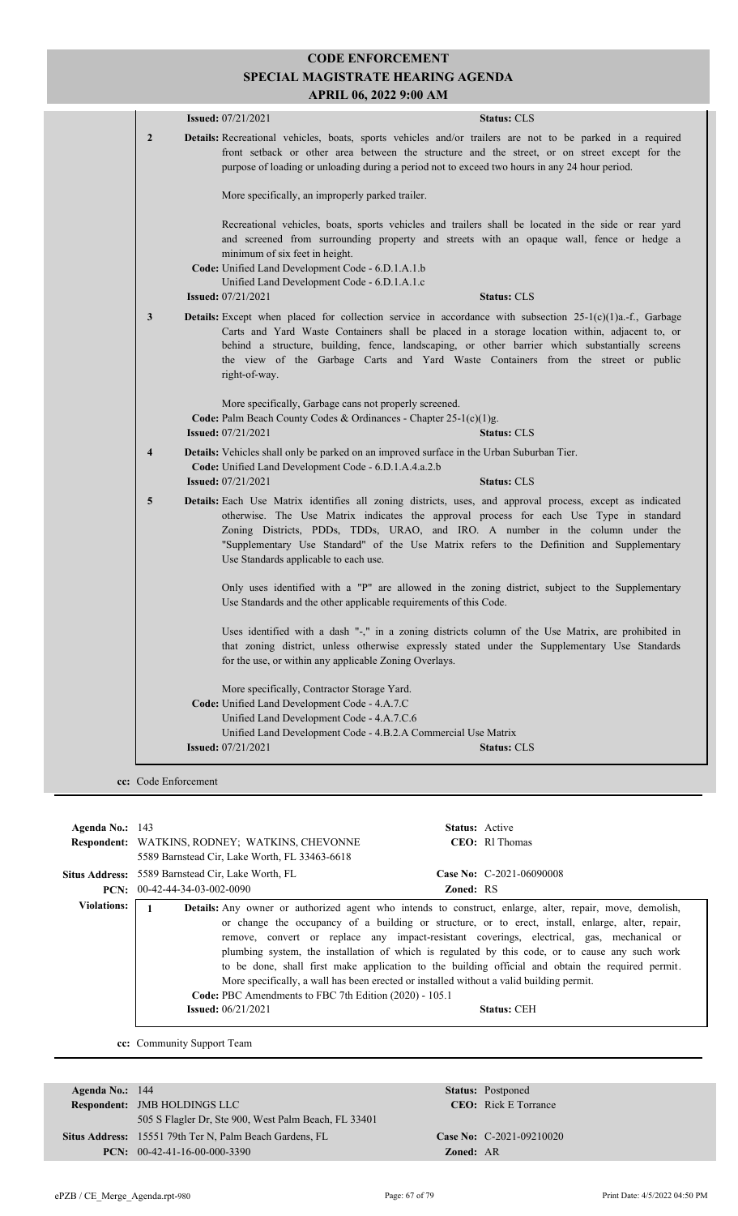|                         | <b>Status: CLS</b><br><b>Issued:</b> 07/21/2021                                                                                                                                                                                                                                                                                                                                                                            |
|-------------------------|----------------------------------------------------------------------------------------------------------------------------------------------------------------------------------------------------------------------------------------------------------------------------------------------------------------------------------------------------------------------------------------------------------------------------|
| $\overline{2}$          | Details: Recreational vehicles, boats, sports vehicles and/or trailers are not to be parked in a required<br>front setback or other area between the structure and the street, or on street except for the<br>purpose of loading or unloading during a period not to exceed two hours in any 24 hour period.                                                                                                               |
|                         | More specifically, an improperly parked trailer.                                                                                                                                                                                                                                                                                                                                                                           |
|                         | Recreational vehicles, boats, sports vehicles and trailers shall be located in the side or rear yard<br>and screened from surrounding property and streets with an opaque wall, fence or hedge a<br>minimum of six feet in height.<br>Code: Unified Land Development Code - 6.D.1.A.1.b<br>Unified Land Development Code - 6.D.1.A.1.c<br><b>Issued: 07/21/2021</b><br><b>Status: CLS</b>                                  |
|                         |                                                                                                                                                                                                                                                                                                                                                                                                                            |
| 3                       | <b>Details:</b> Except when placed for collection service in accordance with subsection $25-1(c)(1)a-f$ , Garbage<br>Carts and Yard Waste Containers shall be placed in a storage location within, adjacent to, or<br>behind a structure, building, fence, landscaping, or other barrier which substantially screens<br>the view of the Garbage Carts and Yard Waste Containers from the street or public<br>right-of-way. |
|                         | More specifically, Garbage cans not properly screened.                                                                                                                                                                                                                                                                                                                                                                     |
|                         | Code: Palm Beach County Codes & Ordinances - Chapter 25-1(c)(1)g.                                                                                                                                                                                                                                                                                                                                                          |
|                         | <b>Issued:</b> $07/21/2021$<br><b>Status: CLS</b>                                                                                                                                                                                                                                                                                                                                                                          |
| $\overline{\mathbf{4}}$ | <b>Details:</b> Vehicles shall only be parked on an improved surface in the Urban Suburban Tier.<br>Code: Unified Land Development Code - 6.D.1.A.4.a.2.b                                                                                                                                                                                                                                                                  |
|                         | <b>Issued: 07/21/2021</b><br><b>Status: CLS</b>                                                                                                                                                                                                                                                                                                                                                                            |
| 5                       | Details: Each Use Matrix identifies all zoning districts, uses, and approval process, except as indicated<br>otherwise. The Use Matrix indicates the approval process for each Use Type in standard<br>Zoning Districts, PDDs, TDDs, URAO, and IRO. A number in the column under the<br>"Supplementary Use Standard" of the Use Matrix refers to the Definition and Supplementary<br>Use Standards applicable to each use. |
|                         | Only uses identified with a "P" are allowed in the zoning district, subject to the Supplementary<br>Use Standards and the other applicable requirements of this Code.                                                                                                                                                                                                                                                      |
|                         | Uses identified with a dash "-," in a zoning districts column of the Use Matrix, are prohibited in<br>that zoning district, unless otherwise expressly stated under the Supplementary Use Standards<br>for the use, or within any applicable Zoning Overlays.                                                                                                                                                              |
|                         | More specifically, Contractor Storage Yard.                                                                                                                                                                                                                                                                                                                                                                                |
|                         | Code: Unified Land Development Code - 4.A.7.C                                                                                                                                                                                                                                                                                                                                                                              |
|                         | Unified Land Development Code - 4.A.7.C.6                                                                                                                                                                                                                                                                                                                                                                                  |
|                         |                                                                                                                                                                                                                                                                                                                                                                                                                            |
|                         | Unified Land Development Code - 4.B.2.A Commercial Use Matrix                                                                                                                                                                                                                                                                                                                                                              |

**cc:** Code Enforcement

| Agenda No.: $143$  | <b>Respondent:</b> WATKINS, RODNEY; WATKINS, CHEVONNE<br>5589 Barnstead Cir, Lake Worth, FL 33463-6618                                                                                                                                                                                        | <b>Status:</b> Active | CEO: R1 Thomas                                                                                                                                                                                                                                                                                                                                                                                                               |
|--------------------|-----------------------------------------------------------------------------------------------------------------------------------------------------------------------------------------------------------------------------------------------------------------------------------------------|-----------------------|------------------------------------------------------------------------------------------------------------------------------------------------------------------------------------------------------------------------------------------------------------------------------------------------------------------------------------------------------------------------------------------------------------------------------|
|                    | <b>Situs Address:</b> 5589 Barnstead Cir, Lake Worth, FL                                                                                                                                                                                                                                      |                       | <b>Case No:</b> $C-2021-06090008$                                                                                                                                                                                                                                                                                                                                                                                            |
|                    | <b>PCN:</b> $00-42-44-34-03-002-0090$                                                                                                                                                                                                                                                         | <b>Zoned: RS</b>      |                                                                                                                                                                                                                                                                                                                                                                                                                              |
| <b>Violations:</b> | Details: Any owner or authorized agent who intends to construct, enlarge, alter, repair, move, demolish,<br>More specifically, a wall has been erected or installed without a valid building permit.<br>Code: PBC Amendments to FBC 7th Edition (2020) - 105.1<br><b>Issued:</b> $06/21/2021$ |                       | or change the occupancy of a building or structure, or to erect, install, enlarge, alter, repair,<br>remove, convert or replace any impact-resistant coverings, electrical, gas, mechanical or<br>plumbing system, the installation of which is regulated by this code, or to cause any such work<br>to be done, shall first make application to the building official and obtain the required permit.<br><b>Status: CEH</b> |

**cc:** Community Support Team

**Respondent:** JMB HOLDINGS LLC **Agenda No.:** 144 **Status:** Postponed CEO: Rick E Torrance 505 S Flagler Dr, Ste 900, West Palm Beach, FL 33401 Situs Address: 15551 79th Ter N, Palm Beach Gardens, FL **Case No:** C-2021-09210020 **PCN:** 00-42-41-16-00-000-3390 **Zoned:** AR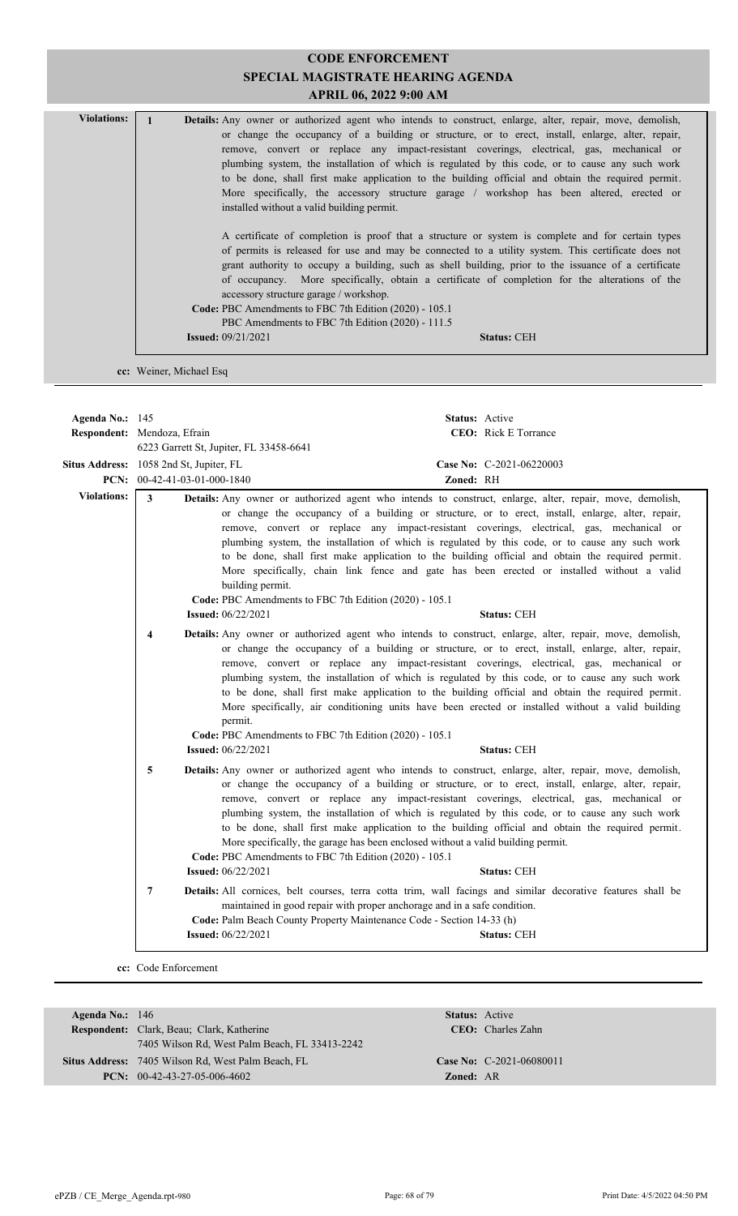| <b>Violations:</b> | <b>Details:</b> Any owner or authorized agent who intends to construct, enlarge, alter, repair, move, demolish,                          |
|--------------------|------------------------------------------------------------------------------------------------------------------------------------------|
|                    | or change the occupancy of a building or structure, or to erect, install, enlarge, alter, repair,                                        |
|                    | remove, convert or replace any impact-resistant coverings, electrical, gas, mechanical or                                                |
|                    | plumbing system, the installation of which is regulated by this code, or to cause any such work                                          |
|                    | to be done, shall first make application to the building official and obtain the required permit.                                        |
|                    | More specifically, the accessory structure garage / workshop has been altered, erected or                                                |
|                    | installed without a valid building permit.                                                                                               |
|                    |                                                                                                                                          |
|                    | A certificate of completion is proof that a structure or system is complete and for certain types                                        |
|                    | of permits is released for use and may be connected to a utility system. This certificate does not                                       |
|                    | grant authority to occupy a building, such as shell building, prior to the issuance of a certificate                                     |
|                    | of occupancy. More specifically, obtain a certificate of completion for the alterations of the<br>accessory structure garage / workshop. |
|                    | Code: PBC Amendments to FBC 7th Edition (2020) - 105.1                                                                                   |
|                    | PBC Amendments to FBC 7th Edition (2020) - 111.5                                                                                         |
|                    | <b>Issued:</b> $09/21/2021$<br><b>Status: CEH</b>                                                                                        |
|                    |                                                                                                                                          |

**cc:** Weiner, Michael Esq

| Agenda No.: 145                         | Respondent: Mendoza, Efrain    |                                                                                                                                                                           | <b>Status:</b> Active | <b>CEO:</b> Rick E Torrance                                                                                                                                                                                                                                                                                                                                                                                                                                                                                                                                                                                                                   |
|-----------------------------------------|--------------------------------|---------------------------------------------------------------------------------------------------------------------------------------------------------------------------|-----------------------|-----------------------------------------------------------------------------------------------------------------------------------------------------------------------------------------------------------------------------------------------------------------------------------------------------------------------------------------------------------------------------------------------------------------------------------------------------------------------------------------------------------------------------------------------------------------------------------------------------------------------------------------------|
|                                         |                                | 6223 Garrett St, Jupiter, FL 33458-6641                                                                                                                                   |                       |                                                                                                                                                                                                                                                                                                                                                                                                                                                                                                                                                                                                                                               |
| Situs Address: 1058 2nd St, Jupiter, FL |                                |                                                                                                                                                                           |                       | Case No: C-2021-06220003                                                                                                                                                                                                                                                                                                                                                                                                                                                                                                                                                                                                                      |
|                                         | PCN: $00-42-41-03-01-000-1840$ |                                                                                                                                                                           | Zoned: RH             |                                                                                                                                                                                                                                                                                                                                                                                                                                                                                                                                                                                                                                               |
| <b>Violations:</b>                      | $\mathbf{3}$                   | building permit.<br>Code: PBC Amendments to FBC 7th Edition (2020) - 105.1                                                                                                |                       | Details: Any owner or authorized agent who intends to construct, enlarge, alter, repair, move, demolish,<br>or change the occupancy of a building or structure, or to erect, install, enlarge, alter, repair,<br>remove, convert or replace any impact-resistant coverings, electrical, gas, mechanical or<br>plumbing system, the installation of which is regulated by this code, or to cause any such work<br>to be done, shall first make application to the building official and obtain the required permit.<br>More specifically, chain link fence and gate has been erected or installed without a valid                              |
|                                         |                                | <b>Issued: 06/22/2021</b>                                                                                                                                                 |                       | <b>Status: CEH</b>                                                                                                                                                                                                                                                                                                                                                                                                                                                                                                                                                                                                                            |
|                                         | 4                              | permit.<br>Code: PBC Amendments to FBC 7th Edition (2020) - 105.1<br><b>Issued:</b> 06/22/2021                                                                            |                       | Details: Any owner or authorized agent who intends to construct, enlarge, alter, repair, move, demolish,<br>or change the occupancy of a building or structure, or to erect, install, enlarge, alter, repair,<br>remove, convert or replace any impact-resistant coverings, electrical, gas, mechanical or<br>plumbing system, the installation of which is regulated by this code, or to cause any such work<br>to be done, shall first make application to the building official and obtain the required permit.<br>More specifically, air conditioning units have been erected or installed without a valid building<br><b>Status: CEH</b> |
|                                         | 5                              | More specifically, the garage has been enclosed without a valid building permit.<br>Code: PBC Amendments to FBC 7th Edition (2020) - 105.1<br><b>Issued:</b> $06/22/2021$ |                       | Details: Any owner or authorized agent who intends to construct, enlarge, alter, repair, move, demolish,<br>or change the occupancy of a building or structure, or to erect, install, enlarge, alter, repair,<br>remove, convert or replace any impact-resistant coverings, electrical, gas, mechanical or<br>plumbing system, the installation of which is regulated by this code, or to cause any such work<br>to be done, shall first make application to the building official and obtain the required permit.<br><b>Status: CEH</b>                                                                                                      |
|                                         | 7                              | maintained in good repair with proper anchorage and in a safe condition.<br>Code: Palm Beach County Property Maintenance Code - Section 14-33 (h)                         |                       | Details: All cornices, belt courses, terra cotta trim, wall facings and similar decorative features shall be                                                                                                                                                                                                                                                                                                                                                                                                                                                                                                                                  |
|                                         |                                | <b>Issued:</b> 06/22/2021                                                                                                                                                 |                       | <b>Status: CEH</b>                                                                                                                                                                                                                                                                                                                                                                                                                                                                                                                                                                                                                            |
|                                         |                                |                                                                                                                                                                           |                       |                                                                                                                                                                                                                                                                                                                                                                                                                                                                                                                                                                                                                                               |

**cc:** Code Enforcement

| Agenda No.: $146$ |                                                    |                  | <b>Status:</b> Active      |
|-------------------|----------------------------------------------------|------------------|----------------------------|
|                   | <b>Respondent:</b> Clark, Beau; Clark, Katherine   |                  | <b>CEO</b> : Charles Zahn  |
|                   | 7405 Wilson Rd, West Palm Beach, FL 33413-2242     |                  |                            |
|                   | Situs Address: 7405 Wilson Rd, West Palm Beach, FL |                  | Case No: $C-2021-06080011$ |
|                   | <b>PCN:</b> $00-42-43-27-05-006-4602$              | <b>Zoned: AR</b> |                            |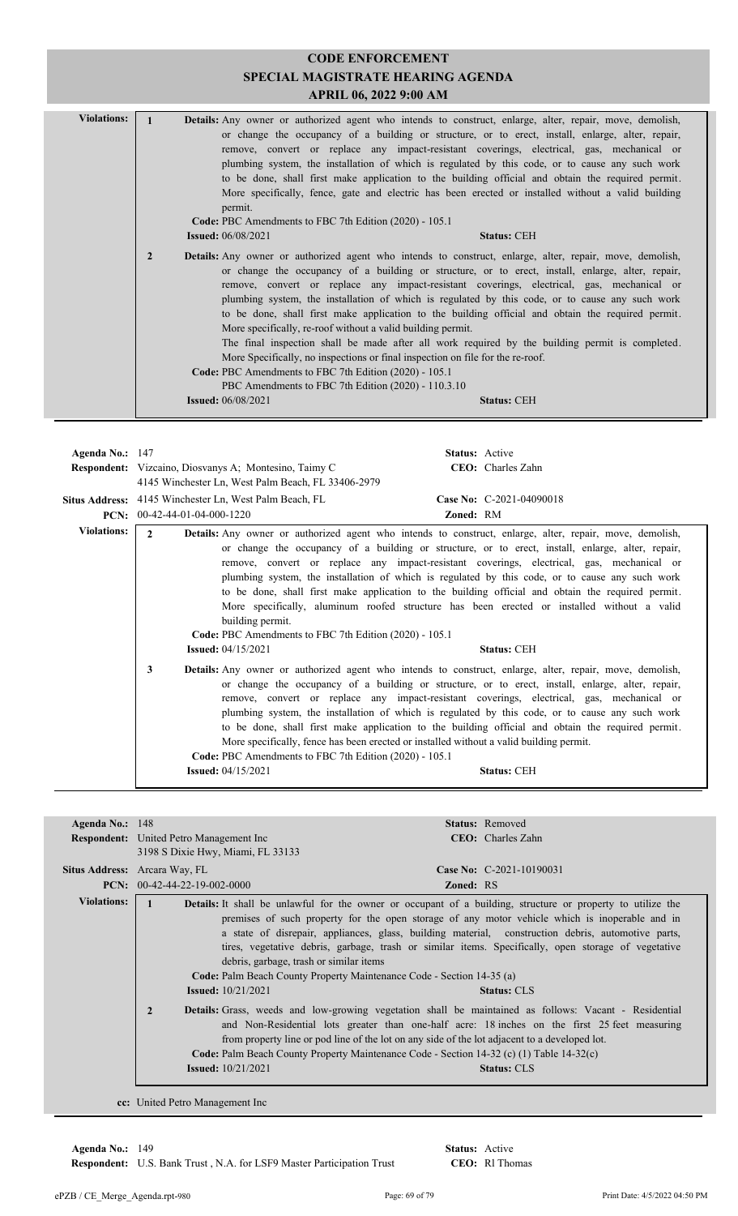| <b>Violations:</b> |                | <b>Details:</b> Any owner or authorized agent who intends to construct, enlarge, alter, repair, move, demolish,<br>permit.                                                                                                                                                                                                                                                        | or change the occupancy of a building or structure, or to erect, install, enlarge, alter, repair,<br>remove, convert or replace any impact-resistant coverings, electrical, gas, mechanical or<br>plumbing system, the installation of which is regulated by this code, or to cause any such work<br>to be done, shall first make application to the building official and obtain the required permit.<br>More specifically, fence, gate and electric has been erected or installed without a valid building |
|--------------------|----------------|-----------------------------------------------------------------------------------------------------------------------------------------------------------------------------------------------------------------------------------------------------------------------------------------------------------------------------------------------------------------------------------|--------------------------------------------------------------------------------------------------------------------------------------------------------------------------------------------------------------------------------------------------------------------------------------------------------------------------------------------------------------------------------------------------------------------------------------------------------------------------------------------------------------|
|                    |                | Code: PBC Amendments to FBC 7th Edition (2020) - 105.1                                                                                                                                                                                                                                                                                                                            |                                                                                                                                                                                                                                                                                                                                                                                                                                                                                                              |
|                    |                | <b>Issued:</b> 06/08/2021                                                                                                                                                                                                                                                                                                                                                         | <b>Status: CEH</b>                                                                                                                                                                                                                                                                                                                                                                                                                                                                                           |
|                    | $\overline{2}$ | <b>Details:</b> Any owner or authorized agent who intends to construct, enlarge, alter, repair, move, demolish,<br>More specifically, re-roof without a valid building permit.<br>More Specifically, no inspections or final inspection on file for the re-roof.<br>Code: PBC Amendments to FBC 7th Edition (2020) - 105.1<br>PBC Amendments to FBC 7th Edition (2020) - 110.3.10 | or change the occupancy of a building or structure, or to erect, install, enlarge, alter, repair,<br>remove, convert or replace any impact-resistant coverings, electrical, gas, mechanical or<br>plumbing system, the installation of which is regulated by this code, or to cause any such work<br>to be done, shall first make application to the building official and obtain the required permit.<br>The final inspection shall be made after all work required by the building permit is completed.    |
|                    |                | <b>Issued:</b> 06/08/2021                                                                                                                                                                                                                                                                                                                                                         | <b>Status: CEH</b>                                                                                                                                                                                                                                                                                                                                                                                                                                                                                           |

| Agenda No.: $147$  |                                                                                                                                                                                                                                                                                                                                                                                                                                                                                                                                                                                                                                                                                                                                                                            | <b>Status:</b> Active                                                                                                                                                                                                                                                                                                                                                                                                                                                                                                                                                                                                                      |
|--------------------|----------------------------------------------------------------------------------------------------------------------------------------------------------------------------------------------------------------------------------------------------------------------------------------------------------------------------------------------------------------------------------------------------------------------------------------------------------------------------------------------------------------------------------------------------------------------------------------------------------------------------------------------------------------------------------------------------------------------------------------------------------------------------|--------------------------------------------------------------------------------------------------------------------------------------------------------------------------------------------------------------------------------------------------------------------------------------------------------------------------------------------------------------------------------------------------------------------------------------------------------------------------------------------------------------------------------------------------------------------------------------------------------------------------------------------|
|                    | <b>Respondent:</b> Vizcaino, Diosvanys A; Montesino, Taimy C                                                                                                                                                                                                                                                                                                                                                                                                                                                                                                                                                                                                                                                                                                               | CEO: Charles Zahn                                                                                                                                                                                                                                                                                                                                                                                                                                                                                                                                                                                                                          |
|                    | 4145 Winchester Ln, West Palm Beach, FL 33406-2979                                                                                                                                                                                                                                                                                                                                                                                                                                                                                                                                                                                                                                                                                                                         |                                                                                                                                                                                                                                                                                                                                                                                                                                                                                                                                                                                                                                            |
|                    | Situs Address: 4145 Winchester Ln, West Palm Beach, FL                                                                                                                                                                                                                                                                                                                                                                                                                                                                                                                                                                                                                                                                                                                     | Case No: C-2021-04090018                                                                                                                                                                                                                                                                                                                                                                                                                                                                                                                                                                                                                   |
|                    | PCN: 00-42-44-01-04-000-1220                                                                                                                                                                                                                                                                                                                                                                                                                                                                                                                                                                                                                                                                                                                                               | Zoned: RM                                                                                                                                                                                                                                                                                                                                                                                                                                                                                                                                                                                                                                  |
| <b>Violations:</b> | $\mathbf{2}$<br><b>Details:</b> Any owner or authorized agent who intends to construct, enlarge, alter, repair, move, demolish,<br>or change the occupancy of a building or structure, or to erect, install, enlarge, alter, repair,<br>remove, convert or replace any impact-resistant coverings, electrical, gas, mechanical or<br>plumbing system, the installation of which is regulated by this code, or to cause any such work<br>to be done, shall first make application to the building official and obtain the required permit.<br>More specifically, aluminum roofed structure has been erected or installed without a valid<br>building permit.<br>Code: PBC Amendments to FBC 7th Edition (2020) - 105.1<br><b>Issued:</b> $04/15/2021$<br><b>Status: CEH</b> |                                                                                                                                                                                                                                                                                                                                                                                                                                                                                                                                                                                                                                            |
|                    | 3<br>Code: PBC Amendments to FBC 7th Edition (2020) - 105.1<br><b>Issued:</b> 04/15/2021                                                                                                                                                                                                                                                                                                                                                                                                                                                                                                                                                                                                                                                                                   | <b>Details:</b> Any owner or authorized agent who intends to construct, enlarge, alter, repair, move, demolish,<br>or change the occupancy of a building or structure, or to erect, install, enlarge, alter, repair,<br>remove, convert or replace any impact-resistant coverings, electrical, gas, mechanical or<br>plumbing system, the installation of which is regulated by this code, or to cause any such work<br>to be done, shall first make application to the building official and obtain the required permit.<br>More specifically, fence has been erected or installed without a valid building permit.<br><b>Status: CEH</b> |

| Agenda No.: $148$  |                                                                                                                                                                                                                                                                                                                                                                                                                                                                                                               |                                                                                                                                                                                                                                                                                                                                                                                                                                                                                                                                                                             | <b>Status:</b> Removed    |  |
|--------------------|---------------------------------------------------------------------------------------------------------------------------------------------------------------------------------------------------------------------------------------------------------------------------------------------------------------------------------------------------------------------------------------------------------------------------------------------------------------------------------------------------------------|-----------------------------------------------------------------------------------------------------------------------------------------------------------------------------------------------------------------------------------------------------------------------------------------------------------------------------------------------------------------------------------------------------------------------------------------------------------------------------------------------------------------------------------------------------------------------------|---------------------------|--|
|                    | <b>Respondent:</b> United Petro Management Inc.                                                                                                                                                                                                                                                                                                                                                                                                                                                               |                                                                                                                                                                                                                                                                                                                                                                                                                                                                                                                                                                             | <b>CEO</b> : Charles Zahn |  |
|                    | 3198 S Dixie Hwy, Miami, FL 33133                                                                                                                                                                                                                                                                                                                                                                                                                                                                             |                                                                                                                                                                                                                                                                                                                                                                                                                                                                                                                                                                             |                           |  |
|                    | Situs Address: Arcara Way, FL                                                                                                                                                                                                                                                                                                                                                                                                                                                                                 |                                                                                                                                                                                                                                                                                                                                                                                                                                                                                                                                                                             | Case No: C-2021-10190031  |  |
|                    | $PCN: 00-42-44-22-19-002-0000$                                                                                                                                                                                                                                                                                                                                                                                                                                                                                | <b>Zoned: RS</b>                                                                                                                                                                                                                                                                                                                                                                                                                                                                                                                                                            |                           |  |
| <b>Violations:</b> | <b>Issued:</b> $10/21/2021$                                                                                                                                                                                                                                                                                                                                                                                                                                                                                   | <b>Details:</b> It shall be unlawful for the owner or occupant of a building, structure or property to utilize the<br>premises of such property for the open storage of any motor vehicle which is inoperable and in<br>a state of disrepair, appliances, glass, building material, construction debris, automotive parts,<br>tires, vegetative debris, garbage, trash or similar items. Specifically, open storage of vegetative<br>debris, garbage, trash or similar items<br>Code: Palm Beach County Property Maintenance Code - Section 14-35 (a)<br><b>Status: CLS</b> |                           |  |
|                    | $\overline{2}$<br>Details: Grass, weeds and low-growing vegetation shall be maintained as follows: Vacant - Residential<br>and Non-Residential lots greater than one-half acre: 18 inches on the first 25 feet measuring<br>from property line or pod line of the lot on any side of the lot adjacent to a developed lot.<br>Code: Palm Beach County Property Maintenance Code - Section 14-32 (c) (1) Table 14-32(c)<br><b>Issued:</b> $10/21/2021$<br><b>Status: CLS</b><br>cc: United Petro Management Inc |                                                                                                                                                                                                                                                                                                                                                                                                                                                                                                                                                                             |                           |  |

**Respondent:** U.S. Bank Trust, N.A. for LSF9 Master Participation Trust **Agenda No.:** 149 **Status:** Active

CEO: Rl Thomas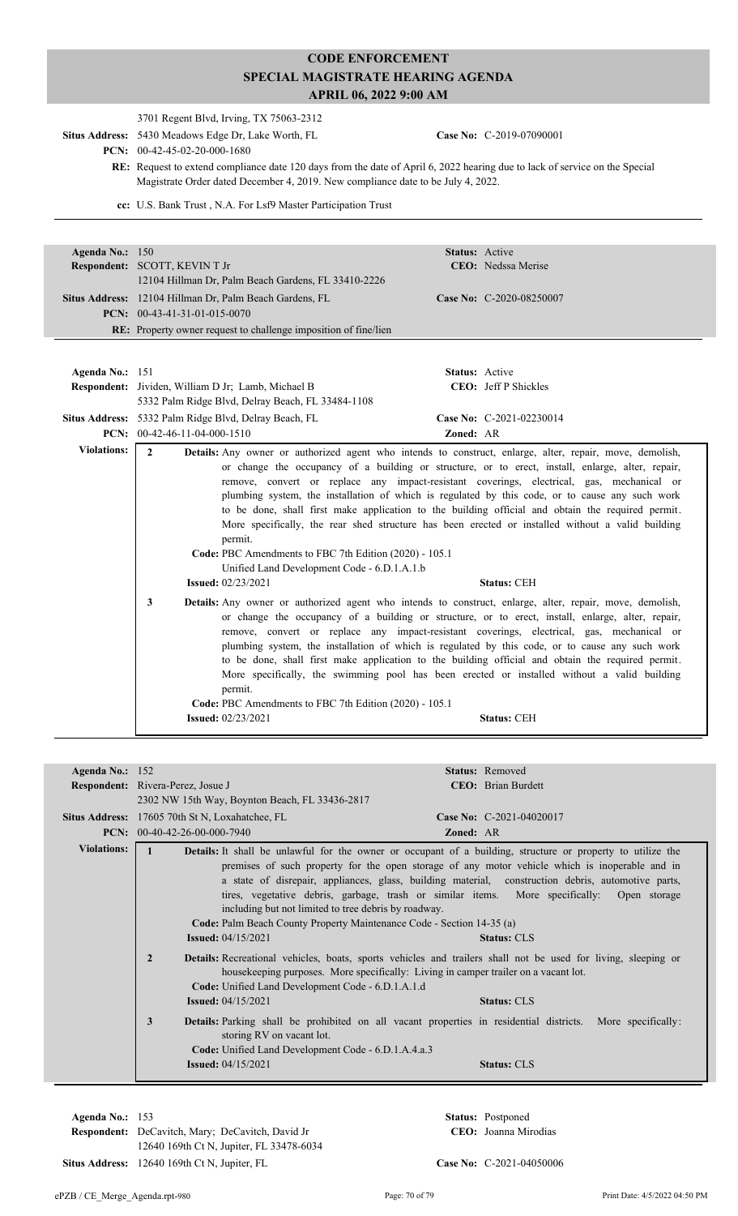|                    | 3701 Regent Blvd, Irving, TX 75063-2312                                                                                                                                                                                                                                                                                                                                                                                                                                                                                                                                                                                                                                                                                                                                                                        |  |  |
|--------------------|----------------------------------------------------------------------------------------------------------------------------------------------------------------------------------------------------------------------------------------------------------------------------------------------------------------------------------------------------------------------------------------------------------------------------------------------------------------------------------------------------------------------------------------------------------------------------------------------------------------------------------------------------------------------------------------------------------------------------------------------------------------------------------------------------------------|--|--|
|                    | Situs Address: 5430 Meadows Edge Dr, Lake Worth, FL<br>Case No: C-2019-07090001<br>PCN: 00-42-45-02-20-000-1680                                                                                                                                                                                                                                                                                                                                                                                                                                                                                                                                                                                                                                                                                                |  |  |
|                    | <b>RE:</b> Request to extend compliance date 120 days from the date of April 6, 2022 hearing due to lack of service on the Special<br>Magistrate Order dated December 4, 2019. New compliance date to be July 4, 2022.                                                                                                                                                                                                                                                                                                                                                                                                                                                                                                                                                                                         |  |  |
|                    | cc: U.S. Bank Trust, N.A. For Lsf9 Master Participation Trust                                                                                                                                                                                                                                                                                                                                                                                                                                                                                                                                                                                                                                                                                                                                                  |  |  |
|                    |                                                                                                                                                                                                                                                                                                                                                                                                                                                                                                                                                                                                                                                                                                                                                                                                                |  |  |
| Agenda No.: 150    | <b>Status:</b> Active                                                                                                                                                                                                                                                                                                                                                                                                                                                                                                                                                                                                                                                                                                                                                                                          |  |  |
|                    | <b>Respondent:</b> SCOTT, KEVIN T Jr<br><b>CEO</b> : Nedssa Merise                                                                                                                                                                                                                                                                                                                                                                                                                                                                                                                                                                                                                                                                                                                                             |  |  |
|                    | 12104 Hillman Dr, Palm Beach Gardens, FL 33410-2226                                                                                                                                                                                                                                                                                                                                                                                                                                                                                                                                                                                                                                                                                                                                                            |  |  |
|                    | Situs Address: 12104 Hillman Dr, Palm Beach Gardens, FL<br>Case No: C-2020-08250007                                                                                                                                                                                                                                                                                                                                                                                                                                                                                                                                                                                                                                                                                                                            |  |  |
|                    | <b>PCN:</b> $00-43-41-31-01-015-0070$                                                                                                                                                                                                                                                                                                                                                                                                                                                                                                                                                                                                                                                                                                                                                                          |  |  |
|                    | <b>RE:</b> Property owner request to challenge imposition of fine/lien                                                                                                                                                                                                                                                                                                                                                                                                                                                                                                                                                                                                                                                                                                                                         |  |  |
|                    |                                                                                                                                                                                                                                                                                                                                                                                                                                                                                                                                                                                                                                                                                                                                                                                                                |  |  |
|                    |                                                                                                                                                                                                                                                                                                                                                                                                                                                                                                                                                                                                                                                                                                                                                                                                                |  |  |
| Agenda No.: 151    | <b>Status:</b> Active                                                                                                                                                                                                                                                                                                                                                                                                                                                                                                                                                                                                                                                                                                                                                                                          |  |  |
|                    | <b>CEO</b> : Jeff P Shickles<br>Respondent: Jividen, William D Jr; Lamb, Michael B<br>5332 Palm Ridge Blvd, Delray Beach, FL 33484-1108                                                                                                                                                                                                                                                                                                                                                                                                                                                                                                                                                                                                                                                                        |  |  |
|                    | Case No: C-2021-02230014<br>Situs Address: 5332 Palm Ridge Blvd, Delray Beach, FL                                                                                                                                                                                                                                                                                                                                                                                                                                                                                                                                                                                                                                                                                                                              |  |  |
|                    | PCN: 00-42-46-11-04-000-1510<br>Zoned: AR                                                                                                                                                                                                                                                                                                                                                                                                                                                                                                                                                                                                                                                                                                                                                                      |  |  |
| <b>Violations:</b> | $\mathbf{2}$<br>Details: Any owner or authorized agent who intends to construct, enlarge, alter, repair, move, demolish,<br>or change the occupancy of a building or structure, or to erect, install, enlarge, alter, repair,<br>remove, convert or replace any impact-resistant coverings, electrical, gas, mechanical or<br>plumbing system, the installation of which is regulated by this code, or to cause any such work<br>to be done, shall first make application to the building official and obtain the required permit.<br>More specifically, the rear shed structure has been erected or installed without a valid building<br>permit.<br>Code: PBC Amendments to FBC 7th Edition (2020) - 105.1<br>Unified Land Development Code - 6.D.1.A.1.b<br><b>Issued:</b> 02/23/2021<br><b>Status: CEH</b> |  |  |
|                    | 3<br><b>Details:</b> Any owner or authorized agent who intends to construct, enlarge, alter, repair, move, demolish,<br>or change the occupancy of a building or structure, or to erect, install, enlarge, alter, repair,<br>remove, convert or replace any impact-resistant coverings, electrical, gas, mechanical or<br>plumbing system, the installation of which is regulated by this code, or to cause any such work<br>to be done, shall first make application to the building official and obtain the required permit.<br>More specifically, the swimming pool has been erected or installed without a valid building<br>permit.<br>Code: PBC Amendments to FBC 7th Edition (2020) - 105.1<br><b>Issued: 02/23/2021</b><br><b>Status: CEH</b>                                                          |  |  |

| Agenda No.: $152$  |                                                                                                                                                                                                                                                                                                                                                                                                                                                                                                                                                                                                                                                                                                                                                                                                                                                         | <b>Status:</b> Removed                                                                                                                                        |  |
|--------------------|---------------------------------------------------------------------------------------------------------------------------------------------------------------------------------------------------------------------------------------------------------------------------------------------------------------------------------------------------------------------------------------------------------------------------------------------------------------------------------------------------------------------------------------------------------------------------------------------------------------------------------------------------------------------------------------------------------------------------------------------------------------------------------------------------------------------------------------------------------|---------------------------------------------------------------------------------------------------------------------------------------------------------------|--|
|                    | <b>Respondent:</b> Rivera-Perez, Josue J                                                                                                                                                                                                                                                                                                                                                                                                                                                                                                                                                                                                                                                                                                                                                                                                                | <b>CEO</b> : Brian Burdett                                                                                                                                    |  |
|                    | 2302 NW 15th Way, Boynton Beach, FL 33436-2817                                                                                                                                                                                                                                                                                                                                                                                                                                                                                                                                                                                                                                                                                                                                                                                                          |                                                                                                                                                               |  |
|                    | <b>Situs Address:</b> 17605 70th St N, Loxahatchee, FL                                                                                                                                                                                                                                                                                                                                                                                                                                                                                                                                                                                                                                                                                                                                                                                                  | Case No: C-2021-04020017                                                                                                                                      |  |
|                    | $PCN: 00-40-42-26-00-000-7940$                                                                                                                                                                                                                                                                                                                                                                                                                                                                                                                                                                                                                                                                                                                                                                                                                          | <b>Zoned: AR</b>                                                                                                                                              |  |
| <b>Violations:</b> | <b>Details:</b> It shall be unlawful for the owner or occupant of a building, structure or property to utilize the<br>premises of such property for the open storage of any motor vehicle which is inoperable and in<br>a state of disrepair, appliances, glass, building material, construction debris, automotive parts,<br>tires, vegetative debris, garbage, trash or similar items. More specifically: Open storage<br>including but not limited to tree debris by roadway.<br><b>Code:</b> Palm Beach County Property Maintenance Code - Section 14-35 (a)<br><b>Issued:</b> $04/15/2021$<br><b>Status: CLS</b><br><b>Details:</b> Recreational vehicles, boats, sports vehicles and trailers shall not be used for living, sleeping or<br>$\overline{2}$<br>house keeping purposes. More specifically: Living in camper trailer on a vacant lot. |                                                                                                                                                               |  |
|                    | Code: Unified Land Development Code - 6.D.1.A.1.d<br><b>Issued:</b> 04/15/2021<br>3<br>storing RV on vacant lot.<br>Code: Unified Land Development Code - 6.D.1.A.4.a.3<br><b>Issued:</b> $04/15/2021$                                                                                                                                                                                                                                                                                                                                                                                                                                                                                                                                                                                                                                                  | <b>Status: CLS</b><br><b>Details:</b> Parking shall be prohibited on all vacant properties in residential districts. More specifically:<br><b>Status: CLS</b> |  |

**Respondent:** DeCavitch, Mary; DeCavitch, David Jr **Agenda No.:** 153 **Status:** Postponed 12640 169th Ct N, Jupiter, FL 33478-6034 **Situs Address:** 12640 169th Ct N, Jupiter, FL **Case No:** Case No: C-2021-04050006

CEO: Joanna Mirodias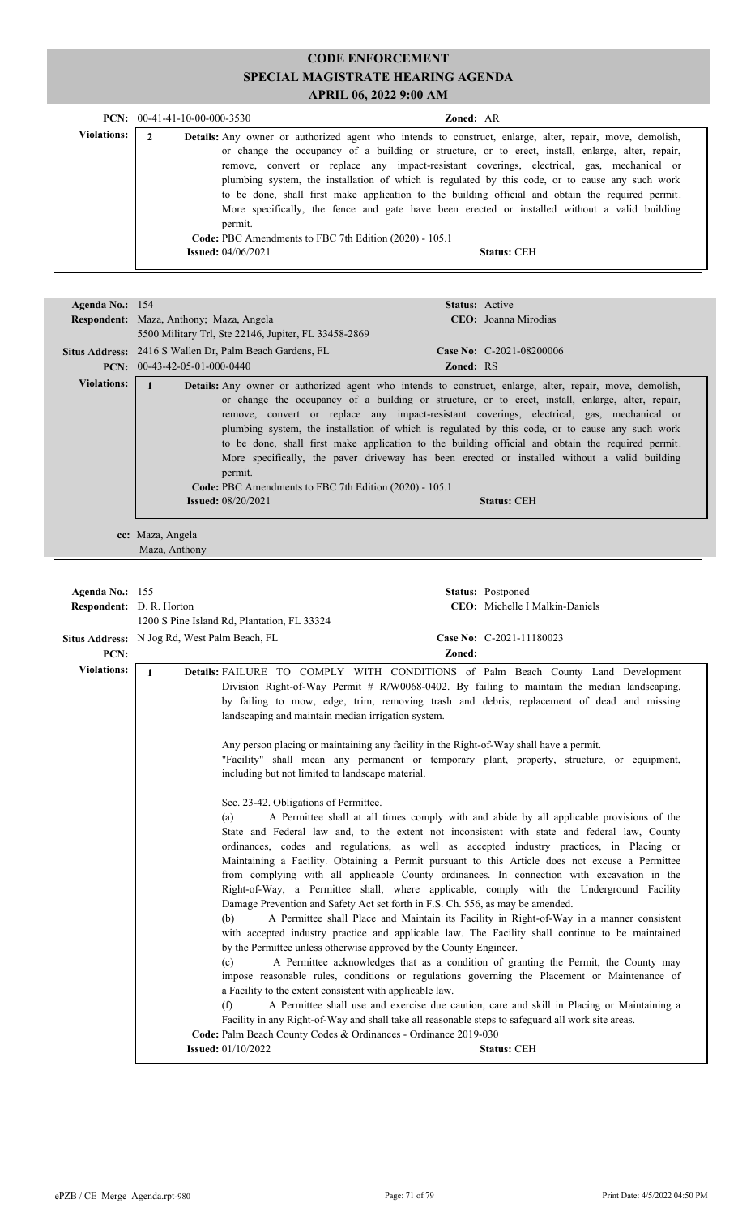|                    |                             | $PCN: 00-41-41-10-00-000-3530$                                    | <b>Zoned: AR</b>                                                                                                                                                                                                                                                                                                                                                                                                                                                                                                                                                                                                           |  |
|--------------------|-----------------------------|-------------------------------------------------------------------|----------------------------------------------------------------------------------------------------------------------------------------------------------------------------------------------------------------------------------------------------------------------------------------------------------------------------------------------------------------------------------------------------------------------------------------------------------------------------------------------------------------------------------------------------------------------------------------------------------------------------|--|
| <b>Violations:</b> | $\mathbf{2}$                | permit.<br>Code: PBC Amendments to FBC 7th Edition (2020) - 105.1 | <b>Details:</b> Any owner or authorized agent who intends to construct, enlarge, alter, repair, move, demolish,<br>or change the occupancy of a building or structure, or to erect, install, enlarge, alter, repair,<br>remove, convert or replace any impact-resistant coverings, electrical, gas, mechanical or<br>plumbing system, the installation of which is regulated by this code, or to cause any such work<br>to be done, shall first make application to the building official and obtain the required permit.<br>More specifically, the fence and gate have been erected or installed without a valid building |  |
|                    | <b>Issued:</b> $04/06/2021$ |                                                                   | <b>Status: CEH</b>                                                                                                                                                                                                                                                                                                                                                                                                                                                                                                                                                                                                         |  |

| Agenda No.: 154                                                                                                                                                                                                                                                                                                                                                                                                                                                                                                                                                                                                                                                                                                                                                                                                                                                                                                                                                                                                                                                                                                                                                                                                                                                                                                                                                                                                                                                                               |                                                                                                                                                                                                                                                                                                                                                                                                                                                                                                                                                                                                                                                                                                                                            | Status: Active                                                                              |  |
|-----------------------------------------------------------------------------------------------------------------------------------------------------------------------------------------------------------------------------------------------------------------------------------------------------------------------------------------------------------------------------------------------------------------------------------------------------------------------------------------------------------------------------------------------------------------------------------------------------------------------------------------------------------------------------------------------------------------------------------------------------------------------------------------------------------------------------------------------------------------------------------------------------------------------------------------------------------------------------------------------------------------------------------------------------------------------------------------------------------------------------------------------------------------------------------------------------------------------------------------------------------------------------------------------------------------------------------------------------------------------------------------------------------------------------------------------------------------------------------------------|--------------------------------------------------------------------------------------------------------------------------------------------------------------------------------------------------------------------------------------------------------------------------------------------------------------------------------------------------------------------------------------------------------------------------------------------------------------------------------------------------------------------------------------------------------------------------------------------------------------------------------------------------------------------------------------------------------------------------------------------|---------------------------------------------------------------------------------------------|--|
|                                                                                                                                                                                                                                                                                                                                                                                                                                                                                                                                                                                                                                                                                                                                                                                                                                                                                                                                                                                                                                                                                                                                                                                                                                                                                                                                                                                                                                                                                               | Respondent: Maza, Anthony; Maza, Angela                                                                                                                                                                                                                                                                                                                                                                                                                                                                                                                                                                                                                                                                                                    | CEO: Joanna Mirodias                                                                        |  |
|                                                                                                                                                                                                                                                                                                                                                                                                                                                                                                                                                                                                                                                                                                                                                                                                                                                                                                                                                                                                                                                                                                                                                                                                                                                                                                                                                                                                                                                                                               | 5500 Military Trl, Ste 22146, Jupiter, FL 33458-2869                                                                                                                                                                                                                                                                                                                                                                                                                                                                                                                                                                                                                                                                                       |                                                                                             |  |
|                                                                                                                                                                                                                                                                                                                                                                                                                                                                                                                                                                                                                                                                                                                                                                                                                                                                                                                                                                                                                                                                                                                                                                                                                                                                                                                                                                                                                                                                                               | Situs Address: 2416 S Wallen Dr, Palm Beach Gardens, FL                                                                                                                                                                                                                                                                                                                                                                                                                                                                                                                                                                                                                                                                                    | Case No: C-2021-08200006                                                                    |  |
|                                                                                                                                                                                                                                                                                                                                                                                                                                                                                                                                                                                                                                                                                                                                                                                                                                                                                                                                                                                                                                                                                                                                                                                                                                                                                                                                                                                                                                                                                               | PCN: $00-43-42-05-01-000-0440$                                                                                                                                                                                                                                                                                                                                                                                                                                                                                                                                                                                                                                                                                                             | Zoned: RS                                                                                   |  |
| <b>Violations:</b>                                                                                                                                                                                                                                                                                                                                                                                                                                                                                                                                                                                                                                                                                                                                                                                                                                                                                                                                                                                                                                                                                                                                                                                                                                                                                                                                                                                                                                                                            | $\mathbf{1}$                                                                                                                                                                                                                                                                                                                                                                                                                                                                                                                                                                                                                                                                                                                               |                                                                                             |  |
|                                                                                                                                                                                                                                                                                                                                                                                                                                                                                                                                                                                                                                                                                                                                                                                                                                                                                                                                                                                                                                                                                                                                                                                                                                                                                                                                                                                                                                                                                               | Details: Any owner or authorized agent who intends to construct, enlarge, alter, repair, move, demolish,<br>or change the occupancy of a building or structure, or to erect, install, enlarge, alter, repair,<br>remove, convert or replace any impact-resistant coverings, electrical, gas, mechanical or<br>plumbing system, the installation of which is regulated by this code, or to cause any such work<br>to be done, shall first make application to the building official and obtain the required permit.<br>More specifically, the paver driveway has been erected or installed without a valid building<br>permit.<br>Code: PBC Amendments to FBC 7th Edition (2020) - 105.1<br><b>Issued:</b> 08/20/2021<br><b>Status: CEH</b> |                                                                                             |  |
|                                                                                                                                                                                                                                                                                                                                                                                                                                                                                                                                                                                                                                                                                                                                                                                                                                                                                                                                                                                                                                                                                                                                                                                                                                                                                                                                                                                                                                                                                               |                                                                                                                                                                                                                                                                                                                                                                                                                                                                                                                                                                                                                                                                                                                                            |                                                                                             |  |
|                                                                                                                                                                                                                                                                                                                                                                                                                                                                                                                                                                                                                                                                                                                                                                                                                                                                                                                                                                                                                                                                                                                                                                                                                                                                                                                                                                                                                                                                                               | cc: Maza, Angela                                                                                                                                                                                                                                                                                                                                                                                                                                                                                                                                                                                                                                                                                                                           |                                                                                             |  |
|                                                                                                                                                                                                                                                                                                                                                                                                                                                                                                                                                                                                                                                                                                                                                                                                                                                                                                                                                                                                                                                                                                                                                                                                                                                                                                                                                                                                                                                                                               | Maza, Anthony                                                                                                                                                                                                                                                                                                                                                                                                                                                                                                                                                                                                                                                                                                                              |                                                                                             |  |
|                                                                                                                                                                                                                                                                                                                                                                                                                                                                                                                                                                                                                                                                                                                                                                                                                                                                                                                                                                                                                                                                                                                                                                                                                                                                                                                                                                                                                                                                                               |                                                                                                                                                                                                                                                                                                                                                                                                                                                                                                                                                                                                                                                                                                                                            |                                                                                             |  |
|                                                                                                                                                                                                                                                                                                                                                                                                                                                                                                                                                                                                                                                                                                                                                                                                                                                                                                                                                                                                                                                                                                                                                                                                                                                                                                                                                                                                                                                                                               |                                                                                                                                                                                                                                                                                                                                                                                                                                                                                                                                                                                                                                                                                                                                            |                                                                                             |  |
| Agenda No.: 155                                                                                                                                                                                                                                                                                                                                                                                                                                                                                                                                                                                                                                                                                                                                                                                                                                                                                                                                                                                                                                                                                                                                                                                                                                                                                                                                                                                                                                                                               |                                                                                                                                                                                                                                                                                                                                                                                                                                                                                                                                                                                                                                                                                                                                            | Status: Postponed                                                                           |  |
| Respondent: D. R. Horton                                                                                                                                                                                                                                                                                                                                                                                                                                                                                                                                                                                                                                                                                                                                                                                                                                                                                                                                                                                                                                                                                                                                                                                                                                                                                                                                                                                                                                                                      | 1200 S Pine Island Rd, Plantation, FL 33324                                                                                                                                                                                                                                                                                                                                                                                                                                                                                                                                                                                                                                                                                                | CEO: Michelle I Malkin-Daniels                                                              |  |
|                                                                                                                                                                                                                                                                                                                                                                                                                                                                                                                                                                                                                                                                                                                                                                                                                                                                                                                                                                                                                                                                                                                                                                                                                                                                                                                                                                                                                                                                                               |                                                                                                                                                                                                                                                                                                                                                                                                                                                                                                                                                                                                                                                                                                                                            | Case No: C-2021-11180023                                                                    |  |
| PCN:                                                                                                                                                                                                                                                                                                                                                                                                                                                                                                                                                                                                                                                                                                                                                                                                                                                                                                                                                                                                                                                                                                                                                                                                                                                                                                                                                                                                                                                                                          | Situs Address: N Jog Rd, West Palm Beach, FL                                                                                                                                                                                                                                                                                                                                                                                                                                                                                                                                                                                                                                                                                               | Zoned:                                                                                      |  |
| <b>Violations:</b>                                                                                                                                                                                                                                                                                                                                                                                                                                                                                                                                                                                                                                                                                                                                                                                                                                                                                                                                                                                                                                                                                                                                                                                                                                                                                                                                                                                                                                                                            | $\mathbf{1}$                                                                                                                                                                                                                                                                                                                                                                                                                                                                                                                                                                                                                                                                                                                               | Details: FAILURE TO COMPLY WITH CONDITIONS of Palm Beach County Land Development            |  |
| by failing to mow, edge, trim, removing trash and debris, replacement of dead and missing<br>landscaping and maintain median irrigation system.<br>Any person placing or maintaining any facility in the Right-of-Way shall have a permit.<br>"Facility" shall mean any permanent or temporary plant, property, structure, or equipment,<br>including but not limited to landscape material.<br>Sec. 23-42. Obligations of Permittee.<br>A Permittee shall at all times comply with and abide by all applicable provisions of the<br>(a)<br>State and Federal law and, to the extent not inconsistent with state and federal law, County<br>ordinances, codes and regulations, as well as accepted industry practices, in Placing or<br>Maintaining a Facility. Obtaining a Permit pursuant to this Article does not excuse a Permittee<br>from complying with all applicable County ordinances. In connection with excavation in the<br>Right-of-Way, a Permittee shall, where applicable, comply with the Underground Facility<br>Damage Prevention and Safety Act set forth in F.S. Ch. 556, as may be amended.<br>A Permittee shall Place and Maintain its Facility in Right-of-Way in a manner consistent<br>(b)<br>with accepted industry practice and applicable law. The Facility shall continue to be maintained<br>by the Permittee unless otherwise approved by the County Engineer.<br>A Permittee acknowledges that as a condition of granting the Permit, the County may<br>(c) |                                                                                                                                                                                                                                                                                                                                                                                                                                                                                                                                                                                                                                                                                                                                            | Division Right-of-Way Permit # R/W0068-0402. By failing to maintain the median landscaping, |  |
|                                                                                                                                                                                                                                                                                                                                                                                                                                                                                                                                                                                                                                                                                                                                                                                                                                                                                                                                                                                                                                                                                                                                                                                                                                                                                                                                                                                                                                                                                               | impose reasonable rules, conditions or regulations governing the Placement or Maintenance of<br>a Facility to the extent consistent with applicable law.<br>A Permittee shall use and exercise due caution, care and skill in Placing or Maintaining a<br>(f)                                                                                                                                                                                                                                                                                                                                                                                                                                                                              |                                                                                             |  |
|                                                                                                                                                                                                                                                                                                                                                                                                                                                                                                                                                                                                                                                                                                                                                                                                                                                                                                                                                                                                                                                                                                                                                                                                                                                                                                                                                                                                                                                                                               | Facility in any Right-of-Way and shall take all reasonable steps to safeguard all work site areas.                                                                                                                                                                                                                                                                                                                                                                                                                                                                                                                                                                                                                                         |                                                                                             |  |
|                                                                                                                                                                                                                                                                                                                                                                                                                                                                                                                                                                                                                                                                                                                                                                                                                                                                                                                                                                                                                                                                                                                                                                                                                                                                                                                                                                                                                                                                                               | Code: Palm Beach County Codes & Ordinances - Ordinance 2019-030                                                                                                                                                                                                                                                                                                                                                                                                                                                                                                                                                                                                                                                                            |                                                                                             |  |
|                                                                                                                                                                                                                                                                                                                                                                                                                                                                                                                                                                                                                                                                                                                                                                                                                                                                                                                                                                                                                                                                                                                                                                                                                                                                                                                                                                                                                                                                                               | <b>Issued:</b> 01/10/2022                                                                                                                                                                                                                                                                                                                                                                                                                                                                                                                                                                                                                                                                                                                  | <b>Status: CEH</b>                                                                          |  |
|                                                                                                                                                                                                                                                                                                                                                                                                                                                                                                                                                                                                                                                                                                                                                                                                                                                                                                                                                                                                                                                                                                                                                                                                                                                                                                                                                                                                                                                                                               |                                                                                                                                                                                                                                                                                                                                                                                                                                                                                                                                                                                                                                                                                                                                            |                                                                                             |  |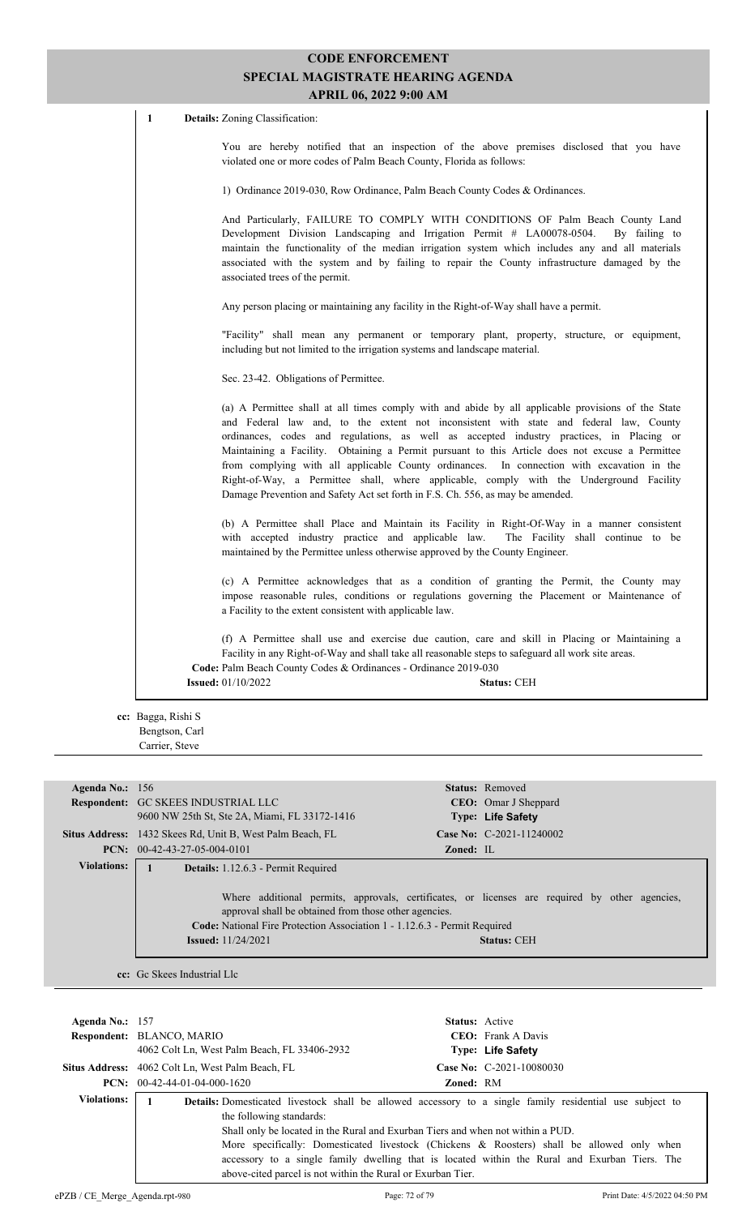1 **Details:** Zoning Classification:

You are hereby notified that an inspection of the above premises disclosed that you have violated one or more codes of Palm Beach County, Florida as follows:

1) Ordinance 2019-030, Row Ordinance, Palm Beach County Codes & Ordinances.

And Particularly, FAILURE TO COMPLY WITH CONDITIONS OF Palm Beach County Land Development Division Landscaping and Irrigation Permit # LA00078-0504. By failing to maintain the functionality of the median irrigation system which includes any and all materials associated with the system and by failing to repair the County infrastructure damaged by the associated trees of the permit.

Any person placing or maintaining any facility in the Right-of-Way shall have a permit.

"Facility" shall mean any permanent or temporary plant, property, structure, or equipment, including but not limited to the irrigation systems and landscape material.

Sec. 23-42. Obligations of Permittee.

(a) A Permittee shall at all times comply with and abide by all applicable provisions of the State and Federal law and, to the extent not inconsistent with state and federal law, County ordinances, codes and regulations, as well as accepted industry practices, in Placing or Maintaining a Facility. Obtaining a Permit pursuant to this Article does not excuse a Permittee from complying with all applicable County ordinances. In connection with excavation in the Right-of-Way, a Permittee shall, where applicable, comply with the Underground Facility Damage Prevention and Safety Act set forth in F.S. Ch. 556, as may be amended.

(b) A Permittee shall Place and Maintain its Facility in Right-Of-Way in a manner consistent with accepted industry practice and applicable law. The Facility shall continue to be maintained by the Permittee unless otherwise approved by the County Engineer.

(c) A Permittee acknowledges that as a condition of granting the Permit, the County may impose reasonable rules, conditions or regulations governing the Placement or Maintenance of a Facility to the extent consistent with applicable law.

(f) A Permittee shall use and exercise due caution, care and skill in Placing or Maintaining a Facility in any Right-of-Way and shall take all reasonable steps to safeguard all work site areas. **Code:** Palm Beach County Codes & Ordinances - Ordinance 2019-030 **Issued:** 01/10/2022 **Status:** CEH

**cc:** Bagga, Rishi S Bengtson, Carl Carrier, Steve

| Agenda No.: $156$  |                                                                                                                                                                                                                                                                                                                               |           | Status: Removed              |
|--------------------|-------------------------------------------------------------------------------------------------------------------------------------------------------------------------------------------------------------------------------------------------------------------------------------------------------------------------------|-----------|------------------------------|
|                    | <b>Respondent: GC SKEES INDUSTRIAL LLC</b>                                                                                                                                                                                                                                                                                    |           | <b>CEO</b> : Omar J Sheppard |
|                    | 9600 NW 25th St, Ste 2A, Miami, FL 33172-1416                                                                                                                                                                                                                                                                                 |           | <b>Type: Life Safety</b>     |
|                    | <b>Situs Address:</b> 1432 Skees Rd, Unit B, West Palm Beach, FL                                                                                                                                                                                                                                                              |           | Case No: C-2021-11240002     |
|                    | <b>PCN:</b> $00-42-43-27-05-004-0101$                                                                                                                                                                                                                                                                                         | Zoned: IL |                              |
| <b>Violations:</b> | <b>Details:</b> 1.12.6.3 - Permit Required                                                                                                                                                                                                                                                                                    |           |                              |
|                    | Where additional permits, approvals, certificates, or licenses are required by other agencies,<br>approval shall be obtained from those other agencies.<br><b>Code:</b> National Fire Protection Association 1 - 1.12.6.3 - Permit Required<br><b>Issued:</b> 11/24/2021<br><b>Status: CEH</b><br>cc: Gc Skees Industrial Llc |           |                              |

| Agenda No.: $157$              | <b>Respondent: BLANCO, MARIO</b><br>4062 Colt Ln, West Palm Beach, FL 33406-2932                                                                                           | <b>Status:</b> Active | <b>CEO</b> : Frank A Davis<br>Type: Life Safety                                                                                                                                                                                                                                                                |
|--------------------------------|----------------------------------------------------------------------------------------------------------------------------------------------------------------------------|-----------------------|----------------------------------------------------------------------------------------------------------------------------------------------------------------------------------------------------------------------------------------------------------------------------------------------------------------|
|                                | <b>Situs Address:</b> 4062 Colt Ln, West Palm Beach, FL                                                                                                                    |                       | Case No: C-2021-10080030                                                                                                                                                                                                                                                                                       |
|                                | $PCN: 00-42-44-01-04-000-1620$                                                                                                                                             | <b>Zoned: RM</b>      |                                                                                                                                                                                                                                                                                                                |
| <b>Violations:</b>             | the following standards:<br>Shall only be located in the Rural and Exurban Tiers and when not within a PUD.<br>above-cited parcel is not within the Rural or Exurban Tier. |                       | <b>Details:</b> Domesticated livestock shall be allowed accessory to a single family residential use subject to<br>More specifically: Domesticated livestock (Chickens & Roosters) shall be allowed only when<br>accessory to a single family dwelling that is located within the Rural and Exurban Tiers. The |
| ePZB / CE Merge Agenda.rpt-980 |                                                                                                                                                                            | Page: 72 of 79        | Print Date: 4/5/2022 04:50 PM                                                                                                                                                                                                                                                                                  |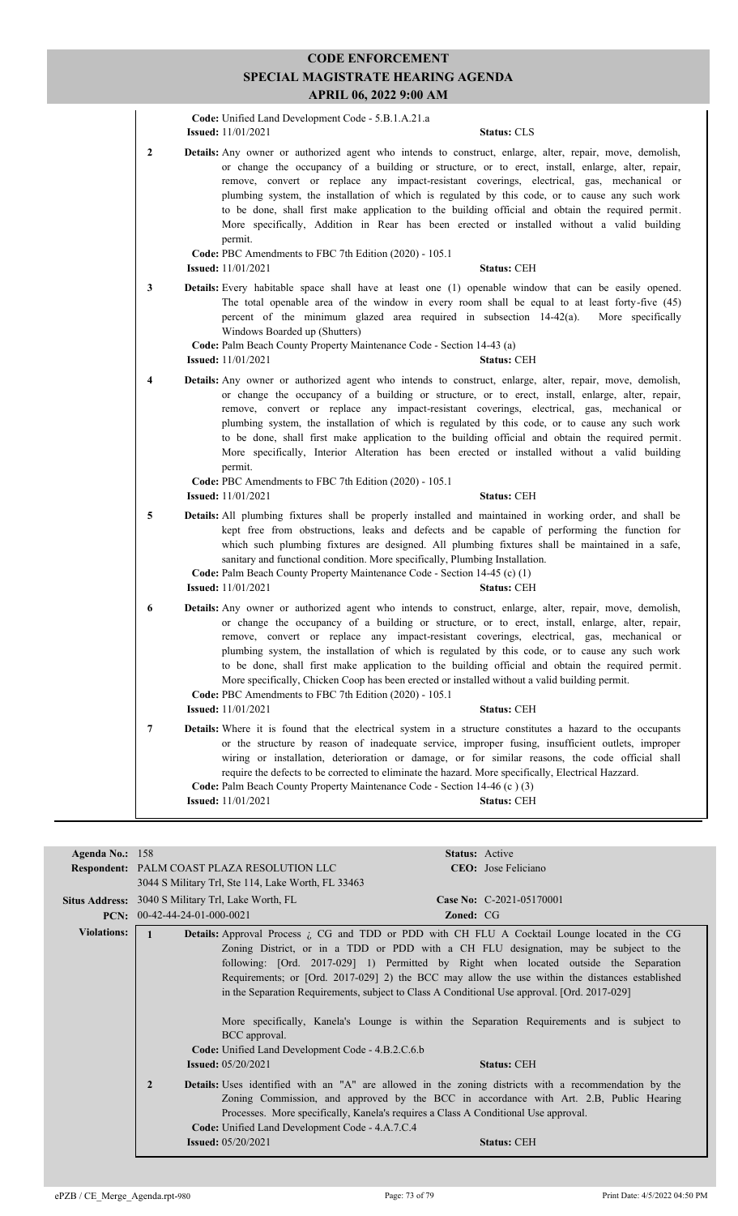|   | Code: Unified Land Development Code - 5.B.1.A.21.a<br><b>Issued:</b> 11/01/2021<br><b>Status: CLS</b>                                                                                                                                                                                                                                                                                                                                                                                                                                                                                                                                                                                                                                       |  |
|---|---------------------------------------------------------------------------------------------------------------------------------------------------------------------------------------------------------------------------------------------------------------------------------------------------------------------------------------------------------------------------------------------------------------------------------------------------------------------------------------------------------------------------------------------------------------------------------------------------------------------------------------------------------------------------------------------------------------------------------------------|--|
| 2 | Details: Any owner or authorized agent who intends to construct, enlarge, alter, repair, move, demolish,<br>or change the occupancy of a building or structure, or to erect, install, enlarge, alter, repair,<br>remove, convert or replace any impact-resistant coverings, electrical, gas, mechanical or<br>plumbing system, the installation of which is regulated by this code, or to cause any such work<br>to be done, shall first make application to the building official and obtain the required permit.<br>More specifically, Addition in Rear has been erected or installed without a valid building<br>permit.<br>Code: PBC Amendments to FBC 7th Edition (2020) - 105.1                                                       |  |
|   | <b>Issued:</b> 11/01/2021<br><b>Status: CEH</b>                                                                                                                                                                                                                                                                                                                                                                                                                                                                                                                                                                                                                                                                                             |  |
| 3 | <b>Details:</b> Every habitable space shall have at least one (1) openable window that can be easily opened.<br>The total openable area of the window in every room shall be equal to at least forty-five (45)<br>percent of the minimum glazed area required in subsection $14-42(a)$ .<br>More specifically<br>Windows Boarded up (Shutters)<br>Code: Palm Beach County Property Maintenance Code - Section 14-43 (a)<br><b>Issued:</b> 11/01/2021<br><b>Status: CEH</b>                                                                                                                                                                                                                                                                  |  |
| 4 | Details: Any owner or authorized agent who intends to construct, enlarge, alter, repair, move, demolish,<br>or change the occupancy of a building or structure, or to erect, install, enlarge, alter, repair,<br>remove, convert or replace any impact-resistant coverings, electrical, gas, mechanical or<br>plumbing system, the installation of which is regulated by this code, or to cause any such work<br>to be done, shall first make application to the building official and obtain the required permit.<br>More specifically, Interior Alteration has been erected or installed without a valid building<br>permit.<br>Code: PBC Amendments to FBC 7th Edition (2020) - 105.1<br><b>Issued:</b> 11/01/2021<br><b>Status: CEH</b> |  |
| 5 | <b>Details:</b> All plumbing fixtures shall be properly installed and maintained in working order, and shall be                                                                                                                                                                                                                                                                                                                                                                                                                                                                                                                                                                                                                             |  |
|   | kept free from obstructions, leaks and defects and be capable of performing the function for<br>which such plumbing fixtures are designed. All plumbing fixtures shall be maintained in a safe,<br>sanitary and functional condition. More specifically, Plumbing Installation.<br>Code: Palm Beach County Property Maintenance Code - Section 14-45 (c) (1)<br><b>Issued:</b> 11/01/2021<br><b>Status: CEH</b>                                                                                                                                                                                                                                                                                                                             |  |
| 6 | Details: Any owner or authorized agent who intends to construct, enlarge, alter, repair, move, demolish,<br>or change the occupancy of a building or structure, or to erect, install, enlarge, alter, repair,<br>remove, convert or replace any impact-resistant coverings, electrical, gas, mechanical or<br>plumbing system, the installation of which is regulated by this code, or to cause any such work<br>to be done, shall first make application to the building official and obtain the required permit.<br>More specifically, Chicken Coop has been erected or installed without a valid building permit.<br>Code: PBC Amendments to FBC 7th Edition (2020) - 105.1<br><b>Issued:</b> 11/01/2021<br><b>Status: CEH</b>           |  |
| 7 | Details: Where it is found that the electrical system in a structure constitutes a hazard to the occupants                                                                                                                                                                                                                                                                                                                                                                                                                                                                                                                                                                                                                                  |  |
|   | or the structure by reason of inadequate service, improper fusing, insufficient outlets, improper<br>wiring or installation, deterioration or damage, or for similar reasons, the code official shall<br>require the defects to be corrected to eliminate the hazard. More specifically, Electrical Hazzard.<br>Code: Palm Beach County Property Maintenance Code - Section 14-46 (c) (3)<br><b>Issued:</b> 11/01/2021<br>Status: CEH                                                                                                                                                                                                                                                                                                       |  |

| Agenda No.: $158$  |                                                                                                                                                                                                                                                                                                                 | <b>Status:</b> Active                                                                |  |
|--------------------|-----------------------------------------------------------------------------------------------------------------------------------------------------------------------------------------------------------------------------------------------------------------------------------------------------------------|--------------------------------------------------------------------------------------|--|
|                    | <b>Respondent: PALM COAST PLAZA RESOLUTION LLC</b>                                                                                                                                                                                                                                                              | <b>CEO</b> : Jose Feliciano                                                          |  |
|                    | 3044 S Military Trl, Ste 114, Lake Worth, FL 33463                                                                                                                                                                                                                                                              |                                                                                      |  |
|                    | Situs Address: 3040 S Military Trl, Lake Worth, FL                                                                                                                                                                                                                                                              | Case No: C-2021-05170001                                                             |  |
|                    | $PCN: 00-42-44-24-01-000-0021$                                                                                                                                                                                                                                                                                  | <b>Zoned: CG</b>                                                                     |  |
| <b>Violations:</b> | <b>Details:</b> Approval Process i CG and TDD or PDD with CH FLU A Cocktail Lounge located in the CG                                                                                                                                                                                                            |                                                                                      |  |
|                    |                                                                                                                                                                                                                                                                                                                 | Zoning District, or in a TDD or PDD with a CH FLU designation, may be subject to the |  |
|                    |                                                                                                                                                                                                                                                                                                                 | following: [Ord. 2017-029] 1) Permitted by Right when located outside the Separation |  |
|                    | Requirements; or [Ord. 2017-029] 2) the BCC may allow the use within the distances established                                                                                                                                                                                                                  |                                                                                      |  |
|                    | in the Separation Requirements, subject to Class A Conditional Use approval. [Ord. 2017-029]                                                                                                                                                                                                                    |                                                                                      |  |
|                    |                                                                                                                                                                                                                                                                                                                 |                                                                                      |  |
|                    | More specifically, Kanela's Lounge is within the Separation Requirements and is subject to                                                                                                                                                                                                                      |                                                                                      |  |
|                    | BCC approval.                                                                                                                                                                                                                                                                                                   |                                                                                      |  |
|                    | <b>Code:</b> Unified Land Development Code - 4.B.2.C.6.b                                                                                                                                                                                                                                                        |                                                                                      |  |
|                    | <b>Issued:</b> $05/20/2021$<br><b>Status: CEH</b>                                                                                                                                                                                                                                                               |                                                                                      |  |
|                    | $\overline{2}$<br><b>Details:</b> Uses identified with an "A" are allowed in the zoning districts with a recommendation by the<br>Zoning Commission, and approved by the BCC in accordance with Art. 2.B, Public Hearing<br>Processes. More specifically, Kanela's requires a Class A Conditional Use approval. |                                                                                      |  |
|                    | Code: Unified Land Development Code - 4.A.7.C.4<br><b>Issued:</b> 05/20/2021                                                                                                                                                                                                                                    | <b>Status: CEH</b>                                                                   |  |
|                    |                                                                                                                                                                                                                                                                                                                 |                                                                                      |  |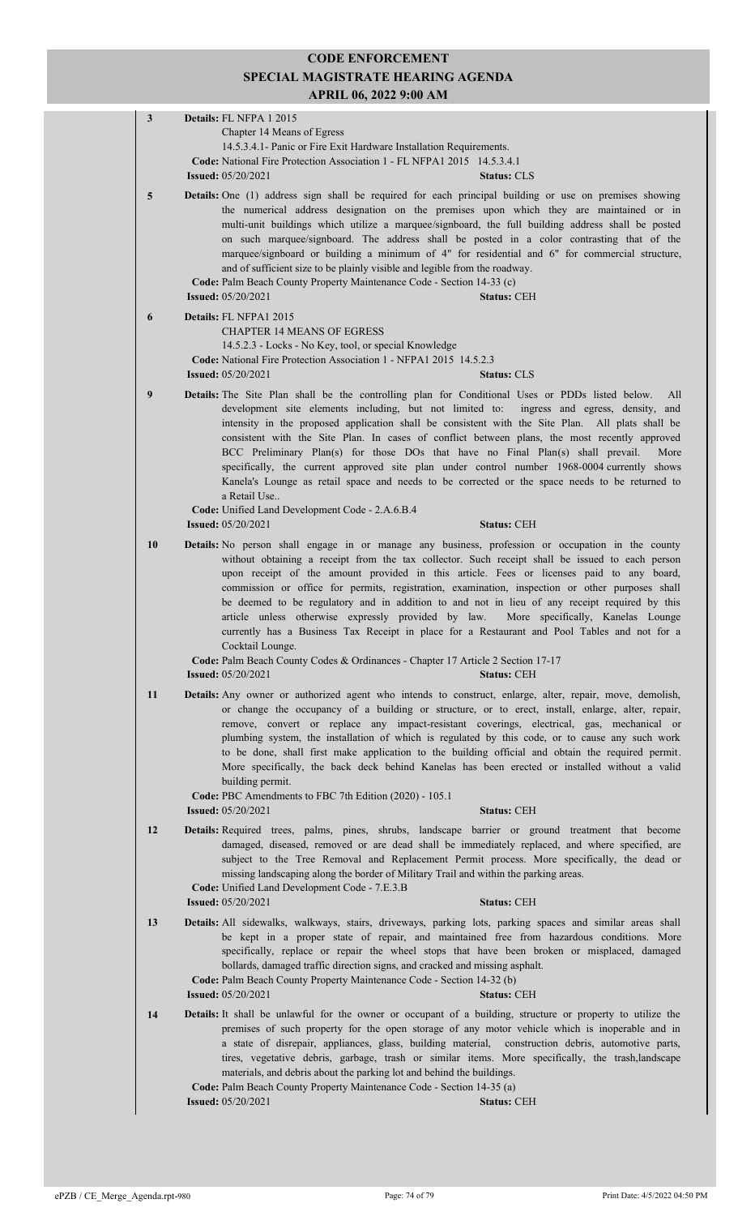| $\mathbf{3}$    | Details: FL NFPA 1 2015                                                                                                                                                                                                                                                                                                                                                                                                                                                                                                                                                                                                                                                                                                                                                                                                    |
|-----------------|----------------------------------------------------------------------------------------------------------------------------------------------------------------------------------------------------------------------------------------------------------------------------------------------------------------------------------------------------------------------------------------------------------------------------------------------------------------------------------------------------------------------------------------------------------------------------------------------------------------------------------------------------------------------------------------------------------------------------------------------------------------------------------------------------------------------------|
|                 | Chapter 14 Means of Egress<br>14.5.3.4.1- Panic or Fire Exit Hardware Installation Requirements.                                                                                                                                                                                                                                                                                                                                                                                                                                                                                                                                                                                                                                                                                                                           |
|                 | Code: National Fire Protection Association 1 - FL NFPA1 2015 14.5.3.4.1                                                                                                                                                                                                                                                                                                                                                                                                                                                                                                                                                                                                                                                                                                                                                    |
|                 | <b>Issued:</b> 05/20/2021<br><b>Status: CLS</b>                                                                                                                                                                                                                                                                                                                                                                                                                                                                                                                                                                                                                                                                                                                                                                            |
| $5\phantom{.0}$ | Details: One (1) address sign shall be required for each principal building or use on premises showing<br>the numerical address designation on the premises upon which they are maintained or in<br>multi-unit buildings which utilize a marquee/signboard, the full building address shall be posted<br>on such marquee/signboard. The address shall be posted in a color contrasting that of the<br>marquee/signboard or building a minimum of 4" for residential and 6" for commercial structure,<br>and of sufficient size to be plainly visible and legible from the roadway.<br>Code: Palm Beach County Property Maintenance Code - Section 14-33 (c)<br><b>Issued:</b> 05/20/2021<br><b>Status: CEH</b>                                                                                                             |
| 6               | Details: FL NFPA1 2015                                                                                                                                                                                                                                                                                                                                                                                                                                                                                                                                                                                                                                                                                                                                                                                                     |
|                 | <b>CHAPTER 14 MEANS OF EGRESS</b><br>14.5.2.3 - Locks - No Key, tool, or special Knowledge<br>Code: National Fire Protection Association 1 - NFPA1 2015 14.5.2.3<br><b>Issued:</b> 05/20/2021<br><b>Status: CLS</b>                                                                                                                                                                                                                                                                                                                                                                                                                                                                                                                                                                                                        |
| 9               | Details: The Site Plan shall be the controlling plan for Conditional Uses or PDDs listed below.<br>All<br>development site elements including, but not limited to: ingress and egress, density, and<br>intensity in the proposed application shall be consistent with the Site Plan. All plats shall be<br>consistent with the Site Plan. In cases of conflict between plans, the most recently approved<br>BCC Preliminary Plan(s) for those DOs that have no Final Plan(s) shall prevail.<br>More<br>specifically, the current approved site plan under control number 1968-0004 currently shows<br>Kanela's Lounge as retail space and needs to be corrected or the space needs to be returned to<br>a Retail Use<br>Code: Unified Land Development Code - 2.A.6.B.4<br><b>Issued:</b> 05/20/2021<br><b>Status: CEH</b> |
| 10              | <b>Details:</b> No person shall engage in or manage any business, profession or occupation in the county                                                                                                                                                                                                                                                                                                                                                                                                                                                                                                                                                                                                                                                                                                                   |
|                 | without obtaining a receipt from the tax collector. Such receipt shall be issued to each person<br>upon receipt of the amount provided in this article. Fees or licenses paid to any board,<br>commission or office for permits, registration, examination, inspection or other purposes shall<br>be deemed to be regulatory and in addition to and not in lieu of any receipt required by this<br>article unless otherwise expressly provided by law.<br>More specifically, Kanelas Lounge<br>currently has a Business Tax Receipt in place for a Restaurant and Pool Tables and not for a<br>Cocktail Lounge.<br>Code: Palm Beach County Codes & Ordinances - Chapter 17 Article 2 Section 17-17<br><b>Issued:</b> 05/20/2021<br><b>Status: CEH</b>                                                                      |
| 11              | Details: Any owner or authorized agent who intends to construct, enlarge, alter, repair, move, demolish,                                                                                                                                                                                                                                                                                                                                                                                                                                                                                                                                                                                                                                                                                                                   |
|                 | or change the occupancy of a building or structure, or to erect, install, enlarge, alter, repair,<br>remove, convert or replace any impact-resistant coverings, electrical, gas, mechanical or<br>plumbing system, the installation of which is regulated by this code, or to cause any such work<br>to be done, shall first make application to the building official and obtain the required permit.<br>More specifically, the back deck behind Kanelas has been erected or installed without a valid<br>building permit.<br>Code: PBC Amendments to FBC 7th Edition (2020) - 105.1<br><b>Issued:</b> 05/20/2021<br><b>Status: CEH</b>                                                                                                                                                                                   |
| 12              | Details: Required trees, palms, pines, shrubs, landscape barrier or ground treatment that become<br>damaged, diseased, removed or are dead shall be immediately replaced, and where specified, are<br>subject to the Tree Removal and Replacement Permit process. More specifically, the dead or<br>missing landscaping along the border of Military Trail and within the parking areas.<br>Code: Unified Land Development Code - 7.E.3.B                                                                                                                                                                                                                                                                                                                                                                                  |
|                 | <b>Issued: 05/20/2021</b><br><b>Status: CEH</b>                                                                                                                                                                                                                                                                                                                                                                                                                                                                                                                                                                                                                                                                                                                                                                            |
| 13              | Details: All sidewalks, walkways, stairs, driveways, parking lots, parking spaces and similar areas shall<br>be kept in a proper state of repair, and maintained free from hazardous conditions. More<br>specifically, replace or repair the wheel stops that have been broken or misplaced, damaged<br>bollards, damaged traffic direction signs, and cracked and missing asphalt.<br>Code: Palm Beach County Property Maintenance Code - Section 14-32 (b)<br><b>Issued:</b> 05/20/2021<br><b>Status: CEH</b>                                                                                                                                                                                                                                                                                                            |
| 14              | Details: It shall be unlawful for the owner or occupant of a building, structure or property to utilize the<br>premises of such property for the open storage of any motor vehicle which is inoperable and in<br>a state of disrepair, appliances, glass, building material, construction debris, automotive parts,<br>tires, vegetative debris, garbage, trash or similar items. More specifically, the trash, landscape<br>materials, and debris about the parking lot and behind the buildings.<br>Code: Palm Beach County Property Maintenance Code - Section 14-35 (a)<br><b>Issued:</b> 05/20/2021<br><b>Status: CEH</b>                                                                                                                                                                                             |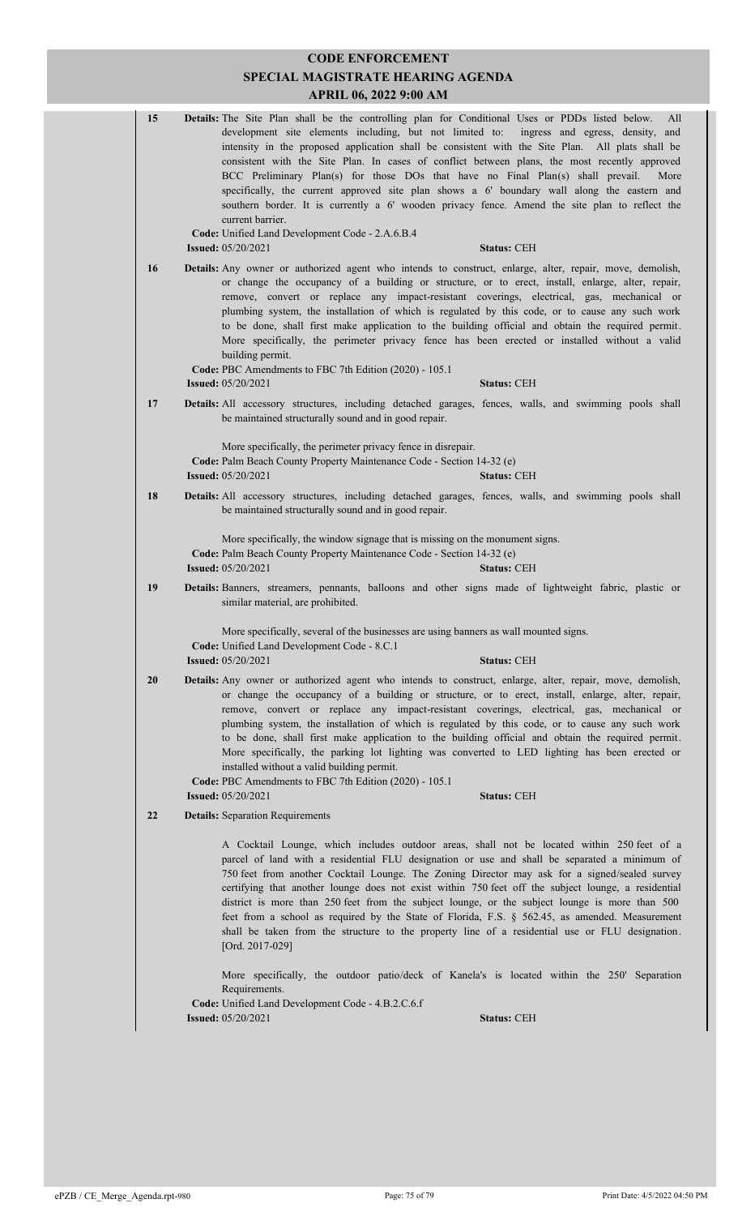|  | 15                                                                                                                                          | Details: The Site Plan shall be the controlling plan for Conditional Uses or PDDs listed below.<br>All<br>development site elements including, but not limited to:<br>ingress and egress, density, and<br>intensity in the proposed application shall be consistent with the Site Plan. All plats shall be<br>consistent with the Site Plan. In cases of conflict between plans, the most recently approved<br>BCC Preliminary Plan(s) for those DOs that have no Final Plan(s) shall prevail.<br>More<br>specifically, the current approved site plan shows a 6' boundary wall along the eastern and<br>southern border. It is currently a 6' wooden privacy fence. Amend the site plan to reflect the<br>current barrier.  |  |
|--|---------------------------------------------------------------------------------------------------------------------------------------------|------------------------------------------------------------------------------------------------------------------------------------------------------------------------------------------------------------------------------------------------------------------------------------------------------------------------------------------------------------------------------------------------------------------------------------------------------------------------------------------------------------------------------------------------------------------------------------------------------------------------------------------------------------------------------------------------------------------------------|--|
|  |                                                                                                                                             | Code: Unified Land Development Code - 2.A.6.B.4<br><b>Issued:</b> 05/20/2021<br><b>Status: CEH</b>                                                                                                                                                                                                                                                                                                                                                                                                                                                                                                                                                                                                                           |  |
|  | 16                                                                                                                                          | <b>Details:</b> Any owner or authorized agent who intends to construct, enlarge, alter, repair, move, demolish,<br>or change the occupancy of a building or structure, or to erect, install, enlarge, alter, repair,<br>remove, convert or replace any impact-resistant coverings, electrical, gas, mechanical or<br>plumbing system, the installation of which is regulated by this code, or to cause any such work<br>to be done, shall first make application to the building official and obtain the required permit.<br>More specifically, the perimeter privacy fence has been erected or installed without a valid<br>building permit.                                                                                |  |
|  |                                                                                                                                             | Code: PBC Amendments to FBC 7th Edition (2020) - 105.1<br><b>Issued:</b> 05/20/2021<br><b>Status: CEH</b>                                                                                                                                                                                                                                                                                                                                                                                                                                                                                                                                                                                                                    |  |
|  | 17                                                                                                                                          | Details: All accessory structures, including detached garages, fences, walls, and swimming pools shall                                                                                                                                                                                                                                                                                                                                                                                                                                                                                                                                                                                                                       |  |
|  |                                                                                                                                             | be maintained structurally sound and in good repair.                                                                                                                                                                                                                                                                                                                                                                                                                                                                                                                                                                                                                                                                         |  |
|  |                                                                                                                                             | More specifically, the perimeter privacy fence in disrepair.                                                                                                                                                                                                                                                                                                                                                                                                                                                                                                                                                                                                                                                                 |  |
|  |                                                                                                                                             | Code: Palm Beach County Property Maintenance Code - Section 14-32 (e)<br><b>Issued:</b> 05/20/2021<br><b>Status: CEH</b>                                                                                                                                                                                                                                                                                                                                                                                                                                                                                                                                                                                                     |  |
|  | 18                                                                                                                                          | Details: All accessory structures, including detached garages, fences, walls, and swimming pools shall                                                                                                                                                                                                                                                                                                                                                                                                                                                                                                                                                                                                                       |  |
|  |                                                                                                                                             | be maintained structurally sound and in good repair.                                                                                                                                                                                                                                                                                                                                                                                                                                                                                                                                                                                                                                                                         |  |
|  |                                                                                                                                             | More specifically, the window signage that is missing on the monument signs.<br>Code: Palm Beach County Property Maintenance Code - Section 14-32 (e)                                                                                                                                                                                                                                                                                                                                                                                                                                                                                                                                                                        |  |
|  | 19                                                                                                                                          | <b>Issued: 05/20/2021</b><br><b>Status: CEH</b>                                                                                                                                                                                                                                                                                                                                                                                                                                                                                                                                                                                                                                                                              |  |
|  | Details: Banners, streamers, pennants, balloons and other signs made of lightweight fabric, plastic or<br>similar material, are prohibited. |                                                                                                                                                                                                                                                                                                                                                                                                                                                                                                                                                                                                                                                                                                                              |  |
|  |                                                                                                                                             | More specifically, several of the businesses are using banners as wall mounted signs.<br>Code: Unified Land Development Code - 8.C.1<br><b>Issued:</b> 05/20/2021<br><b>Status: CEH</b>                                                                                                                                                                                                                                                                                                                                                                                                                                                                                                                                      |  |
|  | 20                                                                                                                                          | <b>Details:</b> Any owner or authorized agent who intends to construct, enlarge, alter, repair, move, demolish,                                                                                                                                                                                                                                                                                                                                                                                                                                                                                                                                                                                                              |  |
|  |                                                                                                                                             | or change the occupancy of a building or structure, or to erect, install, enlarge, alter, repair,<br>remove, convert or replace any impact-resistant coverings, electrical, gas, mechanical or<br>plumbing system, the installation of which is regulated by this code, or to cause any such work<br>to be done, shall first make application to the building official and obtain the required permit.<br>More specifically, the parking lot lighting was converted to LED lighting has been erected or<br>installed without a valid building permit.<br>Code: PBC Amendments to FBC 7th Edition (2020) - 105.1<br><b>Issued:</b> 05/20/2021<br><b>Status: CEH</b>                                                           |  |
|  | 22                                                                                                                                          | <b>Details:</b> Separation Requirements                                                                                                                                                                                                                                                                                                                                                                                                                                                                                                                                                                                                                                                                                      |  |
|  |                                                                                                                                             | A Cocktail Lounge, which includes outdoor areas, shall not be located within 250 feet of a<br>parcel of land with a residential FLU designation or use and shall be separated a minimum of<br>750 feet from another Cocktail Lounge. The Zoning Director may ask for a signed/sealed survey<br>certifying that another lounge does not exist within 750 feet off the subject lounge, a residential<br>district is more than 250 feet from the subject lounge, or the subject lounge is more than 500<br>feet from a school as required by the State of Florida, F.S. § 562.45, as amended. Measurement<br>shall be taken from the structure to the property line of a residential use or FLU designation.<br>[Ord. 2017-029] |  |
|  |                                                                                                                                             | More specifically, the outdoor patio/deck of Kanela's is located within the 250' Separation<br>Requirements.<br>Code: Unified Land Development Code - 4.B.2.C.6.f                                                                                                                                                                                                                                                                                                                                                                                                                                                                                                                                                            |  |
|  |                                                                                                                                             | <b>Status: CEH</b><br><b>Issued:</b> 05/20/2021                                                                                                                                                                                                                                                                                                                                                                                                                                                                                                                                                                                                                                                                              |  |
|  |                                                                                                                                             |                                                                                                                                                                                                                                                                                                                                                                                                                                                                                                                                                                                                                                                                                                                              |  |

ePZB / CE\_Merge\_Agenda.rpt-980 Page: 75 of 79 Print Date: 4/5/2022 04:50 PM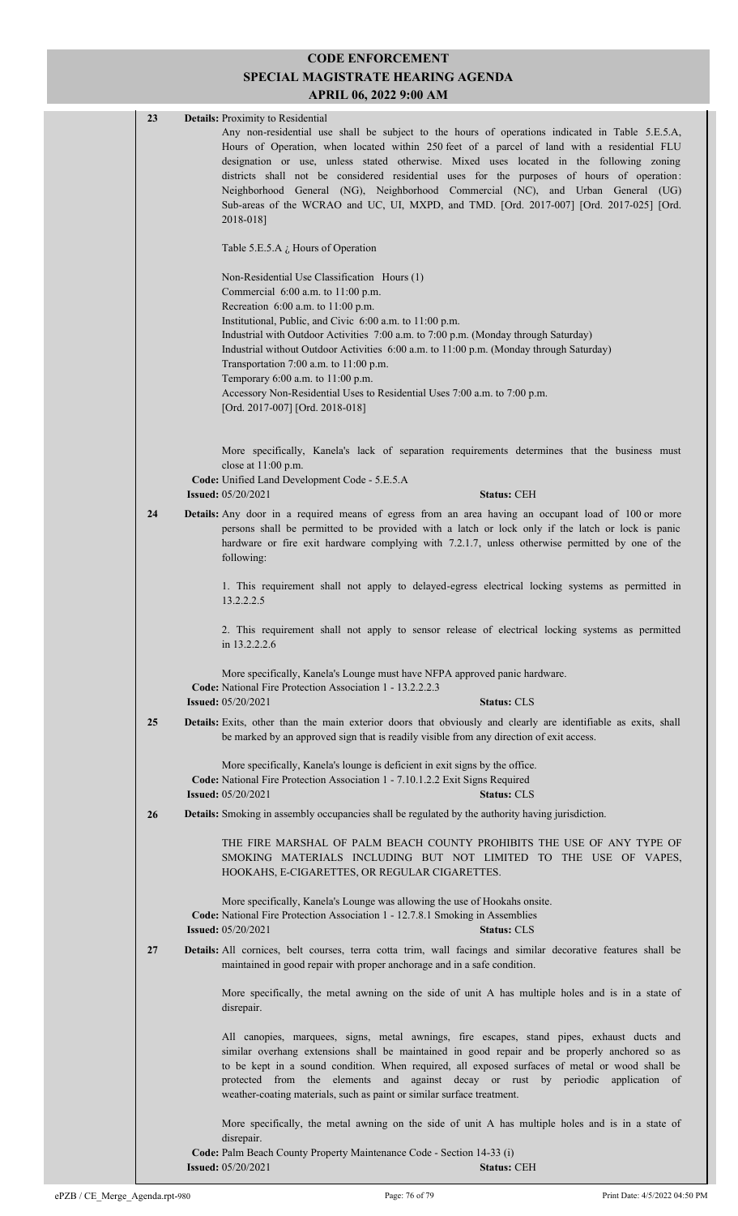# **CODE ENFORCEMENT SPECIAL MAGISTRATE HEARING AGENDA**

| SPECIAL MAGISTRATE HEARING AGENDA<br>APRIL 06, 2022 9:00 AM |    |                                                                                                                                                                                                                                                                                                                                                                                                                                                                                                                                                                                                                                |  |
|-------------------------------------------------------------|----|--------------------------------------------------------------------------------------------------------------------------------------------------------------------------------------------------------------------------------------------------------------------------------------------------------------------------------------------------------------------------------------------------------------------------------------------------------------------------------------------------------------------------------------------------------------------------------------------------------------------------------|--|
|                                                             | 23 | <b>Details:</b> Proximity to Residential<br>Any non-residential use shall be subject to the hours of operations indicated in Table 5.E.5.A,<br>Hours of Operation, when located within 250 feet of a parcel of land with a residential FLU<br>designation or use, unless stated otherwise. Mixed uses located in the following zoning<br>districts shall not be considered residential uses for the purposes of hours of operation:<br>Neighborhood General (NG), Neighborhood Commercial (NC), and Urban General (UG)<br>Sub-areas of the WCRAO and UC, UI, MXPD, and TMD. [Ord. 2017-007] [Ord. 2017-025] [Ord.<br>2018-018] |  |
|                                                             |    | Table 5.E.5.A $\dot{L}$ Hours of Operation                                                                                                                                                                                                                                                                                                                                                                                                                                                                                                                                                                                     |  |
|                                                             |    | Non-Residential Use Classification Hours (1)<br>Commercial 6:00 a.m. to 11:00 p.m.<br>Recreation 6:00 a.m. to 11:00 p.m.                                                                                                                                                                                                                                                                                                                                                                                                                                                                                                       |  |
|                                                             |    | Institutional, Public, and Civic 6:00 a.m. to 11:00 p.m.<br>Industrial with Outdoor Activities 7:00 a.m. to 7:00 p.m. (Monday through Saturday)<br>Industrial without Outdoor Activities 6:00 a.m. to 11:00 p.m. (Monday through Saturday)<br>Transportation 7:00 a.m. to 11:00 p.m.<br>Temporary 6:00 a.m. to 11:00 p.m.<br>Accessory Non-Residential Uses to Residential Uses 7:00 a.m. to 7:00 p.m.                                                                                                                                                                                                                         |  |
|                                                             |    | [Ord. 2017-007] [Ord. 2018-018]                                                                                                                                                                                                                                                                                                                                                                                                                                                                                                                                                                                                |  |
|                                                             |    | More specifically, Kanela's lack of separation requirements determines that the business must<br>close at 11:00 p.m.<br>Code: Unified Land Development Code - 5.E.5.A                                                                                                                                                                                                                                                                                                                                                                                                                                                          |  |
|                                                             |    | <b>Issued:</b> 05/20/2021<br><b>Status: CEH</b>                                                                                                                                                                                                                                                                                                                                                                                                                                                                                                                                                                                |  |
|                                                             | 24 | <b>Details:</b> Any door in a required means of egress from an area having an occupant load of 100 or more<br>persons shall be permitted to be provided with a latch or lock only if the latch or lock is panic<br>hardware or fire exit hardware complying with 7.2.1.7, unless otherwise permitted by one of the<br>following:                                                                                                                                                                                                                                                                                               |  |
|                                                             |    | 1. This requirement shall not apply to delayed-egress electrical locking systems as permitted in<br>13.2.2.2.5                                                                                                                                                                                                                                                                                                                                                                                                                                                                                                                 |  |
|                                                             |    | 2. This requirement shall not apply to sensor release of electrical locking systems as permitted<br>in 13.2.2.2.6                                                                                                                                                                                                                                                                                                                                                                                                                                                                                                              |  |
|                                                             |    | More specifically, Kanela's Lounge must have NFPA approved panic hardware.<br>Code: National Fire Protection Association 1 - 13.2.2.2.3<br><b>Status: CLS</b><br><b>Issued:</b> 05/20/2021                                                                                                                                                                                                                                                                                                                                                                                                                                     |  |
|                                                             | 25 | Details: Exits, other than the main exterior doors that obviously and clearly are identifiable as exits, shall<br>be marked by an approved sign that is readily visible from any direction of exit access.                                                                                                                                                                                                                                                                                                                                                                                                                     |  |
|                                                             |    | More specifically, Kanela's lounge is deficient in exit signs by the office.<br>Code: National Fire Protection Association 1 - 7.10.1.2.2 Exit Signs Required<br><b>Issued:</b> 05/20/2021<br><b>Status: CLS</b>                                                                                                                                                                                                                                                                                                                                                                                                               |  |
|                                                             | 26 | <b>Details:</b> Smoking in assembly occupancies shall be regulated by the authority having jurisdiction.                                                                                                                                                                                                                                                                                                                                                                                                                                                                                                                       |  |
|                                                             |    | THE FIRE MARSHAL OF PALM BEACH COUNTY PROHIBITS THE USE OF ANY TYPE OF<br>SMOKING MATERIALS INCLUDING BUT NOT LIMITED TO THE USE OF VAPES,<br>HOOKAHS, E-CIGARETTES, OR REGULAR CIGARETTES.                                                                                                                                                                                                                                                                                                                                                                                                                                    |  |
|                                                             |    | More specifically, Kanela's Lounge was allowing the use of Hookahs onsite.<br>Code: National Fire Protection Association 1 - 12.7.8.1 Smoking in Assemblies<br><b>Issued: 05/20/2021</b><br><b>Status: CLS</b>                                                                                                                                                                                                                                                                                                                                                                                                                 |  |
|                                                             | 27 | Details: All cornices, belt courses, terra cotta trim, wall facings and similar decorative features shall be<br>maintained in good repair with proper anchorage and in a safe condition.                                                                                                                                                                                                                                                                                                                                                                                                                                       |  |
|                                                             |    | More specifically, the metal awning on the side of unit A has multiple holes and is in a state of<br>disrepair.                                                                                                                                                                                                                                                                                                                                                                                                                                                                                                                |  |
|                                                             |    | All canopies, marquees, signs, metal awnings, fire escapes, stand pipes, exhaust ducts and<br>similar overhang extensions shall be maintained in good repair and be properly anchored so as<br>to be kept in a sound condition. When required, all exposed surfaces of metal or wood shall be<br>protected from the elements and against decay or rust by periodic application of<br>weather-coating materials, such as paint or similar surface treatment.                                                                                                                                                                    |  |
|                                                             |    | More specifically, the metal awning on the side of unit A has multiple holes and is in a state of<br>disrepair.                                                                                                                                                                                                                                                                                                                                                                                                                                                                                                                |  |
|                                                             |    | <b>Code:</b> Palm Beach County Property Maintenance Code - Section 14-33 (i)                                                                                                                                                                                                                                                                                                                                                                                                                                                                                                                                                   |  |

**Issued:** 05/20/2021 **Status:** CEH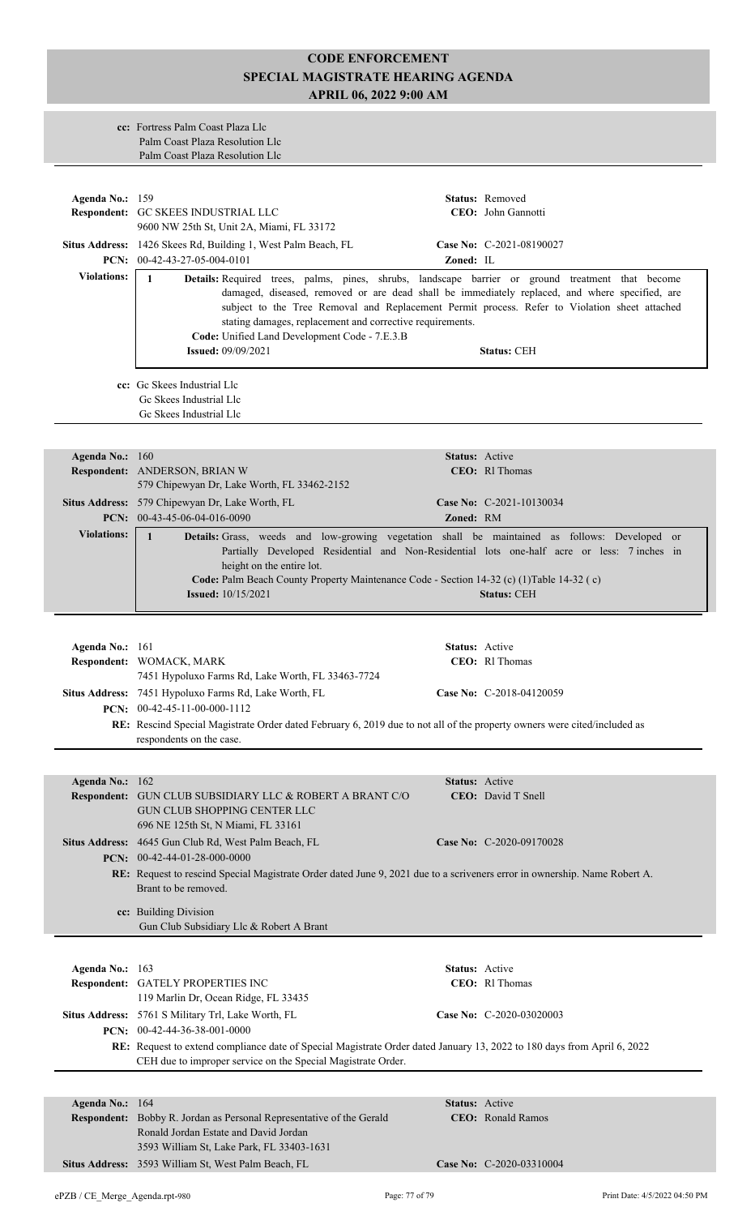#### **cc:** Fortress Palm Coast Plaza Llc Palm Coast Plaza Resolution Llc Palm Coast Plaza Resolution Llc

| Agenda No.: 159                                                                                                                                                                     | Respondent: GC SKEES INDUSTRIAL LLC                                                                                                                                                                                                                                                                                                                                                                                                                                                                                               |                | Status: Removed<br>CEO: John Gannotti      |  |  |
|-------------------------------------------------------------------------------------------------------------------------------------------------------------------------------------|-----------------------------------------------------------------------------------------------------------------------------------------------------------------------------------------------------------------------------------------------------------------------------------------------------------------------------------------------------------------------------------------------------------------------------------------------------------------------------------------------------------------------------------|----------------|--------------------------------------------|--|--|
|                                                                                                                                                                                     | 9600 NW 25th St, Unit 2A, Miami, FL 33172                                                                                                                                                                                                                                                                                                                                                                                                                                                                                         |                |                                            |  |  |
|                                                                                                                                                                                     | Situs Address: 1426 Skees Rd, Building 1, West Palm Beach, FL                                                                                                                                                                                                                                                                                                                                                                                                                                                                     |                | Case No: C-2021-08190027                   |  |  |
| <b>Violations:</b>                                                                                                                                                                  | PCN: 00-42-43-27-05-004-0101<br>Zoned: IL<br>$\mathbf{1}$<br>Details: Required trees, palms, pines, shrubs, landscape barrier or ground treatment that become<br>damaged, diseased, removed or are dead shall be immediately replaced, and where specified, are<br>subject to the Tree Removal and Replacement Permit process. Refer to Violation sheet attached<br>stating damages, replacement and corrective requirements.<br>Code: Unified Land Development Code - 7.E.3.B<br><b>Issued: 09/09/2021</b><br><b>Status: CEH</b> |                |                                            |  |  |
|                                                                                                                                                                                     | cc: Gc Skees Industrial Llc<br>Gc Skees Industrial Llc<br>Gc Skees Industrial Llc                                                                                                                                                                                                                                                                                                                                                                                                                                                 |                |                                            |  |  |
| Agenda No.: 160                                                                                                                                                                     |                                                                                                                                                                                                                                                                                                                                                                                                                                                                                                                                   |                | Status: Active                             |  |  |
|                                                                                                                                                                                     | Respondent: ANDERSON, BRIAN W<br>579 Chipewyan Dr, Lake Worth, FL 33462-2152                                                                                                                                                                                                                                                                                                                                                                                                                                                      |                | CEO: Rl Thomas                             |  |  |
|                                                                                                                                                                                     | Situs Address: 579 Chipewyan Dr, Lake Worth, FL<br>PCN: $00-43-45-06-04-016-0090$                                                                                                                                                                                                                                                                                                                                                                                                                                                 |                | Case No: C-2021-10130034                   |  |  |
| <b>Violations:</b>                                                                                                                                                                  |                                                                                                                                                                                                                                                                                                                                                                                                                                                                                                                                   | Zoned: RM      |                                            |  |  |
|                                                                                                                                                                                     | Details: Grass, weeds and low-growing vegetation shall be maintained as follows: Developed or<br>$\mathbf{1}$<br>Partially Developed Residential and Non-Residential lots one-half acre or less: 7 inches in<br>height on the entire lot.<br>Code: Palm Beach County Property Maintenance Code - Section 14-32 (c) (1)Table 14-32 (c)<br><b>Issued:</b> 10/15/2021<br><b>Status: CEH</b>                                                                                                                                          |                |                                            |  |  |
|                                                                                                                                                                                     |                                                                                                                                                                                                                                                                                                                                                                                                                                                                                                                                   |                |                                            |  |  |
| Agenda No.: 161                                                                                                                                                                     |                                                                                                                                                                                                                                                                                                                                                                                                                                                                                                                                   | Status: Active |                                            |  |  |
|                                                                                                                                                                                     | Respondent: WOMACK, MARK<br>7451 Hypoluxo Farms Rd, Lake Worth, FL 33463-7724                                                                                                                                                                                                                                                                                                                                                                                                                                                     |                | CEO: RI Thomas                             |  |  |
|                                                                                                                                                                                     | Situs Address: 7451 Hypoluxo Farms Rd, Lake Worth, FL<br><b>PCN:</b> $00-42-45-11-00-000-1112$                                                                                                                                                                                                                                                                                                                                                                                                                                    |                | Case No: C-2018-04120059                   |  |  |
|                                                                                                                                                                                     | RE: Rescind Special Magistrate Order dated February 6, 2019 due to not all of the property owners were cited/included as<br>respondents on the case.                                                                                                                                                                                                                                                                                                                                                                              |                |                                            |  |  |
|                                                                                                                                                                                     |                                                                                                                                                                                                                                                                                                                                                                                                                                                                                                                                   |                |                                            |  |  |
| Agenda No.: 162<br><b>Respondent:</b>                                                                                                                                               | GUN CLUB SUBSIDIARY LLC & ROBERT A BRANT C/O<br><b>GUN CLUB SHOPPING CENTER LLC</b><br>696 NE 125th St, N Miami, FL 33161                                                                                                                                                                                                                                                                                                                                                                                                         |                | Status: Active<br>CEO: David T Snell       |  |  |
|                                                                                                                                                                                     | Situs Address: 4645 Gun Club Rd, West Palm Beach, FL                                                                                                                                                                                                                                                                                                                                                                                                                                                                              |                | Case No: C-2020-09170028                   |  |  |
| PCN: $00-42-44-01-28-000-0000$<br>RE: Request to rescind Special Magistrate Order dated June 9, 2021 due to a scriveners error in ownership. Name Robert A.<br>Brant to be removed. |                                                                                                                                                                                                                                                                                                                                                                                                                                                                                                                                   |                |                                            |  |  |
|                                                                                                                                                                                     | cc: Building Division<br>Gun Club Subsidiary Llc & Robert A Brant                                                                                                                                                                                                                                                                                                                                                                                                                                                                 |                |                                            |  |  |
|                                                                                                                                                                                     |                                                                                                                                                                                                                                                                                                                                                                                                                                                                                                                                   |                |                                            |  |  |
| Agenda No.: 163                                                                                                                                                                     | Respondent: GATELY PROPERTIES INC<br>119 Marlin Dr, Ocean Ridge, FL 33435                                                                                                                                                                                                                                                                                                                                                                                                                                                         |                | Status: Active<br>CEO: RI Thomas           |  |  |
|                                                                                                                                                                                     | Situs Address: 5761 S Military Trl, Lake Worth, FL<br>PCN: 00-42-44-36-38-001-0000                                                                                                                                                                                                                                                                                                                                                                                                                                                |                | Case No: C-2020-03020003                   |  |  |
|                                                                                                                                                                                     | RE: Request to extend compliance date of Special Magistrate Order dated January 13, 2022 to 180 days from April 6, 2022<br>CEH due to improper service on the Special Magistrate Order.                                                                                                                                                                                                                                                                                                                                           |                |                                            |  |  |
|                                                                                                                                                                                     |                                                                                                                                                                                                                                                                                                                                                                                                                                                                                                                                   |                |                                            |  |  |
| Agenda No.: 164                                                                                                                                                                     | Respondent: Bobby R. Jordan as Personal Representative of the Gerald<br>Ronald Jordan Estate and David Jordan<br>3593 William St, Lake Park, FL 33403-1631                                                                                                                                                                                                                                                                                                                                                                        |                | Status: Active<br><b>CEO:</b> Ronald Ramos |  |  |
|                                                                                                                                                                                     | Situs Address: 3593 William St, West Palm Beach, FL                                                                                                                                                                                                                                                                                                                                                                                                                                                                               |                | Case No: C-2020-03310004                   |  |  |
|                                                                                                                                                                                     |                                                                                                                                                                                                                                                                                                                                                                                                                                                                                                                                   |                |                                            |  |  |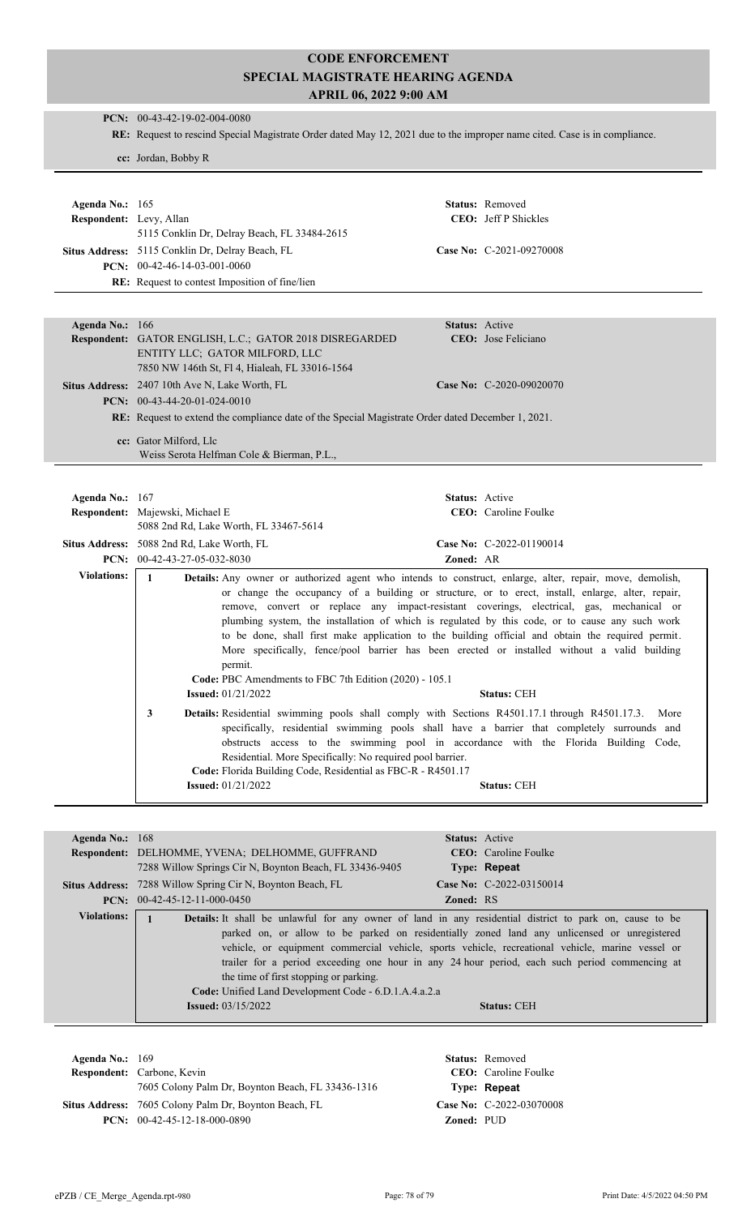|                         | PCN: 00-43-42-19-02-004-0080                                                                                                                                                                                                                                                                                                                                                                                                                                                                                                                                                                                                                                                                                                                                                                                                                                                                                                                                                                                                                                                                                                                                                                                                                   |  |  |
|-------------------------|------------------------------------------------------------------------------------------------------------------------------------------------------------------------------------------------------------------------------------------------------------------------------------------------------------------------------------------------------------------------------------------------------------------------------------------------------------------------------------------------------------------------------------------------------------------------------------------------------------------------------------------------------------------------------------------------------------------------------------------------------------------------------------------------------------------------------------------------------------------------------------------------------------------------------------------------------------------------------------------------------------------------------------------------------------------------------------------------------------------------------------------------------------------------------------------------------------------------------------------------|--|--|
|                         | RE: Request to rescind Special Magistrate Order dated May 12, 2021 due to the improper name cited. Case is in compliance.                                                                                                                                                                                                                                                                                                                                                                                                                                                                                                                                                                                                                                                                                                                                                                                                                                                                                                                                                                                                                                                                                                                      |  |  |
|                         | cc: Jordan, Bobby R                                                                                                                                                                                                                                                                                                                                                                                                                                                                                                                                                                                                                                                                                                                                                                                                                                                                                                                                                                                                                                                                                                                                                                                                                            |  |  |
|                         |                                                                                                                                                                                                                                                                                                                                                                                                                                                                                                                                                                                                                                                                                                                                                                                                                                                                                                                                                                                                                                                                                                                                                                                                                                                |  |  |
|                         |                                                                                                                                                                                                                                                                                                                                                                                                                                                                                                                                                                                                                                                                                                                                                                                                                                                                                                                                                                                                                                                                                                                                                                                                                                                |  |  |
| Agenda No.: 165         | Status: Removed                                                                                                                                                                                                                                                                                                                                                                                                                                                                                                                                                                                                                                                                                                                                                                                                                                                                                                                                                                                                                                                                                                                                                                                                                                |  |  |
| Respondent: Levy, Allan | CEO: Jeff P Shickles                                                                                                                                                                                                                                                                                                                                                                                                                                                                                                                                                                                                                                                                                                                                                                                                                                                                                                                                                                                                                                                                                                                                                                                                                           |  |  |
|                         | 5115 Conklin Dr, Delray Beach, FL 33484-2615                                                                                                                                                                                                                                                                                                                                                                                                                                                                                                                                                                                                                                                                                                                                                                                                                                                                                                                                                                                                                                                                                                                                                                                                   |  |  |
|                         | Situs Address: 5115 Conklin Dr, Delray Beach, FL<br>Case No: C-2021-09270008                                                                                                                                                                                                                                                                                                                                                                                                                                                                                                                                                                                                                                                                                                                                                                                                                                                                                                                                                                                                                                                                                                                                                                   |  |  |
|                         | PCN: 00-42-46-14-03-001-0060                                                                                                                                                                                                                                                                                                                                                                                                                                                                                                                                                                                                                                                                                                                                                                                                                                                                                                                                                                                                                                                                                                                                                                                                                   |  |  |
|                         | RE: Request to contest Imposition of fine/lien                                                                                                                                                                                                                                                                                                                                                                                                                                                                                                                                                                                                                                                                                                                                                                                                                                                                                                                                                                                                                                                                                                                                                                                                 |  |  |
|                         |                                                                                                                                                                                                                                                                                                                                                                                                                                                                                                                                                                                                                                                                                                                                                                                                                                                                                                                                                                                                                                                                                                                                                                                                                                                |  |  |
| Agenda No.: 166         | <b>Status:</b> Active                                                                                                                                                                                                                                                                                                                                                                                                                                                                                                                                                                                                                                                                                                                                                                                                                                                                                                                                                                                                                                                                                                                                                                                                                          |  |  |
|                         | CEO: Jose Feliciano<br><b>Respondent:</b> GATOR ENGLISH, L.C.; GATOR 2018 DISREGARDED                                                                                                                                                                                                                                                                                                                                                                                                                                                                                                                                                                                                                                                                                                                                                                                                                                                                                                                                                                                                                                                                                                                                                          |  |  |
|                         | ENTITY LLC; GATOR MILFORD, LLC<br>7850 NW 146th St, Fl 4, Hialeah, FL 33016-1564                                                                                                                                                                                                                                                                                                                                                                                                                                                                                                                                                                                                                                                                                                                                                                                                                                                                                                                                                                                                                                                                                                                                                               |  |  |
|                         | Situs Address: 2407 10th Ave N, Lake Worth, FL<br>Case No: C-2020-09020070                                                                                                                                                                                                                                                                                                                                                                                                                                                                                                                                                                                                                                                                                                                                                                                                                                                                                                                                                                                                                                                                                                                                                                     |  |  |
|                         | PCN: $00-43-44-20-01-024-0010$                                                                                                                                                                                                                                                                                                                                                                                                                                                                                                                                                                                                                                                                                                                                                                                                                                                                                                                                                                                                                                                                                                                                                                                                                 |  |  |
|                         | RE: Request to extend the compliance date of the Special Magistrate Order dated December 1, 2021.                                                                                                                                                                                                                                                                                                                                                                                                                                                                                                                                                                                                                                                                                                                                                                                                                                                                                                                                                                                                                                                                                                                                              |  |  |
|                         |                                                                                                                                                                                                                                                                                                                                                                                                                                                                                                                                                                                                                                                                                                                                                                                                                                                                                                                                                                                                                                                                                                                                                                                                                                                |  |  |
|                         | cc: Gator Milford, Llc<br>Weiss Serota Helfman Cole & Bierman, P.L.,                                                                                                                                                                                                                                                                                                                                                                                                                                                                                                                                                                                                                                                                                                                                                                                                                                                                                                                                                                                                                                                                                                                                                                           |  |  |
|                         |                                                                                                                                                                                                                                                                                                                                                                                                                                                                                                                                                                                                                                                                                                                                                                                                                                                                                                                                                                                                                                                                                                                                                                                                                                                |  |  |
|                         |                                                                                                                                                                                                                                                                                                                                                                                                                                                                                                                                                                                                                                                                                                                                                                                                                                                                                                                                                                                                                                                                                                                                                                                                                                                |  |  |
| Agenda No.: 167         | Status: Active<br>Respondent: Majewski, Michael E<br>CEO: Caroline Foulke                                                                                                                                                                                                                                                                                                                                                                                                                                                                                                                                                                                                                                                                                                                                                                                                                                                                                                                                                                                                                                                                                                                                                                      |  |  |
|                         | 5088 2nd Rd, Lake Worth, FL 33467-5614                                                                                                                                                                                                                                                                                                                                                                                                                                                                                                                                                                                                                                                                                                                                                                                                                                                                                                                                                                                                                                                                                                                                                                                                         |  |  |
|                         | Situs Address: 5088 2nd Rd, Lake Worth, FL<br>Case No: C-2022-01190014                                                                                                                                                                                                                                                                                                                                                                                                                                                                                                                                                                                                                                                                                                                                                                                                                                                                                                                                                                                                                                                                                                                                                                         |  |  |
|                         | PCN: 00-42-43-27-05-032-8030<br>Zoned: AR                                                                                                                                                                                                                                                                                                                                                                                                                                                                                                                                                                                                                                                                                                                                                                                                                                                                                                                                                                                                                                                                                                                                                                                                      |  |  |
| <b>Violations:</b>      | $\mathbf{1}$<br>Details: Any owner or authorized agent who intends to construct, enlarge, alter, repair, move, demolish,<br>or change the occupancy of a building or structure, or to erect, install, enlarge, alter, repair,<br>remove, convert or replace any impact-resistant coverings, electrical, gas, mechanical or<br>plumbing system, the installation of which is regulated by this code, or to cause any such work<br>to be done, shall first make application to the building official and obtain the required permit.<br>More specifically, fence/pool barrier has been erected or installed without a valid building<br>permit.<br>Code: PBC Amendments to FBC 7th Edition (2020) - 105.1<br><b>Issued:</b> 01/21/2022<br><b>Status: CEH</b><br>3<br>Details: Residential swimming pools shall comply with Sections R4501.17.1 through R4501.17.3.<br>More<br>specifically, residential swimming pools shall have a barrier that completely surrounds and<br>obstructs access to the swimming pool in accordance with the Florida Building Code,<br>Residential. More Specifically: No required pool barrier.<br>Code: Florida Building Code, Residential as FBC-R - R4501.17<br><b>Issued:</b> 01/21/2022<br><b>Status: CEH</b> |  |  |
|                         |                                                                                                                                                                                                                                                                                                                                                                                                                                                                                                                                                                                                                                                                                                                                                                                                                                                                                                                                                                                                                                                                                                                                                                                                                                                |  |  |
|                         |                                                                                                                                                                                                                                                                                                                                                                                                                                                                                                                                                                                                                                                                                                                                                                                                                                                                                                                                                                                                                                                                                                                                                                                                                                                |  |  |
| Agenda No.: 168         | Status: Active<br>CEO: Caroline Foulke<br>Respondent: DELHOMME, YVENA; DELHOMME, GUFFRAND                                                                                                                                                                                                                                                                                                                                                                                                                                                                                                                                                                                                                                                                                                                                                                                                                                                                                                                                                                                                                                                                                                                                                      |  |  |
|                         | 7288 Willow Springs Cir N, Boynton Beach, FL 33436-9405<br>Type: Repeat                                                                                                                                                                                                                                                                                                                                                                                                                                                                                                                                                                                                                                                                                                                                                                                                                                                                                                                                                                                                                                                                                                                                                                        |  |  |
|                         | Situs Address: 7288 Willow Spring Cir N, Boynton Beach, FL<br>Case No: C-2022-03150014                                                                                                                                                                                                                                                                                                                                                                                                                                                                                                                                                                                                                                                                                                                                                                                                                                                                                                                                                                                                                                                                                                                                                         |  |  |
|                         | PCN: $00-42-45-12-11-000-0450$<br><b>Zoned: RS</b>                                                                                                                                                                                                                                                                                                                                                                                                                                                                                                                                                                                                                                                                                                                                                                                                                                                                                                                                                                                                                                                                                                                                                                                             |  |  |
| <b>Violations:</b>      | Details: It shall be unlawful for any owner of land in any residential district to park on, cause to be<br>$\mathbf{1}$<br>parked on, or allow to be parked on residentially zoned land any unlicensed or unregistered<br>vehicle, or equipment commercial vehicle, sports vehicle, recreational vehicle, marine vessel or<br>trailer for a period exceeding one hour in any 24 hour period, each such period commencing at<br>the time of first stopping or parking.<br>Code: Unified Land Development Code - 6.D.1.A.4.a.2.a<br><b>Issued: 03/15/2022</b><br><b>Status: CEH</b>                                                                                                                                                                                                                                                                                                                                                                                                                                                                                                                                                                                                                                                              |  |  |

**Respondent:** Carbone, Kevin **Agenda No.:** 169 **Status:** Removed CEO: Caroline Foulke 7605 Colony Palm Dr, Boynton Beach, FL 33436-1316 **Type: Repeat** Situs Address: 7605 Colony Palm Dr, Boynton Beach, FL **Case No:** C-2022-03070008 **PCN:** 00-42-45-12-18-000-0890 **Zoned:** PUD

ePZB / CE\_Merge\_Agenda.rpt-980 Page: 78 of 79 Print Date: 4/5/2022 04:50 PM